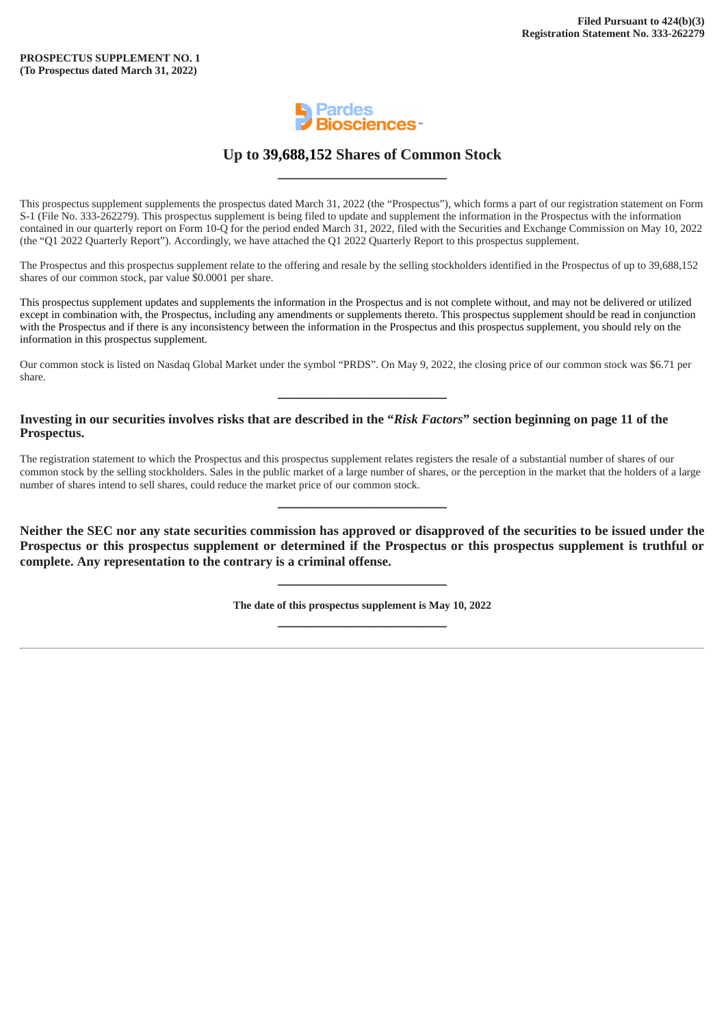

### **Up to 39,688,152 Shares of Common Stock \_\_\_\_\_\_\_\_\_\_\_\_\_\_\_\_\_\_\_\_\_\_**

This prospectus supplement supplements the prospectus dated March 31, 2022 (the "Prospectus"), which forms a part of our registration statement on Form S-1 (File No. 333-262279). This prospectus supplement is being filed to update and supplement the information in the Prospectus with the information contained in our quarterly report on Form 10-Q for the period ended March 31, 2022, filed with the Securities and Exchange Commission on May 10, 2022 (the "Q1 2022 Quarterly Report"). Accordingly, we have attached the Q1 2022 Quarterly Report to this prospectus supplement.

The Prospectus and this prospectus supplement relate to the offering and resale by the selling stockholders identified in the Prospectus of up to 39,688,152 shares of our common stock, par value \$0.0001 per share.

This prospectus supplement updates and supplements the information in the Prospectus and is not complete without, and may not be delivered or utilized except in combination with, the Prospectus, including any amendments or supplements thereto. This prospectus supplement should be read in conjunction with the Prospectus and if there is any inconsistency between the information in the Prospectus and this prospectus supplement, you should rely on the information in this prospectus supplement.

Our common stock is listed on Nasdaq Global Market under the symbol "PRDS". On May 9, 2022, the closing price of our common stock was \$6.71 per share.

**\_\_\_\_\_\_\_\_\_\_\_\_\_\_\_\_\_\_\_\_\_\_**

#### **Investing in our securities involves risks that are described in the "***Risk Factors***" section beginning on page 11 of the Prospectus.**

The registration statement to which the Prospectus and this prospectus supplement relates registers the resale of a substantial number of shares of our common stock by the selling stockholders. Sales in the public market of a large number of shares, or the perception in the market that the holders of a large number of shares intend to sell shares, could reduce the market price of our common stock.

**\_\_\_\_\_\_\_\_\_\_\_\_\_\_\_\_\_\_\_\_\_\_**

**Neither the SEC nor any state securities commission has approved or disapproved of the securities to be issued under the Prospectus or this prospectus supplement or determined if the Prospectus or this prospectus supplement is truthful or complete. Any representation to the contrary is a criminal offense.**

> **The date of this prospectus supplement is May 10, 2022 \_\_\_\_\_\_\_\_\_\_\_\_\_\_\_\_\_\_\_\_\_\_**

**\_\_\_\_\_\_\_\_\_\_\_\_\_\_\_\_\_\_\_\_\_\_**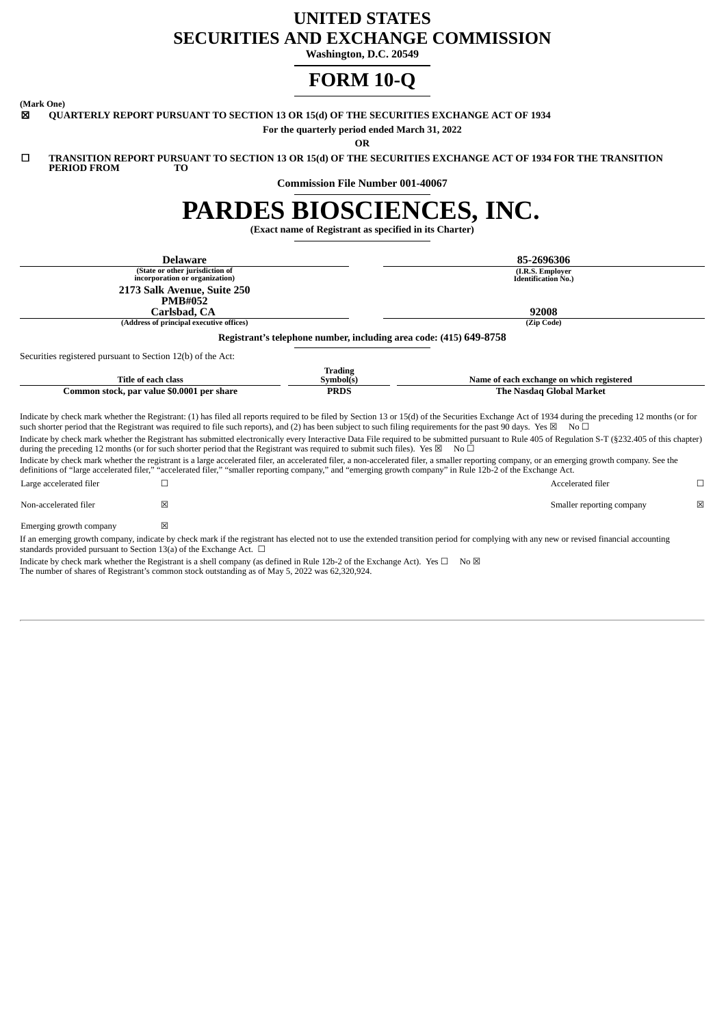## **UNITED STATES SECURITIES AND EXCHANGE COMMISSION**

**Washington, D.C. 20549**

# **FORM 10-Q**

**(Mark One)**

**QUARTERLY REPORT PURSUANT TO SECTION 13 OR 15(d) OF THE SECURITIES EXCHANGE ACT OF 1934** 

**For the quarterly period ended March 31, 2022**

**OR**

☐ **TRANSITION REPORT PURSUANT TO SECTION 13 OR 15(d) OF THE SECURITIES EXCHANGE ACT OF 1934 FOR THE TRANSITION PERIOD FROM** 

**Commission File Number 001-40067**

# **PARDES BIOSCIENCES, INC.**

**(Exact name of Registrant as specified in its Charter)**

| <b>Delaware</b><br>(State or other jurisdiction of<br>incorporation or organization)<br>2173 Salk Avenue, Suite 250<br><b>PMB#052</b><br>Carlsbad, CA |                                          |                                                                    | 85-2696306                                                                                                                                                                                                                                                                                                                                                                             |
|-------------------------------------------------------------------------------------------------------------------------------------------------------|------------------------------------------|--------------------------------------------------------------------|----------------------------------------------------------------------------------------------------------------------------------------------------------------------------------------------------------------------------------------------------------------------------------------------------------------------------------------------------------------------------------------|
|                                                                                                                                                       |                                          |                                                                    | (I.R.S. Employer<br><b>Identification No.)</b>                                                                                                                                                                                                                                                                                                                                         |
|                                                                                                                                                       |                                          |                                                                    | 92008                                                                                                                                                                                                                                                                                                                                                                                  |
|                                                                                                                                                       | (Address of principal executive offices) |                                                                    | (Zip Code)                                                                                                                                                                                                                                                                                                                                                                             |
|                                                                                                                                                       |                                          | Registrant's telephone number, including area code: (415) 649-8758 |                                                                                                                                                                                                                                                                                                                                                                                        |
| Securities registered pursuant to Section 12(b) of the Act:                                                                                           |                                          |                                                                    |                                                                                                                                                                                                                                                                                                                                                                                        |
| <b>Title of each class</b>                                                                                                                            |                                          | <b>Trading</b><br>Symbol(s)                                        | Name of each exchange on which registered                                                                                                                                                                                                                                                                                                                                              |
| Common stock, par value \$0.0001 per share                                                                                                            |                                          | <b>PRDS</b>                                                        | <b>The Nasdag Global Market</b>                                                                                                                                                                                                                                                                                                                                                        |
|                                                                                                                                                       |                                          |                                                                    | Indicate by check mark whether the Registrant: (1) has filed all reports required to be filed by Section 13 or 15(d) of the Securities Exchange Act of 1934 during the preceding 12 months (or for<br>such shorter period that the Registrant was required to file such reports), and (2) has been subject to such filing requirements for the past 90 days. Yes $\boxtimes$ No $\Box$ |
| during the preceding 12 months (or for such shorter period that the Registrant was required to submit such files). Yes $\boxtimes$ No $\square$       |                                          |                                                                    | Indicate by check mark whether the Registrant has submitted electronically every Interactive Data File required to be submitted pursuant to Rule 405 of Regulation S-T (§232.405 of this chapter)                                                                                                                                                                                      |
|                                                                                                                                                       |                                          |                                                                    | Indicate by check mark whether the registrant is a large accelerated filer, an accelerated filer, a non-accelerated filer, a smaller reporting company, or an emerging growth company. See the<br>definitions of "large accelerated filer," "accelerated filer," "smaller reporting company," and "emerging growth company" in Rule 12b-2 of the Exchange Act.                         |
| Large accelerated filer                                                                                                                               |                                          |                                                                    | Accelerated filer<br>□                                                                                                                                                                                                                                                                                                                                                                 |
| Non-accelerated filer                                                                                                                                 | X                                        |                                                                    | X<br>Smaller reporting company                                                                                                                                                                                                                                                                                                                                                         |
| Emerging growth company                                                                                                                               | $\mathsf{\overline{x}}$                  |                                                                    |                                                                                                                                                                                                                                                                                                                                                                                        |
| standards provided pursuant to Section 13(a) of the Exchange Act. $\Box$                                                                              |                                          |                                                                    | If an emerging growth company, indicate by check mark if the registrant has elected not to use the extended transition period for complying with any new or revised financial accounting                                                                                                                                                                                               |

Indicate by check mark whether the Registrant is a shell company (as defined in Rule 12b-2 of the Exchange Act). Yes □ No ⊠ The number of shares of Registrant's common stock outstanding as of May 5, 2022 was 62,320,924.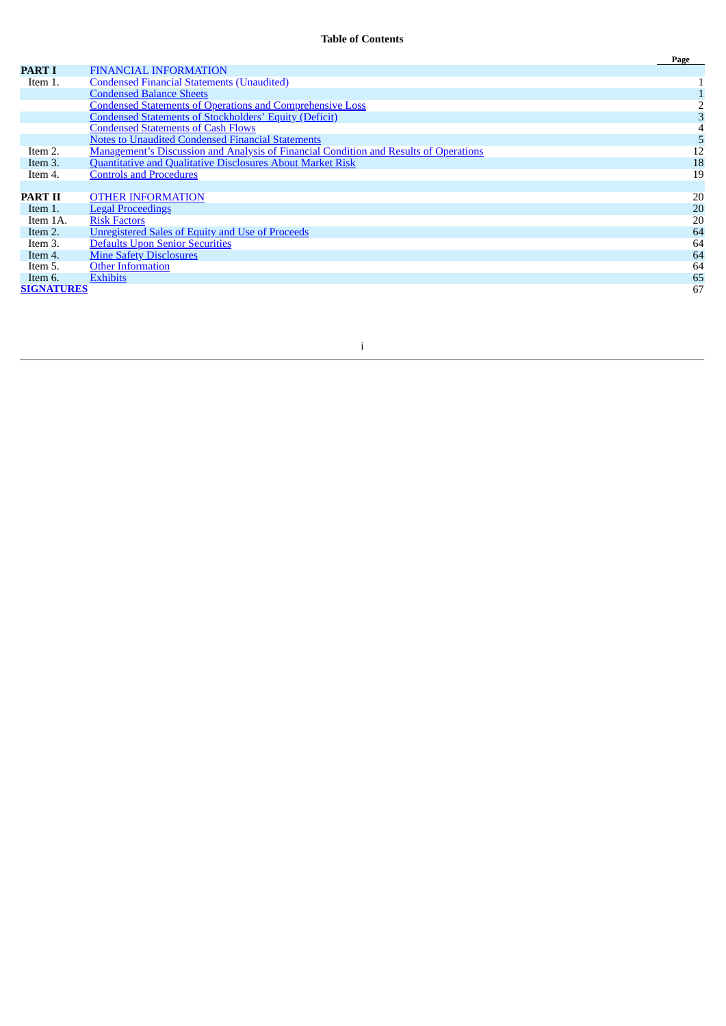|                   |                                                                                              | Page |
|-------------------|----------------------------------------------------------------------------------------------|------|
| <b>PART I</b>     | <b>FINANCIAL INFORMATION</b>                                                                 |      |
| Item 1.           | <b>Condensed Financial Statements (Unaudited)</b>                                            |      |
|                   | <b>Condensed Balance Sheets</b>                                                              |      |
|                   | <b>Condensed Statements of Operations and Comprehensive Loss</b>                             |      |
|                   | <b>Condensed Statements of Stockholders' Equity (Deficit)</b>                                |      |
|                   | <b>Condensed Statements of Cash Flows</b>                                                    |      |
|                   | <b>Notes to Unaudited Condensed Financial Statements</b>                                     |      |
| Item 2.           | <b>Management's Discussion and Analysis of Financial Condition and Results of Operations</b> | 12   |
| Item 3.           | Quantitative and Qualitative Disclosures About Market Risk                                   | 18   |
| Item 4.           | <b>Controls and Procedures</b>                                                               | 19   |
|                   |                                                                                              |      |
| <b>PART II</b>    | <b>OTHER INFORMATION</b>                                                                     | 20   |
| Item 1.           | <b>Legal Proceedings</b>                                                                     | 20   |
| Item 1A.          | <b>Risk Factors</b>                                                                          | 20   |
| Item 2.           | <b>Unregistered Sales of Equity and Use of Proceeds</b>                                      | 64   |
| Item 3.           | <b>Defaults Upon Senior Securities</b>                                                       | 64   |
| Item 4.           | <b>Mine Safety Disclosures</b>                                                               | 64   |
| Item 5.           | <b>Other Information</b>                                                                     | 64   |
| Item 6.           | <b>Exhibits</b>                                                                              | 65   |
| <b>SIGNATURES</b> |                                                                                              | 67   |

i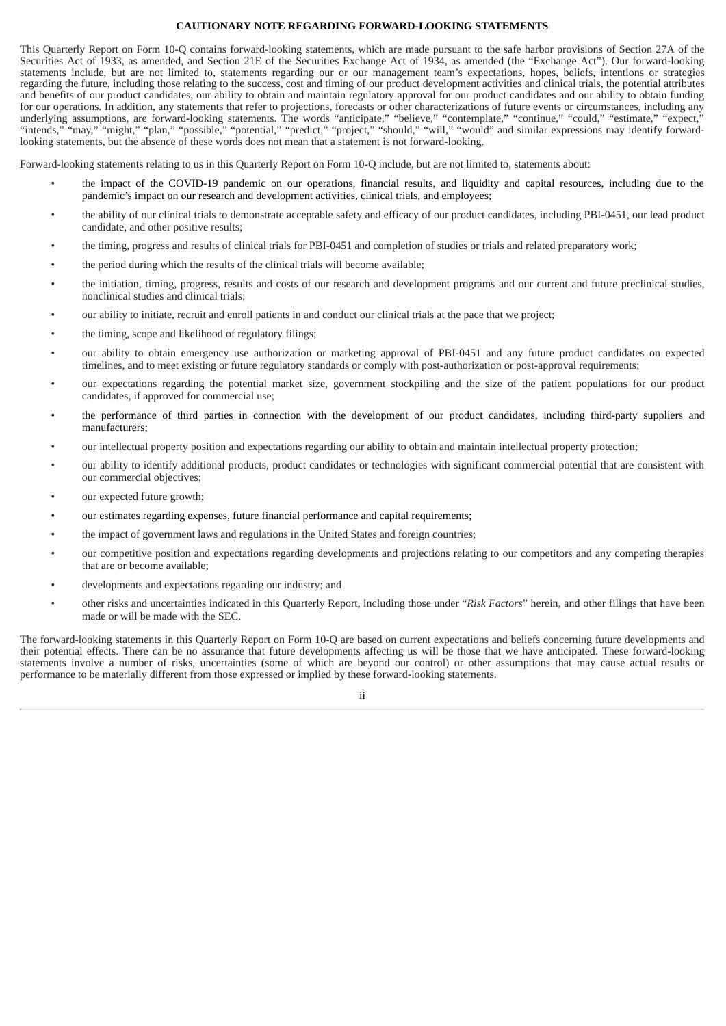#### **CAUTIONARY NOTE REGARDING FORWARD-LOOKING STATEMENTS**

This Quarterly Report on Form 10-Q contains forward-looking statements, which are made pursuant to the safe harbor provisions of Section 27A of the Securities Act of 1933, as amended, and Section 21E of the Securities Exchange Act of 1934, as amended (the "Exchange Act"). Our forward-looking statements include, but are not limited to, statements regarding our or our management team's expectations, hopes, beliefs, intentions or strategies regarding the future, including those relating to the success, cost and timing of our product development activities and clinical trials, the potential attributes and benefits of our product candidates, our ability to obtain and maintain regulatory approval for our product candidates and our ability to obtain funding for our operations. In addition, any statements that refer to projections, forecasts or other characterizations of future events or circumstances, including any underlying assumptions, are forward-looking statements. The words "anticipate," "believe," "contemplate," "continue," "could," "estimate," "expect," "intends," "may," "might," "plan," "possible," "potential," "predict," "project," "should," "will," "would" and similar expressions may identify forwardlooking statements, but the absence of these words does not mean that a statement is not forward-looking.

Forward-looking statements relating to us in this Quarterly Report on Form 10-Q include, but are not limited to, statements about:

- the impact of the COVID-19 pandemic on our operations, financial results, and liquidity and capital resources, including due to the pandemic's impact on our research and development activities, clinical trials, and employees;
- the ability of our clinical trials to demonstrate acceptable safety and efficacy of our product candidates, including PBI-0451, our lead product candidate, and other positive results;
- the timing, progress and results of clinical trials for PBI-0451 and completion of studies or trials and related preparatory work;
- the period during which the results of the clinical trials will become available;
- the initiation, timing, progress, results and costs of our research and development programs and our current and future preclinical studies, nonclinical studies and clinical trials;
- our ability to initiate, recruit and enroll patients in and conduct our clinical trials at the pace that we project;
- the timing, scope and likelihood of regulatory filings;
- our ability to obtain emergency use authorization or marketing approval of PBI-0451 and any future product candidates on expected timelines, and to meet existing or future regulatory standards or comply with post-authorization or post-approval requirements;
- our expectations regarding the potential market size, government stockpiling and the size of the patient populations for our product candidates, if approved for commercial use;
- the performance of third parties in connection with the development of our product candidates, including third-party suppliers and manufacturers;
- our intellectual property position and expectations regarding our ability to obtain and maintain intellectual property protection;
- our ability to identify additional products, product candidates or technologies with significant commercial potential that are consistent with our commercial objectives;
- our expected future growth;
- our estimates regarding expenses, future financial performance and capital requirements;
- the impact of government laws and regulations in the United States and foreign countries;
- our competitive position and expectations regarding developments and projections relating to our competitors and any competing therapies that are or become available;
- developments and expectations regarding our industry; and
- other risks and uncertainties indicated in this Quarterly Report, including those under "*Risk Factors*" herein, and other filings that have been made or will be made with the SEC.

The forward-looking statements in this Quarterly Report on Form 10-Q are based on current expectations and beliefs concerning future developments and their potential effects. There can be no assurance that future developments affecting us will be those that we have anticipated. These forward-looking statements involve a number of risks, uncertainties (some of which are beyond our control) or other assumptions that may cause actual results or performance to be materially different from those expressed or implied by these forward-looking statements.

ii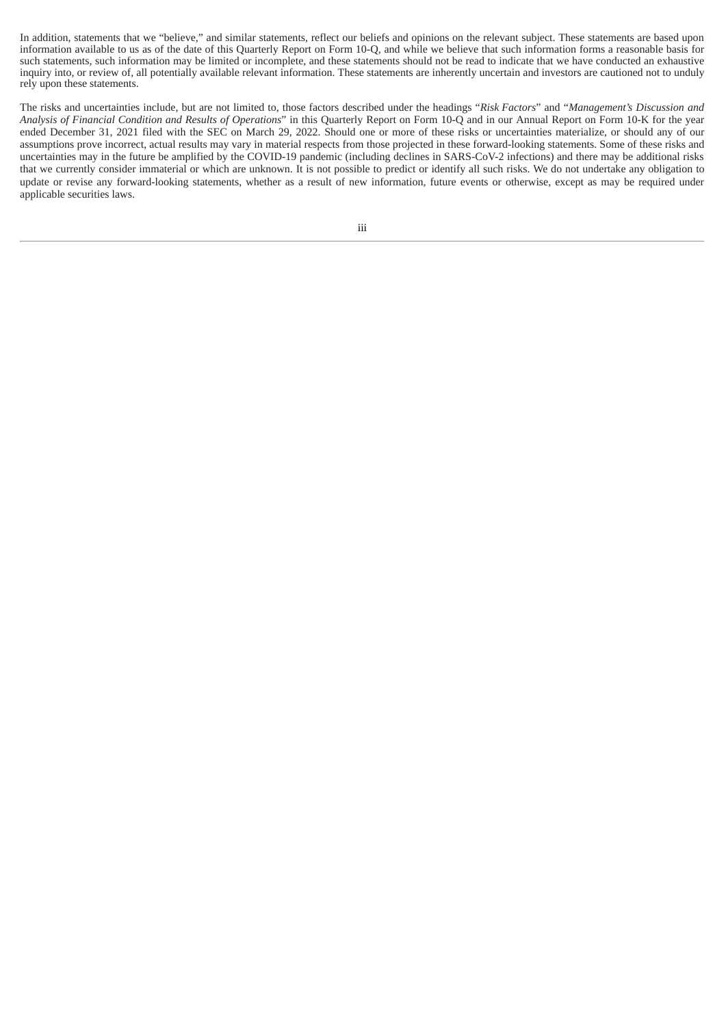In addition, statements that we "believe," and similar statements, reflect our beliefs and opinions on the relevant subject. These statements are based upon information available to us as of the date of this Quarterly Report on Form 10-Q, and while we believe that such information forms a reasonable basis for such statements, such information may be limited or incomplete, and these statements should not be read to indicate that we have conducted an exhaustive inquiry into, or review of, all potentially available relevant information. These statements are inherently uncertain and investors are cautioned not to unduly rely upon these statements.

The risks and uncertainties include, but are not limited to, those factors described under the headings "*Risk Factors*" and "*Management's Discussion and Analysis of Financial Condition and Results of Operations*" in this Quarterly Report on Form 10-Q and in our Annual Report on Form 10-K for the year ended December 31, 2021 filed with the SEC on March 29, 2022. Should one or more of these risks or uncertainties materialize, or should any of our assumptions prove incorrect, actual results may vary in material respects from those projected in these forward-looking statements. Some of these risks and uncertainties may in the future be amplified by the COVID-19 pandemic (including declines in SARS-CoV-2 infections) and there may be additional risks that we currently consider immaterial or which are unknown. It is not possible to predict or identify all such risks. We do not undertake any obligation to update or revise any forward-looking statements, whether as a result of new information, future events or otherwise, except as may be required under applicable securities laws.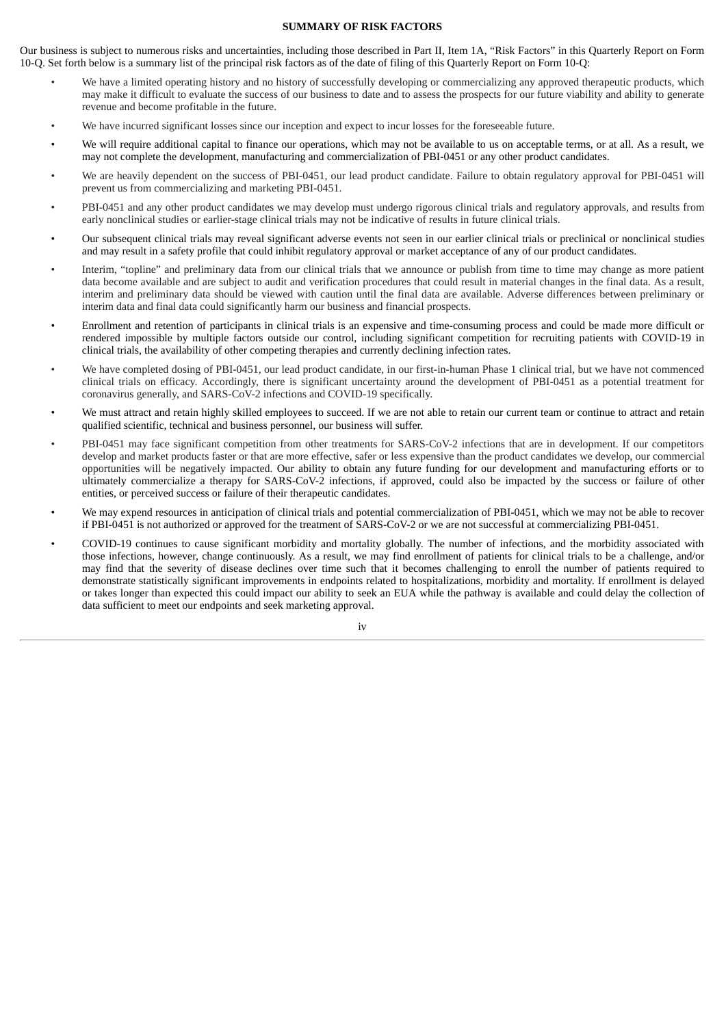#### **SUMMARY OF RISK FACTORS**

Our business is subject to numerous risks and uncertainties, including those described in Part II, Item 1A, "Risk Factors" in this Quarterly Report on Form 10-Q. Set forth below is a summary list of the principal risk factors as of the date of filing of this Quarterly Report on Form 10-Q:

- We have a limited operating history and no history of successfully developing or commercializing any approved therapeutic products, which may make it difficult to evaluate the success of our business to date and to assess the prospects for our future viability and ability to generate revenue and become profitable in the future.
- We have incurred significant losses since our inception and expect to incur losses for the foreseeable future.
- We will require additional capital to finance our operations, which may not be available to us on acceptable terms, or at all. As a result, we may not complete the development, manufacturing and commercialization of PBI-0451 or any other product candidates.
- We are heavily dependent on the success of PBI-0451, our lead product candidate. Failure to obtain regulatory approval for PBI-0451 will prevent us from commercializing and marketing PBI-0451.
- PBI-0451 and any other product candidates we may develop must undergo rigorous clinical trials and regulatory approvals, and results from early nonclinical studies or earlier-stage clinical trials may not be indicative of results in future clinical trials.
- Our subsequent clinical trials may reveal significant adverse events not seen in our earlier clinical trials or preclinical or nonclinical studies and may result in a safety profile that could inhibit regulatory approval or market acceptance of any of our product candidates.
- Interim, "topline" and preliminary data from our clinical trials that we announce or publish from time to time may change as more patient data become available and are subject to audit and verification procedures that could result in material changes in the final data. As a result, interim and preliminary data should be viewed with caution until the final data are available. Adverse differences between preliminary or interim data and final data could significantly harm our business and financial prospects.
- Enrollment and retention of participants in clinical trials is an expensive and time-consuming process and could be made more difficult or rendered impossible by multiple factors outside our control, including significant competition for recruiting patients with COVID-19 in clinical trials, the availability of other competing therapies and currently declining infection rates.
- We have completed dosing of PBI-0451, our lead product candidate, in our first-in-human Phase 1 clinical trial, but we have not commenced clinical trials on efficacy. Accordingly, there is significant uncertainty around the development of PBI-0451 as a potential treatment for coronavirus generally, and SARS-CoV-2 infections and COVID-19 specifically.
- We must attract and retain highly skilled employees to succeed. If we are not able to retain our current team or continue to attract and retain qualified scientific, technical and business personnel, our business will suffer.
- PBI-0451 may face significant competition from other treatments for SARS-CoV-2 infections that are in development. If our competitors develop and market products faster or that are more effective, safer or less expensive than the product candidates we develop, our commercial opportunities will be negatively impacted. Our ability to obtain any future funding for our development and manufacturing efforts or to ultimately commercialize a therapy for SARS-CoV-2 infections, if approved, could also be impacted by the success or failure of other entities, or perceived success or failure of their therapeutic candidates.
- We may expend resources in anticipation of clinical trials and potential commercialization of PBI-0451, which we may not be able to recover if PBI-0451 is not authorized or approved for the treatment of SARS-CoV-2 or we are not successful at commercializing PBI-0451.
- COVID-19 continues to cause significant morbidity and mortality globally. The number of infections, and the morbidity associated with those infections, however, change continuously. As a result, we may find enrollment of patients for clinical trials to be a challenge, and/or may find that the severity of disease declines over time such that it becomes challenging to enroll the number of patients required to demonstrate statistically significant improvements in endpoints related to hospitalizations, morbidity and mortality. If enrollment is delayed or takes longer than expected this could impact our ability to seek an EUA while the pathway is available and could delay the collection of data sufficient to meet our endpoints and seek marketing approval.

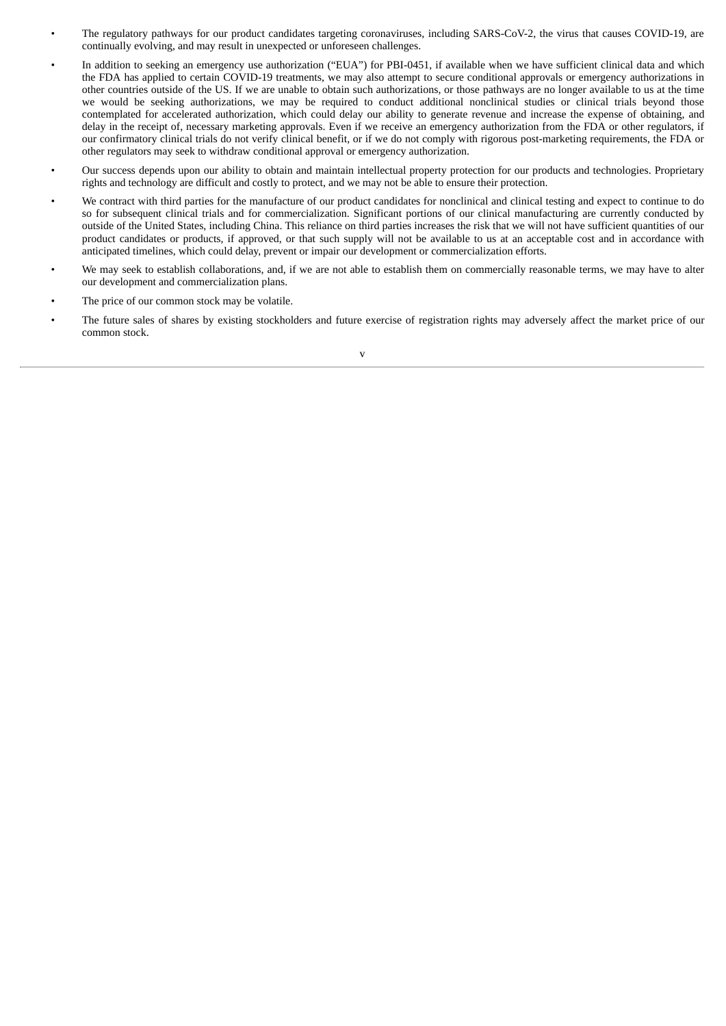- The regulatory pathways for our product candidates targeting coronaviruses, including SARS-CoV-2, the virus that causes COVID-19, are continually evolving, and may result in unexpected or unforeseen challenges.
- In addition to seeking an emergency use authorization ("EUA") for PBI-0451, if available when we have sufficient clinical data and which the FDA has applied to certain COVID-19 treatments, we may also attempt to secure conditional approvals or emergency authorizations in other countries outside of the US. If we are unable to obtain such authorizations, or those pathways are no longer available to us at the time we would be seeking authorizations, we may be required to conduct additional nonclinical studies or clinical trials beyond those contemplated for accelerated authorization, which could delay our ability to generate revenue and increase the expense of obtaining, and delay in the receipt of, necessary marketing approvals. Even if we receive an emergency authorization from the FDA or other regulators, if our confirmatory clinical trials do not verify clinical benefit, or if we do not comply with rigorous post-marketing requirements, the FDA or other regulators may seek to withdraw conditional approval or emergency authorization.
- Our success depends upon our ability to obtain and maintain intellectual property protection for our products and technologies. Proprietary rights and technology are difficult and costly to protect, and we may not be able to ensure their protection.
- We contract with third parties for the manufacture of our product candidates for nonclinical and clinical testing and expect to continue to do so for subsequent clinical trials and for commercialization. Significant portions of our clinical manufacturing are currently conducted by outside of the United States, including China. This reliance on third parties increases the risk that we will not have sufficient quantities of our product candidates or products, if approved, or that such supply will not be available to us at an acceptable cost and in accordance with anticipated timelines, which could delay, prevent or impair our development or commercialization efforts.
- We may seek to establish collaborations, and, if we are not able to establish them on commercially reasonable terms, we may have to alter our development and commercialization plans.
- The price of our common stock may be volatile.
- The future sales of shares by existing stockholders and future exercise of registration rights may adversely affect the market price of our common stock.

v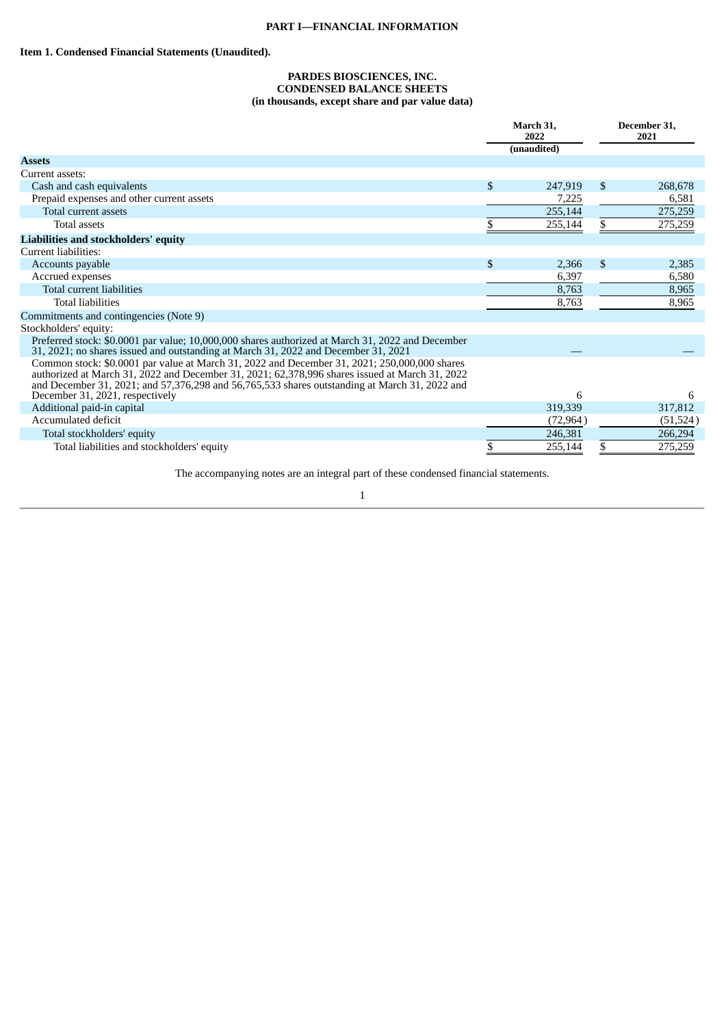#### <span id="page-7-0"></span>**Item 1. Condensed Financial Statements (Unaudited).**

#### **PARDES BIOSCIENCES, INC. CONDENSED BALANCE SHEETS (in thousands, except share and par value data)**

|                                                                                                                                                                                                                                                                                                 | March 31,<br>2022 |             |    | December 31,<br>2021 |
|-------------------------------------------------------------------------------------------------------------------------------------------------------------------------------------------------------------------------------------------------------------------------------------------------|-------------------|-------------|----|----------------------|
|                                                                                                                                                                                                                                                                                                 |                   | (unaudited) |    |                      |
| <b>Assets</b>                                                                                                                                                                                                                                                                                   |                   |             |    |                      |
| Current assets:                                                                                                                                                                                                                                                                                 |                   |             |    |                      |
| Cash and cash equivalents                                                                                                                                                                                                                                                                       | \$                | 247,919     | \$ | 268,678              |
| Prepaid expenses and other current assets                                                                                                                                                                                                                                                       |                   | 7,225       |    | 6,581                |
| Total current assets                                                                                                                                                                                                                                                                            |                   | 255,144     |    | 275,259              |
| Total assets                                                                                                                                                                                                                                                                                    |                   | 255,144     | \$ | 275,259              |
| Liabilities and stockholders' equity                                                                                                                                                                                                                                                            |                   |             |    |                      |
| Current liabilities:                                                                                                                                                                                                                                                                            |                   |             |    |                      |
| Accounts payable                                                                                                                                                                                                                                                                                | \$                | 2,366       | \$ | 2,385                |
| Accrued expenses                                                                                                                                                                                                                                                                                |                   | 6,397       |    | 6,580                |
| Total current liabilities                                                                                                                                                                                                                                                                       |                   | 8,763       |    | 8,965                |
| <b>Total liabilities</b>                                                                                                                                                                                                                                                                        |                   | 8,763       |    | 8,965                |
| Commitments and contingencies (Note 9)                                                                                                                                                                                                                                                          |                   |             |    |                      |
| Stockholders' equity:                                                                                                                                                                                                                                                                           |                   |             |    |                      |
| Preferred stock: \$0.0001 par value; 10,000,000 shares authorized at March 31, 2022 and December<br>31, 2021; no shares issued and outstanding at March 31, 2022 and December 31, 2021                                                                                                          |                   |             |    |                      |
| Common stock: \$0.0001 par value at March 31, 2022 and December 31, 2021; 250,000,000 shares<br>authorized at March 31, 2022 and December 31, 2021; 62,378,996 shares issued at March 31, 2022<br>and December 31, 2021; and 57,376,298 and 56,765,533 shares outstanding at March 31, 2022 and |                   |             |    |                      |
| December 31, 2021, respectively                                                                                                                                                                                                                                                                 |                   | 6           |    | 6                    |
| Additional paid-in capital                                                                                                                                                                                                                                                                      |                   | 319,339     |    | 317,812              |
| Accumulated deficit                                                                                                                                                                                                                                                                             |                   | (72, 964)   |    | (51, 524)            |
| Total stockholders' equity                                                                                                                                                                                                                                                                      |                   | 246,381     |    | 266,294              |
| Total liabilities and stockholders' equity                                                                                                                                                                                                                                                      | \$                | 255,144     | \$ | 275,259              |

The accompanying notes are an integral part of these condensed financial statements.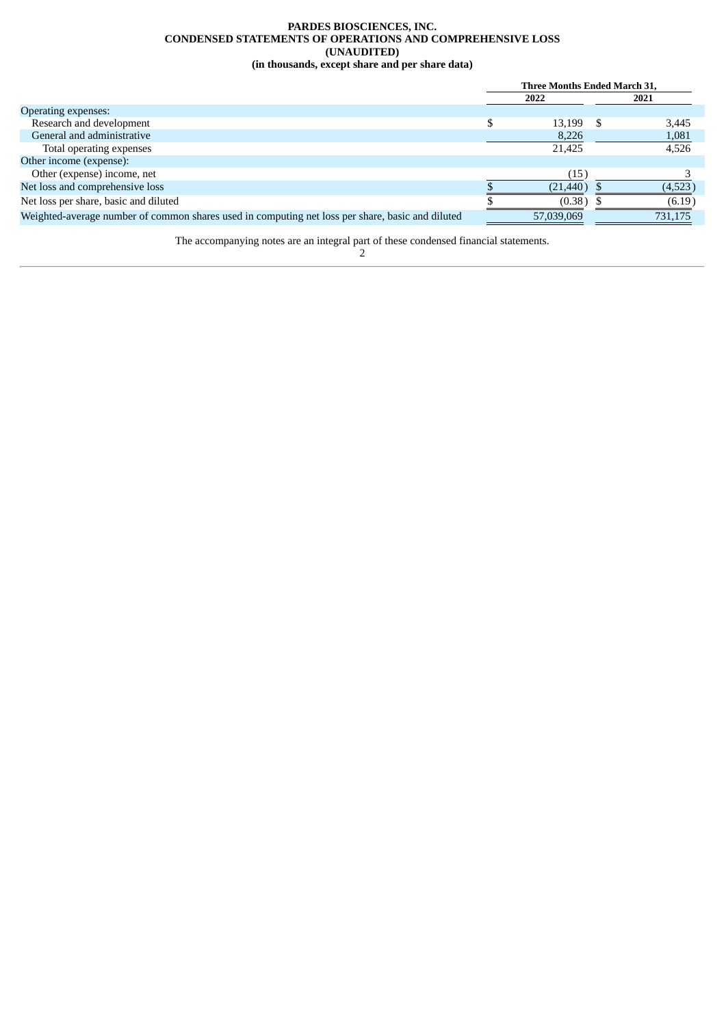#### **PARDES BIOSCIENCES, INC. CONDENSED STATEMENTS OF OPERATIONS AND COMPREHENSIVE LOSS (UNAUDITED) (in thousands, except share and per share data)**

<span id="page-8-0"></span>

|                                                                                                  | Three Months Ended March 31, |            |    |         |
|--------------------------------------------------------------------------------------------------|------------------------------|------------|----|---------|
|                                                                                                  |                              | 2022       |    | 2021    |
| Operating expenses:                                                                              |                              |            |    |         |
| Research and development                                                                         |                              | 13,199     | -8 | 3,445   |
| General and administrative                                                                       |                              | 8,226      |    | 1,081   |
| Total operating expenses                                                                         |                              | 21,425     |    | 4,526   |
| Other income (expense):                                                                          |                              |            |    |         |
| Other (expense) income, net                                                                      |                              | (15)       |    |         |
| Net loss and comprehensive loss                                                                  |                              | (21, 440)  |    | (4,523) |
| Net loss per share, basic and diluted                                                            |                              | (0.38)     |    | (6.19)  |
| Weighted-average number of common shares used in computing net loss per share, basic and diluted |                              | 57,039,069 |    | 731,175 |

The accompanying notes are an integral part of these condensed financial statements.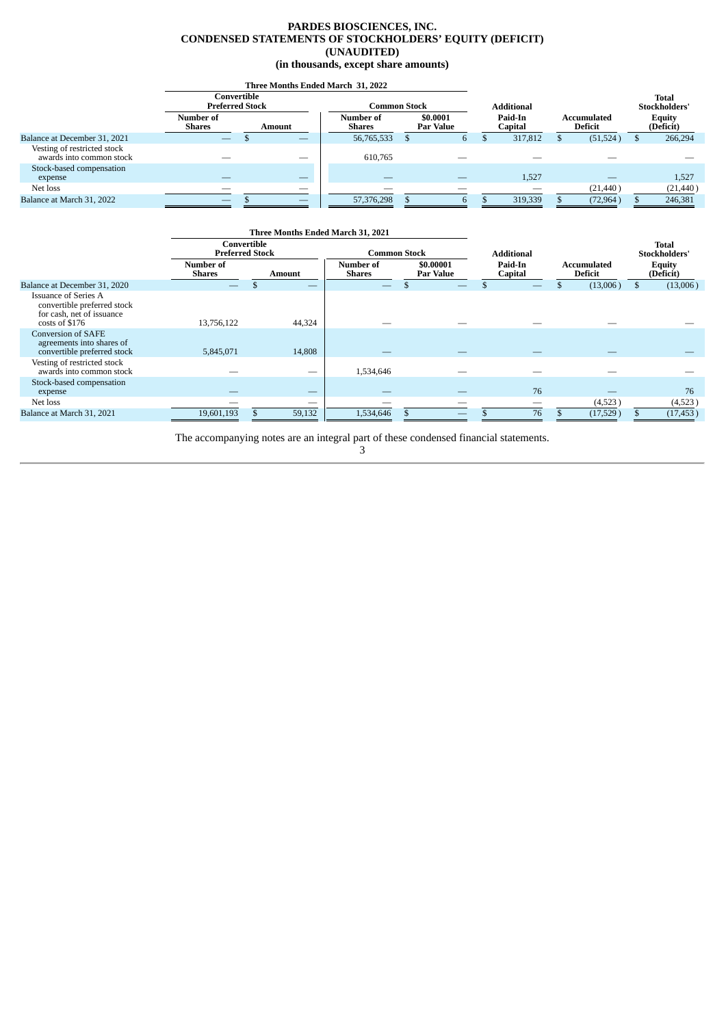#### **PARDES BIOSCIENCES, INC. CONDENSED STATEMENTS OF STOCKHOLDERS' EQUITY (DEFICIT) (UNAUDITED) (in thousands, except share amounts)**

<span id="page-9-0"></span>

|                                                         | Three Months Ended March 31, 2022     |        |              |                            |  |                       |                    |         |                               |           |                            |           |
|---------------------------------------------------------|---------------------------------------|--------|--------------|----------------------------|--|-----------------------|--------------------|---------|-------------------------------|-----------|----------------------------|-----------|
|                                                         | Convertible<br><b>Preferred Stock</b> |        | Common Stock |                            |  | <b>Additional</b>     |                    |         |                               |           | Total<br>Stockholders'     |           |
|                                                         | Number of<br>Shares                   | Amount |              | Number of<br><b>Shares</b> |  | \$0.0001<br>Par Value | Paid-In<br>Capital |         | Accumulated<br><b>Deficit</b> |           | <b>Equity</b><br>(Deficit) |           |
| Balance at December 31, 2021                            | $\frac{1}{2}$                         |        | $-$          | 56,765,533                 |  | 6                     |                    | 317,812 |                               | (51, 524) |                            | 266,294   |
| Vesting of restricted stock<br>awards into common stock |                                       |        | __           | 610,765                    |  |                       |                    |         |                               |           |                            |           |
| Stock-based compensation                                |                                       |        |              |                            |  |                       |                    |         |                               |           |                            |           |
| expense                                                 |                                       |        | $-$          |                            |  |                       |                    | 1,527   |                               |           |                            | 1,527     |
| Net loss                                                |                                       |        |              |                            |  | __                    |                    |         |                               | (21, 440) |                            | (21, 440) |
| Balance at March 31, 2022                               | __                                    |        | $-$          | 57,376,298                 |  | $\mathfrak{b}$        |                    | 319,339 |                               | (72, 964) |                            | 246,381   |

|                                                                                                           | Three Months Ended March 31, 2021     |        |                            |                               |                    |                                      |                               |
|-----------------------------------------------------------------------------------------------------------|---------------------------------------|--------|----------------------------|-------------------------------|--------------------|--------------------------------------|-------------------------------|
|                                                                                                           | Convertible<br><b>Preferred Stock</b> |        | <b>Common Stock</b>        |                               | <b>Additional</b>  |                                      | <b>Total</b><br>Stockholders' |
|                                                                                                           | Number of<br><b>Shares</b>            | Amount | Number of<br><b>Shares</b> | \$0.00001<br><b>Par Value</b> | Paid-In<br>Capital | <b>Accumulated</b><br><b>Deficit</b> | <b>Equity</b><br>(Deficit)    |
| Balance at December 31, 2020                                                                              |                                       | __     |                            |                               |                    | (13,006)                             | (13,006)<br>\$                |
| <b>Issuance of Series A</b><br>convertible preferred stock<br>for cash, net of issuance<br>costs of \$176 | 13,756,122                            | 44,324 |                            |                               |                    |                                      |                               |
| <b>Conversion of SAFE</b><br>agreements into shares of<br>convertible preferred stock                     | 5,845,071                             | 14,808 |                            |                               |                    |                                      |                               |
| Vesting of restricted stock<br>awards into common stock                                                   |                                       | –      | 1,534,646                  |                               |                    |                                      |                               |
| Stock-based compensation<br>expense                                                                       |                                       |        |                            |                               | 76                 |                                      | 76                            |
| Net loss                                                                                                  |                                       | –      |                            |                               |                    | (4,523)                              | (4,523)                       |
| Balance at March 31, 2021                                                                                 | 19,601,193                            | 59,132 | 1,534,646                  |                               | 76                 | (17,529)                             | (17, 453)                     |

The accompanying notes are an integral part of these condensed financial statements.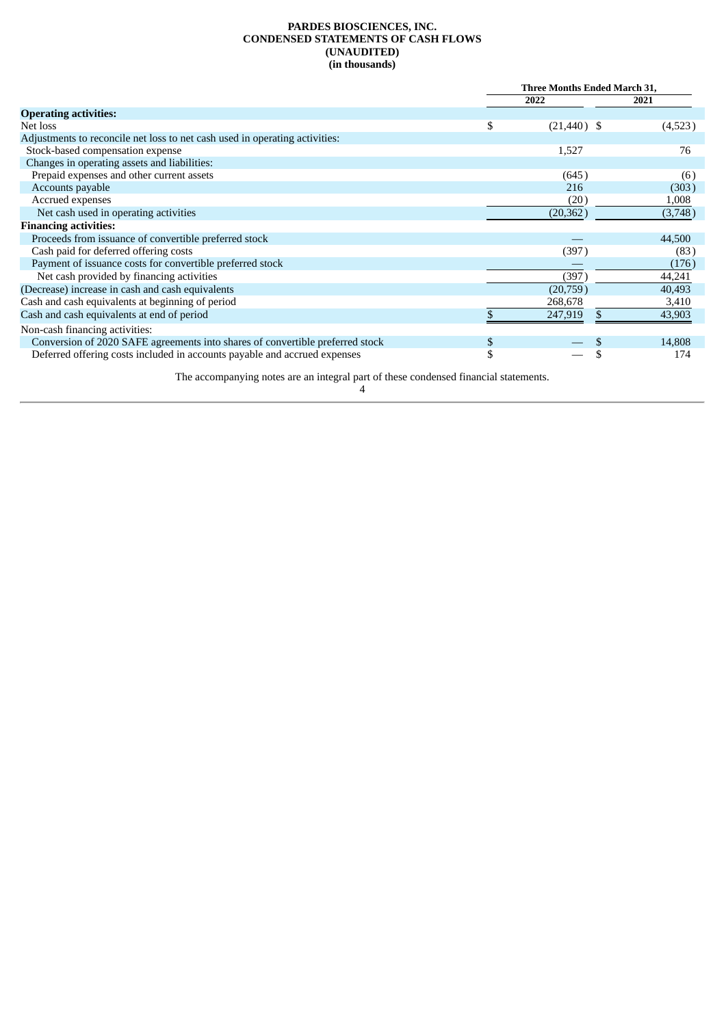#### **PARDES BIOSCIENCES, INC. CONDENSED STATEMENTS OF CASH FLOWS (UNAUDITED) (in thousands)**

<span id="page-10-0"></span>

|                                                                               | Three Months Ended March 31, |  |         |
|-------------------------------------------------------------------------------|------------------------------|--|---------|
|                                                                               | 2022                         |  | 2021    |
| <b>Operating activities:</b>                                                  |                              |  |         |
| Net loss                                                                      | \$<br>$(21, 440)$ \$         |  | (4,523) |
| Adjustments to reconcile net loss to net cash used in operating activities:   |                              |  |         |
| Stock-based compensation expense                                              | 1,527                        |  | 76      |
| Changes in operating assets and liabilities:                                  |                              |  |         |
| Prepaid expenses and other current assets                                     | (645)                        |  | (6)     |
| Accounts payable                                                              | 216                          |  | (303)   |
| Accrued expenses                                                              | (20)                         |  | 1,008   |
| Net cash used in operating activities                                         | (20, 362)                    |  | (3,748) |
| <b>Financing activities:</b>                                                  |                              |  |         |
| Proceeds from issuance of convertible preferred stock                         |                              |  | 44,500  |
| Cash paid for deferred offering costs                                         | (397)                        |  | (83)    |
| Payment of issuance costs for convertible preferred stock                     |                              |  | (176)   |
| Net cash provided by financing activities                                     | (397)                        |  | 44,241  |
| (Decrease) increase in cash and cash equivalents                              | (20,759)                     |  | 40,493  |
| Cash and cash equivalents at beginning of period                              | 268,678                      |  | 3,410   |
| Cash and cash equivalents at end of period                                    | 247,919                      |  | 43,903  |
| Non-cash financing activities:                                                |                              |  |         |
| Conversion of 2020 SAFE agreements into shares of convertible preferred stock | \$                           |  | 14,808  |
| Deferred offering costs included in accounts payable and accrued expenses     | \$                           |  | 174     |

The accompanying notes are an integral part of these condensed financial statements.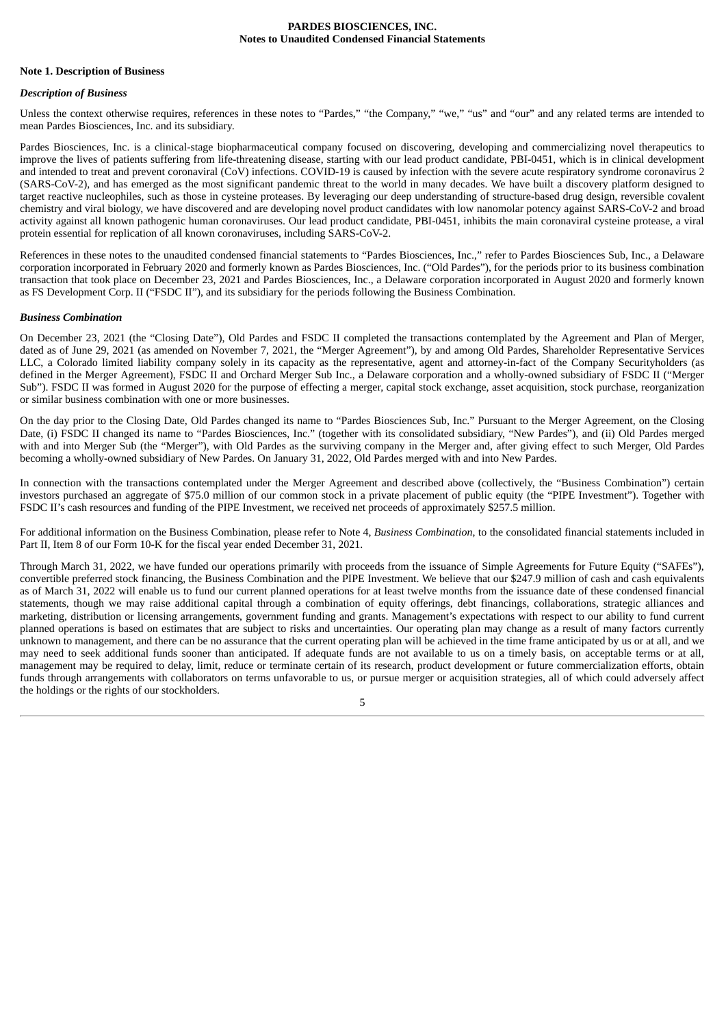#### **PARDES BIOSCIENCES, INC. Notes to Unaudited Condensed Financial Statements**

#### <span id="page-11-0"></span>**Note 1. Description of Business**

#### *Description of Business*

Unless the context otherwise requires, references in these notes to "Pardes," "the Company," "we," "us" and "our" and any related terms are intended to mean Pardes Biosciences, Inc. and its subsidiary.

Pardes Biosciences, Inc. is a clinical-stage biopharmaceutical company focused on discovering, developing and commercializing novel therapeutics to improve the lives of patients suffering from life-threatening disease, starting with our lead product candidate, PBI-0451, which is in clinical development and intended to treat and prevent coronaviral (CoV) infections. COVID-19 is caused by infection with the severe acute respiratory syndrome coronavirus 2 (SARS-CoV-2), and has emerged as the most significant pandemic threat to the world in many decades. We have built a discovery platform designed to target reactive nucleophiles, such as those in cysteine proteases. By leveraging our deep understanding of structure-based drug design, reversible covalent chemistry and viral biology, we have discovered and are developing novel product candidates with low nanomolar potency against SARS-CoV-2 and broad activity against all known pathogenic human coronaviruses. Our lead product candidate, PBI-0451, inhibits the main coronaviral cysteine protease, a viral protein essential for replication of all known coronaviruses, including SARS-CoV-2.

References in these notes to the unaudited condensed financial statements to "Pardes Biosciences, Inc.," refer to Pardes Biosciences Sub, Inc., a Delaware corporation incorporated in February 2020 and formerly known as Pardes Biosciences, Inc. ("Old Pardes"), for the periods prior to its business combination transaction that took place on December 23, 2021 and Pardes Biosciences, Inc., a Delaware corporation incorporated in August 2020 and formerly known as FS Development Corp. II ("FSDC II"), and its subsidiary for the periods following the Business Combination.

#### *Business Combination*

On December 23, 2021 (the "Closing Date"), Old Pardes and FSDC II completed the transactions contemplated by the Agreement and Plan of Merger, dated as of June 29, 2021 (as amended on November 7, 2021, the "Merger Agreement"), by and among Old Pardes, Shareholder Representative Services LLC, a Colorado limited liability company solely in its capacity as the representative, agent and attorney-in-fact of the Company Securityholders (as defined in the Merger Agreement), FSDC II and Orchard Merger Sub Inc., a Delaware corporation and a wholly-owned subsidiary of FSDC II ("Merger Sub"). FSDC II was formed in August 2020 for the purpose of effecting a merger, capital stock exchange, asset acquisition, stock purchase, reorganization or similar business combination with one or more businesses.

On the day prior to the Closing Date, Old Pardes changed its name to "Pardes Biosciences Sub, Inc." Pursuant to the Merger Agreement, on the Closing Date, (i) FSDC II changed its name to "Pardes Biosciences, Inc." (together with its consolidated subsidiary, "New Pardes"), and (ii) Old Pardes merged with and into Merger Sub (the "Merger"), with Old Pardes as the surviving company in the Merger and, after giving effect to such Merger, Old Pardes becoming a wholly-owned subsidiary of New Pardes. On January 31, 2022, Old Pardes merged with and into New Pardes.

In connection with the transactions contemplated under the Merger Agreement and described above (collectively, the "Business Combination") certain investors purchased an aggregate of \$75.0 million of our common stock in a private placement of public equity (the "PIPE Investment"). Together with FSDC II's cash resources and funding of the PIPE Investment, we received net proceeds of approximately \$257.5 million.

For additional information on the Business Combination, please refer to Note 4, *Business Combination*, to the consolidated financial statements included in Part II, Item 8 of our Form 10-K for the fiscal year ended December 31, 2021.

Through March 31, 2022, we have funded our operations primarily with proceeds from the issuance of Simple Agreements for Future Equity ("SAFEs"), convertible preferred stock financing, the Business Combination and the PIPE Investment. We believe that our \$247.9 million of cash and cash equivalents as of March 31, 2022 will enable us to fund our current planned operations for at least twelve months from the issuance date of these condensed financial statements, though we may raise additional capital through a combination of equity offerings, debt financings, collaborations, strategic alliances and marketing, distribution or licensing arrangements, government funding and grants. Management's expectations with respect to our ability to fund current planned operations is based on estimates that are subject to risks and uncertainties. Our operating plan may change as a result of many factors currently unknown to management, and there can be no assurance that the current operating plan will be achieved in the time frame anticipated by us or at all, and we may need to seek additional funds sooner than anticipated. If adequate funds are not available to us on a timely basis, on acceptable terms or at all, management may be required to delay, limit, reduce or terminate certain of its research, product development or future commercialization efforts, obtain funds through arrangements with collaborators on terms unfavorable to us, or pursue merger or acquisition strategies, all of which could adversely affect the holdings or the rights of our stockholders.

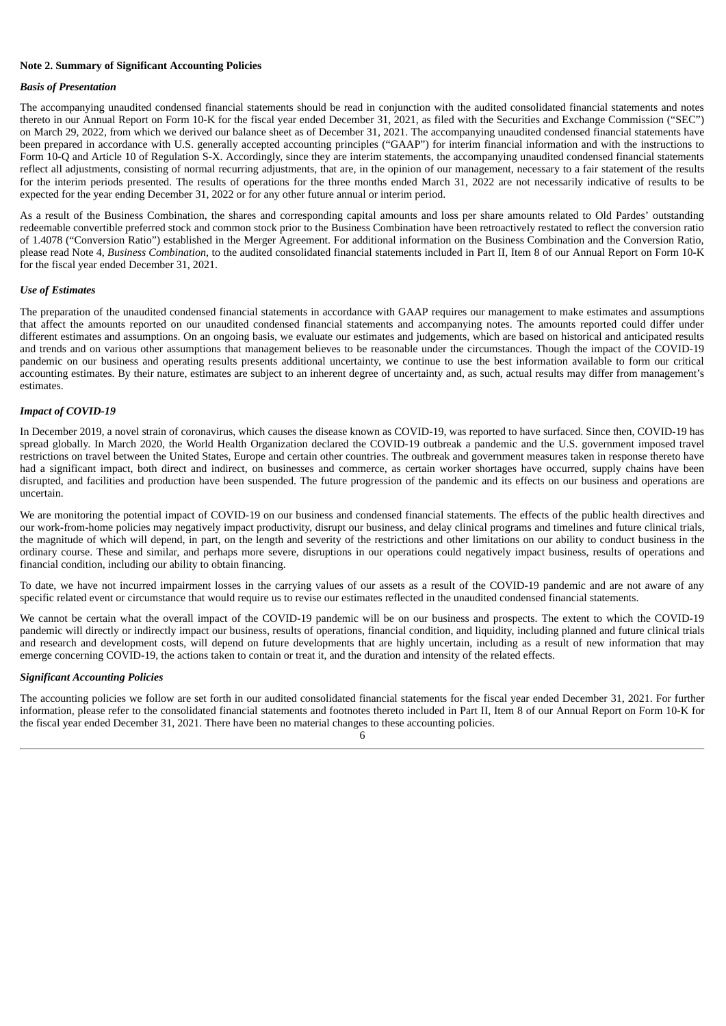#### **Note 2. Summary of Significant Accounting Policies**

#### *Basis of Presentation*

The accompanying unaudited condensed financial statements should be read in conjunction with the audited consolidated financial statements and notes thereto in our Annual Report on Form 10-K for the fiscal year ended December 31, 2021, as filed with the Securities and Exchange Commission ("SEC") on March 29, 2022, from which we derived our balance sheet as of December 31, 2021. The accompanying unaudited condensed financial statements have been prepared in accordance with U.S. generally accepted accounting principles ("GAAP") for interim financial information and with the instructions to Form 10-Q and Article 10 of Regulation S-X. Accordingly, since they are interim statements, the accompanying unaudited condensed financial statements reflect all adjustments, consisting of normal recurring adjustments, that are, in the opinion of our management, necessary to a fair statement of the results for the interim periods presented. The results of operations for the three months ended March 31, 2022 are not necessarily indicative of results to be expected for the year ending December 31, 2022 or for any other future annual or interim period.

As a result of the Business Combination, the shares and corresponding capital amounts and loss per share amounts related to Old Pardes' outstanding redeemable convertible preferred stock and common stock prior to the Business Combination have been retroactively restated to reflect the conversion ratio of 1.4078 ("Conversion Ratio") established in the Merger Agreement. For additional information on the Business Combination and the Conversion Ratio, please read Note 4, *Business Combination*, to the audited consolidated financial statements included in Part II, Item 8 of our Annual Report on Form 10-K for the fiscal year ended December 31, 2021.

#### *Use of Estimates*

The preparation of the unaudited condensed financial statements in accordance with GAAP requires our management to make estimates and assumptions that affect the amounts reported on our unaudited condensed financial statements and accompanying notes. The amounts reported could differ under different estimates and assumptions. On an ongoing basis, we evaluate our estimates and judgements, which are based on historical and anticipated results and trends and on various other assumptions that management believes to be reasonable under the circumstances. Though the impact of the COVID-19 pandemic on our business and operating results presents additional uncertainty, we continue to use the best information available to form our critical accounting estimates. By their nature, estimates are subject to an inherent degree of uncertainty and, as such, actual results may differ from management's estimates.

#### *Impact of COVID-19*

In December 2019, a novel strain of coronavirus, which causes the disease known as COVID-19, was reported to have surfaced. Since then, COVID-19 has spread globally. In March 2020, the World Health Organization declared the COVID-19 outbreak a pandemic and the U.S. government imposed travel restrictions on travel between the United States, Europe and certain other countries. The outbreak and government measures taken in response thereto have had a significant impact, both direct and indirect, on businesses and commerce, as certain worker shortages have occurred, supply chains have been disrupted, and facilities and production have been suspended. The future progression of the pandemic and its effects on our business and operations are uncertain.

We are monitoring the potential impact of COVID-19 on our business and condensed financial statements. The effects of the public health directives and our work-from-home policies may negatively impact productivity, disrupt our business, and delay clinical programs and timelines and future clinical trials, the magnitude of which will depend, in part, on the length and severity of the restrictions and other limitations on our ability to conduct business in the ordinary course. These and similar, and perhaps more severe, disruptions in our operations could negatively impact business, results of operations and financial condition, including our ability to obtain financing.

To date, we have not incurred impairment losses in the carrying values of our assets as a result of the COVID-19 pandemic and are not aware of any specific related event or circumstance that would require us to revise our estimates reflected in the unaudited condensed financial statements.

We cannot be certain what the overall impact of the COVID-19 pandemic will be on our business and prospects. The extent to which the COVID-19 pandemic will directly or indirectly impact our business, results of operations, financial condition, and liquidity, including planned and future clinical trials and research and development costs, will depend on future developments that are highly uncertain, including as a result of new information that may emerge concerning COVID-19, the actions taken to contain or treat it, and the duration and intensity of the related effects.

#### *Significant Accounting Policies*

The accounting policies we follow are set forth in our audited consolidated financial statements for the fiscal year ended December 31, 2021. For further information, please refer to the consolidated financial statements and footnotes thereto included in Part II, Item 8 of our Annual Report on Form 10-K for the fiscal year ended December 31, 2021. There have been no material changes to these accounting policies.

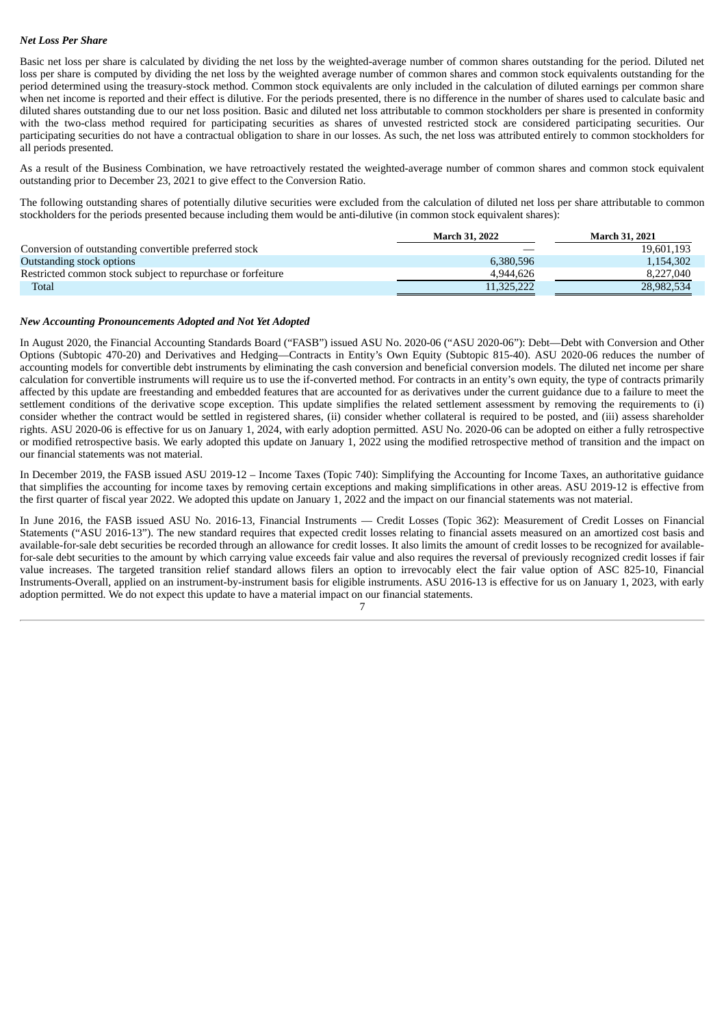#### *Net Loss Per Share*

Basic net loss per share is calculated by dividing the net loss by the weighted-average number of common shares outstanding for the period. Diluted net loss per share is computed by dividing the net loss by the weighted average number of common shares and common stock equivalents outstanding for the period determined using the treasury-stock method. Common stock equivalents are only included in the calculation of diluted earnings per common share when net income is reported and their effect is dilutive. For the periods presented, there is no difference in the number of shares used to calculate basic and diluted shares outstanding due to our net loss position. Basic and diluted net loss attributable to common stockholders per share is presented in conformity with the two-class method required for participating securities as shares of unvested restricted stock are considered participating securities. Our participating securities do not have a contractual obligation to share in our losses. As such, the net loss was attributed entirely to common stockholders for all periods presented.

As a result of the Business Combination, we have retroactively restated the weighted-average number of common shares and common stock equivalent outstanding prior to December 23, 2021 to give effect to the Conversion Ratio.

The following outstanding shares of potentially dilutive securities were excluded from the calculation of diluted net loss per share attributable to common stockholders for the periods presented because including them would be anti-dilutive (in common stock equivalent shares):

|                                                             | <b>March 31, 2022</b> | <b>March 31, 2021</b> |
|-------------------------------------------------------------|-----------------------|-----------------------|
| Conversion of outstanding convertible preferred stock       |                       | 19,601,193            |
| Outstanding stock options                                   | 6,380,596             | 1,154,302             |
| Restricted common stock subject to repurchase or forfeiture | 4.944.626             | 8,227,040             |
| Total                                                       | 11,325,222            | 28,982,534            |

#### *New Accounting Pronouncements Adopted and Not Yet Adopted*

In August 2020, the Financial Accounting Standards Board ("FASB") issued ASU No. 2020-06 ("ASU 2020-06"): Debt—Debt with Conversion and Other Options (Subtopic 470-20) and Derivatives and Hedging—Contracts in Entity's Own Equity (Subtopic 815-40). ASU 2020-06 reduces the number of accounting models for convertible debt instruments by eliminating the cash conversion and beneficial conversion models. The diluted net income per share calculation for convertible instruments will require us to use the if-converted method. For contracts in an entity's own equity, the type of contracts primarily affected by this update are freestanding and embedded features that are accounted for as derivatives under the current guidance due to a failure to meet the settlement conditions of the derivative scope exception. This update simplifies the related settlement assessment by removing the requirements to (i) consider whether the contract would be settled in registered shares, (ii) consider whether collateral is required to be posted, and (iii) assess shareholder rights. ASU 2020-06 is effective for us on January 1, 2024, with early adoption permitted. ASU No. 2020-06 can be adopted on either a fully retrospective or modified retrospective basis. We early adopted this update on January 1, 2022 using the modified retrospective method of transition and the impact on our financial statements was not material.

In December 2019, the FASB issued ASU 2019-12 – Income Taxes (Topic 740): Simplifying the Accounting for Income Taxes, an authoritative guidance that simplifies the accounting for income taxes by removing certain exceptions and making simplifications in other areas. ASU 2019-12 is effective from the first quarter of fiscal year 2022. We adopted this update on January 1, 2022 and the impact on our financial statements was not material.

In June 2016, the FASB issued ASU No. 2016-13, Financial Instruments — Credit Losses (Topic 362): Measurement of Credit Losses on Financial Statements ("ASU 2016-13"). The new standard requires that expected credit losses relating to financial assets measured on an amortized cost basis and available-for-sale debt securities be recorded through an allowance for credit losses. It also limits the amount of credit losses to be recognized for availablefor-sale debt securities to the amount by which carrying value exceeds fair value and also requires the reversal of previously recognized credit losses if fair value increases. The targeted transition relief standard allows filers an option to irrevocably elect the fair value option of ASC 825-10, Financial Instruments-Overall, applied on an instrument-by-instrument basis for eligible instruments. ASU 2016-13 is effective for us on January 1, 2023, with early adoption permitted. We do not expect this update to have a material impact on our financial statements.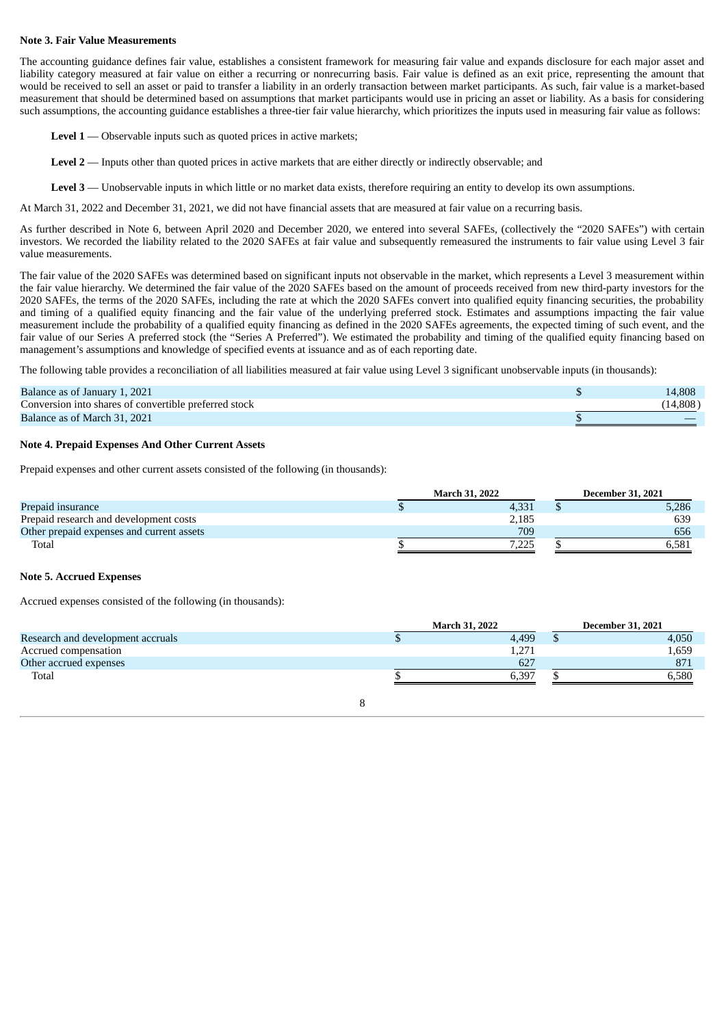#### **Note 3. Fair Value Measurements**

The accounting guidance defines fair value, establishes a consistent framework for measuring fair value and expands disclosure for each major asset and liability category measured at fair value on either a recurring or nonrecurring basis. Fair value is defined as an exit price, representing the amount that would be received to sell an asset or paid to transfer a liability in an orderly transaction between market participants. As such, fair value is a market-based measurement that should be determined based on assumptions that market participants would use in pricing an asset or liability. As a basis for considering such assumptions, the accounting guidance establishes a three-tier fair value hierarchy, which prioritizes the inputs used in measuring fair value as follows:

**Level 1** — Observable inputs such as quoted prices in active markets;

**Level 2** — Inputs other than quoted prices in active markets that are either directly or indirectly observable; and

**Level 3** — Unobservable inputs in which little or no market data exists, therefore requiring an entity to develop its own assumptions.

At March 31, 2022 and December 31, 2021, we did not have financial assets that are measured at fair value on a recurring basis.

As further described in Note 6, between April 2020 and December 2020, we entered into several SAFEs, (collectively the "2020 SAFEs") with certain investors. We recorded the liability related to the 2020 SAFEs at fair value and subsequently remeasured the instruments to fair value using Level 3 fair value measurements.

The fair value of the 2020 SAFEs was determined based on significant inputs not observable in the market, which represents a Level 3 measurement within the fair value hierarchy. We determined the fair value of the 2020 SAFEs based on the amount of proceeds received from new third-party investors for the 2020 SAFEs, the terms of the 2020 SAFEs, including the rate at which the 2020 SAFEs convert into qualified equity financing securities, the probability and timing of a qualified equity financing and the fair value of the underlying preferred stock. Estimates and assumptions impacting the fair value measurement include the probability of a qualified equity financing as defined in the 2020 SAFEs agreements, the expected timing of such event, and the fair value of our Series A preferred stock (the "Series A Preferred"). We estimated the probability and timing of the qualified equity financing based on management's assumptions and knowledge of specified events at issuance and as of each reporting date.

The following table provides a reconciliation of all liabilities measured at fair value using Level 3 significant unobservable inputs (in thousands):

| Balance as of January 1, 2021                         | 14,808 |
|-------------------------------------------------------|--------|
| Conversion into shares of convertible preferred stock | 14,808 |
| Balance as of March 31, 2021                          |        |

#### **Note 4. Prepaid Expenses And Other Current Assets**

Prepaid expenses and other current assets consisted of the following (in thousands):

|                                           | <b>March 31, 2022</b> |        | <b>December 31, 2021</b> |       |  |
|-------------------------------------------|-----------------------|--------|--------------------------|-------|--|
| Prepaid insurance                         |                       | 4,331  |                          | 5,286 |  |
| Prepaid research and development costs    |                       | 2,185  |                          | 639   |  |
| Other prepaid expenses and current assets |                       | 709    |                          | 656   |  |
| Total                                     |                       | ے کہ و |                          | 6.581 |  |

#### **Note 5. Accrued Expenses**

Accrued expenses consisted of the following (in thousands):

|                                   | <b>March 31, 2022</b> |       |  | <b>December 31, 2021</b> |
|-----------------------------------|-----------------------|-------|--|--------------------------|
| Research and development accruals |                       | 4,499 |  | 4,050                    |
| Accrued compensation              |                       | 1,271 |  | 1,659                    |
| Other accrued expenses            |                       | 627   |  | 871                      |
| Total                             |                       | 6.397 |  | 6,580                    |
|                                   |                       |       |  |                          |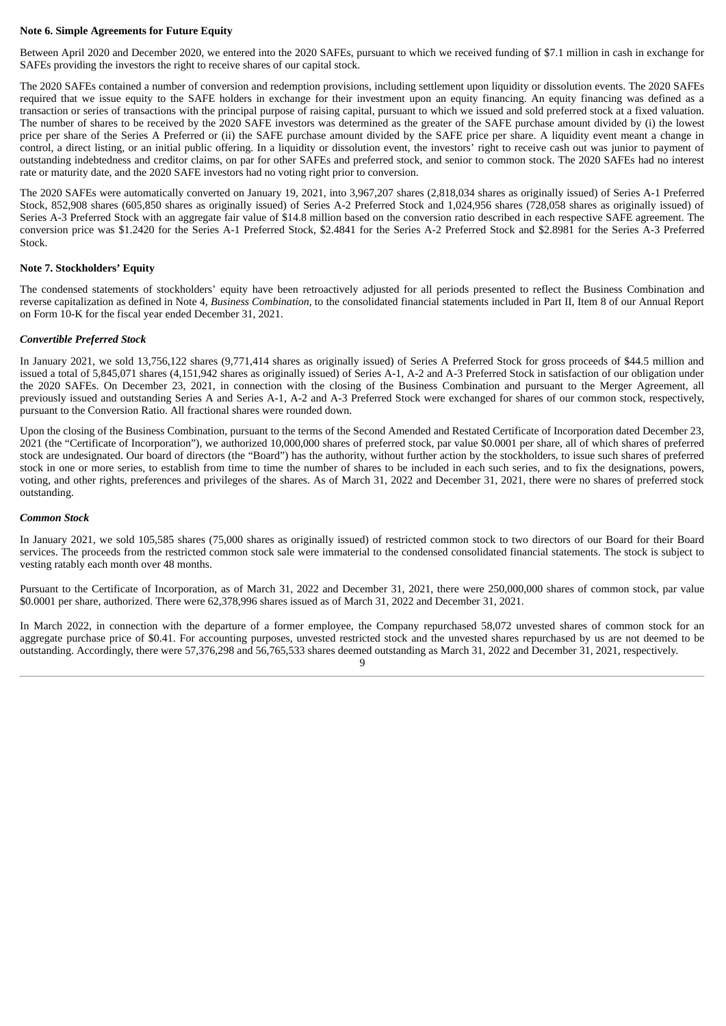#### **Note 6. Simple Agreements for Future Equity**

Between April 2020 and December 2020, we entered into the 2020 SAFEs, pursuant to which we received funding of \$7.1 million in cash in exchange for SAFEs providing the investors the right to receive shares of our capital stock.

The 2020 SAFEs contained a number of conversion and redemption provisions, including settlement upon liquidity or dissolution events. The 2020 SAFEs required that we issue equity to the SAFE holders in exchange for their investment upon an equity financing. An equity financing was defined as a transaction or series of transactions with the principal purpose of raising capital, pursuant to which we issued and sold preferred stock at a fixed valuation. The number of shares to be received by the 2020 SAFE investors was determined as the greater of the SAFE purchase amount divided by (i) the lowest price per share of the Series A Preferred or (ii) the SAFE purchase amount divided by the SAFE price per share. A liquidity event meant a change in control, a direct listing, or an initial public offering. In a liquidity or dissolution event, the investors' right to receive cash out was junior to payment of outstanding indebtedness and creditor claims, on par for other SAFEs and preferred stock, and senior to common stock. The 2020 SAFEs had no interest rate or maturity date, and the 2020 SAFE investors had no voting right prior to conversion.

The 2020 SAFEs were automatically converted on January 19, 2021, into 3,967,207 shares (2,818,034 shares as originally issued) of Series A-1 Preferred Stock, 852,908 shares (605,850 shares as originally issued) of Series A-2 Preferred Stock and 1,024,956 shares (728,058 shares as originally issued) of Series A-3 Preferred Stock with an aggregate fair value of \$14.8 million based on the conversion ratio described in each respective SAFE agreement. The conversion price was \$1.2420 for the Series A-1 Preferred Stock, \$2.4841 for the Series A-2 Preferred Stock and \$2.8981 for the Series A-3 Preferred Stock.

#### **Note 7. Stockholders' Equity**

The condensed statements of stockholders' equity have been retroactively adjusted for all periods presented to reflect the Business Combination and reverse capitalization as defined in Note 4, *Business Combination,* to the consolidated financial statements included in Part II, Item 8 of our Annual Report on Form 10-K for the fiscal year ended December 31, 2021.

#### *Convertible Preferred Stock*

In January 2021, we sold 13,756,122 shares (9,771,414 shares as originally issued) of Series A Preferred Stock for gross proceeds of \$44.5 million and issued a total of 5,845,071 shares (4,151,942 shares as originally issued) of Series A-1, A-2 and A-3 Preferred Stock in satisfaction of our obligation under the 2020 SAFEs. On December 23, 2021, in connection with the closing of the Business Combination and pursuant to the Merger Agreement, all previously issued and outstanding Series A and Series A-1, A-2 and A-3 Preferred Stock were exchanged for shares of our common stock, respectively, pursuant to the Conversion Ratio. All fractional shares were rounded down.

Upon the closing of the Business Combination, pursuant to the terms of the Second Amended and Restated Certificate of Incorporation dated December 23, 2021 (the "Certificate of Incorporation"), we authorized 10,000,000 shares of preferred stock, par value \$0.0001 per share, all of which shares of preferred stock are undesignated. Our board of directors (the "Board") has the authority, without further action by the stockholders, to issue such shares of preferred stock in one or more series, to establish from time to time the number of shares to be included in each such series, and to fix the designations, powers, voting, and other rights, preferences and privileges of the shares. As of March 31, 2022 and December 31, 2021, there were no shares of preferred stock outstanding.

#### *Common Stock*

In January 2021, we sold 105,585 shares (75,000 shares as originally issued) of restricted common stock to two directors of our Board for their Board services. The proceeds from the restricted common stock sale were immaterial to the condensed consolidated financial statements. The stock is subject to vesting ratably each month over 48 months.

Pursuant to the Certificate of Incorporation, as of March 31, 2022 and December 31, 2021, there were 250,000,000 shares of common stock, par value \$0.0001 per share, authorized. There were 62,378,996 shares issued as of March 31, 2022 and December 31, 2021.

In March 2022, in connection with the departure of a former employee, the Company repurchased 58,072 unvested shares of common stock for an aggregate purchase price of \$0.41. For accounting purposes, unvested restricted stock and the unvested shares repurchased by us are not deemed to be outstanding. Accordingly, there were 57,376,298 and 56,765,533 shares deemed outstanding as March 31, 2022 and December 31, 2021, respectively.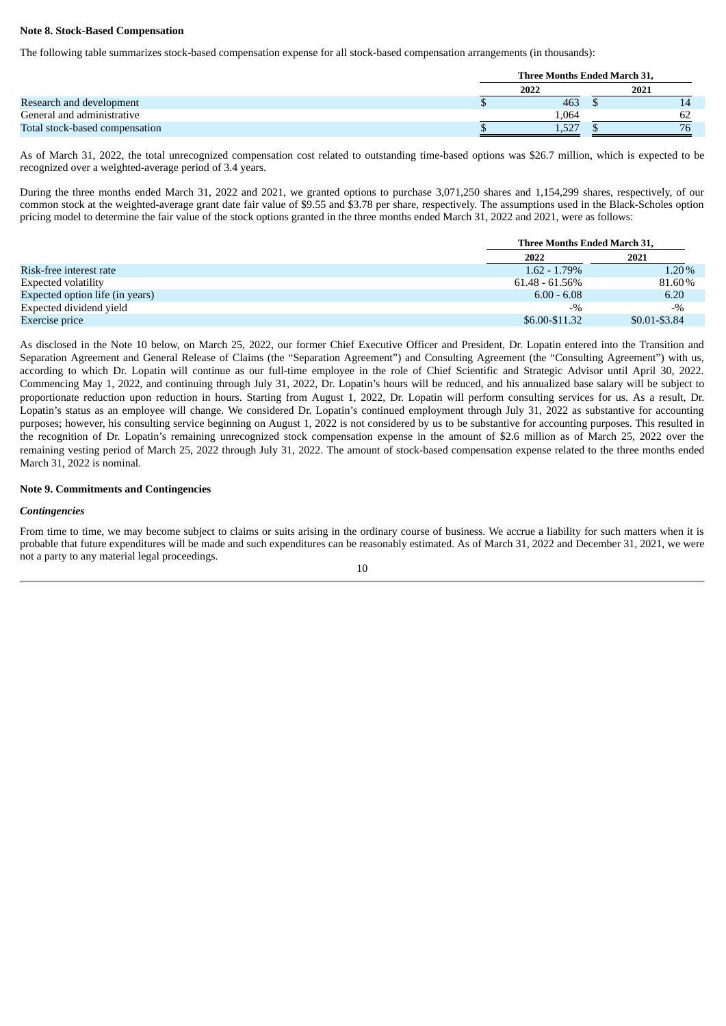#### **Note 8. Stock-Based Compensation**

The following table summarizes stock-based compensation expense for all stock-based compensation arrangements (in thousands):

|                                | Three Months Ended March 31, |       |  |      |  |
|--------------------------------|------------------------------|-------|--|------|--|
|                                |                              | 2022  |  | 2021 |  |
| Research and development       |                              | 463   |  | 14   |  |
| General and administrative     |                              | .064  |  |      |  |
| Total stock-based compensation |                              | 1,527 |  | 76   |  |

As of March 31, 2022, the total unrecognized compensation cost related to outstanding time-based options was \$26.7 million, which is expected to be recognized over a weighted-average period of 3.4 years.

During the three months ended March 31, 2022 and 2021, we granted options to purchase 3,071,250 shares and 1,154,299 shares, respectively, of our common stock at the weighted-average grant date fair value of \$9.55 and \$3.78 per share, respectively. The assumptions used in the Black-Scholes option pricing model to determine the fair value of the stock options granted in the three months ended March 31, 2022 and 2021, were as follows:

|                                 | Three Months Ended March 31, |                 |
|---------------------------------|------------------------------|-----------------|
|                                 | 2022                         | 2021            |
| Risk-free interest rate         | $1.62 - 1.79\%$              | $1.20\%$        |
| Expected volatility             | $61.48 - 61.56\%$            | 81.60%          |
| Expected option life (in years) | $6.00 - 6.08$                | 6.20            |
| Expected dividend yield         | $-9/6$                       | $-9/2$          |
| Exercise price                  | \$6.00-\$11.32               | $$0.01 - $3.84$ |

As disclosed in the Note 10 below, on March 25, 2022, our former Chief Executive Officer and President, Dr. Lopatin entered into the Transition and Separation Agreement and General Release of Claims (the "Separation Agreement") and Consulting Agreement (the "Consulting Agreement") with us, according to which Dr. Lopatin will continue as our full-time employee in the role of Chief Scientific and Strategic Advisor until April 30, 2022. Commencing May 1, 2022, and continuing through July 31, 2022, Dr. Lopatin's hours will be reduced, and his annualized base salary will be subject to proportionate reduction upon reduction in hours. Starting from August 1, 2022, Dr. Lopatin will perform consulting services for us. As a result, Dr. Lopatin's status as an employee will change. We considered Dr. Lopatin's continued employment through July 31, 2022 as substantive for accounting purposes; however, his consulting service beginning on August 1, 2022 is not considered by us to be substantive for accounting purposes. This resulted in the recognition of Dr. Lopatin's remaining unrecognized stock compensation expense in the amount of \$2.6 million as of March 25, 2022 over the remaining vesting period of March 25, 2022 through July 31, 2022. The amount of stock-based compensation expense related to the three months ended March 31, 2022 is nominal.

#### **Note 9. Commitments and Contingencies**

#### *Contingencies*

From time to time, we may become subject to claims or suits arising in the ordinary course of business. We accrue a liability for such matters when it is probable that future expenditures will be made and such expenditures can be reasonably estimated. As of March 31, 2022 and December 31, 2021, we were not a party to any material legal proceedings.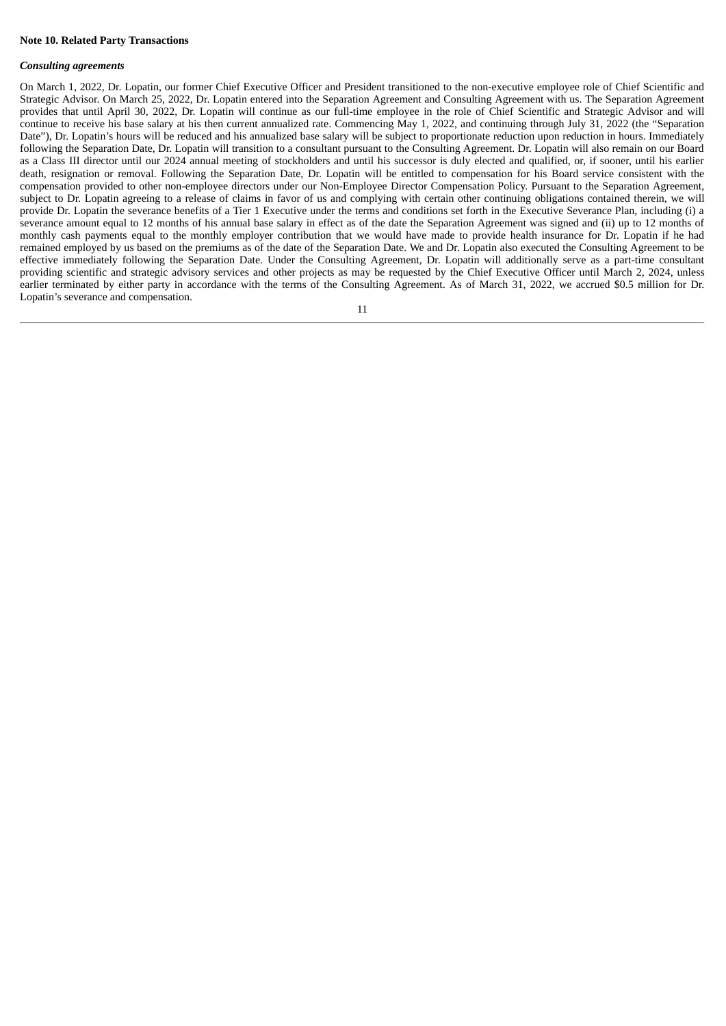#### **Note 10. Related Party Transactions**

#### *Consulting agreements*

On March 1, 2022, Dr. Lopatin, our former Chief Executive Officer and President transitioned to the non-executive employee role of Chief Scientific and Strategic Advisor. On March 25, 2022, Dr. Lopatin entered into the Separation Agreement and Consulting Agreement with us. The Separation Agreement provides that until April 30, 2022, Dr. Lopatin will continue as our full-time employee in the role of Chief Scientific and Strategic Advisor and will continue to receive his base salary at his then current annualized rate. Commencing May 1, 2022, and continuing through July 31, 2022 (the "Separation Date"), Dr. Lopatin's hours will be reduced and his annualized base salary will be subject to proportionate reduction upon reduction in hours. Immediately following the Separation Date, Dr. Lopatin will transition to a consultant pursuant to the Consulting Agreement. Dr. Lopatin will also remain on our Board as a Class III director until our 2024 annual meeting of stockholders and until his successor is duly elected and qualified, or, if sooner, until his earlier death, resignation or removal. Following the Separation Date, Dr. Lopatin will be entitled to compensation for his Board service consistent with the compensation provided to other non-employee directors under our Non-Employee Director Compensation Policy. Pursuant to the Separation Agreement, subject to Dr. Lopatin agreeing to a release of claims in favor of us and complying with certain other continuing obligations contained therein, we will provide Dr. Lopatin the severance benefits of a Tier 1 Executive under the terms and conditions set forth in the Executive Severance Plan, including (i) a severance amount equal to 12 months of his annual base salary in effect as of the date the Separation Agreement was signed and (ii) up to 12 months of monthly cash payments equal to the monthly employer contribution that we would have made to provide health insurance for Dr. Lopatin if he had remained employed by us based on the premiums as of the date of the Separation Date. We and Dr. Lopatin also executed the Consulting Agreement to be effective immediately following the Separation Date. Under the Consulting Agreement, Dr. Lopatin will additionally serve as a part-time consultant providing scientific and strategic advisory services and other projects as may be requested by the Chief Executive Officer until March 2, 2024, unless earlier terminated by either party in accordance with the terms of the Consulting Agreement. As of March 31, 2022, we accrued \$0.5 million for Dr. Lopatin's severance and compensation.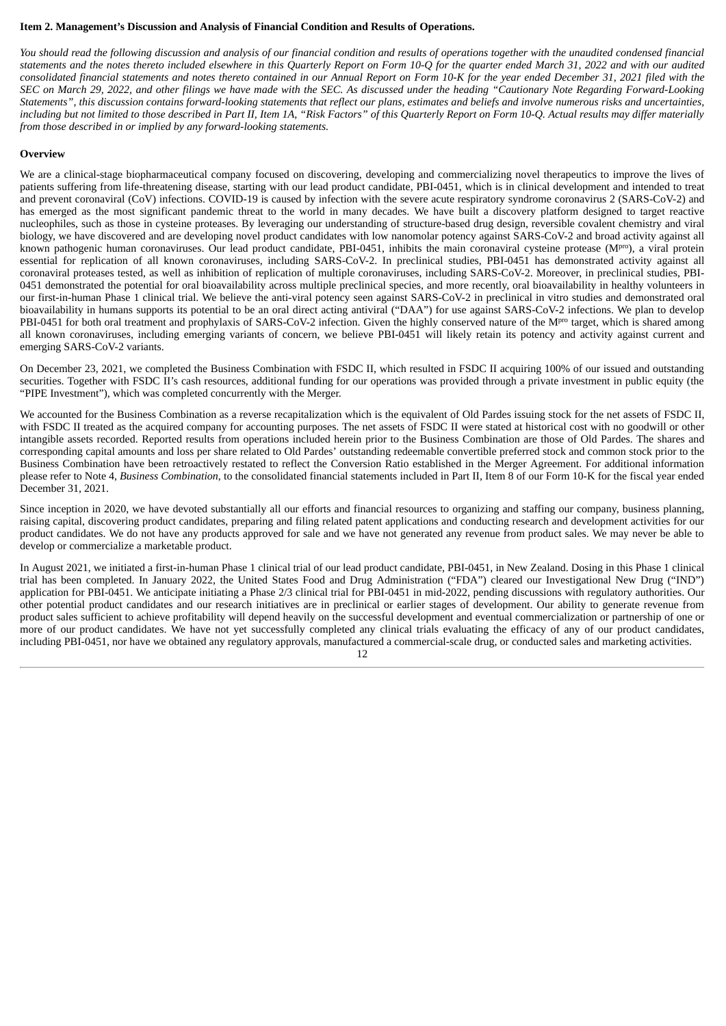#### <span id="page-18-0"></span>**Item 2. Management's Discussion and Analysis of Financial Condition and Results of Operations.**

You should read the following discussion and analysis of our financial condition and results of operations together with the unaudited condensed financial statements and the notes thereto included elsewhere in this Quarterly Report on Form 10-Q for the quarter ended March 31, 2022 and with our audited consolidated financial statements and notes thereto contained in our Annual Report on Form 10-K for the year ended December 31, 2021 filed with the SEC on March 29, 2022, and other filings we have made with the SEC. As discussed under the heading "Cautionary Note Regarding Forward-Looking Statements", this discussion contains forward-looking statements that reflect our plans, estimates and beliefs and involve numerous risks and uncertainties, including but not limited to those described in Part II, Item 1A, "Risk Factors" of this Quarterly Report on Form 10-Q. Actual results may differ materially *from those described in or implied by any forward-looking statements.*

#### **Overview**

We are a clinical-stage biopharmaceutical company focused on discovering, developing and commercializing novel therapeutics to improve the lives of patients suffering from life-threatening disease, starting with our lead product candidate, PBI-0451, which is in clinical development and intended to treat and prevent coronaviral (CoV) infections. COVID-19 is caused by infection with the severe acute respiratory syndrome coronavirus 2 (SARS-CoV-2) and has emerged as the most significant pandemic threat to the world in many decades. We have built a discovery platform designed to target reactive nucleophiles, such as those in cysteine proteases. By leveraging our understanding of structure-based drug design, reversible covalent chemistry and viral biology, we have discovered and are developing novel product candidates with low nanomolar potency against SARS-CoV-2 and broad activity against all known pathogenic human coronaviruses. Our lead product candidate, PBI-0451, inhibits the main coronaviral cysteine protease (M<sup>pro</sup>), a viral protein essential for replication of all known coronaviruses, including SARS-CoV-2. In preclinical studies, PBI-0451 has demonstrated activity against all coronaviral proteases tested, as well as inhibition of replication of multiple coronaviruses, including SARS-CoV-2. Moreover, in preclinical studies, PBI-0451 demonstrated the potential for oral bioavailability across multiple preclinical species, and more recently, oral bioavailability in healthy volunteers in our first-in-human Phase 1 clinical trial. We believe the anti-viral potency seen against SARS-CoV-2 in preclinical in vitro studies and demonstrated oral bioavailability in humans supports its potential to be an oral direct acting antiviral ("DAA") for use against SARS-CoV-2 infections. We plan to develop PBI-0451 for both oral treatment and prophylaxis of SARS-CoV-2 infection. Given the highly conserved nature of the M<sup>pro</sup> target, which is shared among all known coronaviruses, including emerging variants of concern, we believe PBI-0451 will likely retain its potency and activity against current and emerging SARS-CoV-2 variants.

On December 23, 2021, we completed the Business Combination with FSDC II, which resulted in FSDC II acquiring 100% of our issued and outstanding securities. Together with FSDC II's cash resources, additional funding for our operations was provided through a private investment in public equity (the "PIPE Investment"), which was completed concurrently with the Merger.

We accounted for the Business Combination as a reverse recapitalization which is the equivalent of Old Pardes issuing stock for the net assets of FSDC II, with FSDC II treated as the acquired company for accounting purposes. The net assets of FSDC II were stated at historical cost with no goodwill or other intangible assets recorded. Reported results from operations included herein prior to the Business Combination are those of Old Pardes. The shares and corresponding capital amounts and loss per share related to Old Pardes' outstanding redeemable convertible preferred stock and common stock prior to the Business Combination have been retroactively restated to reflect the Conversion Ratio established in the Merger Agreement. For additional information please refer to Note 4, *Business Combination*, to the consolidated financial statements included in Part II, Item 8 of our Form 10-K for the fiscal year ended December 31, 2021.

Since inception in 2020, we have devoted substantially all our efforts and financial resources to organizing and staffing our company, business planning, raising capital, discovering product candidates, preparing and filing related patent applications and conducting research and development activities for our product candidates. We do not have any products approved for sale and we have not generated any revenue from product sales. We may never be able to develop or commercialize a marketable product.

In August 2021, we initiated a first-in-human Phase 1 clinical trial of our lead product candidate, PBI-0451, in New Zealand. Dosing in this Phase 1 clinical trial has been completed. In January 2022, the United States Food and Drug Administration ("FDA") cleared our Investigational New Drug ("IND") application for PBI-0451. We anticipate initiating a Phase 2/3 clinical trial for PBI-0451 in mid-2022, pending discussions with regulatory authorities. Our other potential product candidates and our research initiatives are in preclinical or earlier stages of development. Our ability to generate revenue from product sales sufficient to achieve profitability will depend heavily on the successful development and eventual commercialization or partnership of one or more of our product candidates. We have not yet successfully completed any clinical trials evaluating the efficacy of any of our product candidates, including PBI-0451, nor have we obtained any regulatory approvals, manufactured a commercial-scale drug, or conducted sales and marketing activities.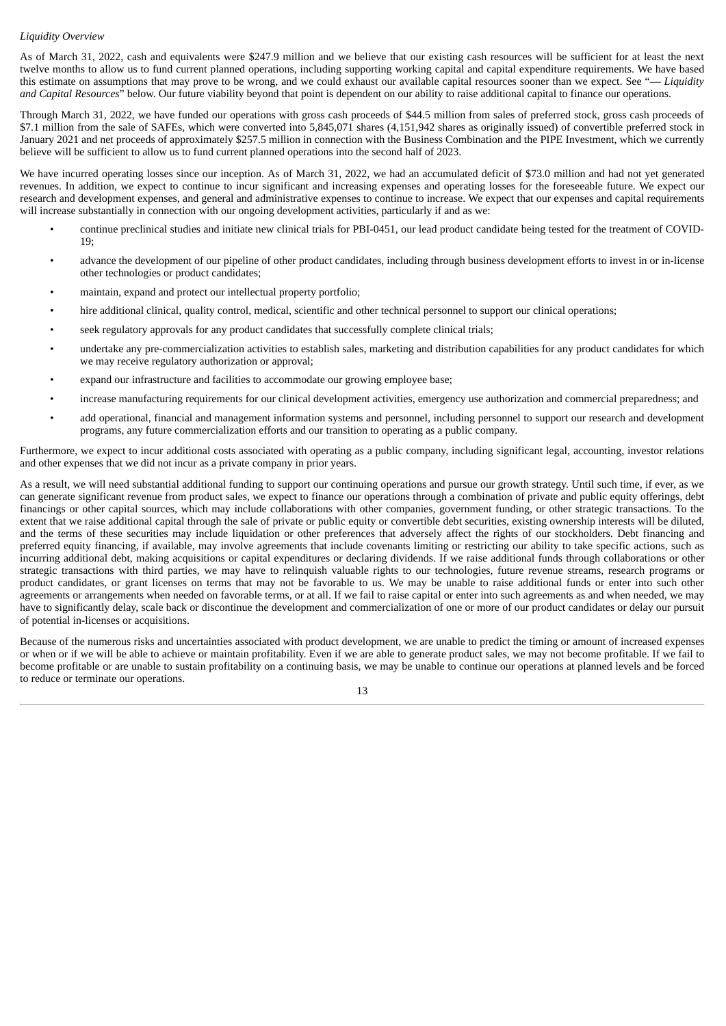#### *Liquidity Overview*

As of March 31, 2022, cash and equivalents were \$247.9 million and we believe that our existing cash resources will be sufficient for at least the next twelve months to allow us to fund current planned operations, including supporting working capital and capital expenditure requirements. We have based this estimate on assumptions that may prove to be wrong, and we could exhaust our available capital resources sooner than we expect. See "— *Liquidity and Capital Resources*" below. Our future viability beyond that point is dependent on our ability to raise additional capital to finance our operations.

Through March 31, 2022, we have funded our operations with gross cash proceeds of \$44.5 million from sales of preferred stock, gross cash proceeds of \$7.1 million from the sale of SAFEs, which were converted into 5,845,071 shares (4,151,942 shares as originally issued) of convertible preferred stock in January 2021 and net proceeds of approximately \$257.5 million in connection with the Business Combination and the PIPE Investment, which we currently believe will be sufficient to allow us to fund current planned operations into the second half of 2023.

We have incurred operating losses since our inception. As of March 31, 2022, we had an accumulated deficit of \$73.0 million and had not yet generated revenues. In addition, we expect to continue to incur significant and increasing expenses and operating losses for the foreseeable future. We expect our research and development expenses, and general and administrative expenses to continue to increase. We expect that our expenses and capital requirements will increase substantially in connection with our ongoing development activities, particularly if and as we:

- continue preclinical studies and initiate new clinical trials for PBI-0451, our lead product candidate being tested for the treatment of COVID-19;
- advance the development of our pipeline of other product candidates, including through business development efforts to invest in or in-license other technologies or product candidates;
- maintain, expand and protect our intellectual property portfolio;
- hire additional clinical, quality control, medical, scientific and other technical personnel to support our clinical operations;
- seek regulatory approvals for any product candidates that successfully complete clinical trials;
- undertake any pre-commercialization activities to establish sales, marketing and distribution capabilities for any product candidates for which we may receive regulatory authorization or approval;
- expand our infrastructure and facilities to accommodate our growing employee base;
- increase manufacturing requirements for our clinical development activities, emergency use authorization and commercial preparedness; and
- add operational, financial and management information systems and personnel, including personnel to support our research and development programs, any future commercialization efforts and our transition to operating as a public company.

Furthermore, we expect to incur additional costs associated with operating as a public company, including significant legal, accounting, investor relations and other expenses that we did not incur as a private company in prior years.

As a result, we will need substantial additional funding to support our continuing operations and pursue our growth strategy. Until such time, if ever, as we can generate significant revenue from product sales, we expect to finance our operations through a combination of private and public equity offerings, debt financings or other capital sources, which may include collaborations with other companies, government funding, or other strategic transactions. To the extent that we raise additional capital through the sale of private or public equity or convertible debt securities, existing ownership interests will be diluted, and the terms of these securities may include liquidation or other preferences that adversely affect the rights of our stockholders. Debt financing and preferred equity financing, if available, may involve agreements that include covenants limiting or restricting our ability to take specific actions, such as incurring additional debt, making acquisitions or capital expenditures or declaring dividends. If we raise additional funds through collaborations or other strategic transactions with third parties, we may have to relinquish valuable rights to our technologies, future revenue streams, research programs or product candidates, or grant licenses on terms that may not be favorable to us. We may be unable to raise additional funds or enter into such other agreements or arrangements when needed on favorable terms, or at all. If we fail to raise capital or enter into such agreements as and when needed, we may have to significantly delay, scale back or discontinue the development and commercialization of one or more of our product candidates or delay our pursuit of potential in-licenses or acquisitions.

Because of the numerous risks and uncertainties associated with product development, we are unable to predict the timing or amount of increased expenses or when or if we will be able to achieve or maintain profitability. Even if we are able to generate product sales, we may not become profitable. If we fail to become profitable or are unable to sustain profitability on a continuing basis, we may be unable to continue our operations at planned levels and be forced to reduce or terminate our operations.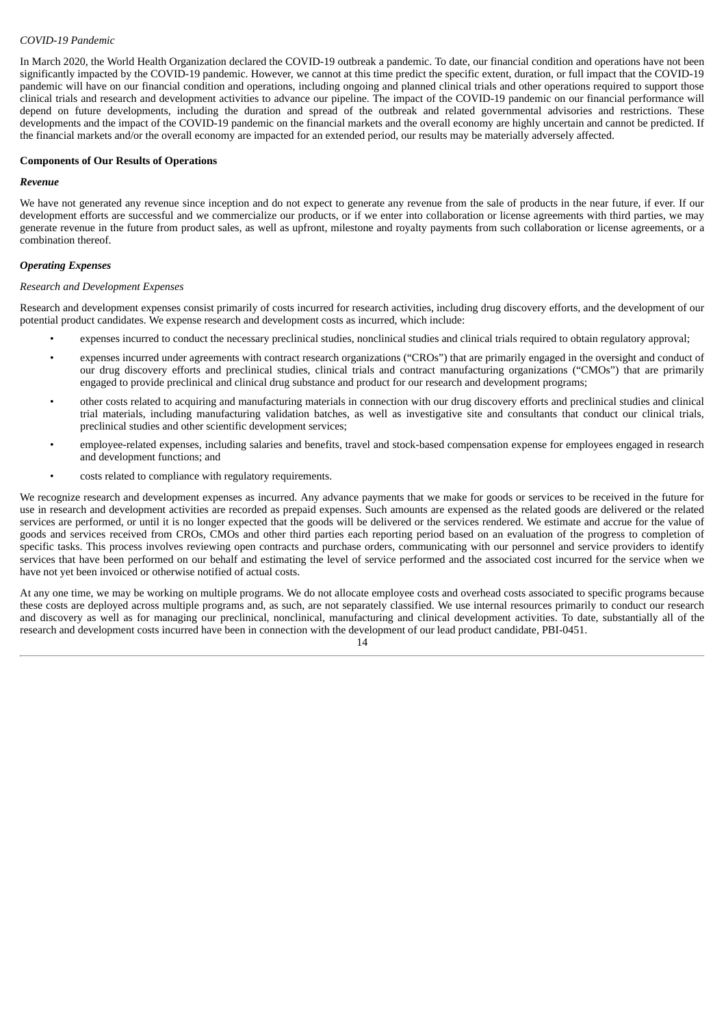#### *COVID-19 Pandemic*

In March 2020, the World Health Organization declared the COVID-19 outbreak a pandemic. To date, our financial condition and operations have not been significantly impacted by the COVID-19 pandemic. However, we cannot at this time predict the specific extent, duration, or full impact that the COVID-19 pandemic will have on our financial condition and operations, including ongoing and planned clinical trials and other operations required to support those clinical trials and research and development activities to advance our pipeline. The impact of the COVID-19 pandemic on our financial performance will depend on future developments, including the duration and spread of the outbreak and related governmental advisories and restrictions. These developments and the impact of the COVID-19 pandemic on the financial markets and the overall economy are highly uncertain and cannot be predicted. If the financial markets and/or the overall economy are impacted for an extended period, our results may be materially adversely affected.

#### **Components of Our Results of Operations**

#### *Revenue*

We have not generated any revenue since inception and do not expect to generate any revenue from the sale of products in the near future, if ever. If our development efforts are successful and we commercialize our products, or if we enter into collaboration or license agreements with third parties, we may generate revenue in the future from product sales, as well as upfront, milestone and royalty payments from such collaboration or license agreements, or a combination thereof.

#### *Operating Expenses*

#### *Research and Development Expenses*

Research and development expenses consist primarily of costs incurred for research activities, including drug discovery efforts, and the development of our potential product candidates. We expense research and development costs as incurred, which include:

- expenses incurred to conduct the necessary preclinical studies, nonclinical studies and clinical trials required to obtain regulatory approval;
- expenses incurred under agreements with contract research organizations ("CROs") that are primarily engaged in the oversight and conduct of our drug discovery efforts and preclinical studies, clinical trials and contract manufacturing organizations ("CMOs") that are primarily engaged to provide preclinical and clinical drug substance and product for our research and development programs;
- other costs related to acquiring and manufacturing materials in connection with our drug discovery efforts and preclinical studies and clinical trial materials, including manufacturing validation batches, as well as investigative site and consultants that conduct our clinical trials, preclinical studies and other scientific development services;
- employee-related expenses, including salaries and benefits, travel and stock-based compensation expense for employees engaged in research and development functions; and
- costs related to compliance with regulatory requirements.

We recognize research and development expenses as incurred. Any advance payments that we make for goods or services to be received in the future for use in research and development activities are recorded as prepaid expenses. Such amounts are expensed as the related goods are delivered or the related services are performed, or until it is no longer expected that the goods will be delivered or the services rendered. We estimate and accrue for the value of goods and services received from CROs, CMOs and other third parties each reporting period based on an evaluation of the progress to completion of specific tasks. This process involves reviewing open contracts and purchase orders, communicating with our personnel and service providers to identify services that have been performed on our behalf and estimating the level of service performed and the associated cost incurred for the service when we have not yet been invoiced or otherwise notified of actual costs.

At any one time, we may be working on multiple programs. We do not allocate employee costs and overhead costs associated to specific programs because these costs are deployed across multiple programs and, as such, are not separately classified. We use internal resources primarily to conduct our research and discovery as well as for managing our preclinical, nonclinical, manufacturing and clinical development activities. To date, substantially all of the research and development costs incurred have been in connection with the development of our lead product candidate, PBI-0451.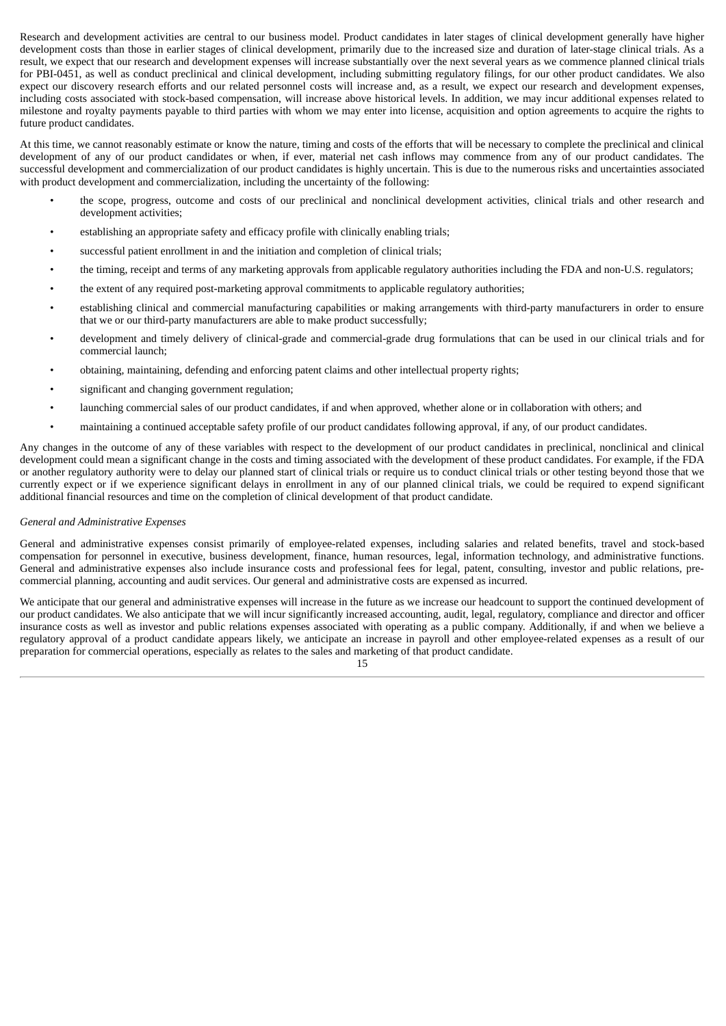Research and development activities are central to our business model. Product candidates in later stages of clinical development generally have higher development costs than those in earlier stages of clinical development, primarily due to the increased size and duration of later-stage clinical trials. As a result, we expect that our research and development expenses will increase substantially over the next several years as we commence planned clinical trials for PBI-0451, as well as conduct preclinical and clinical development, including submitting regulatory filings, for our other product candidates. We also expect our discovery research efforts and our related personnel costs will increase and, as a result, we expect our research and development expenses, including costs associated with stock-based compensation, will increase above historical levels. In addition, we may incur additional expenses related to milestone and royalty payments payable to third parties with whom we may enter into license, acquisition and option agreements to acquire the rights to future product candidates.

At this time, we cannot reasonably estimate or know the nature, timing and costs of the efforts that will be necessary to complete the preclinical and clinical development of any of our product candidates or when, if ever, material net cash inflows may commence from any of our product candidates. The successful development and commercialization of our product candidates is highly uncertain. This is due to the numerous risks and uncertainties associated with product development and commercialization, including the uncertainty of the following:

- the scope, progress, outcome and costs of our preclinical and nonclinical development activities, clinical trials and other research and development activities;
- establishing an appropriate safety and efficacy profile with clinically enabling trials;
- successful patient enrollment in and the initiation and completion of clinical trials;
- the timing, receipt and terms of any marketing approvals from applicable regulatory authorities including the FDA and non-U.S. regulators;
- the extent of any required post-marketing approval commitments to applicable regulatory authorities;
- establishing clinical and commercial manufacturing capabilities or making arrangements with third-party manufacturers in order to ensure that we or our third-party manufacturers are able to make product successfully;
- development and timely delivery of clinical-grade and commercial-grade drug formulations that can be used in our clinical trials and for commercial launch;
- obtaining, maintaining, defending and enforcing patent claims and other intellectual property rights;
- significant and changing government regulation;
- launching commercial sales of our product candidates, if and when approved, whether alone or in collaboration with others; and
- maintaining a continued acceptable safety profile of our product candidates following approval, if any, of our product candidates.

Any changes in the outcome of any of these variables with respect to the development of our product candidates in preclinical, nonclinical and clinical development could mean a significant change in the costs and timing associated with the development of these product candidates. For example, if the FDA or another regulatory authority were to delay our planned start of clinical trials or require us to conduct clinical trials or other testing beyond those that we currently expect or if we experience significant delays in enrollment in any of our planned clinical trials, we could be required to expend significant additional financial resources and time on the completion of clinical development of that product candidate.

#### *General and Administrative Expenses*

General and administrative expenses consist primarily of employee-related expenses, including salaries and related benefits, travel and stock-based compensation for personnel in executive, business development, finance, human resources, legal, information technology, and administrative functions. General and administrative expenses also include insurance costs and professional fees for legal, patent, consulting, investor and public relations, precommercial planning, accounting and audit services. Our general and administrative costs are expensed as incurred.

We anticipate that our general and administrative expenses will increase in the future as we increase our headcount to support the continued development of our product candidates. We also anticipate that we will incur significantly increased accounting, audit, legal, regulatory, compliance and director and officer insurance costs as well as investor and public relations expenses associated with operating as a public company. Additionally, if and when we believe a regulatory approval of a product candidate appears likely, we anticipate an increase in payroll and other employee-related expenses as a result of our preparation for commercial operations, especially as relates to the sales and marketing of that product candidate.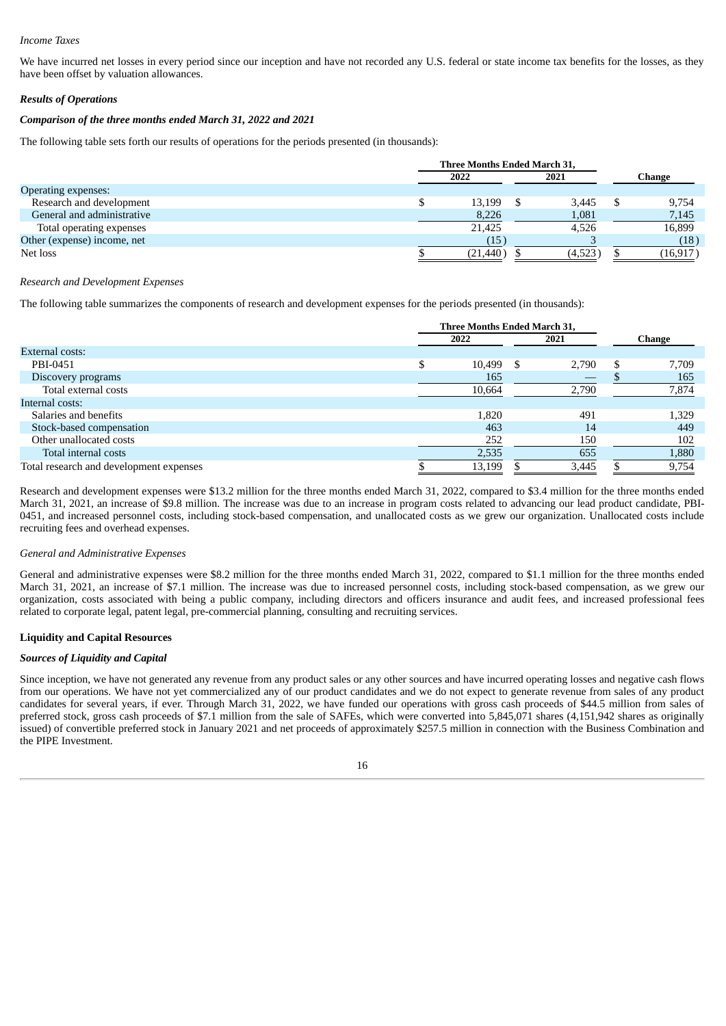#### *Income Taxes*

We have incurred net losses in every period since our inception and have not recorded any U.S. federal or state income tax benefits for the losses, as they have been offset by valuation allowances.

#### *Results of Operations*

#### *Comparison of the three months ended March 31, 2022 and 2021*

The following table sets forth our results of operations for the periods presented (in thousands):

|                             | Three Months Ended March 31, |  |         |         |
|-----------------------------|------------------------------|--|---------|---------|
|                             | 2022                         |  | 2021    | Change  |
| <b>Operating expenses:</b>  |                              |  |         |         |
| Research and development    | 13,199                       |  | 3,445   | 9,754   |
| General and administrative  | 8,226                        |  | 1,081   | 7,145   |
| Total operating expenses    | 21,425                       |  | 4,526   | 16,899  |
| Other (expense) income, net | (15)                         |  |         | (18)    |
| Net loss                    | (21, 440)                    |  | (4,523) | (16,917 |

#### *Research and Development Expenses*

The following table summarizes the components of research and development expenses for the periods presented (in thousands):

|                                         | Three Months Ended March 31, |   |       |     |        |
|-----------------------------------------|------------------------------|---|-------|-----|--------|
|                                         | 2022                         |   | 2021  |     | Change |
| External costs:                         |                              |   |       |     |        |
| PBI-0451                                | 10,499                       | S | 2,790 | \$. | 7,709  |
| Discovery programs                      | 165                          |   |       |     | 165    |
| Total external costs                    | 10,664                       |   | 2,790 |     | 7,874  |
| Internal costs:                         |                              |   |       |     |        |
| Salaries and benefits                   | 1,820                        |   | 491   |     | 1,329  |
| Stock-based compensation                | 463                          |   | 14    |     | 449    |
| Other unallocated costs                 | 252                          |   | 150   |     | 102    |
| Total internal costs                    | 2,535                        |   | 655   |     | 1,880  |
| Total research and development expenses | 13,199                       |   | 3,445 |     | 9,754  |

Research and development expenses were \$13.2 million for the three months ended March 31, 2022, compared to \$3.4 million for the three months ended March 31, 2021, an increase of \$9.8 million. The increase was due to an increase in program costs related to advancing our lead product candidate, PBI-0451, and increased personnel costs, including stock-based compensation, and unallocated costs as we grew our organization. Unallocated costs include recruiting fees and overhead expenses.

#### *General and Administrative Expenses*

General and administrative expenses were \$8.2 million for the three months ended March 31, 2022, compared to \$1.1 million for the three months ended March 31, 2021, an increase of \$7.1 million. The increase was due to increased personnel costs, including stock-based compensation, as we grew our organization, costs associated with being a public company, including directors and officers insurance and audit fees, and increased professional fees related to corporate legal, patent legal, pre-commercial planning, consulting and recruiting services.

#### **Liquidity and Capital Resources**

#### *Sources of Liquidity and Capital*

Since inception, we have not generated any revenue from any product sales or any other sources and have incurred operating losses and negative cash flows from our operations. We have not yet commercialized any of our product candidates and we do not expect to generate revenue from sales of any product candidates for several years, if ever. Through March 31, 2022, we have funded our operations with gross cash proceeds of \$44.5 million from sales of preferred stock, gross cash proceeds of \$7.1 million from the sale of SAFEs, which were converted into 5,845,071 shares (4,151,942 shares as originally issued) of convertible preferred stock in January 2021 and net proceeds of approximately \$257.5 million in connection with the Business Combination and the PIPE Investment.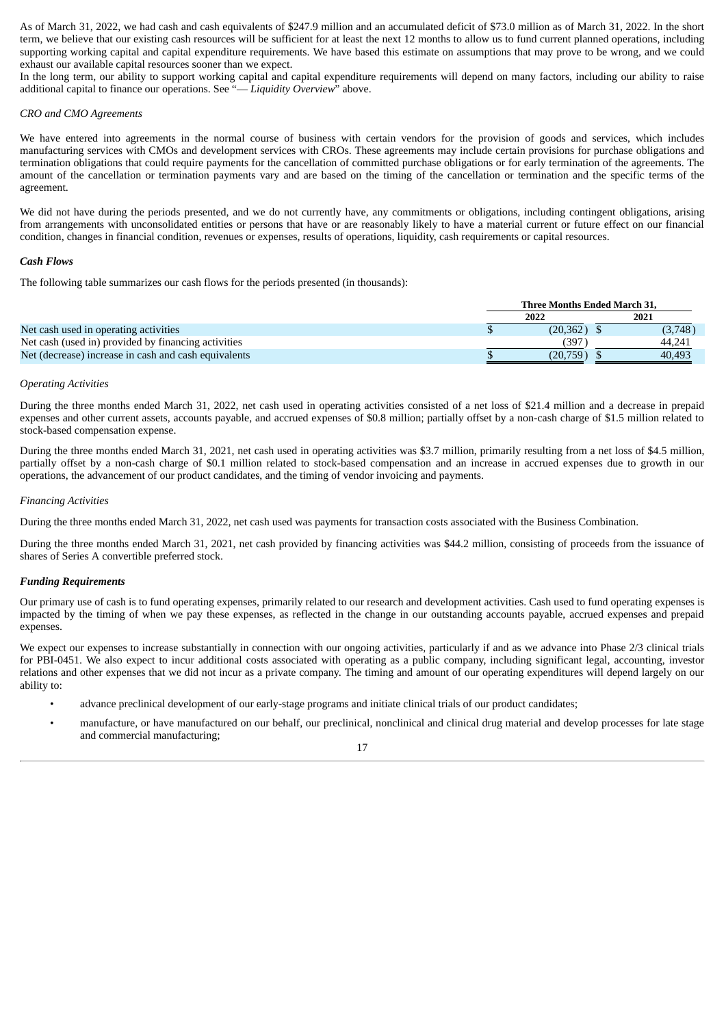As of March 31, 2022, we had cash and cash equivalents of \$247.9 million and an accumulated deficit of \$73.0 million as of March 31, 2022. In the short term, we believe that our existing cash resources will be sufficient for at least the next 12 months to allow us to fund current planned operations, including supporting working capital and capital expenditure requirements. We have based this estimate on assumptions that may prove to be wrong, and we could exhaust our available capital resources sooner than we expect.

In the long term, our ability to support working capital and capital expenditure requirements will depend on many factors, including our ability to raise additional capital to finance our operations. See "— *Liquidity Overview*" above.

#### *CRO and CMO Agreements*

We have entered into agreements in the normal course of business with certain vendors for the provision of goods and services, which includes manufacturing services with CMOs and development services with CROs. These agreements may include certain provisions for purchase obligations and termination obligations that could require payments for the cancellation of committed purchase obligations or for early termination of the agreements. The amount of the cancellation or termination payments vary and are based on the timing of the cancellation or termination and the specific terms of the agreement.

We did not have during the periods presented, and we do not currently have, any commitments or obligations, including contingent obligations, arising from arrangements with unconsolidated entities or persons that have or are reasonably likely to have a material current or future effect on our financial condition, changes in financial condition, revenues or expenses, results of operations, liquidity, cash requirements or capital resources.

#### *Cash Flows*

The following table summarizes our cash flows for the periods presented (in thousands):

|                                                      | <b>Three Months Ended March 31.</b> |          |  |         |  |
|------------------------------------------------------|-------------------------------------|----------|--|---------|--|
|                                                      | 2022                                |          |  | 2021    |  |
| Net cash used in operating activities                |                                     | (20.362) |  | (3,748) |  |
| Net cash (used in) provided by financing activities  |                                     | 397      |  | 44.241  |  |
| Net (decrease) increase in cash and cash equivalents |                                     | (20.759) |  | 40.493  |  |

#### *Operating Activities*

During the three months ended March 31, 2022, net cash used in operating activities consisted of a net loss of \$21.4 million and a decrease in prepaid expenses and other current assets, accounts payable, and accrued expenses of \$0.8 million; partially offset by a non-cash charge of \$1.5 million related to stock-based compensation expense.

During the three months ended March 31, 2021, net cash used in operating activities was \$3.7 million, primarily resulting from a net loss of \$4.5 million, partially offset by a non-cash charge of \$0.1 million related to stock-based compensation and an increase in accrued expenses due to growth in our operations, the advancement of our product candidates, and the timing of vendor invoicing and payments.

#### *Financing Activities*

During the three months ended March 31, 2022, net cash used was payments for transaction costs associated with the Business Combination.

During the three months ended March 31, 2021, net cash provided by financing activities was \$44.2 million, consisting of proceeds from the issuance of shares of Series A convertible preferred stock.

#### *Funding Requirements*

Our primary use of cash is to fund operating expenses, primarily related to our research and development activities. Cash used to fund operating expenses is impacted by the timing of when we pay these expenses, as reflected in the change in our outstanding accounts payable, accrued expenses and prepaid expenses.

We expect our expenses to increase substantially in connection with our ongoing activities, particularly if and as we advance into Phase 2/3 clinical trials for PBI-0451. We also expect to incur additional costs associated with operating as a public company, including significant legal, accounting, investor relations and other expenses that we did not incur as a private company. The timing and amount of our operating expenditures will depend largely on our ability to:

- advance preclinical development of our early-stage programs and initiate clinical trials of our product candidates;
- manufacture, or have manufactured on our behalf, our preclinical, nonclinical and clinical drug material and develop processes for late stage and commercial manufacturing;

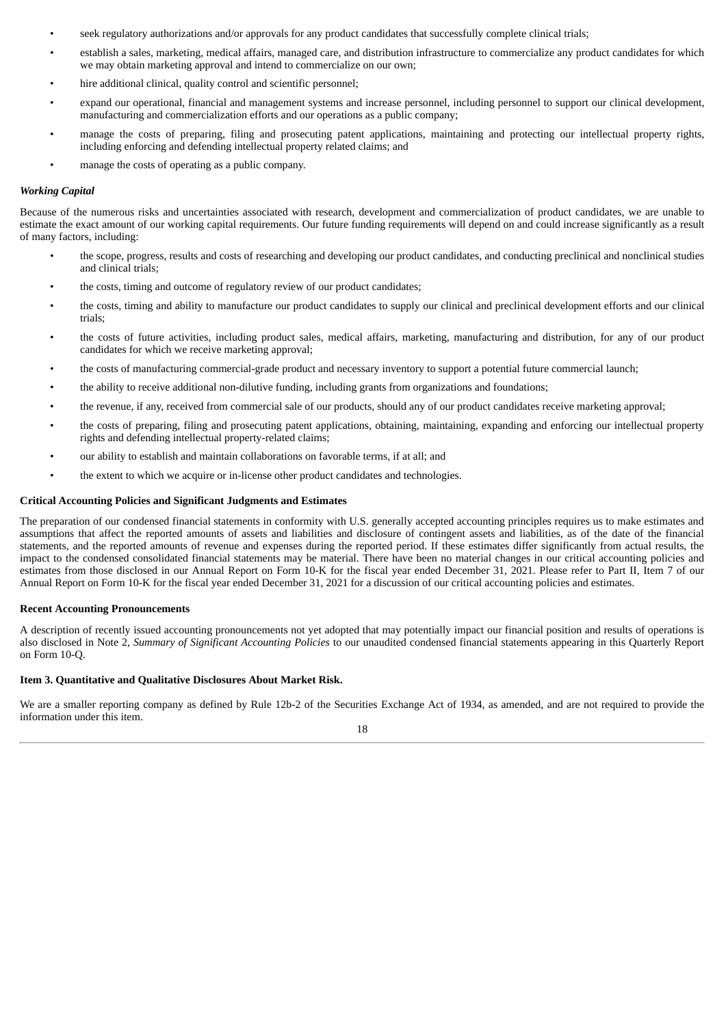- seek regulatory authorizations and/or approvals for any product candidates that successfully complete clinical trials;
- establish a sales, marketing, medical affairs, managed care, and distribution infrastructure to commercialize any product candidates for which we may obtain marketing approval and intend to commercialize on our own;
- hire additional clinical, quality control and scientific personnel;
- expand our operational, financial and management systems and increase personnel, including personnel to support our clinical development, manufacturing and commercialization efforts and our operations as a public company;
- manage the costs of preparing, filing and prosecuting patent applications, maintaining and protecting our intellectual property rights, including enforcing and defending intellectual property related claims; and
- manage the costs of operating as a public company.

#### *Working Capital*

Because of the numerous risks and uncertainties associated with research, development and commercialization of product candidates, we are unable to estimate the exact amount of our working capital requirements. Our future funding requirements will depend on and could increase significantly as a result of many factors, including:

- the scope, progress, results and costs of researching and developing our product candidates, and conducting preclinical and nonclinical studies and clinical trials;
- the costs, timing and outcome of regulatory review of our product candidates;
- the costs, timing and ability to manufacture our product candidates to supply our clinical and preclinical development efforts and our clinical trials;
- the costs of future activities, including product sales, medical affairs, marketing, manufacturing and distribution, for any of our product candidates for which we receive marketing approval;
- the costs of manufacturing commercial-grade product and necessary inventory to support a potential future commercial launch;
- the ability to receive additional non-dilutive funding, including grants from organizations and foundations;
- the revenue, if any, received from commercial sale of our products, should any of our product candidates receive marketing approval;
- the costs of preparing, filing and prosecuting patent applications, obtaining, maintaining, expanding and enforcing our intellectual property rights and defending intellectual property-related claims;
- our ability to establish and maintain collaborations on favorable terms, if at all; and
- the extent to which we acquire or in-license other product candidates and technologies.

#### **Critical Accounting Policies and Significant Judgments and Estimates**

The preparation of our condensed financial statements in conformity with U.S. generally accepted accounting principles requires us to make estimates and assumptions that affect the reported amounts of assets and liabilities and disclosure of contingent assets and liabilities, as of the date of the financial statements, and the reported amounts of revenue and expenses during the reported period. If these estimates differ significantly from actual results, the impact to the condensed consolidated financial statements may be material. There have been no material changes in our critical accounting policies and estimates from those disclosed in our Annual Report on Form 10-K for the fiscal year ended December 31, 2021. Please refer to Part II, Item 7 of our Annual Report on Form 10-K for the fiscal year ended December 31, 2021 for a discussion of our critical accounting policies and estimates.

#### **Recent Accounting Pronouncements**

A description of recently issued accounting pronouncements not yet adopted that may potentially impact our financial position and results of operations is also disclosed in Note 2, *Summary of Significant Accounting Policies* to our unaudited condensed financial statements appearing in this Quarterly Report on Form 10-Q.

#### <span id="page-24-0"></span>**Item 3. Quantitative and Qualitative Disclosures About Market Risk.**

We are a smaller reporting company as defined by Rule 12b-2 of the Securities Exchange Act of 1934, as amended, and are not required to provide the information under this item.

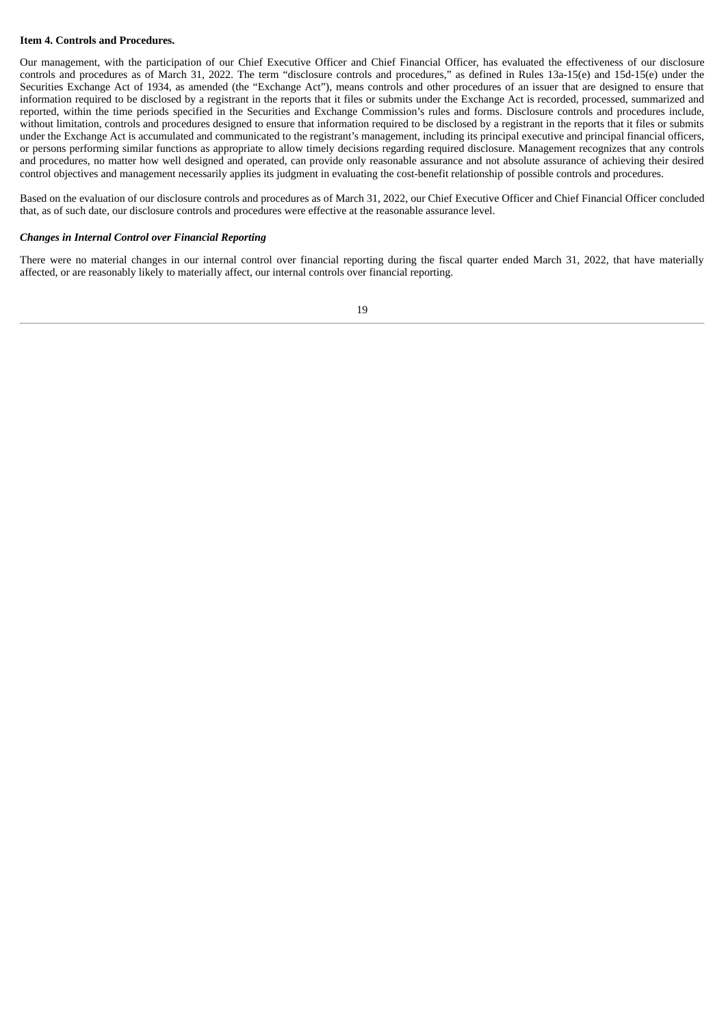#### <span id="page-25-0"></span>**Item 4. Controls and Procedures.**

Our management, with the participation of our Chief Executive Officer and Chief Financial Officer, has evaluated the effectiveness of our disclosure controls and procedures as of March 31, 2022. The term "disclosure controls and procedures," as defined in Rules 13a-15(e) and 15d-15(e) under the Securities Exchange Act of 1934, as amended (the "Exchange Act"), means controls and other procedures of an issuer that are designed to ensure that information required to be disclosed by a registrant in the reports that it files or submits under the Exchange Act is recorded, processed, summarized and reported, within the time periods specified in the Securities and Exchange Commission's rules and forms. Disclosure controls and procedures include, without limitation, controls and procedures designed to ensure that information required to be disclosed by a registrant in the reports that it files or submits under the Exchange Act is accumulated and communicated to the registrant's management, including its principal executive and principal financial officers, or persons performing similar functions as appropriate to allow timely decisions regarding required disclosure. Management recognizes that any controls and procedures, no matter how well designed and operated, can provide only reasonable assurance and not absolute assurance of achieving their desired control objectives and management necessarily applies its judgment in evaluating the cost-benefit relationship of possible controls and procedures.

Based on the evaluation of our disclosure controls and procedures as of March 31, 2022, our Chief Executive Officer and Chief Financial Officer concluded that, as of such date, our disclosure controls and procedures were effective at the reasonable assurance level.

#### *Changes in Internal Control over Financial Reporting*

There were no material changes in our internal control over financial reporting during the fiscal quarter ended March 31, 2022, that have materially affected, or are reasonably likely to materially affect, our internal controls over financial reporting.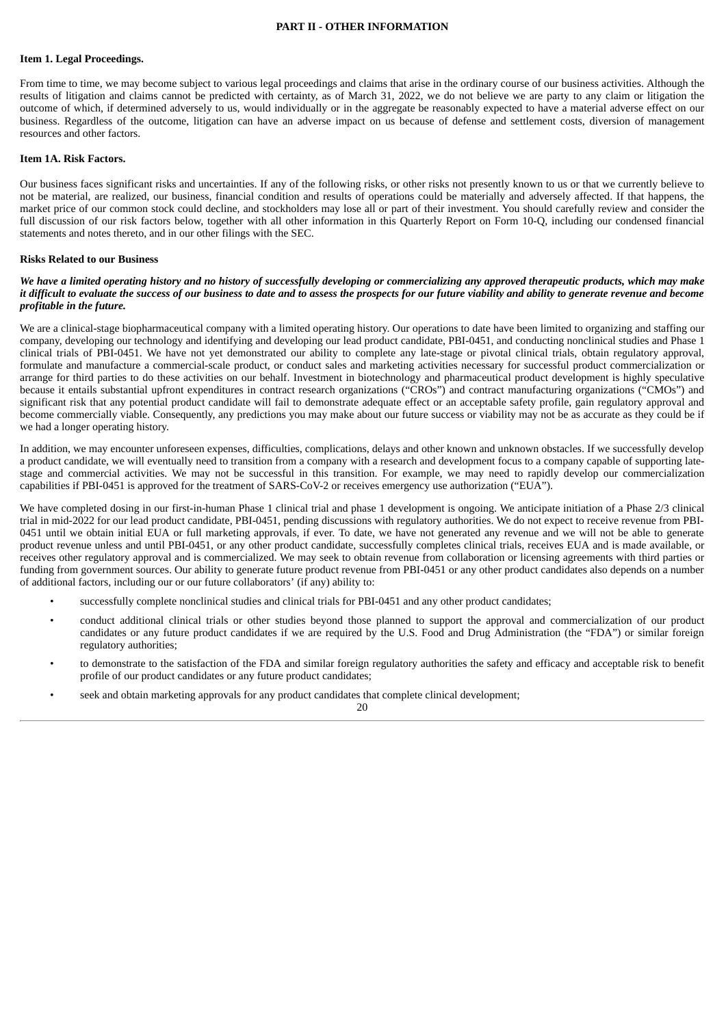#### **PART II - OTHER INFORMATION**

#### <span id="page-26-1"></span><span id="page-26-0"></span>**Item 1. Legal Proceedings.**

From time to time, we may become subject to various legal proceedings and claims that arise in the ordinary course of our business activities. Although the results of litigation and claims cannot be predicted with certainty, as of March 31, 2022, we do not believe we are party to any claim or litigation the outcome of which, if determined adversely to us, would individually or in the aggregate be reasonably expected to have a material adverse effect on our business. Regardless of the outcome, litigation can have an adverse impact on us because of defense and settlement costs, diversion of management resources and other factors.

#### <span id="page-26-2"></span>**Item 1A. Risk Factors.**

Our business faces significant risks and uncertainties. If any of the following risks, or other risks not presently known to us or that we currently believe to not be material, are realized, our business, financial condition and results of operations could be materially and adversely affected. If that happens, the market price of our common stock could decline, and stockholders may lose all or part of their investment. You should carefully review and consider the full discussion of our risk factors below, together with all other information in this Quarterly Report on Form 10-Q, including our condensed financial statements and notes thereto, and in our other filings with the SEC.

#### **Risks Related to our Business**

#### We have a limited operating history and no history of successfully developing or commercializing any approved therapeutic products, which may make it difficult to evaluate the success of our business to date and to assess the prospects for our future viability and ability to generate revenue and become *profitable in the future.*

We are a clinical-stage biopharmaceutical company with a limited operating history. Our operations to date have been limited to organizing and staffing our company, developing our technology and identifying and developing our lead product candidate, PBI-0451, and conducting nonclinical studies and Phase 1 clinical trials of PBI-0451. We have not yet demonstrated our ability to complete any late-stage or pivotal clinical trials, obtain regulatory approval, formulate and manufacture a commercial-scale product, or conduct sales and marketing activities necessary for successful product commercialization or arrange for third parties to do these activities on our behalf. Investment in biotechnology and pharmaceutical product development is highly speculative because it entails substantial upfront expenditures in contract research organizations ("CROs") and contract manufacturing organizations ("CMOs") and significant risk that any potential product candidate will fail to demonstrate adequate effect or an acceptable safety profile, gain regulatory approval and become commercially viable. Consequently, any predictions you may make about our future success or viability may not be as accurate as they could be if we had a longer operating history.

In addition, we may encounter unforeseen expenses, difficulties, complications, delays and other known and unknown obstacles. If we successfully develop a product candidate, we will eventually need to transition from a company with a research and development focus to a company capable of supporting latestage and commercial activities. We may not be successful in this transition. For example, we may need to rapidly develop our commercialization capabilities if PBI-0451 is approved for the treatment of SARS-CoV-2 or receives emergency use authorization ("EUA").

We have completed dosing in our first-in-human Phase 1 clinical trial and phase 1 development is ongoing. We anticipate initiation of a Phase 2/3 clinical trial in mid-2022 for our lead product candidate, PBI-0451, pending discussions with regulatory authorities. We do not expect to receive revenue from PBI-0451 until we obtain initial EUA or full marketing approvals, if ever. To date, we have not generated any revenue and we will not be able to generate product revenue unless and until PBI-0451, or any other product candidate, successfully completes clinical trials, receives EUA and is made available, or receives other regulatory approval and is commercialized. We may seek to obtain revenue from collaboration or licensing agreements with third parties or funding from government sources. Our ability to generate future product revenue from PBI-0451 or any other product candidates also depends on a number of additional factors, including our or our future collaborators' (if any) ability to:

- successfully complete nonclinical studies and clinical trials for PBI-0451 and any other product candidates;
- conduct additional clinical trials or other studies beyond those planned to support the approval and commercialization of our product candidates or any future product candidates if we are required by the U.S. Food and Drug Administration (the "FDA") or similar foreign regulatory authorities;
- to demonstrate to the satisfaction of the FDA and similar foreign regulatory authorities the safety and efficacy and acceptable risk to benefit profile of our product candidates or any future product candidates;
- seek and obtain marketing approvals for any product candidates that complete clinical development;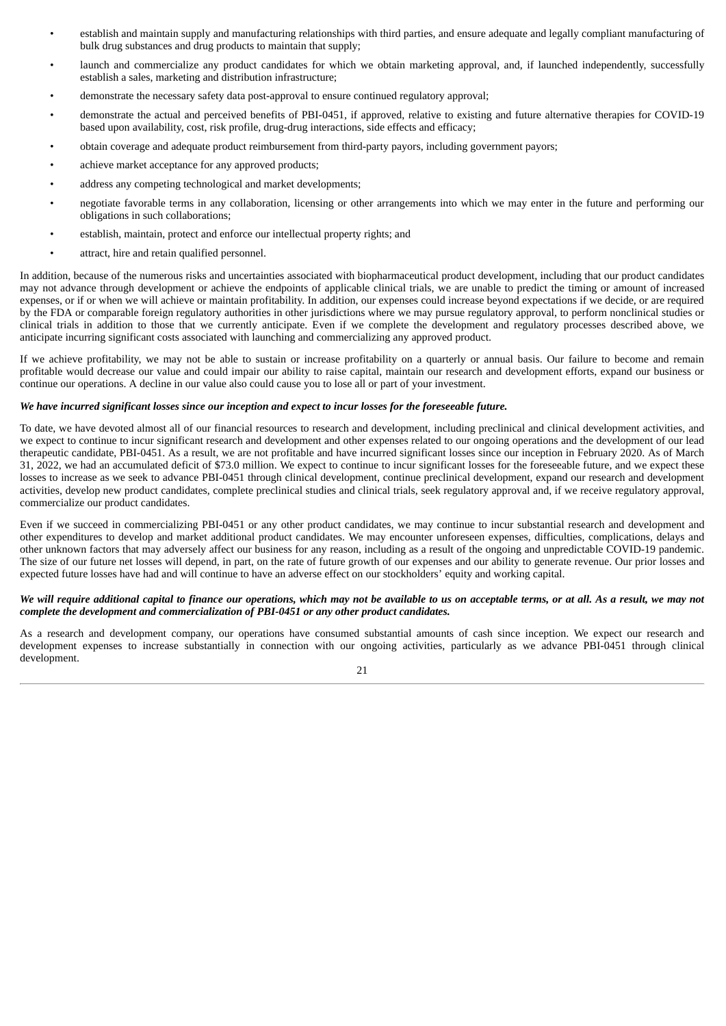- establish and maintain supply and manufacturing relationships with third parties, and ensure adequate and legally compliant manufacturing of bulk drug substances and drug products to maintain that supply;
- launch and commercialize any product candidates for which we obtain marketing approval, and, if launched independently, successfully establish a sales, marketing and distribution infrastructure;
- demonstrate the necessary safety data post-approval to ensure continued regulatory approval;
- demonstrate the actual and perceived benefits of PBI-0451, if approved, relative to existing and future alternative therapies for COVID-19 based upon availability, cost, risk profile, drug-drug interactions, side effects and efficacy;
- obtain coverage and adequate product reimbursement from third-party payors, including government payors;
- achieve market acceptance for any approved products;
- address any competing technological and market developments;
- negotiate favorable terms in any collaboration, licensing or other arrangements into which we may enter in the future and performing our obligations in such collaborations;
- establish, maintain, protect and enforce our intellectual property rights; and
- attract, hire and retain qualified personnel.

In addition, because of the numerous risks and uncertainties associated with biopharmaceutical product development, including that our product candidates may not advance through development or achieve the endpoints of applicable clinical trials, we are unable to predict the timing or amount of increased expenses, or if or when we will achieve or maintain profitability. In addition, our expenses could increase beyond expectations if we decide, or are required by the FDA or comparable foreign regulatory authorities in other jurisdictions where we may pursue regulatory approval, to perform nonclinical studies or clinical trials in addition to those that we currently anticipate. Even if we complete the development and regulatory processes described above, we anticipate incurring significant costs associated with launching and commercializing any approved product.

If we achieve profitability, we may not be able to sustain or increase profitability on a quarterly or annual basis. Our failure to become and remain profitable would decrease our value and could impair our ability to raise capital, maintain our research and development efforts, expand our business or continue our operations. A decline in our value also could cause you to lose all or part of your investment.

#### We have incurred significant losses since our inception and expect to incur losses for the foreseeable future.

To date, we have devoted almost all of our financial resources to research and development, including preclinical and clinical development activities, and we expect to continue to incur significant research and development and other expenses related to our ongoing operations and the development of our lead therapeutic candidate, PBI-0451. As a result, we are not profitable and have incurred significant losses since our inception in February 2020. As of March 31, 2022, we had an accumulated deficit of \$73.0 million. We expect to continue to incur significant losses for the foreseeable future, and we expect these losses to increase as we seek to advance PBI-0451 through clinical development, continue preclinical development, expand our research and development activities, develop new product candidates, complete preclinical studies and clinical trials, seek regulatory approval and, if we receive regulatory approval, commercialize our product candidates.

Even if we succeed in commercializing PBI-0451 or any other product candidates, we may continue to incur substantial research and development and other expenditures to develop and market additional product candidates. We may encounter unforeseen expenses, difficulties, complications, delays and other unknown factors that may adversely affect our business for any reason, including as a result of the ongoing and unpredictable COVID-19 pandemic. The size of our future net losses will depend, in part, on the rate of future growth of our expenses and our ability to generate revenue. Our prior losses and expected future losses have had and will continue to have an adverse effect on our stockholders' equity and working capital.

#### We will require additional capital to finance our operations, which may not be available to us on acceptable terms, or at all. As a result, we may not *complete the development and commercialization of PBI-0451 or any other product candidates.*

As a research and development company, our operations have consumed substantial amounts of cash since inception. We expect our research and development expenses to increase substantially in connection with our ongoing activities, particularly as we advance PBI-0451 through clinical development.

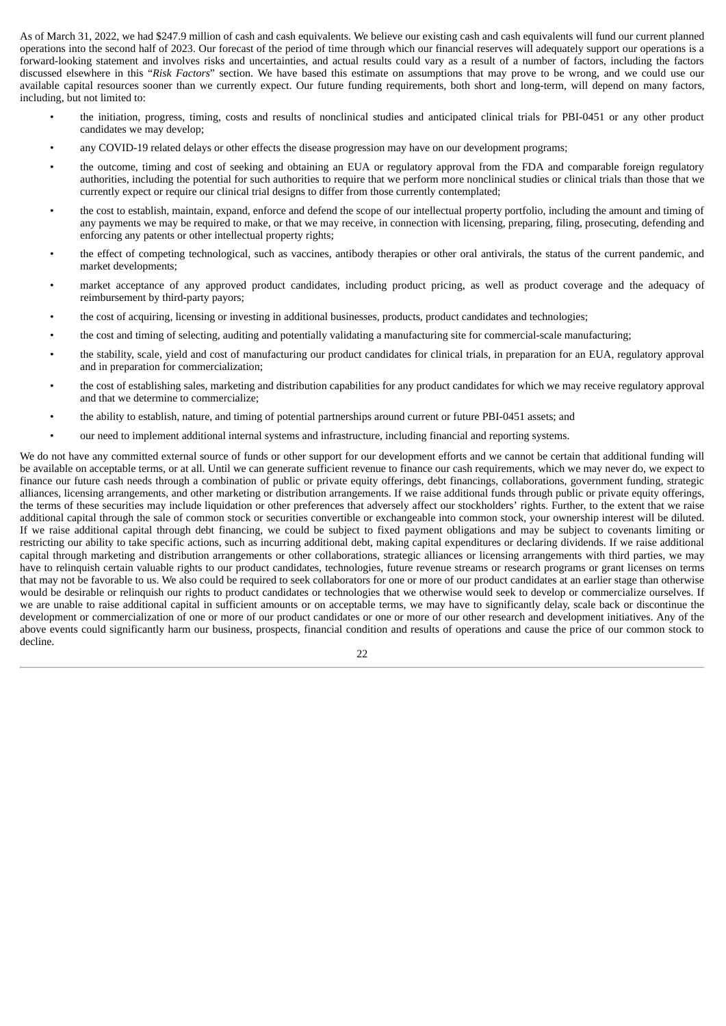As of March 31, 2022, we had \$247.9 million of cash and cash equivalents. We believe our existing cash and cash equivalents will fund our current planned operations into the second half of 2023. Our forecast of the period of time through which our financial reserves will adequately support our operations is a forward-looking statement and involves risks and uncertainties, and actual results could vary as a result of a number of factors, including the factors discussed elsewhere in this "*Risk Factors*" section. We have based this estimate on assumptions that may prove to be wrong, and we could use our available capital resources sooner than we currently expect. Our future funding requirements, both short and long-term, will depend on many factors, including, but not limited to:

- the initiation, progress, timing, costs and results of nonclinical studies and anticipated clinical trials for PBI-0451 or any other product candidates we may develop;
- any COVID-19 related delays or other effects the disease progression may have on our development programs;
- the outcome, timing and cost of seeking and obtaining an EUA or regulatory approval from the FDA and comparable foreign regulatory authorities, including the potential for such authorities to require that we perform more nonclinical studies or clinical trials than those that we currently expect or require our clinical trial designs to differ from those currently contemplated;
- the cost to establish, maintain, expand, enforce and defend the scope of our intellectual property portfolio, including the amount and timing of any payments we may be required to make, or that we may receive, in connection with licensing, preparing, filing, prosecuting, defending and enforcing any patents or other intellectual property rights;
- the effect of competing technological, such as vaccines, antibody therapies or other oral antivirals, the status of the current pandemic, and market developments;
- market acceptance of any approved product candidates, including product pricing, as well as product coverage and the adequacy of reimbursement by third-party payors;
- the cost of acquiring, licensing or investing in additional businesses, products, product candidates and technologies;
- the cost and timing of selecting, auditing and potentially validating a manufacturing site for commercial-scale manufacturing;
- the stability, scale, yield and cost of manufacturing our product candidates for clinical trials, in preparation for an EUA, regulatory approval and in preparation for commercialization;
- the cost of establishing sales, marketing and distribution capabilities for any product candidates for which we may receive regulatory approval and that we determine to commercialize;
- the ability to establish, nature, and timing of potential partnerships around current or future PBI-0451 assets; and
- our need to implement additional internal systems and infrastructure, including financial and reporting systems.

We do not have any committed external source of funds or other support for our development efforts and we cannot be certain that additional funding will be available on acceptable terms, or at all. Until we can generate sufficient revenue to finance our cash requirements, which we may never do, we expect to finance our future cash needs through a combination of public or private equity offerings, debt financings, collaborations, government funding, strategic alliances, licensing arrangements, and other marketing or distribution arrangements. If we raise additional funds through public or private equity offerings, the terms of these securities may include liquidation or other preferences that adversely affect our stockholders' rights. Further, to the extent that we raise additional capital through the sale of common stock or securities convertible or exchangeable into common stock, your ownership interest will be diluted. If we raise additional capital through debt financing, we could be subject to fixed payment obligations and may be subject to covenants limiting or restricting our ability to take specific actions, such as incurring additional debt, making capital expenditures or declaring dividends. If we raise additional capital through marketing and distribution arrangements or other collaborations, strategic alliances or licensing arrangements with third parties, we may have to relinquish certain valuable rights to our product candidates, technologies, future revenue streams or research programs or grant licenses on terms that may not be favorable to us. We also could be required to seek collaborators for one or more of our product candidates at an earlier stage than otherwise would be desirable or relinquish our rights to product candidates or technologies that we otherwise would seek to develop or commercialize ourselves. If we are unable to raise additional capital in sufficient amounts or on acceptable terms, we may have to significantly delay, scale back or discontinue the development or commercialization of one or more of our product candidates or one or more of our other research and development initiatives. Any of the above events could significantly harm our business, prospects, financial condition and results of operations and cause the price of our common stock to decline.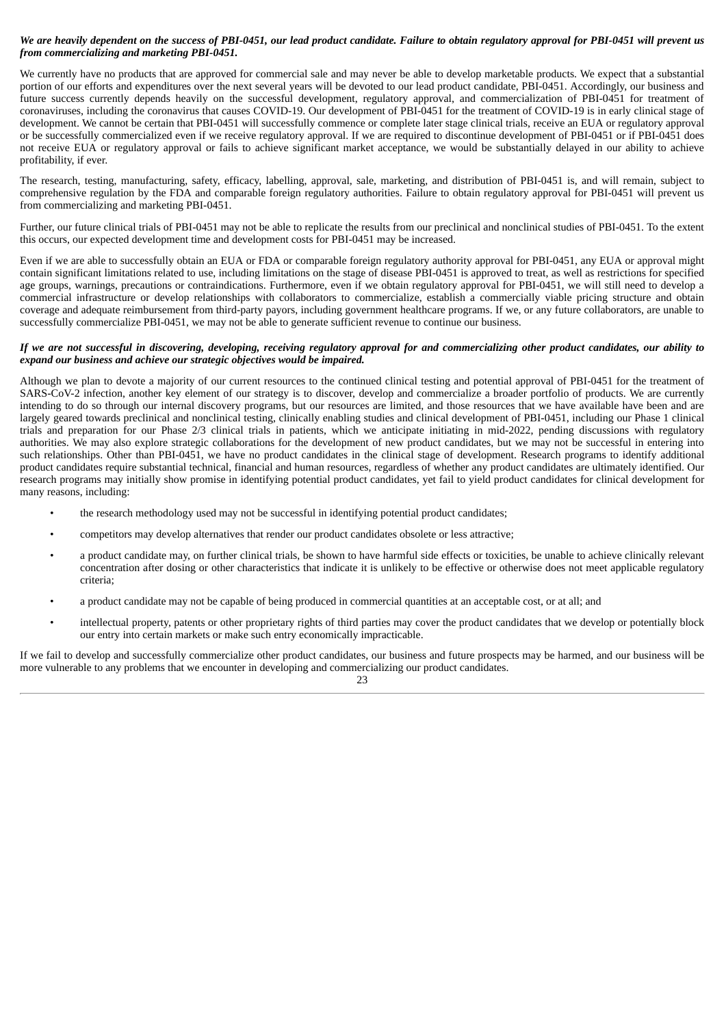#### We are heavily dependent on the success of PBI-0451, our lead product candidate. Failure to obtain regulatory approval for PBI-0451 will prevent us *from commercializing and marketing PBI-0451.*

We currently have no products that are approved for commercial sale and may never be able to develop marketable products. We expect that a substantial portion of our efforts and expenditures over the next several years will be devoted to our lead product candidate, PBI-0451. Accordingly, our business and future success currently depends heavily on the successful development, regulatory approval, and commercialization of PBI-0451 for treatment of coronaviruses, including the coronavirus that causes COVID-19. Our development of PBI-0451 for the treatment of COVID-19 is in early clinical stage of development. We cannot be certain that PBI-0451 will successfully commence or complete later stage clinical trials, receive an EUA or regulatory approval or be successfully commercialized even if we receive regulatory approval. If we are required to discontinue development of PBI-0451 or if PBI-0451 does not receive EUA or regulatory approval or fails to achieve significant market acceptance, we would be substantially delayed in our ability to achieve profitability, if ever.

The research, testing, manufacturing, safety, efficacy, labelling, approval, sale, marketing, and distribution of PBI-0451 is, and will remain, subject to comprehensive regulation by the FDA and comparable foreign regulatory authorities. Failure to obtain regulatory approval for PBI-0451 will prevent us from commercializing and marketing PBI-0451.

Further, our future clinical trials of PBI-0451 may not be able to replicate the results from our preclinical and nonclinical studies of PBI-0451. To the extent this occurs, our expected development time and development costs for PBI-0451 may be increased.

Even if we are able to successfully obtain an EUA or FDA or comparable foreign regulatory authority approval for PBI-0451, any EUA or approval might contain significant limitations related to use, including limitations on the stage of disease PBI-0451 is approved to treat, as well as restrictions for specified age groups, warnings, precautions or contraindications. Furthermore, even if we obtain regulatory approval for PBI-0451, we will still need to develop a commercial infrastructure or develop relationships with collaborators to commercialize, establish a commercially viable pricing structure and obtain coverage and adequate reimbursement from third-party payors, including government healthcare programs. If we, or any future collaborators, are unable to successfully commercialize PBI-0451, we may not be able to generate sufficient revenue to continue our business.

#### If we are not successful in discovering, developing, receiving regulatory approval for and commercializing other product candidates, our ability to *expand our business and achieve our strategic objectives would be impaired.*

Although we plan to devote a majority of our current resources to the continued clinical testing and potential approval of PBI-0451 for the treatment of SARS-CoV-2 infection, another key element of our strategy is to discover, develop and commercialize a broader portfolio of products. We are currently intending to do so through our internal discovery programs, but our resources are limited, and those resources that we have available have been and are largely geared towards preclinical and nonclinical testing, clinically enabling studies and clinical development of PBI-0451, including our Phase 1 clinical trials and preparation for our Phase 2/3 clinical trials in patients, which we anticipate initiating in mid-2022, pending discussions with regulatory authorities. We may also explore strategic collaborations for the development of new product candidates, but we may not be successful in entering into such relationships. Other than PBI-0451, we have no product candidates in the clinical stage of development. Research programs to identify additional product candidates require substantial technical, financial and human resources, regardless of whether any product candidates are ultimately identified. Our research programs may initially show promise in identifying potential product candidates, yet fail to yield product candidates for clinical development for many reasons, including:

- the research methodology used may not be successful in identifying potential product candidates;
- competitors may develop alternatives that render our product candidates obsolete or less attractive;
- a product candidate may, on further clinical trials, be shown to have harmful side effects or toxicities, be unable to achieve clinically relevant concentration after dosing or other characteristics that indicate it is unlikely to be effective or otherwise does not meet applicable regulatory criteria;
- a product candidate may not be capable of being produced in commercial quantities at an acceptable cost, or at all; and
- intellectual property, patents or other proprietary rights of third parties may cover the product candidates that we develop or potentially block our entry into certain markets or make such entry economically impracticable.

If we fail to develop and successfully commercialize other product candidates, our business and future prospects may be harmed, and our business will be more vulnerable to any problems that we encounter in developing and commercializing our product candidates.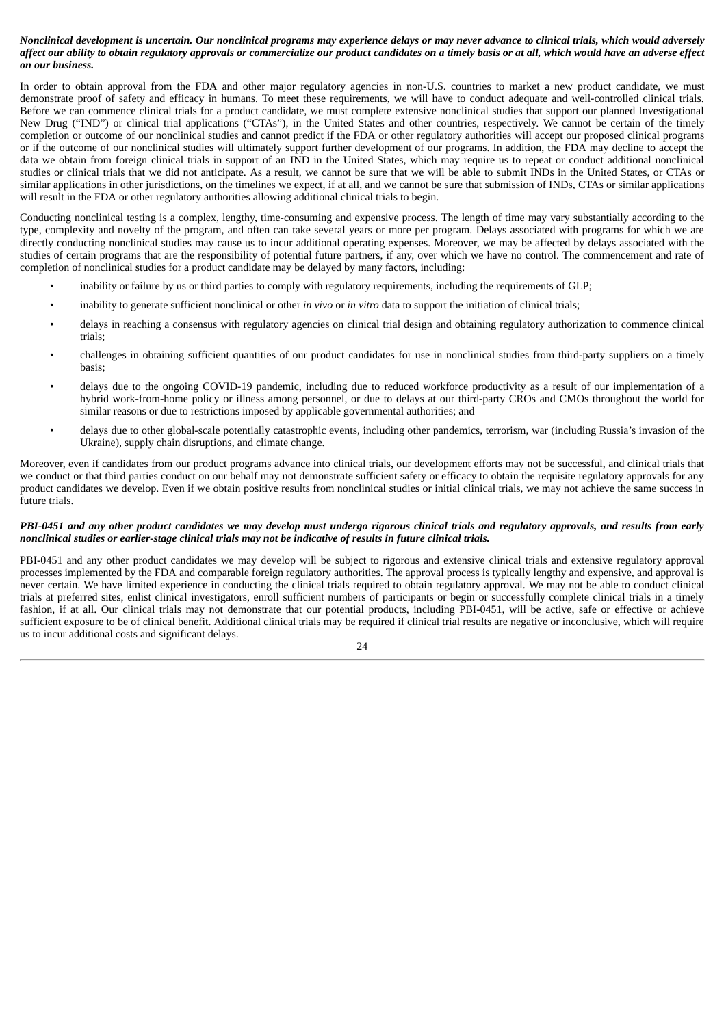#### Nonclinical development is uncertain. Our nonclinical programs may experience delays or may never advance to clinical trials, which would adversely affect our ability to obtain regulatory approvals or commercialize our product candidates on a timely basis or at all, which would have an adverse effect *on our business.*

In order to obtain approval from the FDA and other major regulatory agencies in non-U.S. countries to market a new product candidate, we must demonstrate proof of safety and efficacy in humans. To meet these requirements, we will have to conduct adequate and well-controlled clinical trials. Before we can commence clinical trials for a product candidate, we must complete extensive nonclinical studies that support our planned Investigational New Drug ("IND") or clinical trial applications ("CTAs"), in the United States and other countries, respectively. We cannot be certain of the timely completion or outcome of our nonclinical studies and cannot predict if the FDA or other regulatory authorities will accept our proposed clinical programs or if the outcome of our nonclinical studies will ultimately support further development of our programs. In addition, the FDA may decline to accept the data we obtain from foreign clinical trials in support of an IND in the United States, which may require us to repeat or conduct additional nonclinical studies or clinical trials that we did not anticipate. As a result, we cannot be sure that we will be able to submit INDs in the United States, or CTAs or similar applications in other jurisdictions, on the timelines we expect, if at all, and we cannot be sure that submission of INDs, CTAs or similar applications will result in the FDA or other regulatory authorities allowing additional clinical trials to begin.

Conducting nonclinical testing is a complex, lengthy, time-consuming and expensive process. The length of time may vary substantially according to the type, complexity and novelty of the program, and often can take several years or more per program. Delays associated with programs for which we are directly conducting nonclinical studies may cause us to incur additional operating expenses. Moreover, we may be affected by delays associated with the studies of certain programs that are the responsibility of potential future partners, if any, over which we have no control. The commencement and rate of completion of nonclinical studies for a product candidate may be delayed by many factors, including:

- inability or failure by us or third parties to comply with regulatory requirements, including the requirements of GLP;
- inability to generate sufficient nonclinical or other *in vivo* or *in vitro* data to support the initiation of clinical trials;
- delays in reaching a consensus with regulatory agencies on clinical trial design and obtaining regulatory authorization to commence clinical trials;
- challenges in obtaining sufficient quantities of our product candidates for use in nonclinical studies from third-party suppliers on a timely basis;
- delays due to the ongoing COVID-19 pandemic, including due to reduced workforce productivity as a result of our implementation of a hybrid work-from-home policy or illness among personnel, or due to delays at our third-party CROs and CMOs throughout the world for similar reasons or due to restrictions imposed by applicable governmental authorities; and
- delays due to other global-scale potentially catastrophic events, including other pandemics, terrorism, war (including Russia's invasion of the Ukraine), supply chain disruptions, and climate change.

Moreover, even if candidates from our product programs advance into clinical trials, our development efforts may not be successful, and clinical trials that we conduct or that third parties conduct on our behalf may not demonstrate sufficient safety or efficacy to obtain the requisite regulatory approvals for any product candidates we develop. Even if we obtain positive results from nonclinical studies or initial clinical trials, we may not achieve the same success in future trials.

#### PBI-0451 and any other product candidates we may develop must undergo rigorous clinical trials and regulatory approvals, and results from early *nonclinical studies or earlier-stage clinical trials may not be indicative of results in future clinical trials.*

PBI-0451 and any other product candidates we may develop will be subject to rigorous and extensive clinical trials and extensive regulatory approval processes implemented by the FDA and comparable foreign regulatory authorities. The approval process is typically lengthy and expensive, and approval is never certain. We have limited experience in conducting the clinical trials required to obtain regulatory approval. We may not be able to conduct clinical trials at preferred sites, enlist clinical investigators, enroll sufficient numbers of participants or begin or successfully complete clinical trials in a timely fashion, if at all. Our clinical trials may not demonstrate that our potential products, including PBI-0451, will be active, safe or effective or achieve sufficient exposure to be of clinical benefit. Additional clinical trials may be required if clinical trial results are negative or inconclusive, which will require us to incur additional costs and significant delays.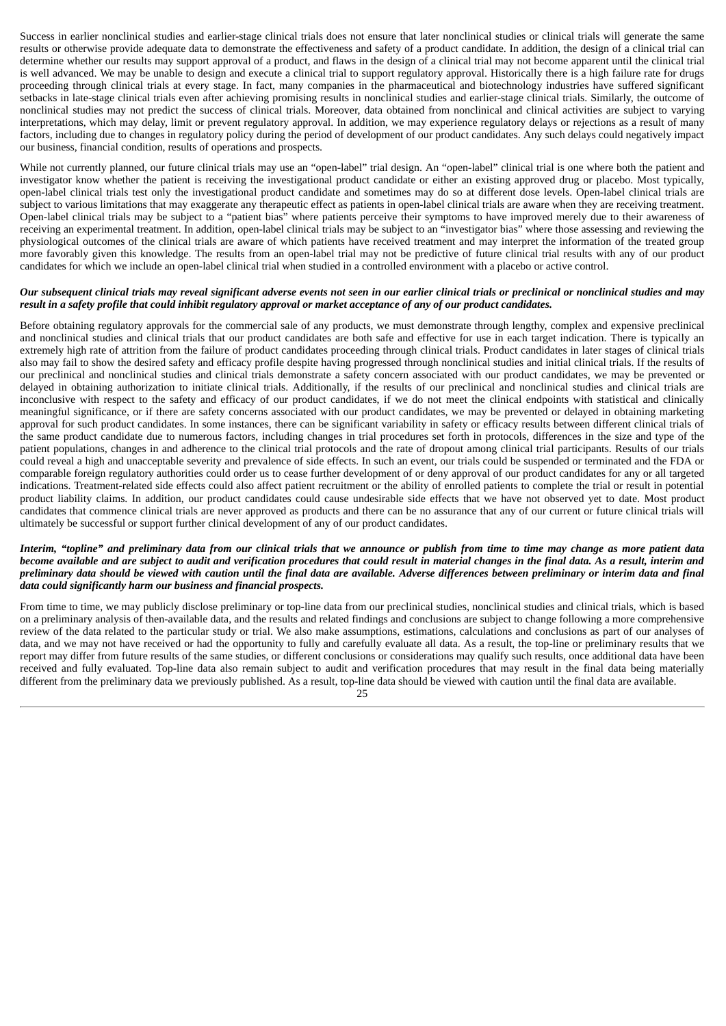Success in earlier nonclinical studies and earlier-stage clinical trials does not ensure that later nonclinical studies or clinical trials will generate the same results or otherwise provide adequate data to demonstrate the effectiveness and safety of a product candidate. In addition, the design of a clinical trial can determine whether our results may support approval of a product, and flaws in the design of a clinical trial may not become apparent until the clinical trial is well advanced. We may be unable to design and execute a clinical trial to support regulatory approval. Historically there is a high failure rate for drugs proceeding through clinical trials at every stage. In fact, many companies in the pharmaceutical and biotechnology industries have suffered significant setbacks in late-stage clinical trials even after achieving promising results in nonclinical studies and earlier-stage clinical trials. Similarly, the outcome of nonclinical studies may not predict the success of clinical trials. Moreover, data obtained from nonclinical and clinical activities are subject to varying interpretations, which may delay, limit or prevent regulatory approval. In addition, we may experience regulatory delays or rejections as a result of many factors, including due to changes in regulatory policy during the period of development of our product candidates. Any such delays could negatively impact our business, financial condition, results of operations and prospects.

While not currently planned, our future clinical trials may use an "open-label" trial design. An "open-label" clinical trial is one where both the patient and investigator know whether the patient is receiving the investigational product candidate or either an existing approved drug or placebo. Most typically, open-label clinical trials test only the investigational product candidate and sometimes may do so at different dose levels. Open-label clinical trials are subject to various limitations that may exaggerate any therapeutic effect as patients in open-label clinical trials are aware when they are receiving treatment. Open-label clinical trials may be subject to a "patient bias" where patients perceive their symptoms to have improved merely due to their awareness of receiving an experimental treatment. In addition, open-label clinical trials may be subject to an "investigator bias" where those assessing and reviewing the physiological outcomes of the clinical trials are aware of which patients have received treatment and may interpret the information of the treated group more favorably given this knowledge. The results from an open-label trial may not be predictive of future clinical trial results with any of our product candidates for which we include an open-label clinical trial when studied in a controlled environment with a placebo or active control.

#### Our subsequent clinical trials may reveal significant adverse events not seen in our earlier clinical trials or preclinical or nonclinical studies and may result in a safety profile that could inhibit regulatory approval or market acceptance of any of our product candidates.

Before obtaining regulatory approvals for the commercial sale of any products, we must demonstrate through lengthy, complex and expensive preclinical and nonclinical studies and clinical trials that our product candidates are both safe and effective for use in each target indication. There is typically an extremely high rate of attrition from the failure of product candidates proceeding through clinical trials. Product candidates in later stages of clinical trials also may fail to show the desired safety and efficacy profile despite having progressed through nonclinical studies and initial clinical trials. If the results of our preclinical and nonclinical studies and clinical trials demonstrate a safety concern associated with our product candidates, we may be prevented or delayed in obtaining authorization to initiate clinical trials. Additionally, if the results of our preclinical and nonclinical studies and clinical trials are inconclusive with respect to the safety and efficacy of our product candidates, if we do not meet the clinical endpoints with statistical and clinically meaningful significance, or if there are safety concerns associated with our product candidates, we may be prevented or delayed in obtaining marketing approval for such product candidates. In some instances, there can be significant variability in safety or efficacy results between different clinical trials of the same product candidate due to numerous factors, including changes in trial procedures set forth in protocols, differences in the size and type of the patient populations, changes in and adherence to the clinical trial protocols and the rate of dropout among clinical trial participants. Results of our trials could reveal a high and unacceptable severity and prevalence of side effects. In such an event, our trials could be suspended or terminated and the FDA or comparable foreign regulatory authorities could order us to cease further development of or deny approval of our product candidates for any or all targeted indications. Treatment-related side effects could also affect patient recruitment or the ability of enrolled patients to complete the trial or result in potential product liability claims. In addition, our product candidates could cause undesirable side effects that we have not observed yet to date. Most product candidates that commence clinical trials are never approved as products and there can be no assurance that any of our current or future clinical trials will ultimately be successful or support further clinical development of any of our product candidates.

#### Interim, "topline" and preliminary data from our clinical trials that we announce or publish from time to time may change as more patient data become available and are subject to audit and verification procedures that could result in material changes in the final data. As a result, interim and preliminary data should be viewed with caution until the final data are available. Adverse differences between preliminary or interim data and final *data could significantly harm our business and financial prospects.*

From time to time, we may publicly disclose preliminary or top-line data from our preclinical studies, nonclinical studies and clinical trials, which is based on a preliminary analysis of then-available data, and the results and related findings and conclusions are subject to change following a more comprehensive review of the data related to the particular study or trial. We also make assumptions, estimations, calculations and conclusions as part of our analyses of data, and we may not have received or had the opportunity to fully and carefully evaluate all data. As a result, the top-line or preliminary results that we report may differ from future results of the same studies, or different conclusions or considerations may qualify such results, once additional data have been received and fully evaluated. Top-line data also remain subject to audit and verification procedures that may result in the final data being materially different from the preliminary data we previously published. As a result, top-line data should be viewed with caution until the final data are available.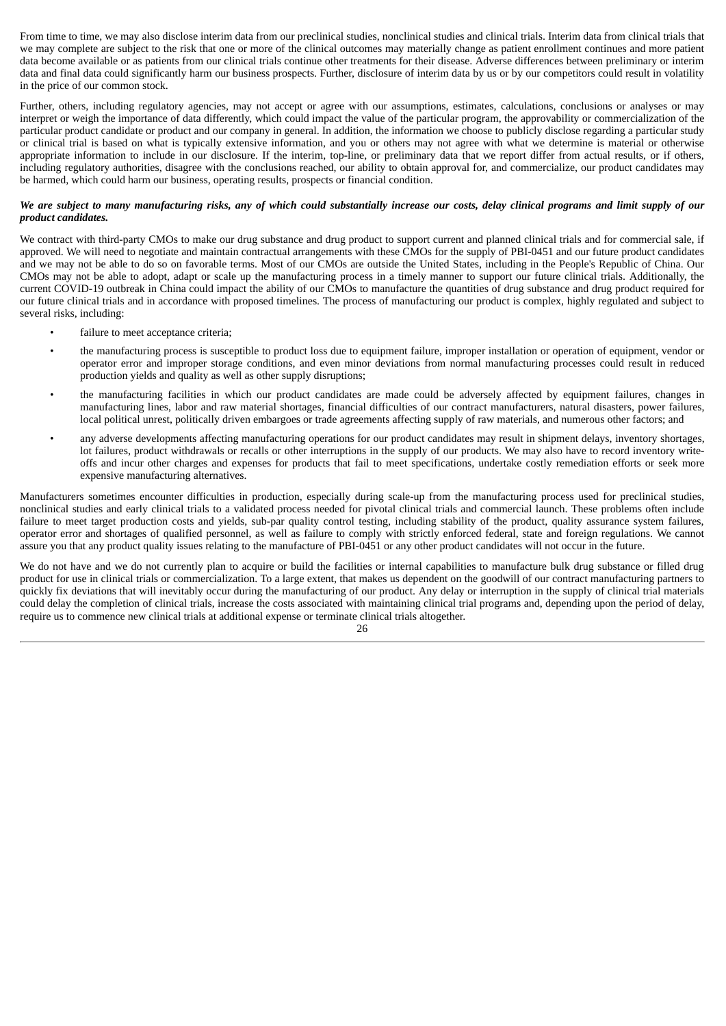From time to time, we may also disclose interim data from our preclinical studies, nonclinical studies and clinical trials. Interim data from clinical trials that we may complete are subject to the risk that one or more of the clinical outcomes may materially change as patient enrollment continues and more patient data become available or as patients from our clinical trials continue other treatments for their disease. Adverse differences between preliminary or interim data and final data could significantly harm our business prospects. Further, disclosure of interim data by us or by our competitors could result in volatility in the price of our common stock.

Further, others, including regulatory agencies, may not accept or agree with our assumptions, estimates, calculations, conclusions or analyses or may interpret or weigh the importance of data differently, which could impact the value of the particular program, the approvability or commercialization of the particular product candidate or product and our company in general. In addition, the information we choose to publicly disclose regarding a particular study or clinical trial is based on what is typically extensive information, and you or others may not agree with what we determine is material or otherwise appropriate information to include in our disclosure. If the interim, top-line, or preliminary data that we report differ from actual results, or if others, including regulatory authorities, disagree with the conclusions reached, our ability to obtain approval for, and commercialize, our product candidates may be harmed, which could harm our business, operating results, prospects or financial condition.

#### We are subject to many manufacturing risks, any of which could substantially increase our costs, delay clinical programs and limit supply of our *product candidates.*

We contract with third-party CMOs to make our drug substance and drug product to support current and planned clinical trials and for commercial sale, if approved. We will need to negotiate and maintain contractual arrangements with these CMOs for the supply of PBI-0451 and our future product candidates and we may not be able to do so on favorable terms. Most of our CMOs are outside the United States, including in the People's Republic of China. Our CMOs may not be able to adopt, adapt or scale up the manufacturing process in a timely manner to support our future clinical trials. Additionally, the current COVID-19 outbreak in China could impact the ability of our CMOs to manufacture the quantities of drug substance and drug product required for our future clinical trials and in accordance with proposed timelines. The process of manufacturing our product is complex, highly regulated and subject to several risks, including:

- failure to meet acceptance criteria;
- the manufacturing process is susceptible to product loss due to equipment failure, improper installation or operation of equipment, vendor or operator error and improper storage conditions, and even minor deviations from normal manufacturing processes could result in reduced production yields and quality as well as other supply disruptions;
- the manufacturing facilities in which our product candidates are made could be adversely affected by equipment failures, changes in manufacturing lines, labor and raw material shortages, financial difficulties of our contract manufacturers, natural disasters, power failures, local political unrest, politically driven embargoes or trade agreements affecting supply of raw materials, and numerous other factors; and
- any adverse developments affecting manufacturing operations for our product candidates may result in shipment delays, inventory shortages, lot failures, product withdrawals or recalls or other interruptions in the supply of our products. We may also have to record inventory writeoffs and incur other charges and expenses for products that fail to meet specifications, undertake costly remediation efforts or seek more expensive manufacturing alternatives.

Manufacturers sometimes encounter difficulties in production, especially during scale-up from the manufacturing process used for preclinical studies, nonclinical studies and early clinical trials to a validated process needed for pivotal clinical trials and commercial launch. These problems often include failure to meet target production costs and yields, sub-par quality control testing, including stability of the product, quality assurance system failures, operator error and shortages of qualified personnel, as well as failure to comply with strictly enforced federal, state and foreign regulations. We cannot assure you that any product quality issues relating to the manufacture of PBI-0451 or any other product candidates will not occur in the future.

We do not have and we do not currently plan to acquire or build the facilities or internal capabilities to manufacture bulk drug substance or filled drug product for use in clinical trials or commercialization. To a large extent, that makes us dependent on the goodwill of our contract manufacturing partners to quickly fix deviations that will inevitably occur during the manufacturing of our product. Any delay or interruption in the supply of clinical trial materials could delay the completion of clinical trials, increase the costs associated with maintaining clinical trial programs and, depending upon the period of delay, require us to commence new clinical trials at additional expense or terminate clinical trials altogether.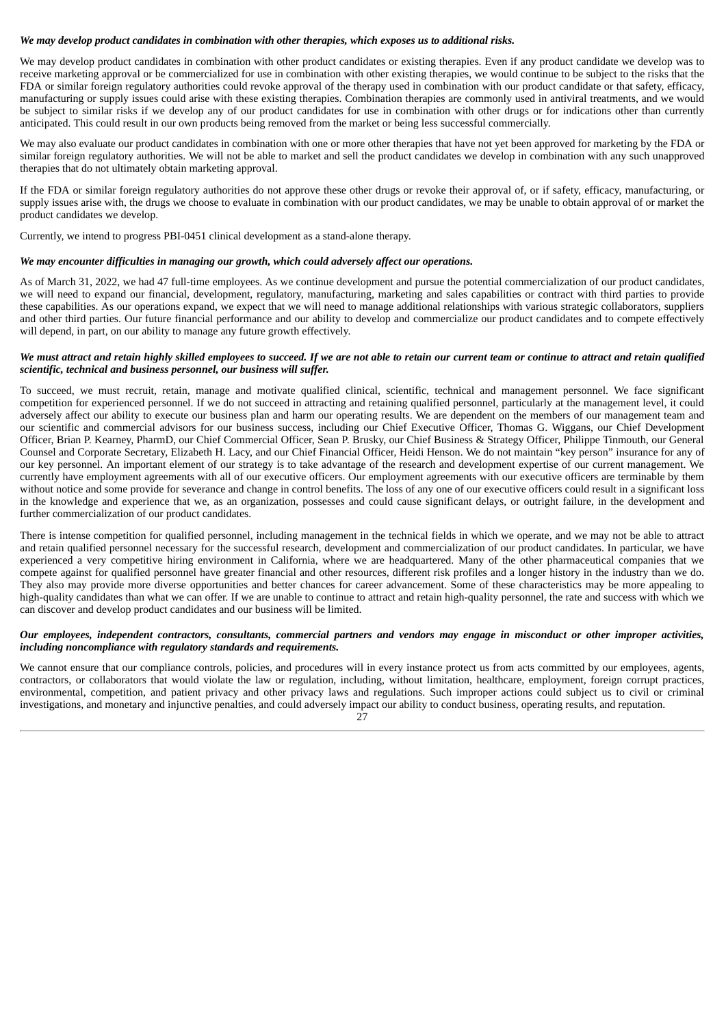#### *We may develop product candidates in combination with other therapies, which exposes us to additional risks.*

We may develop product candidates in combination with other product candidates or existing therapies. Even if any product candidate we develop was to receive marketing approval or be commercialized for use in combination with other existing therapies, we would continue to be subject to the risks that the FDA or similar foreign regulatory authorities could revoke approval of the therapy used in combination with our product candidate or that safety, efficacy, manufacturing or supply issues could arise with these existing therapies. Combination therapies are commonly used in antiviral treatments, and we would be subject to similar risks if we develop any of our product candidates for use in combination with other drugs or for indications other than currently anticipated. This could result in our own products being removed from the market or being less successful commercially.

We may also evaluate our product candidates in combination with one or more other therapies that have not yet been approved for marketing by the FDA or similar foreign regulatory authorities. We will not be able to market and sell the product candidates we develop in combination with any such unapproved therapies that do not ultimately obtain marketing approval.

If the FDA or similar foreign regulatory authorities do not approve these other drugs or revoke their approval of, or if safety, efficacy, manufacturing, or supply issues arise with, the drugs we choose to evaluate in combination with our product candidates, we may be unable to obtain approval of or market the product candidates we develop.

Currently, we intend to progress PBI-0451 clinical development as a stand-alone therapy.

#### *We may encounter difficulties in managing our growth, which could adversely affect our operations.*

As of March 31, 2022, we had 47 full-time employees. As we continue development and pursue the potential commercialization of our product candidates, we will need to expand our financial, development, regulatory, manufacturing, marketing and sales capabilities or contract with third parties to provide these capabilities. As our operations expand, we expect that we will need to manage additional relationships with various strategic collaborators, suppliers and other third parties. Our future financial performance and our ability to develop and commercialize our product candidates and to compete effectively will depend, in part, on our ability to manage any future growth effectively.

#### We must attract and retain highly skilled employees to succeed. If we are not able to retain our current team or continue to attract and retain qualified *scientific, technical and business personnel, our business will suffer.*

To succeed, we must recruit, retain, manage and motivate qualified clinical, scientific, technical and management personnel. We face significant competition for experienced personnel. If we do not succeed in attracting and retaining qualified personnel, particularly at the management level, it could adversely affect our ability to execute our business plan and harm our operating results. We are dependent on the members of our management team and our scientific and commercial advisors for our business success, including our Chief Executive Officer, Thomas G. Wiggans, our Chief Development Officer, Brian P. Kearney, PharmD, our Chief Commercial Officer, Sean P. Brusky, our Chief Business & Strategy Officer, Philippe Tinmouth, our General Counsel and Corporate Secretary, Elizabeth H. Lacy, and our Chief Financial Officer, Heidi Henson. We do not maintain "key person" insurance for any of our key personnel. An important element of our strategy is to take advantage of the research and development expertise of our current management. We currently have employment agreements with all of our executive officers. Our employment agreements with our executive officers are terminable by them without notice and some provide for severance and change in control benefits. The loss of any one of our executive officers could result in a significant loss in the knowledge and experience that we, as an organization, possesses and could cause significant delays, or outright failure, in the development and further commercialization of our product candidates.

There is intense competition for qualified personnel, including management in the technical fields in which we operate, and we may not be able to attract and retain qualified personnel necessary for the successful research, development and commercialization of our product candidates. In particular, we have experienced a very competitive hiring environment in California, where we are headquartered. Many of the other pharmaceutical companies that we compete against for qualified personnel have greater financial and other resources, different risk profiles and a longer history in the industry than we do. They also may provide more diverse opportunities and better chances for career advancement. Some of these characteristics may be more appealing to high-quality candidates than what we can offer. If we are unable to continue to attract and retain high-quality personnel, the rate and success with which we can discover and develop product candidates and our business will be limited.

#### Our employees, independent contractors, consultants, commercial partners and vendors may engage in misconduct or other improper activities, *including noncompliance with regulatory standards and requirements.*

We cannot ensure that our compliance controls, policies, and procedures will in every instance protect us from acts committed by our employees, agents, contractors, or collaborators that would violate the law or regulation, including, without limitation, healthcare, employment, foreign corrupt practices, environmental, competition, and patient privacy and other privacy laws and regulations. Such improper actions could subject us to civil or criminal investigations, and monetary and injunctive penalties, and could adversely impact our ability to conduct business, operating results, and reputation.

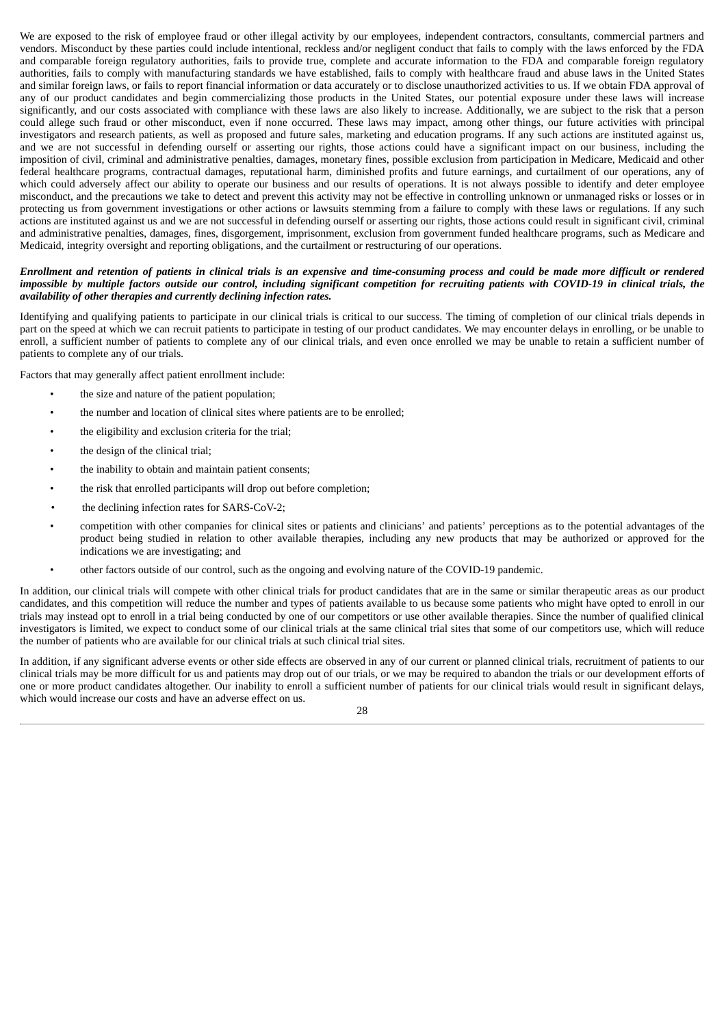We are exposed to the risk of employee fraud or other illegal activity by our employees, independent contractors, consultants, commercial partners and vendors. Misconduct by these parties could include intentional, reckless and/or negligent conduct that fails to comply with the laws enforced by the FDA and comparable foreign regulatory authorities, fails to provide true, complete and accurate information to the FDA and comparable foreign regulatory authorities, fails to comply with manufacturing standards we have established, fails to comply with healthcare fraud and abuse laws in the United States and similar foreign laws, or fails to report financial information or data accurately or to disclose unauthorized activities to us. If we obtain FDA approval of any of our product candidates and begin commercializing those products in the United States, our potential exposure under these laws will increase significantly, and our costs associated with compliance with these laws are also likely to increase. Additionally, we are subject to the risk that a person could allege such fraud or other misconduct, even if none occurred. These laws may impact, among other things, our future activities with principal investigators and research patients, as well as proposed and future sales, marketing and education programs. If any such actions are instituted against us, and we are not successful in defending ourself or asserting our rights, those actions could have a significant impact on our business, including the imposition of civil, criminal and administrative penalties, damages, monetary fines, possible exclusion from participation in Medicare, Medicaid and other federal healthcare programs, contractual damages, reputational harm, diminished profits and future earnings, and curtailment of our operations, any of which could adversely affect our ability to operate our business and our results of operations. It is not always possible to identify and deter employee misconduct, and the precautions we take to detect and prevent this activity may not be effective in controlling unknown or unmanaged risks or losses or in protecting us from government investigations or other actions or lawsuits stemming from a failure to comply with these laws or regulations. If any such actions are instituted against us and we are not successful in defending ourself or asserting our rights, those actions could result in significant civil, criminal and administrative penalties, damages, fines, disgorgement, imprisonment, exclusion from government funded healthcare programs, such as Medicare and Medicaid, integrity oversight and reporting obligations, and the curtailment or restructuring of our operations.

#### Enrollment and retention of patients in clinical trials is an expensive and time-consuming process and could be made more difficult or rendered impossible by multiple factors outside our control, including significant competition for recruiting patients with COVID-19 in clinical trials, the *availability of other therapies and currently declining infection rates.*

Identifying and qualifying patients to participate in our clinical trials is critical to our success. The timing of completion of our clinical trials depends in part on the speed at which we can recruit patients to participate in testing of our product candidates. We may encounter delays in enrolling, or be unable to enroll, a sufficient number of patients to complete any of our clinical trials, and even once enrolled we may be unable to retain a sufficient number of patients to complete any of our trials.

Factors that may generally affect patient enrollment include:

- the size and nature of the patient population;
- the number and location of clinical sites where patients are to be enrolled;
- the eligibility and exclusion criteria for the trial;
- the design of the clinical trial:
- the inability to obtain and maintain patient consents;
- the risk that enrolled participants will drop out before completion;
- the declining infection rates for SARS-CoV-2;
- competition with other companies for clinical sites or patients and clinicians' and patients' perceptions as to the potential advantages of the product being studied in relation to other available therapies, including any new products that may be authorized or approved for the indications we are investigating; and
- other factors outside of our control, such as the ongoing and evolving nature of the COVID-19 pandemic.

In addition, our clinical trials will compete with other clinical trials for product candidates that are in the same or similar therapeutic areas as our product candidates, and this competition will reduce the number and types of patients available to us because some patients who might have opted to enroll in our trials may instead opt to enroll in a trial being conducted by one of our competitors or use other available therapies. Since the number of qualified clinical investigators is limited, we expect to conduct some of our clinical trials at the same clinical trial sites that some of our competitors use, which will reduce the number of patients who are available for our clinical trials at such clinical trial sites.

In addition, if any significant adverse events or other side effects are observed in any of our current or planned clinical trials, recruitment of patients to our clinical trials may be more difficult for us and patients may drop out of our trials, or we may be required to abandon the trials or our development efforts of one or more product candidates altogether. Our inability to enroll a sufficient number of patients for our clinical trials would result in significant delays, which would increase our costs and have an adverse effect on us.

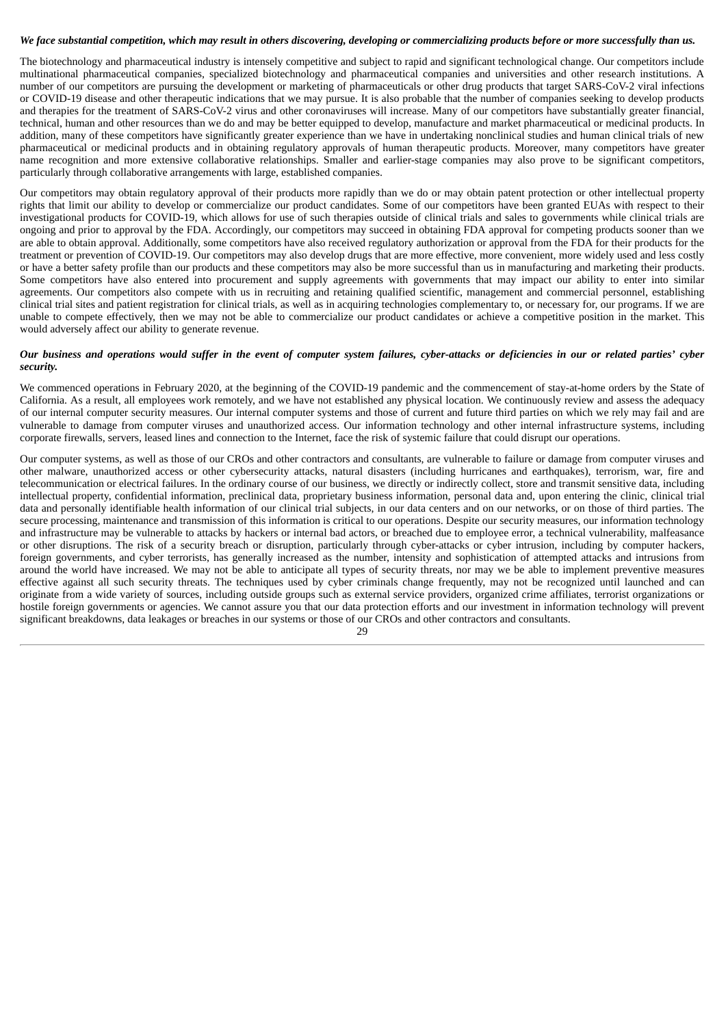#### We face substantial competition, which may result in others discovering, developing or commercializing products before or more successfully than us.

The biotechnology and pharmaceutical industry is intensely competitive and subject to rapid and significant technological change. Our competitors include multinational pharmaceutical companies, specialized biotechnology and pharmaceutical companies and universities and other research institutions. A number of our competitors are pursuing the development or marketing of pharmaceuticals or other drug products that target SARS-CoV-2 viral infections or COVID-19 disease and other therapeutic indications that we may pursue. It is also probable that the number of companies seeking to develop products and therapies for the treatment of SARS-CoV-2 virus and other coronaviruses will increase. Many of our competitors have substantially greater financial, technical, human and other resources than we do and may be better equipped to develop, manufacture and market pharmaceutical or medicinal products. In addition, many of these competitors have significantly greater experience than we have in undertaking nonclinical studies and human clinical trials of new pharmaceutical or medicinal products and in obtaining regulatory approvals of human therapeutic products. Moreover, many competitors have greater name recognition and more extensive collaborative relationships. Smaller and earlier-stage companies may also prove to be significant competitors, particularly through collaborative arrangements with large, established companies.

Our competitors may obtain regulatory approval of their products more rapidly than we do or may obtain patent protection or other intellectual property rights that limit our ability to develop or commercialize our product candidates. Some of our competitors have been granted EUAs with respect to their investigational products for COVID-19, which allows for use of such therapies outside of clinical trials and sales to governments while clinical trials are ongoing and prior to approval by the FDA. Accordingly, our competitors may succeed in obtaining FDA approval for competing products sooner than we are able to obtain approval. Additionally, some competitors have also received regulatory authorization or approval from the FDA for their products for the treatment or prevention of COVID-19. Our competitors may also develop drugs that are more effective, more convenient, more widely used and less costly or have a better safety profile than our products and these competitors may also be more successful than us in manufacturing and marketing their products. Some competitors have also entered into procurement and supply agreements with governments that may impact our ability to enter into similar agreements. Our competitors also compete with us in recruiting and retaining qualified scientific, management and commercial personnel, establishing clinical trial sites and patient registration for clinical trials, as well as in acquiring technologies complementary to, or necessary for, our programs. If we are unable to compete effectively, then we may not be able to commercialize our product candidates or achieve a competitive position in the market. This would adversely affect our ability to generate revenue.

#### Our business and operations would suffer in the event of computer system failures, cyber-attacks or deficiencies in our or related parties' cyber *security.*

We commenced operations in February 2020, at the beginning of the COVID-19 pandemic and the commencement of stay-at-home orders by the State of California. As a result, all employees work remotely, and we have not established any physical location. We continuously review and assess the adequacy of our internal computer security measures. Our internal computer systems and those of current and future third parties on which we rely may fail and are vulnerable to damage from computer viruses and unauthorized access. Our information technology and other internal infrastructure systems, including corporate firewalls, servers, leased lines and connection to the Internet, face the risk of systemic failure that could disrupt our operations.

Our computer systems, as well as those of our CROs and other contractors and consultants, are vulnerable to failure or damage from computer viruses and other malware, unauthorized access or other cybersecurity attacks, natural disasters (including hurricanes and earthquakes), terrorism, war, fire and telecommunication or electrical failures. In the ordinary course of our business, we directly or indirectly collect, store and transmit sensitive data, including intellectual property, confidential information, preclinical data, proprietary business information, personal data and, upon entering the clinic, clinical trial data and personally identifiable health information of our clinical trial subjects, in our data centers and on our networks, or on those of third parties. The secure processing, maintenance and transmission of this information is critical to our operations. Despite our security measures, our information technology and infrastructure may be vulnerable to attacks by hackers or internal bad actors, or breached due to employee error, a technical vulnerability, malfeasance or other disruptions. The risk of a security breach or disruption, particularly through cyber-attacks or cyber intrusion, including by computer hackers, foreign governments, and cyber terrorists, has generally increased as the number, intensity and sophistication of attempted attacks and intrusions from around the world have increased. We may not be able to anticipate all types of security threats, nor may we be able to implement preventive measures effective against all such security threats. The techniques used by cyber criminals change frequently, may not be recognized until launched and can originate from a wide variety of sources, including outside groups such as external service providers, organized crime affiliates, terrorist organizations or hostile foreign governments or agencies. We cannot assure you that our data protection efforts and our investment in information technology will prevent significant breakdowns, data leakages or breaches in our systems or those of our CROs and other contractors and consultants.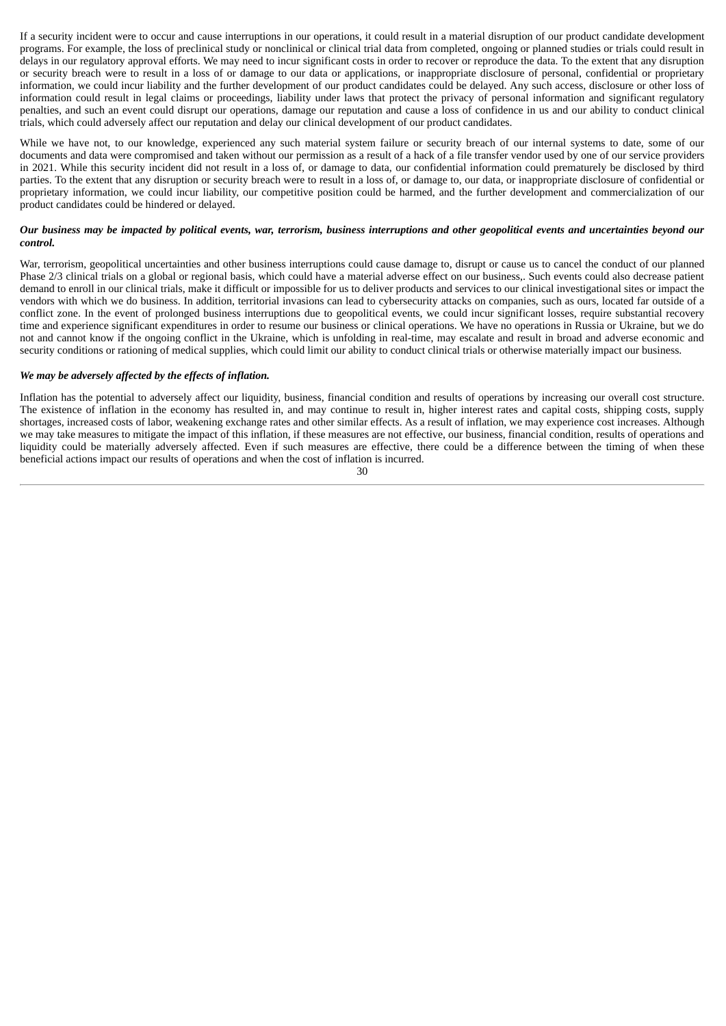If a security incident were to occur and cause interruptions in our operations, it could result in a material disruption of our product candidate development programs. For example, the loss of preclinical study or nonclinical or clinical trial data from completed, ongoing or planned studies or trials could result in delays in our regulatory approval efforts. We may need to incur significant costs in order to recover or reproduce the data. To the extent that any disruption or security breach were to result in a loss of or damage to our data or applications, or inappropriate disclosure of personal, confidential or proprietary information, we could incur liability and the further development of our product candidates could be delayed. Any such access, disclosure or other loss of information could result in legal claims or proceedings, liability under laws that protect the privacy of personal information and significant regulatory penalties, and such an event could disrupt our operations, damage our reputation and cause a loss of confidence in us and our ability to conduct clinical trials, which could adversely affect our reputation and delay our clinical development of our product candidates.

While we have not, to our knowledge, experienced any such material system failure or security breach of our internal systems to date, some of our documents and data were compromised and taken without our permission as a result of a hack of a file transfer vendor used by one of our service providers in 2021. While this security incident did not result in a loss of, or damage to data, our confidential information could prematurely be disclosed by third parties. To the extent that any disruption or security breach were to result in a loss of, or damage to, our data, or inappropriate disclosure of confidential or proprietary information, we could incur liability, our competitive position could be harmed, and the further development and commercialization of our product candidates could be hindered or delayed.

#### Our business may be impacted by political events, war, terrorism, business interruptions and other geopolitical events and uncertainties beyond our *control.*

War, terrorism, geopolitical uncertainties and other business interruptions could cause damage to, disrupt or cause us to cancel the conduct of our planned Phase 2/3 clinical trials on a global or regional basis, which could have a material adverse effect on our business,. Such events could also decrease patient demand to enroll in our clinical trials, make it difficult or impossible for us to deliver products and services to our clinical investigational sites or impact the vendors with which we do business. In addition, territorial invasions can lead to cybersecurity attacks on companies, such as ours, located far outside of a conflict zone. In the event of prolonged business interruptions due to geopolitical events, we could incur significant losses, require substantial recovery time and experience significant expenditures in order to resume our business or clinical operations. We have no operations in Russia or Ukraine, but we do not and cannot know if the ongoing conflict in the Ukraine, which is unfolding in real-time, may escalate and result in broad and adverse economic and security conditions or rationing of medical supplies, which could limit our ability to conduct clinical trials or otherwise materially impact our business.

# *We may be adversely affected by the effects of inflation.*

Inflation has the potential to adversely affect our liquidity, business, financial condition and results of operations by increasing our overall cost structure. The existence of inflation in the economy has resulted in, and may continue to result in, higher interest rates and capital costs, shipping costs, supply shortages, increased costs of labor, weakening exchange rates and other similar effects. As a result of inflation, we may experience cost increases. Although we may take measures to mitigate the impact of this inflation, if these measures are not effective, our business, financial condition, results of operations and liquidity could be materially adversely affected. Even if such measures are effective, there could be a difference between the timing of when these beneficial actions impact our results of operations and when the cost of inflation is incurred.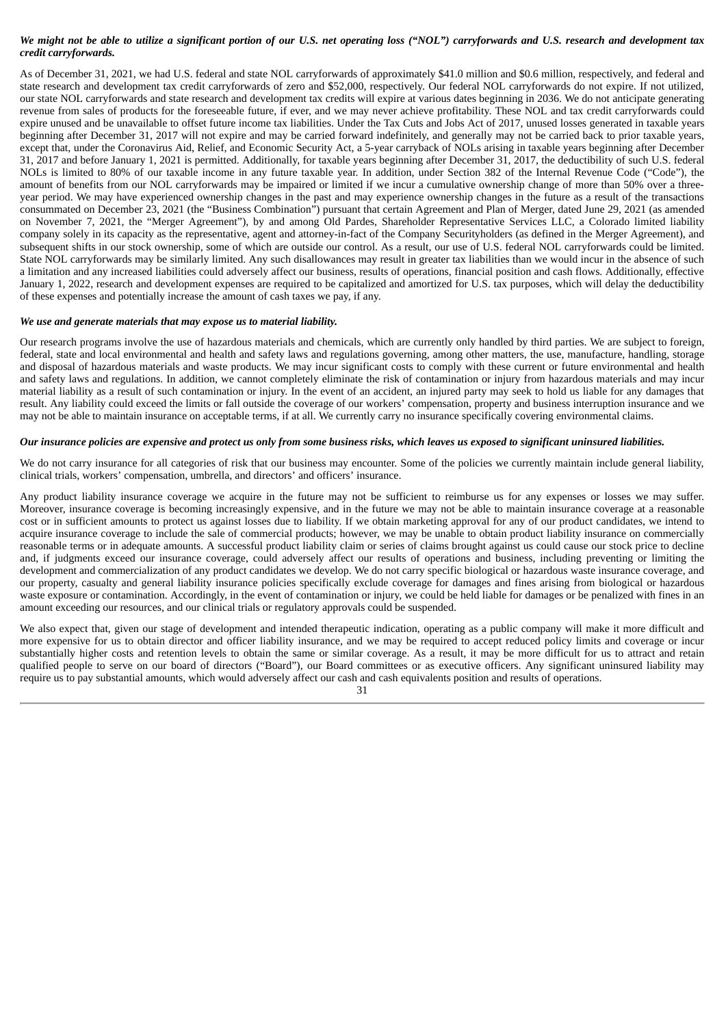# We might not be able to utilize a significant portion of our U.S. net operating loss ("NOL") carryforwards and U.S. research and development tax *credit carryforwards.*

As of December 31, 2021, we had U.S. federal and state NOL carryforwards of approximately \$41.0 million and \$0.6 million, respectively, and federal and state research and development tax credit carryforwards of zero and \$52,000, respectively. Our federal NOL carryforwards do not expire. If not utilized, our state NOL carryforwards and state research and development tax credits will expire at various dates beginning in 2036. We do not anticipate generating revenue from sales of products for the foreseeable future, if ever, and we may never achieve profitability. These NOL and tax credit carryforwards could expire unused and be unavailable to offset future income tax liabilities. Under the Tax Cuts and Jobs Act of 2017, unused losses generated in taxable years beginning after December 31, 2017 will not expire and may be carried forward indefinitely, and generally may not be carried back to prior taxable years, except that, under the Coronavirus Aid, Relief, and Economic Security Act, a 5-year carryback of NOLs arising in taxable years beginning after December 31, 2017 and before January 1, 2021 is permitted. Additionally, for taxable years beginning after December 31, 2017, the deductibility of such U.S. federal NOLs is limited to 80% of our taxable income in any future taxable year. In addition, under Section 382 of the Internal Revenue Code ("Code"), the amount of benefits from our NOL carryforwards may be impaired or limited if we incur a cumulative ownership change of more than 50% over a threeyear period. We may have experienced ownership changes in the past and may experience ownership changes in the future as a result of the transactions consummated on December 23, 2021 (the "Business Combination") pursuant that certain Agreement and Plan of Merger, dated June 29, 2021 (as amended on November 7, 2021, the "Merger Agreement"), by and among Old Pardes, Shareholder Representative Services LLC, a Colorado limited liability company solely in its capacity as the representative, agent and attorney-in-fact of the Company Securityholders (as defined in the Merger Agreement), and subsequent shifts in our stock ownership, some of which are outside our control. As a result, our use of U.S. federal NOL carryforwards could be limited. State NOL carryforwards may be similarly limited. Any such disallowances may result in greater tax liabilities than we would incur in the absence of such a limitation and any increased liabilities could adversely affect our business, results of operations, financial position and cash flows. Additionally, effective January 1, 2022, research and development expenses are required to be capitalized and amortized for U.S. tax purposes, which will delay the deductibility of these expenses and potentially increase the amount of cash taxes we pay, if any.

# *We use and generate materials that may expose us to material liability.*

Our research programs involve the use of hazardous materials and chemicals, which are currently only handled by third parties. We are subject to foreign, federal, state and local environmental and health and safety laws and regulations governing, among other matters, the use, manufacture, handling, storage and disposal of hazardous materials and waste products. We may incur significant costs to comply with these current or future environmental and health and safety laws and regulations. In addition, we cannot completely eliminate the risk of contamination or injury from hazardous materials and may incur material liability as a result of such contamination or injury. In the event of an accident, an injured party may seek to hold us liable for any damages that result. Any liability could exceed the limits or fall outside the coverage of our workers' compensation, property and business interruption insurance and we may not be able to maintain insurance on acceptable terms, if at all. We currently carry no insurance specifically covering environmental claims.

# Our insurance policies are expensive and protect us only from some business risks, which leaves us exposed to significant uninsured liabilities.

We do not carry insurance for all categories of risk that our business may encounter. Some of the policies we currently maintain include general liability, clinical trials, workers' compensation, umbrella, and directors' and officers' insurance.

Any product liability insurance coverage we acquire in the future may not be sufficient to reimburse us for any expenses or losses we may suffer. Moreover, insurance coverage is becoming increasingly expensive, and in the future we may not be able to maintain insurance coverage at a reasonable cost or in sufficient amounts to protect us against losses due to liability. If we obtain marketing approval for any of our product candidates, we intend to acquire insurance coverage to include the sale of commercial products; however, we may be unable to obtain product liability insurance on commercially reasonable terms or in adequate amounts. A successful product liability claim or series of claims brought against us could cause our stock price to decline and, if judgments exceed our insurance coverage, could adversely affect our results of operations and business, including preventing or limiting the development and commercialization of any product candidates we develop. We do not carry specific biological or hazardous waste insurance coverage, and our property, casualty and general liability insurance policies specifically exclude coverage for damages and fines arising from biological or hazardous waste exposure or contamination. Accordingly, in the event of contamination or injury, we could be held liable for damages or be penalized with fines in an amount exceeding our resources, and our clinical trials or regulatory approvals could be suspended.

We also expect that, given our stage of development and intended therapeutic indication, operating as a public company will make it more difficult and more expensive for us to obtain director and officer liability insurance, and we may be required to accept reduced policy limits and coverage or incur substantially higher costs and retention levels to obtain the same or similar coverage. As a result, it may be more difficult for us to attract and retain qualified people to serve on our board of directors ("Board"), our Board committees or as executive officers. Any significant uninsured liability may require us to pay substantial amounts, which would adversely affect our cash and cash equivalents position and results of operations.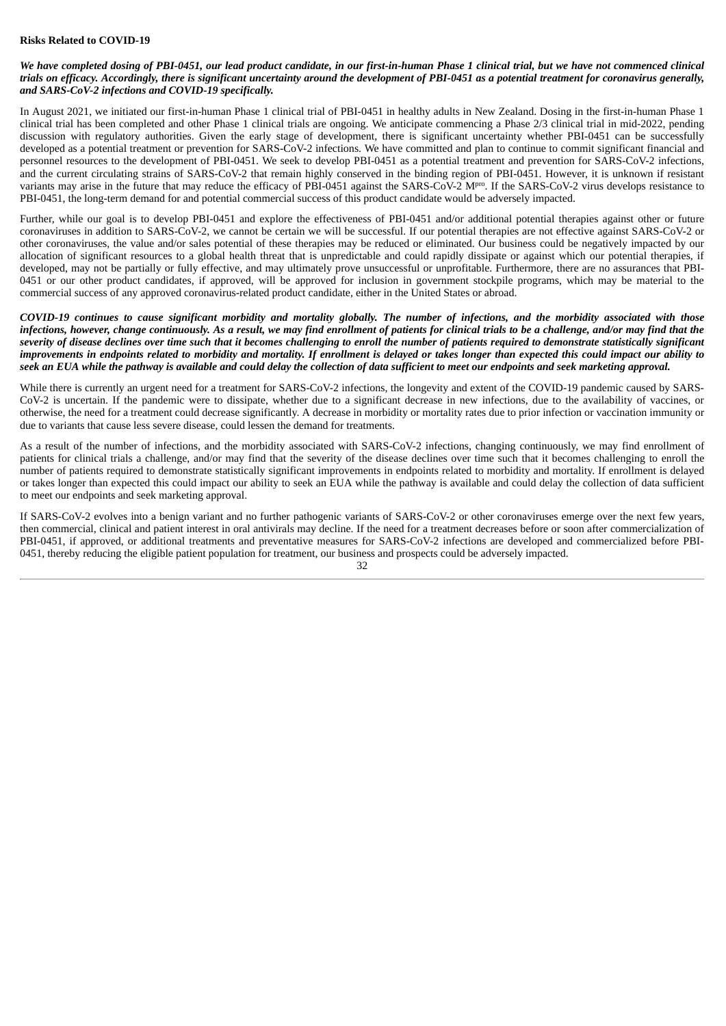# **Risks Related to COVID-19**

# We have completed dosing of PBI-0451, our lead product candidate, in our first-in-human Phase 1 clinical trial, but we have not commenced clinical trials on efficacy. Accordingly, there is significant uncertainty around the development of PBI-0451 as a potential treatment for coronavirus generally, *and SARS-CoV-2 infections and COVID-19 specifically.*

In August 2021, we initiated our first-in-human Phase 1 clinical trial of PBI-0451 in healthy adults in New Zealand. Dosing in the first-in-human Phase 1 clinical trial has been completed and other Phase 1 clinical trials are ongoing. We anticipate commencing a Phase 2/3 clinical trial in mid-2022, pending discussion with regulatory authorities. Given the early stage of development, there is significant uncertainty whether PBI-0451 can be successfully developed as a potential treatment or prevention for SARS-CoV-2 infections. We have committed and plan to continue to commit significant financial and personnel resources to the development of PBI-0451. We seek to develop PBI-0451 as a potential treatment and prevention for SARS-CoV-2 infections, and the current circulating strains of SARS-CoV-2 that remain highly conserved in the binding region of PBI-0451. However, it is unknown if resistant variants may arise in the future that may reduce the efficacy of PBI-0451 against the SARS-CoV-2 M<sup>pro</sup>. If the SARS-CoV-2 virus develops resistance to PBI-0451, the long-term demand for and potential commercial success of this product candidate would be adversely impacted.

Further, while our goal is to develop PBI-0451 and explore the effectiveness of PBI-0451 and/or additional potential therapies against other or future coronaviruses in addition to SARS-CoV-2, we cannot be certain we will be successful. If our potential therapies are not effective against SARS-CoV-2 or other coronaviruses, the value and/or sales potential of these therapies may be reduced or eliminated. Our business could be negatively impacted by our allocation of significant resources to a global health threat that is unpredictable and could rapidly dissipate or against which our potential therapies, if developed, may not be partially or fully effective, and may ultimately prove unsuccessful or unprofitable. Furthermore, there are no assurances that PBI-0451 or our other product candidates, if approved, will be approved for inclusion in government stockpile programs, which may be material to the commercial success of any approved coronavirus-related product candidate, either in the United States or abroad.

COVID-19 continues to cause significant morbidity and mortality globally. The number of infections, and the morbidity associated with those infections, however, change continuously. As a result, we may find enrollment of patients for clinical trials to be a challenge, and/or may find that the severity of disease declines over time such that it becomes challenaina to enroll the number of patients required to demonstrate statistically significant improvements in endpoints related to morbidity and mortality. If enrollment is delayed or takes longer than expected this could impact our ability to seek an EUA while the pathway is available and could delay the collection of data sufficient to meet our endpoints and seek marketing approval.

While there is currently an urgent need for a treatment for SARS-CoV-2 infections, the longevity and extent of the COVID-19 pandemic caused by SARS-CoV-2 is uncertain. If the pandemic were to dissipate, whether due to a significant decrease in new infections, due to the availability of vaccines, or otherwise, the need for a treatment could decrease significantly. A decrease in morbidity or mortality rates due to prior infection or vaccination immunity or due to variants that cause less severe disease, could lessen the demand for treatments.

As a result of the number of infections, and the morbidity associated with SARS-CoV-2 infections, changing continuously, we may find enrollment of patients for clinical trials a challenge, and/or may find that the severity of the disease declines over time such that it becomes challenging to enroll the number of patients required to demonstrate statistically significant improvements in endpoints related to morbidity and mortality. If enrollment is delayed or takes longer than expected this could impact our ability to seek an EUA while the pathway is available and could delay the collection of data sufficient to meet our endpoints and seek marketing approval.

If SARS-CoV-2 evolves into a benign variant and no further pathogenic variants of SARS-CoV-2 or other coronaviruses emerge over the next few years, then commercial, clinical and patient interest in oral antivirals may decline. If the need for a treatment decreases before or soon after commercialization of PBI-0451, if approved, or additional treatments and preventative measures for SARS-CoV-2 infections are developed and commercialized before PBI-0451, thereby reducing the eligible patient population for treatment, our business and prospects could be adversely impacted.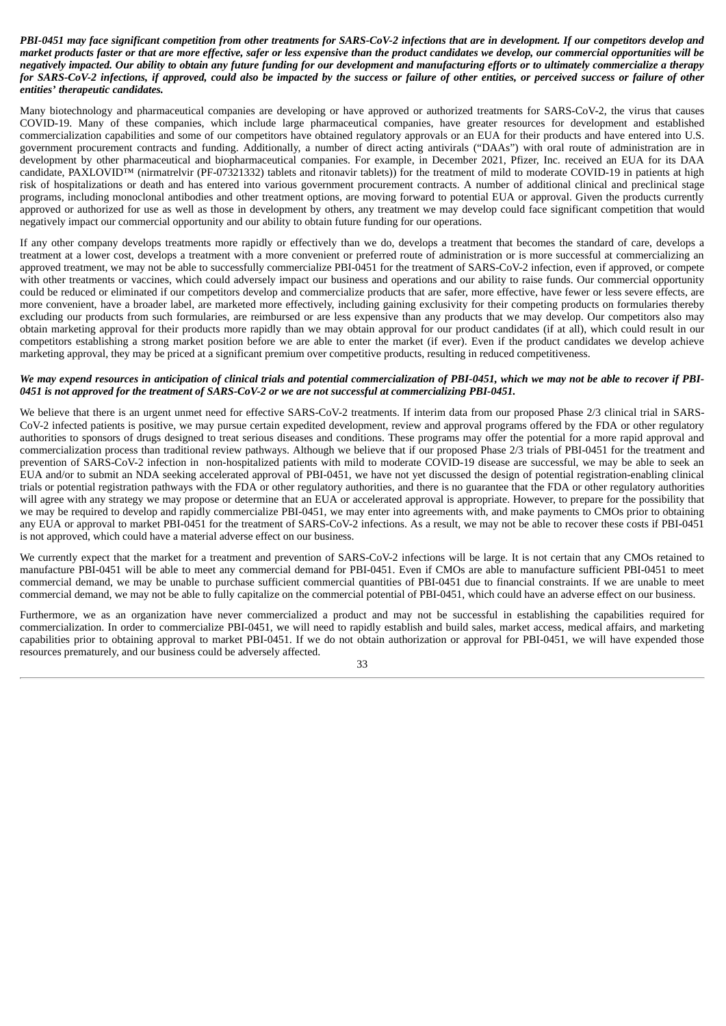# PBI-0451 may face significant competition from other treatments for SARS-CoV-2 infections that are in development. If our competitors develop and market products faster or that are more effective, safer or less expensive than the product candidates we develop, our commercial opportunities will be negatively impacted. Our ability to obtain any future funding for our development and manufacturing efforts or to ultimately commercialize a therapy for SARS-CoV-2 infections, if approved, could also be impacted by the success or failure of other entities, or perceived success or failure of other *entities' therapeutic candidates.*

Many biotechnology and pharmaceutical companies are developing or have approved or authorized treatments for SARS-CoV-2, the virus that causes COVID-19. Many of these companies, which include large pharmaceutical companies, have greater resources for development and established commercialization capabilities and some of our competitors have obtained regulatory approvals or an EUA for their products and have entered into U.S. government procurement contracts and funding. Additionally, a number of direct acting antivirals ("DAAs") with oral route of administration are in development by other pharmaceutical and biopharmaceutical companies. For example, in December 2021, Pfizer, Inc. received an EUA for its DAA candidate, PAXLOVID™ (nirmatrelvir (PF-07321332) tablets and ritonavir tablets)) for the treatment of mild to moderate COVID-19 in patients at high risk of hospitalizations or death and has entered into various government procurement contracts. A number of additional clinical and preclinical stage programs, including monoclonal antibodies and other treatment options, are moving forward to potential EUA or approval. Given the products currently approved or authorized for use as well as those in development by others, any treatment we may develop could face significant competition that would negatively impact our commercial opportunity and our ability to obtain future funding for our operations.

If any other company develops treatments more rapidly or effectively than we do, develops a treatment that becomes the standard of care, develops a treatment at a lower cost, develops a treatment with a more convenient or preferred route of administration or is more successful at commercializing an approved treatment, we may not be able to successfully commercialize PBI-0451 for the treatment of SARS-CoV-2 infection, even if approved, or compete with other treatments or vaccines, which could adversely impact our business and operations and our ability to raise funds. Our commercial opportunity could be reduced or eliminated if our competitors develop and commercialize products that are safer, more effective, have fewer or less severe effects, are more convenient, have a broader label, are marketed more effectively, including gaining exclusivity for their competing products on formularies thereby excluding our products from such formularies, are reimbursed or are less expensive than any products that we may develop. Our competitors also may obtain marketing approval for their products more rapidly than we may obtain approval for our product candidates (if at all), which could result in our competitors establishing a strong market position before we are able to enter the market (if ever). Even if the product candidates we develop achieve marketing approval, they may be priced at a significant premium over competitive products, resulting in reduced competitiveness.

# We may expend resources in anticipation of clinical trials and potential commercialization of PBI-0451, which we may not be able to recover if PBI-0451 is not approved for the treatment of SARS-CoV-2 or we are not successful at commercializing PBI-0451.

We believe that there is an urgent unmet need for effective SARS-CoV-2 treatments. If interim data from our proposed Phase 2/3 clinical trial in SARS-CoV-2 infected patients is positive, we may pursue certain expedited development, review and approval programs offered by the FDA or other regulatory authorities to sponsors of drugs designed to treat serious diseases and conditions. These programs may offer the potential for a more rapid approval and commercialization process than traditional review pathways. Although we believe that if our proposed Phase 2/3 trials of PBI-0451 for the treatment and prevention of SARS-CoV-2 infection in non-hospitalized patients with mild to moderate COVID-19 disease are successful, we may be able to seek an EUA and/or to submit an NDA seeking accelerated approval of PBI-0451, we have not yet discussed the design of potential registration-enabling clinical trials or potential registration pathways with the FDA or other regulatory authorities, and there is no guarantee that the FDA or other regulatory authorities will agree with any strategy we may propose or determine that an EUA or accelerated approval is appropriate. However, to prepare for the possibility that we may be required to develop and rapidly commercialize PBI-0451, we may enter into agreements with, and make payments to CMOs prior to obtaining any EUA or approval to market PBI-0451 for the treatment of SARS-CoV-2 infections. As a result, we may not be able to recover these costs if PBI-0451 is not approved, which could have a material adverse effect on our business.

We currently expect that the market for a treatment and prevention of SARS-CoV-2 infections will be large. It is not certain that any CMOs retained to manufacture PBI-0451 will be able to meet any commercial demand for PBI-0451. Even if CMOs are able to manufacture sufficient PBI-0451 to meet commercial demand, we may be unable to purchase sufficient commercial quantities of PBI-0451 due to financial constraints. If we are unable to meet commercial demand, we may not be able to fully capitalize on the commercial potential of PBI-0451, which could have an adverse effect on our business.

Furthermore, we as an organization have never commercialized a product and may not be successful in establishing the capabilities required for commercialization. In order to commercialize PBI-0451, we will need to rapidly establish and build sales, market access, medical affairs, and marketing capabilities prior to obtaining approval to market PBI-0451. If we do not obtain authorization or approval for PBI-0451, we will have expended those resources prematurely, and our business could be adversely affected.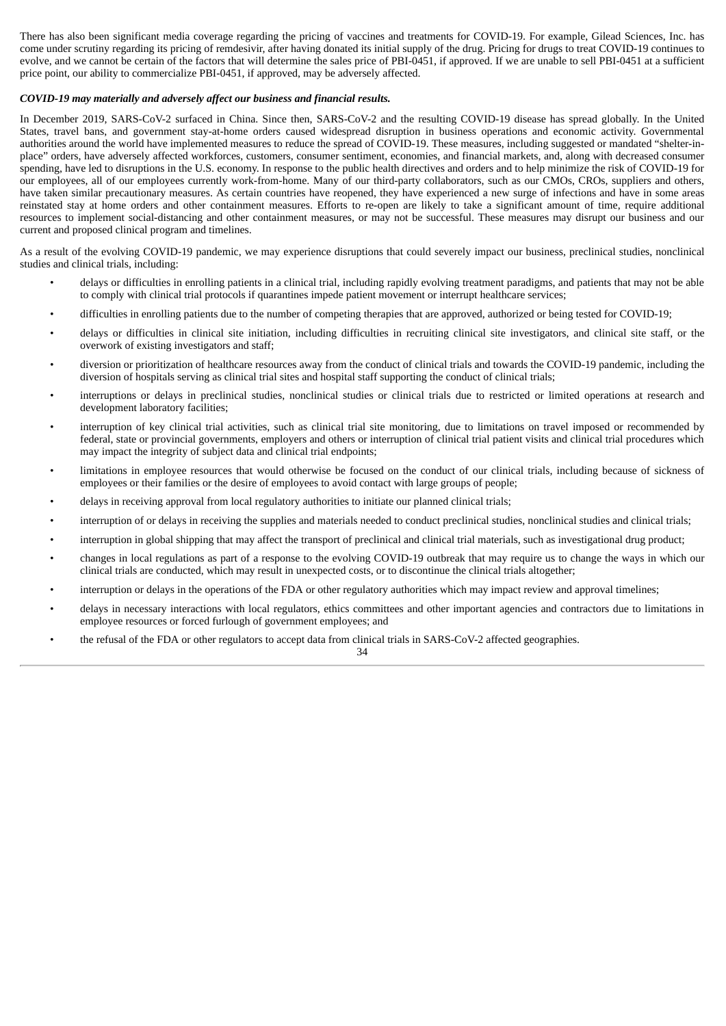There has also been significant media coverage regarding the pricing of vaccines and treatments for COVID-19. For example, Gilead Sciences, Inc. has come under scrutiny regarding its pricing of remdesivir, after having donated its initial supply of the drug. Pricing for drugs to treat COVID-19 continues to evolve, and we cannot be certain of the factors that will determine the sales price of PBI-0451, if approved. If we are unable to sell PBI-0451 at a sufficient price point, our ability to commercialize PBI-0451, if approved, may be adversely affected.

# *COVID-19 may materially and adversely affect our business and financial results.*

In December 2019, SARS-CoV-2 surfaced in China. Since then, SARS-CoV-2 and the resulting COVID-19 disease has spread globally. In the United States, travel bans, and government stay-at-home orders caused widespread disruption in business operations and economic activity. Governmental authorities around the world have implemented measures to reduce the spread of COVID-19. These measures, including suggested or mandated "shelter-inplace" orders, have adversely affected workforces, customers, consumer sentiment, economies, and financial markets, and, along with decreased consumer spending, have led to disruptions in the U.S. economy. In response to the public health directives and orders and to help minimize the risk of COVID-19 for our employees, all of our employees currently work-from-home. Many of our third-party collaborators, such as our CMOs, CROs, suppliers and others, have taken similar precautionary measures. As certain countries have reopened, they have experienced a new surge of infections and have in some areas reinstated stay at home orders and other containment measures. Efforts to re-open are likely to take a significant amount of time, require additional resources to implement social-distancing and other containment measures, or may not be successful. These measures may disrupt our business and our current and proposed clinical program and timelines.

As a result of the evolving COVID-19 pandemic, we may experience disruptions that could severely impact our business, preclinical studies, nonclinical studies and clinical trials, including:

- delays or difficulties in enrolling patients in a clinical trial, including rapidly evolving treatment paradigms, and patients that may not be able to comply with clinical trial protocols if quarantines impede patient movement or interrupt healthcare services;
- difficulties in enrolling patients due to the number of competing therapies that are approved, authorized or being tested for COVID-19;
- delays or difficulties in clinical site initiation, including difficulties in recruiting clinical site investigators, and clinical site staff, or the overwork of existing investigators and staff;
- diversion or prioritization of healthcare resources away from the conduct of clinical trials and towards the COVID-19 pandemic, including the diversion of hospitals serving as clinical trial sites and hospital staff supporting the conduct of clinical trials;
- interruptions or delays in preclinical studies, nonclinical studies or clinical trials due to restricted or limited operations at research and development laboratory facilities;
- interruption of key clinical trial activities, such as clinical trial site monitoring, due to limitations on travel imposed or recommended by federal, state or provincial governments, employers and others or interruption of clinical trial patient visits and clinical trial procedures which may impact the integrity of subject data and clinical trial endpoints;
- limitations in employee resources that would otherwise be focused on the conduct of our clinical trials, including because of sickness of employees or their families or the desire of employees to avoid contact with large groups of people;
- delays in receiving approval from local regulatory authorities to initiate our planned clinical trials;
- interruption of or delays in receiving the supplies and materials needed to conduct preclinical studies, nonclinical studies and clinical trials;
- interruption in global shipping that may affect the transport of preclinical and clinical trial materials, such as investigational drug product;
- changes in local regulations as part of a response to the evolving COVID-19 outbreak that may require us to change the ways in which our clinical trials are conducted, which may result in unexpected costs, or to discontinue the clinical trials altogether;
- interruption or delays in the operations of the FDA or other regulatory authorities which may impact review and approval timelines;
- delays in necessary interactions with local regulators, ethics committees and other important agencies and contractors due to limitations in employee resources or forced furlough of government employees; and
- the refusal of the FDA or other regulators to accept data from clinical trials in SARS-CoV-2 affected geographies.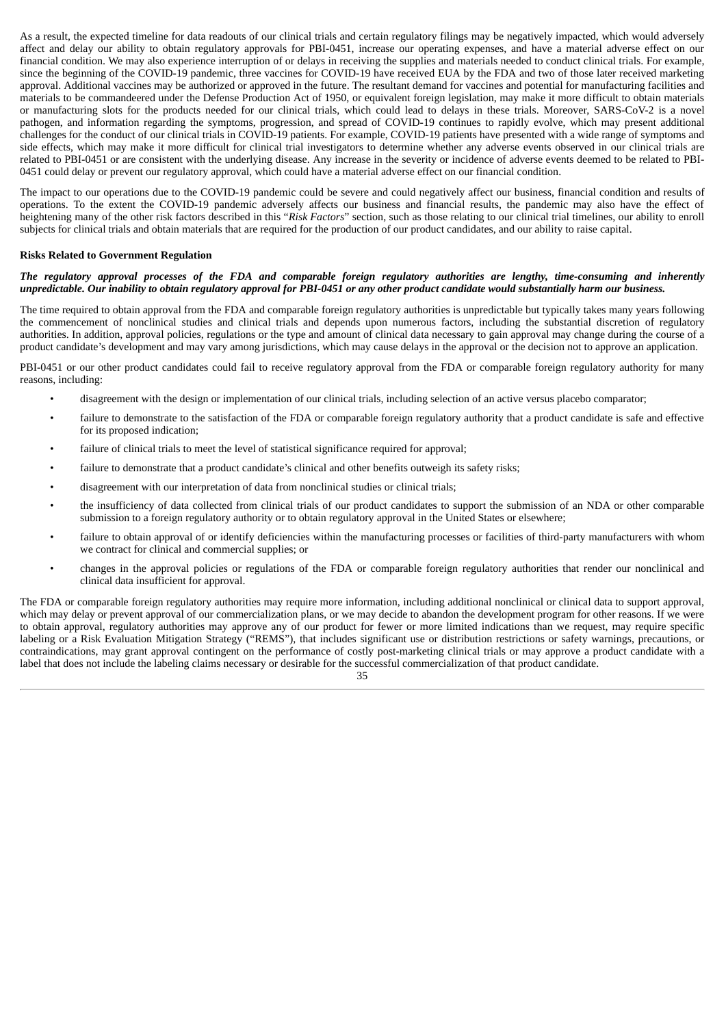As a result, the expected timeline for data readouts of our clinical trials and certain regulatory filings may be negatively impacted, which would adversely affect and delay our ability to obtain regulatory approvals for PBI-0451, increase our operating expenses, and have a material adverse effect on our financial condition. We may also experience interruption of or delays in receiving the supplies and materials needed to conduct clinical trials. For example, since the beginning of the COVID-19 pandemic, three vaccines for COVID-19 have received EUA by the FDA and two of those later received marketing approval. Additional vaccines may be authorized or approved in the future. The resultant demand for vaccines and potential for manufacturing facilities and materials to be commandeered under the Defense Production Act of 1950, or equivalent foreign legislation, may make it more difficult to obtain materials or manufacturing slots for the products needed for our clinical trials, which could lead to delays in these trials. Moreover, SARS-CoV-2 is a novel pathogen, and information regarding the symptoms, progression, and spread of COVID-19 continues to rapidly evolve, which may present additional challenges for the conduct of our clinical trials in COVID-19 patients. For example, COVID-19 patients have presented with a wide range of symptoms and side effects, which may make it more difficult for clinical trial investigators to determine whether any adverse events observed in our clinical trials are related to PBI-0451 or are consistent with the underlying disease. Any increase in the severity or incidence of adverse events deemed to be related to PBI-0451 could delay or prevent our regulatory approval, which could have a material adverse effect on our financial condition.

The impact to our operations due to the COVID-19 pandemic could be severe and could negatively affect our business, financial condition and results of operations. To the extent the COVID-19 pandemic adversely affects our business and financial results, the pandemic may also have the effect of heightening many of the other risk factors described in this "*Risk Factors*" section, such as those relating to our clinical trial timelines, our ability to enroll subjects for clinical trials and obtain materials that are required for the production of our product candidates, and our ability to raise capital.

# **Risks Related to Government Regulation**

### The requiatory approval processes of the FDA and comparable foreign requiatory authorities are lengthy, time-consuming and inherently unpredictable. Our inability to obtain regulatory approval for PBI-0451 or any other product candidate would substantially harm our business.

The time required to obtain approval from the FDA and comparable foreign regulatory authorities is unpredictable but typically takes many years following the commencement of nonclinical studies and clinical trials and depends upon numerous factors, including the substantial discretion of regulatory authorities. In addition, approval policies, regulations or the type and amount of clinical data necessary to gain approval may change during the course of a product candidate's development and may vary among jurisdictions, which may cause delays in the approval or the decision not to approve an application.

PBI-0451 or our other product candidates could fail to receive regulatory approval from the FDA or comparable foreign regulatory authority for many reasons, including:

- disagreement with the design or implementation of our clinical trials, including selection of an active versus placebo comparator;
- failure to demonstrate to the satisfaction of the FDA or comparable foreign regulatory authority that a product candidate is safe and effective for its proposed indication;
- failure of clinical trials to meet the level of statistical significance required for approval;
- failure to demonstrate that a product candidate's clinical and other benefits outweigh its safety risks;
- disagreement with our interpretation of data from nonclinical studies or clinical trials;
- the insufficiency of data collected from clinical trials of our product candidates to support the submission of an NDA or other comparable submission to a foreign regulatory authority or to obtain regulatory approval in the United States or elsewhere;
- failure to obtain approval of or identify deficiencies within the manufacturing processes or facilities of third-party manufacturers with whom we contract for clinical and commercial supplies; or
- changes in the approval policies or regulations of the FDA or comparable foreign regulatory authorities that render our nonclinical and clinical data insufficient for approval.

The FDA or comparable foreign regulatory authorities may require more information, including additional nonclinical or clinical data to support approval, which may delay or prevent approval of our commercialization plans, or we may decide to abandon the development program for other reasons. If we were to obtain approval, regulatory authorities may approve any of our product for fewer or more limited indications than we request, may require specific labeling or a Risk Evaluation Mitigation Strategy ("REMS"), that includes significant use or distribution restrictions or safety warnings, precautions, or contraindications, may grant approval contingent on the performance of costly post-marketing clinical trials or may approve a product candidate with a label that does not include the labeling claims necessary or desirable for the successful commercialization of that product candidate.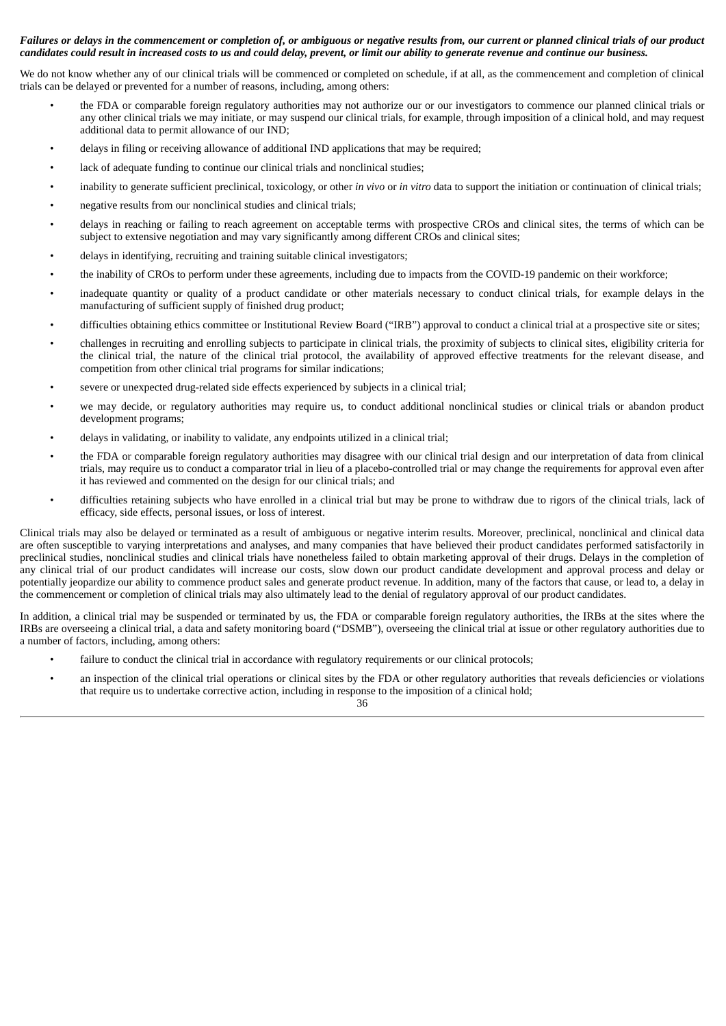# Failures or delays in the commencement or completion of, or ambiguous or negative results from, our current or planned clinical trials of our product candidates could result in increased costs to us and could delay, prevent, or limit our ability to generate revenue and continue our business.

We do not know whether any of our clinical trials will be commenced or completed on schedule, if at all, as the commencement and completion of clinical trials can be delayed or prevented for a number of reasons, including, among others:

- the FDA or comparable foreign regulatory authorities may not authorize our or our investigators to commence our planned clinical trials or any other clinical trials we may initiate, or may suspend our clinical trials, for example, through imposition of a clinical hold, and may request additional data to permit allowance of our IND;
- delays in filing or receiving allowance of additional IND applications that may be required;
- lack of adequate funding to continue our clinical trials and nonclinical studies;
- inability to generate sufficient preclinical, toxicology, or other *in vivo* or *in vitro* data to support the initiation or continuation of clinical trials;
- negative results from our nonclinical studies and clinical trials;
- delays in reaching or failing to reach agreement on acceptable terms with prospective CROs and clinical sites, the terms of which can be subject to extensive negotiation and may vary significantly among different CROs and clinical sites;
- delays in identifying, recruiting and training suitable clinical investigators;
- the inability of CROs to perform under these agreements, including due to impacts from the COVID-19 pandemic on their workforce;
- inadequate quantity or quality of a product candidate or other materials necessary to conduct clinical trials, for example delays in the manufacturing of sufficient supply of finished drug product;
- difficulties obtaining ethics committee or Institutional Review Board ("IRB") approval to conduct a clinical trial at a prospective site or sites;
- challenges in recruiting and enrolling subjects to participate in clinical trials, the proximity of subjects to clinical sites, eligibility criteria for the clinical trial, the nature of the clinical trial protocol, the availability of approved effective treatments for the relevant disease, and competition from other clinical trial programs for similar indications;
- severe or unexpected drug-related side effects experienced by subjects in a clinical trial;
- we may decide, or regulatory authorities may require us, to conduct additional nonclinical studies or clinical trials or abandon product development programs;
- delays in validating, or inability to validate, any endpoints utilized in a clinical trial;
- the FDA or comparable foreign regulatory authorities may disagree with our clinical trial design and our interpretation of data from clinical trials, may require us to conduct a comparator trial in lieu of a placebo-controlled trial or may change the requirements for approval even after it has reviewed and commented on the design for our clinical trials; and
- difficulties retaining subjects who have enrolled in a clinical trial but may be prone to withdraw due to rigors of the clinical trials, lack of efficacy, side effects, personal issues, or loss of interest.

Clinical trials may also be delayed or terminated as a result of ambiguous or negative interim results. Moreover, preclinical, nonclinical and clinical data are often susceptible to varying interpretations and analyses, and many companies that have believed their product candidates performed satisfactorily in preclinical studies, nonclinical studies and clinical trials have nonetheless failed to obtain marketing approval of their drugs. Delays in the completion of any clinical trial of our product candidates will increase our costs, slow down our product candidate development and approval process and delay or potentially jeopardize our ability to commence product sales and generate product revenue. In addition, many of the factors that cause, or lead to, a delay in the commencement or completion of clinical trials may also ultimately lead to the denial of regulatory approval of our product candidates.

In addition, a clinical trial may be suspended or terminated by us, the FDA or comparable foreign regulatory authorities, the IRBs at the sites where the IRBs are overseeing a clinical trial, a data and safety monitoring board ("DSMB"), overseeing the clinical trial at issue or other regulatory authorities due to a number of factors, including, among others:

- failure to conduct the clinical trial in accordance with regulatory requirements or our clinical protocols;
- an inspection of the clinical trial operations or clinical sites by the FDA or other regulatory authorities that reveals deficiencies or violations that require us to undertake corrective action, including in response to the imposition of a clinical hold;

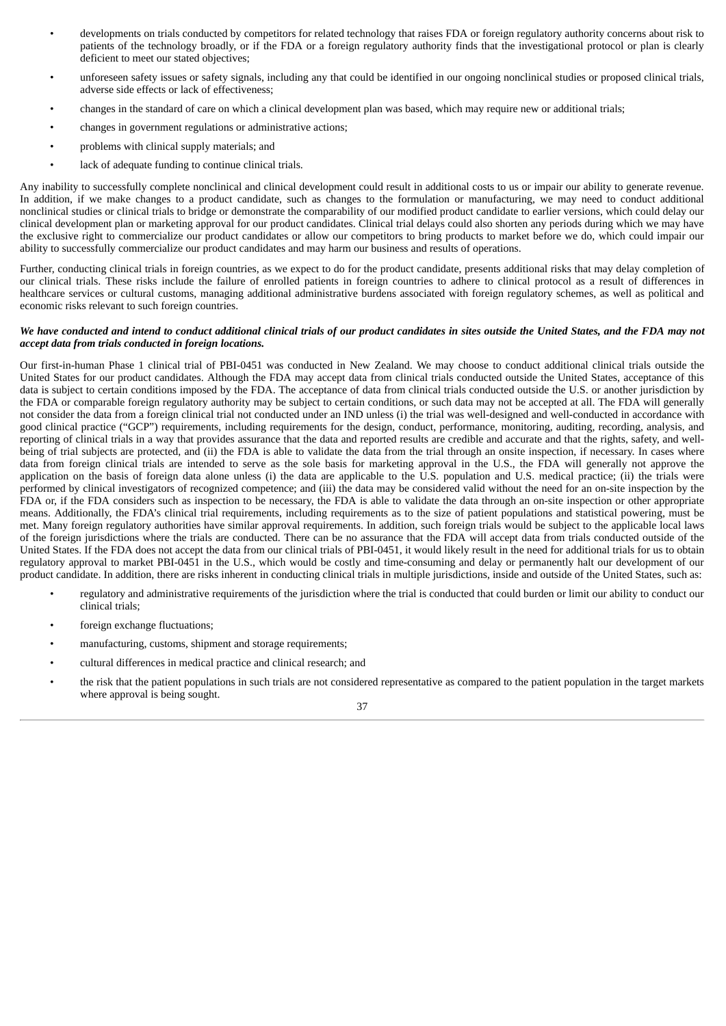- developments on trials conducted by competitors for related technology that raises FDA or foreign regulatory authority concerns about risk to patients of the technology broadly, or if the FDA or a foreign regulatory authority finds that the investigational protocol or plan is clearly deficient to meet our stated objectives;
- unforeseen safety issues or safety signals, including any that could be identified in our ongoing nonclinical studies or proposed clinical trials, adverse side effects or lack of effectiveness;
- changes in the standard of care on which a clinical development plan was based, which may require new or additional trials;
- changes in government regulations or administrative actions;
- problems with clinical supply materials; and
- lack of adequate funding to continue clinical trials.

Any inability to successfully complete nonclinical and clinical development could result in additional costs to us or impair our ability to generate revenue. In addition, if we make changes to a product candidate, such as changes to the formulation or manufacturing, we may need to conduct additional nonclinical studies or clinical trials to bridge or demonstrate the comparability of our modified product candidate to earlier versions, which could delay our clinical development plan or marketing approval for our product candidates. Clinical trial delays could also shorten any periods during which we may have the exclusive right to commercialize our product candidates or allow our competitors to bring products to market before we do, which could impair our ability to successfully commercialize our product candidates and may harm our business and results of operations.

Further, conducting clinical trials in foreign countries, as we expect to do for the product candidate, presents additional risks that may delay completion of our clinical trials. These risks include the failure of enrolled patients in foreign countries to adhere to clinical protocol as a result of differences in healthcare services or cultural customs, managing additional administrative burdens associated with foreign regulatory schemes, as well as political and economic risks relevant to such foreign countries.

#### We have conducted and intend to conduct additional clinical trials of our product candidates in sites outside the United States, and the FDA may not *accept data from trials conducted in foreign locations.*

Our first-in-human Phase 1 clinical trial of PBI-0451 was conducted in New Zealand. We may choose to conduct additional clinical trials outside the United States for our product candidates. Although the FDA may accept data from clinical trials conducted outside the United States, acceptance of this data is subject to certain conditions imposed by the FDA. The acceptance of data from clinical trials conducted outside the U.S. or another jurisdiction by the FDA or comparable foreign regulatory authority may be subject to certain conditions, or such data may not be accepted at all. The FDA will generally not consider the data from a foreign clinical trial not conducted under an IND unless (i) the trial was well-designed and well-conducted in accordance with good clinical practice ("GCP") requirements, including requirements for the design, conduct, performance, monitoring, auditing, recording, analysis, and reporting of clinical trials in a way that provides assurance that the data and reported results are credible and accurate and that the rights, safety, and wellbeing of trial subjects are protected, and (ii) the FDA is able to validate the data from the trial through an onsite inspection, if necessary. In cases where data from foreign clinical trials are intended to serve as the sole basis for marketing approval in the U.S., the FDA will generally not approve the application on the basis of foreign data alone unless (i) the data are applicable to the U.S. population and U.S. medical practice; (ii) the trials were performed by clinical investigators of recognized competence; and (iii) the data may be considered valid without the need for an on-site inspection by the FDA or, if the FDA considers such as inspection to be necessary, the FDA is able to validate the data through an on-site inspection or other appropriate means. Additionally, the FDA's clinical trial requirements, including requirements as to the size of patient populations and statistical powering, must be met. Many foreign regulatory authorities have similar approval requirements. In addition, such foreign trials would be subject to the applicable local laws of the foreign jurisdictions where the trials are conducted. There can be no assurance that the FDA will accept data from trials conducted outside of the United States. If the FDA does not accept the data from our clinical trials of PBI-0451, it would likely result in the need for additional trials for us to obtain regulatory approval to market PBI-0451 in the U.S., which would be costly and time-consuming and delay or permanently halt our development of our product candidate. In addition, there are risks inherent in conducting clinical trials in multiple jurisdictions, inside and outside of the United States, such as:

- regulatory and administrative requirements of the jurisdiction where the trial is conducted that could burden or limit our ability to conduct our clinical trials;
- foreign exchange fluctuations;
- manufacturing, customs, shipment and storage requirements;
- cultural differences in medical practice and clinical research; and
- the risk that the patient populations in such trials are not considered representative as compared to the patient population in the target markets where approval is being sought.

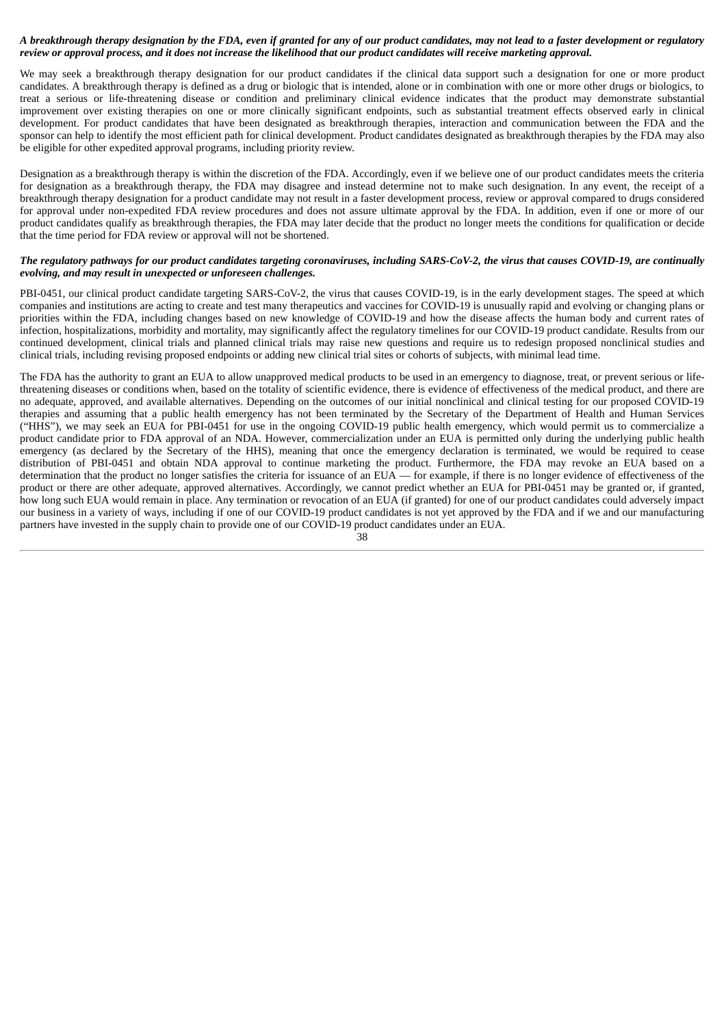# A breakthrough therapy designation by the FDA, even if granted for any of our product candidates, may not lead to a faster development or regulatory review or approval process, and it does not increase the likelihood that our product candidates will receive marketing approval.

We may seek a breakthrough therapy designation for our product candidates if the clinical data support such a designation for one or more product candidates. A breakthrough therapy is defined as a drug or biologic that is intended, alone or in combination with one or more other drugs or biologics, to treat a serious or life-threatening disease or condition and preliminary clinical evidence indicates that the product may demonstrate substantial improvement over existing therapies on one or more clinically significant endpoints, such as substantial treatment effects observed early in clinical development. For product candidates that have been designated as breakthrough therapies, interaction and communication between the FDA and the sponsor can help to identify the most efficient path for clinical development. Product candidates designated as breakthrough therapies by the FDA may also be eligible for other expedited approval programs, including priority review.

Designation as a breakthrough therapy is within the discretion of the FDA. Accordingly, even if we believe one of our product candidates meets the criteria for designation as a breakthrough therapy, the FDA may disagree and instead determine not to make such designation. In any event, the receipt of a breakthrough therapy designation for a product candidate may not result in a faster development process, review or approval compared to drugs considered for approval under non-expedited FDA review procedures and does not assure ultimate approval by the FDA. In addition, even if one or more of our product candidates qualify as breakthrough therapies, the FDA may later decide that the product no longer meets the conditions for qualification or decide that the time period for FDA review or approval will not be shortened.

# The regulatory pathways for our product candidates targeting coronaviruses, including SARS-CoV-2, the virus that causes COVID-19, are continually *evolving, and may result in unexpected or unforeseen challenges.*

PBI-0451, our clinical product candidate targeting SARS-CoV-2, the virus that causes COVID-19, is in the early development stages. The speed at which companies and institutions are acting to create and test many therapeutics and vaccines for COVID-19 is unusually rapid and evolving or changing plans or priorities within the FDA, including changes based on new knowledge of COVID-19 and how the disease affects the human body and current rates of infection, hospitalizations, morbidity and mortality, may significantly affect the regulatory timelines for our COVID-19 product candidate. Results from our continued development, clinical trials and planned clinical trials may raise new questions and require us to redesign proposed nonclinical studies and clinical trials, including revising proposed endpoints or adding new clinical trial sites or cohorts of subjects, with minimal lead time.

The FDA has the authority to grant an EUA to allow unapproved medical products to be used in an emergency to diagnose, treat, or prevent serious or lifethreatening diseases or conditions when, based on the totality of scientific evidence, there is evidence of effectiveness of the medical product, and there are no adequate, approved, and available alternatives. Depending on the outcomes of our initial nonclinical and clinical testing for our proposed COVID-19 therapies and assuming that a public health emergency has not been terminated by the Secretary of the Department of Health and Human Services ("HHS"), we may seek an EUA for PBI-0451 for use in the ongoing COVID-19 public health emergency, which would permit us to commercialize a product candidate prior to FDA approval of an NDA. However, commercialization under an EUA is permitted only during the underlying public health emergency (as declared by the Secretary of the HHS), meaning that once the emergency declaration is terminated, we would be required to cease distribution of PBI-0451 and obtain NDA approval to continue marketing the product. Furthermore, the FDA may revoke an EUA based on a determination that the product no longer satisfies the criteria for issuance of an  $EUA$ — for example, if there is no longer evidence of effectiveness of the product or there are other adequate, approved alternatives. Accordingly, we cannot predict whether an EUA for PBI-0451 may be granted or, if granted, how long such EUA would remain in place. Any termination or revocation of an EUA (if granted) for one of our product candidates could adversely impact our business in a variety of ways, including if one of our COVID-19 product candidates is not yet approved by the FDA and if we and our manufacturing partners have invested in the supply chain to provide one of our COVID-19 product candidates under an EUA.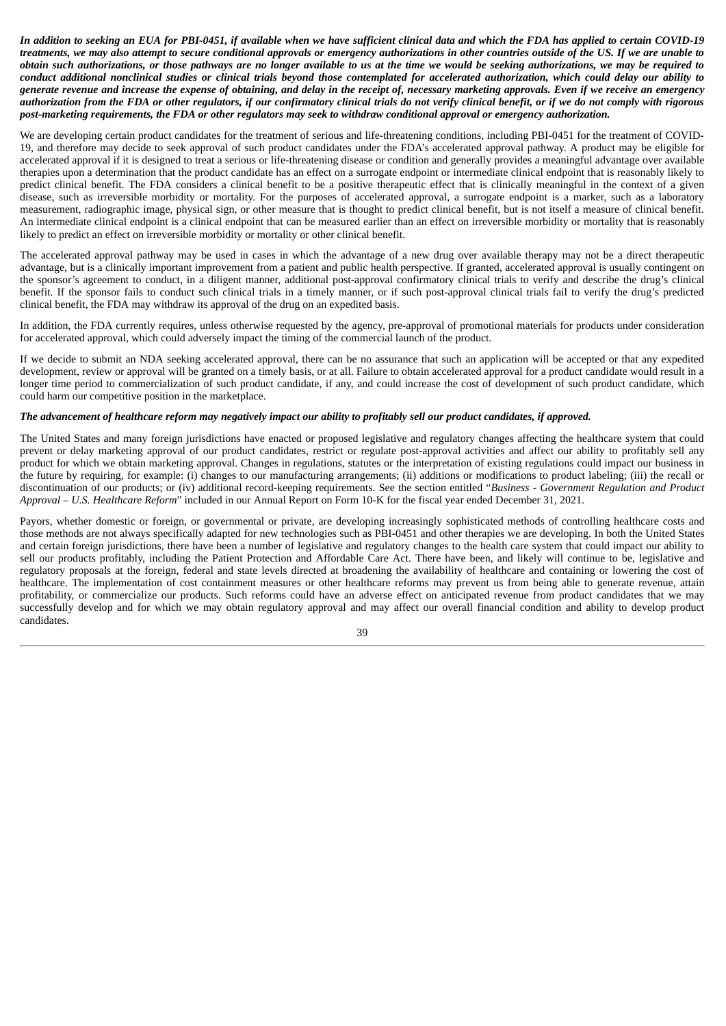In addition to seeking an EUA for PBI-0451, if available when we have sufficient clinical data and which the FDA has applied to certain COVID-19 treatments, we may also attempt to secure conditional approvals or emergency authorizations in other countries outside of the US. If we are unable to obtain such authorizations, or those pathways are no longer available to us at the time we would be seeking authorizations, we may be required to conduct additional nonclinical studies or clinical trials beyond those contemplated for accelerated authorization, which could delay our ability to generate revenue and increase the expense of obtaining, and delay in the receipt of, necessary marketing approvals. Even if we receive an emergency authorization from the FDA or other regulators, if our confirmatory clinical trials do not verify clinical benefit, or if we do not comply with rigorous post-marketing requirements, the FDA or other regulators may seek to withdraw conditional approval or emergency authorization.

We are developing certain product candidates for the treatment of serious and life-threatening conditions, including PBI-0451 for the treatment of COVID-19, and therefore may decide to seek approval of such product candidates under the FDA's accelerated approval pathway. A product may be eligible for accelerated approval if it is designed to treat a serious or life-threatening disease or condition and generally provides a meaningful advantage over available therapies upon a determination that the product candidate has an effect on a surrogate endpoint or intermediate clinical endpoint that is reasonably likely to predict clinical benefit. The FDA considers a clinical benefit to be a positive therapeutic effect that is clinically meaningful in the context of a given disease, such as irreversible morbidity or mortality. For the purposes of accelerated approval, a surrogate endpoint is a marker, such as a laboratory measurement, radiographic image, physical sign, or other measure that is thought to predict clinical benefit, but is not itself a measure of clinical benefit. An intermediate clinical endpoint is a clinical endpoint that can be measured earlier than an effect on irreversible morbidity or mortality that is reasonably likely to predict an effect on irreversible morbidity or mortality or other clinical benefit.

The accelerated approval pathway may be used in cases in which the advantage of a new drug over available therapy may not be a direct therapeutic advantage, but is a clinically important improvement from a patient and public health perspective. If granted, accelerated approval is usually contingent on the sponsor's agreement to conduct, in a diligent manner, additional post-approval confirmatory clinical trials to verify and describe the drug's clinical benefit. If the sponsor fails to conduct such clinical trials in a timely manner, or if such post-approval clinical trials fail to verify the drug's predicted clinical benefit, the FDA may withdraw its approval of the drug on an expedited basis.

In addition, the FDA currently requires, unless otherwise requested by the agency, pre-approval of promotional materials for products under consideration for accelerated approval, which could adversely impact the timing of the commercial launch of the product.

If we decide to submit an NDA seeking accelerated approval, there can be no assurance that such an application will be accepted or that any expedited development, review or approval will be granted on a timely basis, or at all. Failure to obtain accelerated approval for a product candidate would result in a longer time period to commercialization of such product candidate, if any, and could increase the cost of development of such product candidate, which could harm our competitive position in the marketplace.

#### The advancement of healthcare reform may negatively impact our ability to profitably sell our product candidates, if approved.

The United States and many foreign jurisdictions have enacted or proposed legislative and regulatory changes affecting the healthcare system that could prevent or delay marketing approval of our product candidates, restrict or regulate post-approval activities and affect our ability to profitably sell any product for which we obtain marketing approval. Changes in regulations, statutes or the interpretation of existing regulations could impact our business in the future by requiring, for example: (i) changes to our manufacturing arrangements; (ii) additions or modifications to product labeling; (iii) the recall or discontinuation of our products; or (iv) additional record-keeping requirements. See the section entitled "*Business - Government Regulation and Product Approval – U.S. Healthcare Reform*" included in our Annual Report on Form 10-K for the fiscal year ended December 31, 2021.

Payors, whether domestic or foreign, or governmental or private, are developing increasingly sophisticated methods of controlling healthcare costs and those methods are not always specifically adapted for new technologies such as PBI-0451 and other therapies we are developing. In both the United States and certain foreign jurisdictions, there have been a number of legislative and regulatory changes to the health care system that could impact our ability to sell our products profitably, including the Patient Protection and Affordable Care Act. There have been, and likely will continue to be, legislative and regulatory proposals at the foreign, federal and state levels directed at broadening the availability of healthcare and containing or lowering the cost of healthcare. The implementation of cost containment measures or other healthcare reforms may prevent us from being able to generate revenue, attain profitability, or commercialize our products. Such reforms could have an adverse effect on anticipated revenue from product candidates that we may successfully develop and for which we may obtain regulatory approval and may affect our overall financial condition and ability to develop product candidates.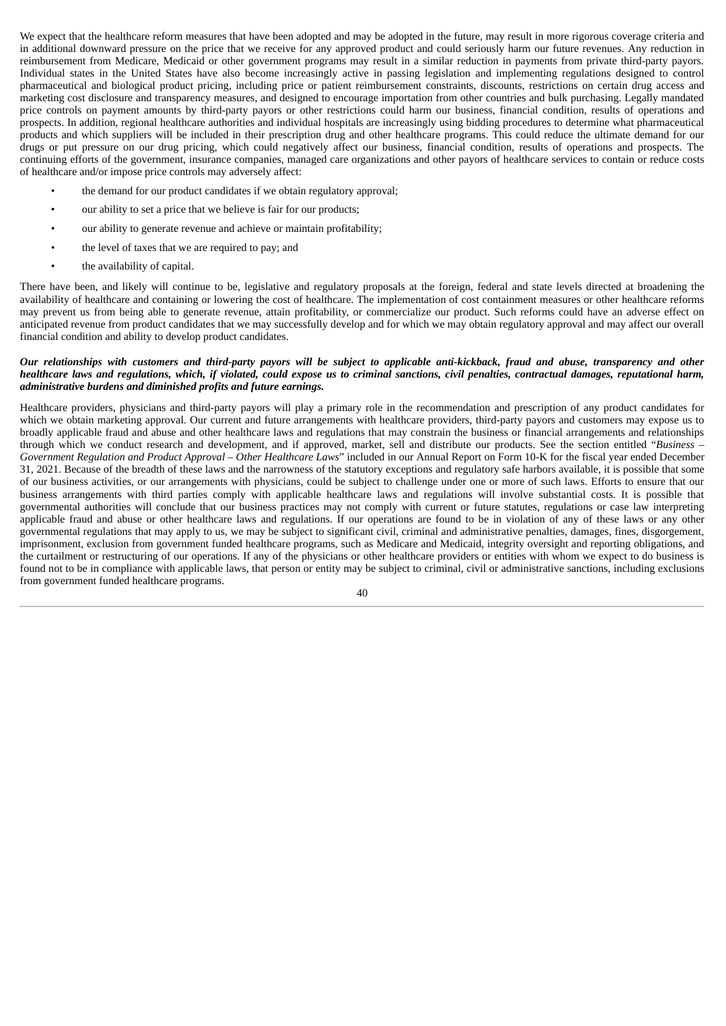We expect that the healthcare reform measures that have been adopted and may be adopted in the future, may result in more rigorous coverage criteria and in additional downward pressure on the price that we receive for any approved product and could seriously harm our future revenues. Any reduction in reimbursement from Medicare, Medicaid or other government programs may result in a similar reduction in payments from private third-party payors. Individual states in the United States have also become increasingly active in passing legislation and implementing regulations designed to control pharmaceutical and biological product pricing, including price or patient reimbursement constraints, discounts, restrictions on certain drug access and marketing cost disclosure and transparency measures, and designed to encourage importation from other countries and bulk purchasing. Legally mandated price controls on payment amounts by third-party payors or other restrictions could harm our business, financial condition, results of operations and prospects. In addition, regional healthcare authorities and individual hospitals are increasingly using bidding procedures to determine what pharmaceutical products and which suppliers will be included in their prescription drug and other healthcare programs. This could reduce the ultimate demand for our drugs or put pressure on our drug pricing, which could negatively affect our business, financial condition, results of operations and prospects. The continuing efforts of the government, insurance companies, managed care organizations and other payors of healthcare services to contain or reduce costs of healthcare and/or impose price controls may adversely affect:

- the demand for our product candidates if we obtain regulatory approval;
- our ability to set a price that we believe is fair for our products;
- our ability to generate revenue and achieve or maintain profitability;
- the level of taxes that we are required to pay; and
- the availability of capital.

There have been, and likely will continue to be, legislative and regulatory proposals at the foreign, federal and state levels directed at broadening the availability of healthcare and containing or lowering the cost of healthcare. The implementation of cost containment measures or other healthcare reforms may prevent us from being able to generate revenue, attain profitability, or commercialize our product. Such reforms could have an adverse effect on anticipated revenue from product candidates that we may successfully develop and for which we may obtain regulatory approval and may affect our overall financial condition and ability to develop product candidates.

## Our relationships with customers and third-party payors will be subject to applicable anti-kickback, fraud and abuse, transparency and other healthcare laws and regulations, which, if violated, could expose us to criminal sanctions, civil penalties, contractual damages, reputational harm, *administrative burdens and diminished profits and future earnings.*

Healthcare providers, physicians and third-party payors will play a primary role in the recommendation and prescription of any product candidates for which we obtain marketing approval. Our current and future arrangements with healthcare providers, third-party payors and customers may expose us to broadly applicable fraud and abuse and other healthcare laws and regulations that may constrain the business or financial arrangements and relationships through which we conduct research and development, and if approved, market, sell and distribute our products. See the section entitled "*Business – Government Regulation and Product Approval – Other Healthcare Laws*" included in our Annual Report on Form 10-K for the fiscal year ended December 31, 2021. Because of the breadth of these laws and the narrowness of the statutory exceptions and regulatory safe harbors available, it is possible that some of our business activities, or our arrangements with physicians, could be subject to challenge under one or more of such laws. Efforts to ensure that our business arrangements with third parties comply with applicable healthcare laws and regulations will involve substantial costs. It is possible that governmental authorities will conclude that our business practices may not comply with current or future statutes, regulations or case law interpreting applicable fraud and abuse or other healthcare laws and regulations. If our operations are found to be in violation of any of these laws or any other governmental regulations that may apply to us, we may be subject to significant civil, criminal and administrative penalties, damages, fines, disgorgement, imprisonment, exclusion from government funded healthcare programs, such as Medicare and Medicaid, integrity oversight and reporting obligations, and the curtailment or restructuring of our operations. If any of the physicians or other healthcare providers or entities with whom we expect to do business is found not to be in compliance with applicable laws, that person or entity may be subject to criminal, civil or administrative sanctions, including exclusions from government funded healthcare programs.

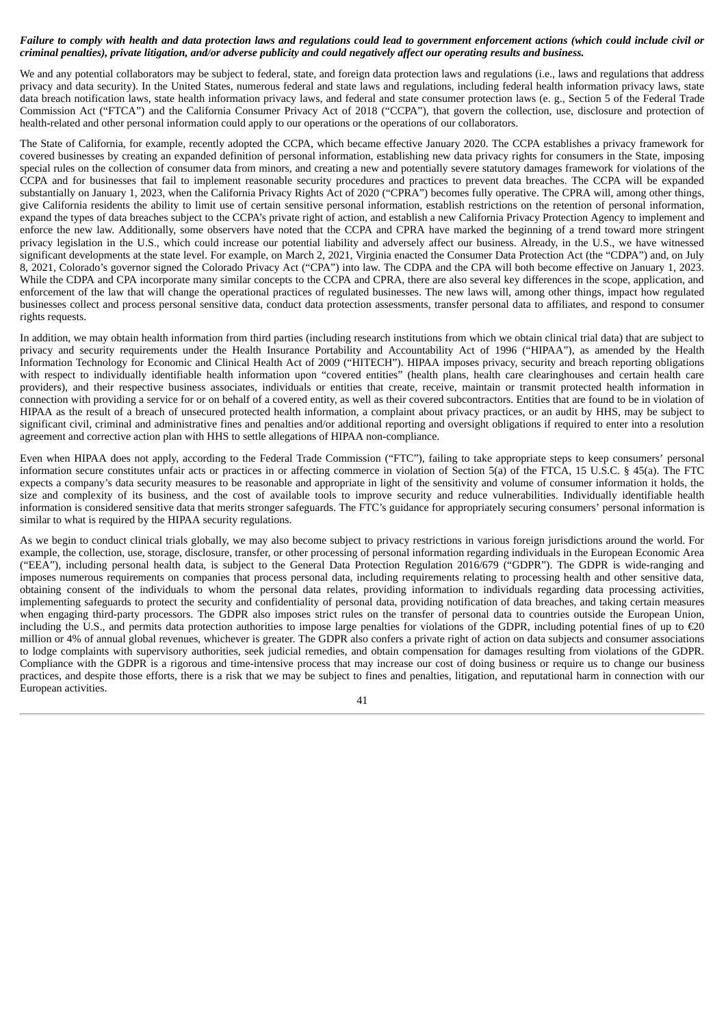# Failure to comply with health and data protection laws and regulations could lead to government enforcement actions (which could include civil or criminal penalties), private litigation, and/or adverse publicity and could negatively affect our operating results and business.

We and any potential collaborators may be subject to federal, state, and foreign data protection laws and regulations (i.e., laws and regulations that address privacy and data security). In the United States, numerous federal and state laws and regulations, including federal health information privacy laws, state data breach notification laws, state health information privacy laws, and federal and state consumer protection laws (e. g., Section 5 of the Federal Trade Commission Act ("FTCA") and the California Consumer Privacy Act of 2018 ("CCPA"), that govern the collection, use, disclosure and protection of health-related and other personal information could apply to our operations or the operations of our collaborators.

The State of California, for example, recently adopted the CCPA, which became effective January 2020. The CCPA establishes a privacy framework for covered businesses by creating an expanded definition of personal information, establishing new data privacy rights for consumers in the State, imposing special rules on the collection of consumer data from minors, and creating a new and potentially severe statutory damages framework for violations of the CCPA and for businesses that fail to implement reasonable security procedures and practices to prevent data breaches. The CCPA will be expanded substantially on January 1, 2023, when the California Privacy Rights Act of 2020 ("CPRA") becomes fully operative. The CPRA will, among other things, give California residents the ability to limit use of certain sensitive personal information, establish restrictions on the retention of personal information, expand the types of data breaches subject to the CCPA's private right of action, and establish a new California Privacy Protection Agency to implement and enforce the new law. Additionally, some observers have noted that the CCPA and CPRA have marked the beginning of a trend toward more stringent privacy legislation in the U.S., which could increase our potential liability and adversely affect our business. Already, in the U.S., we have witnessed significant developments at the state level. For example, on March 2, 2021, Virginia enacted the Consumer Data Protection Act (the "CDPA") and, on July 8, 2021, Colorado's governor signed the Colorado Privacy Act ("CPA") into law. The CDPA and the CPA will both become effective on January 1, 2023. While the CDPA and CPA incorporate many similar concepts to the CCPA and CPRA, there are also several key differences in the scope, application, and enforcement of the law that will change the operational practices of regulated businesses. The new laws will, among other things, impact how regulated businesses collect and process personal sensitive data, conduct data protection assessments, transfer personal data to affiliates, and respond to consumer rights requests.

In addition, we may obtain health information from third parties (including research institutions from which we obtain clinical trial data) that are subject to privacy and security requirements under the Health Insurance Portability and Accountability Act of 1996 ("HIPAA"), as amended by the Health Information Technology for Economic and Clinical Health Act of 2009 ("HITECH"). HIPAA imposes privacy, security and breach reporting obligations with respect to individually identifiable health information upon "covered entities" (health plans, health care clearinghouses and certain health care providers), and their respective business associates, individuals or entities that create, receive, maintain or transmit protected health information in connection with providing a service for or on behalf of a covered entity, as well as their covered subcontractors. Entities that are found to be in violation of HIPAA as the result of a breach of unsecured protected health information, a complaint about privacy practices, or an audit by HHS, may be subject to significant civil, criminal and administrative fines and penalties and/or additional reporting and oversight obligations if required to enter into a resolution agreement and corrective action plan with HHS to settle allegations of HIPAA non-compliance.

Even when HIPAA does not apply, according to the Federal Trade Commission ("FTC"), failing to take appropriate steps to keep consumers' personal information secure constitutes unfair acts or practices in or affecting commerce in violation of Section 5(a) of the FTCA, 15 U.S.C. § 45(a). The FTC expects a company's data security measures to be reasonable and appropriate in light of the sensitivity and volume of consumer information it holds, the size and complexity of its business, and the cost of available tools to improve security and reduce vulnerabilities. Individually identifiable health information is considered sensitive data that merits stronger safeguards. The FTC's guidance for appropriately securing consumers' personal information is similar to what is required by the HIPAA security regulations.

As we begin to conduct clinical trials globally, we may also become subject to privacy restrictions in various foreign jurisdictions around the world. For example, the collection, use, storage, disclosure, transfer, or other processing of personal information regarding individuals in the European Economic Area ("EEA"), including personal health data, is subject to the General Data Protection Regulation 2016/679 ("GDPR"). The GDPR is wide-ranging and imposes numerous requirements on companies that process personal data, including requirements relating to processing health and other sensitive data, obtaining consent of the individuals to whom the personal data relates, providing information to individuals regarding data processing activities, implementing safeguards to protect the security and confidentiality of personal data, providing notification of data breaches, and taking certain measures when engaging third-party processors. The GDPR also imposes strict rules on the transfer of personal data to countries outside the European Union, including the U.S., and permits data protection authorities to impose large penalties for violations of the GDPR, including potential fines of up to €20 million or 4% of annual global revenues, whichever is greater. The GDPR also confers a private right of action on data subjects and consumer associations to lodge complaints with supervisory authorities, seek judicial remedies, and obtain compensation for damages resulting from violations of the GDPR. Compliance with the GDPR is a rigorous and time-intensive process that may increase our cost of doing business or require us to change our business practices, and despite those efforts, there is a risk that we may be subject to fines and penalties, litigation, and reputational harm in connection with our European activities.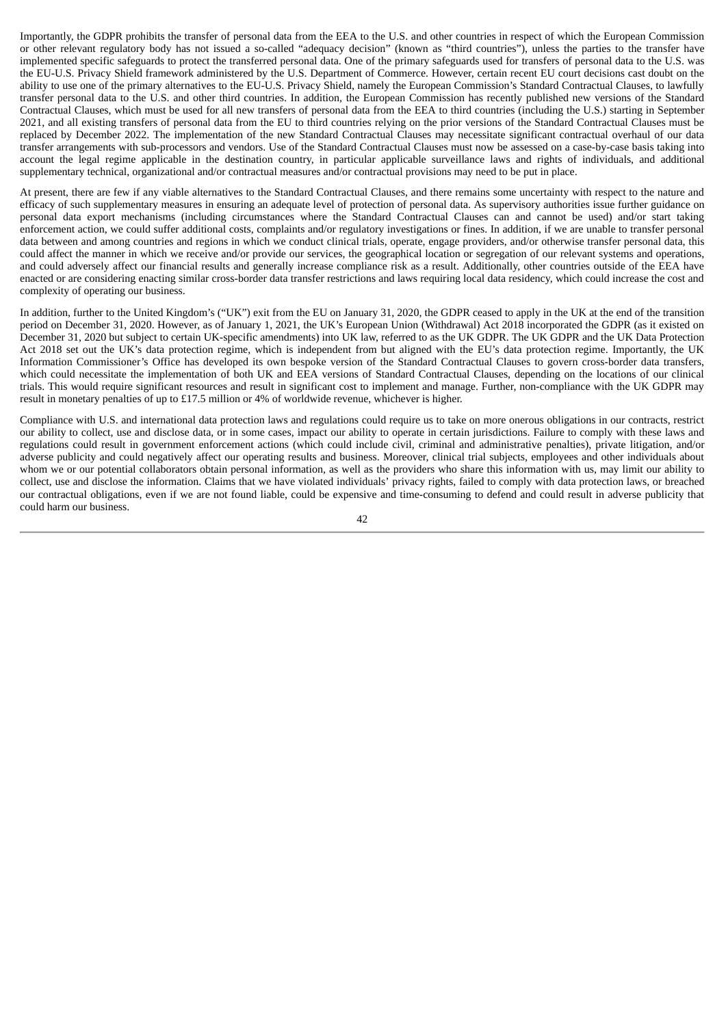Importantly, the GDPR prohibits the transfer of personal data from the EEA to the U.S. and other countries in respect of which the European Commission or other relevant regulatory body has not issued a so-called "adequacy decision" (known as "third countries"), unless the parties to the transfer have implemented specific safeguards to protect the transferred personal data. One of the primary safeguards used for transfers of personal data to the U.S. was the EU-U.S. Privacy Shield framework administered by the U.S. Department of Commerce. However, certain recent EU court decisions cast doubt on the ability to use one of the primary alternatives to the EU-U.S. Privacy Shield, namely the European Commission's Standard Contractual Clauses, to lawfully transfer personal data to the U.S. and other third countries. In addition, the European Commission has recently published new versions of the Standard Contractual Clauses, which must be used for all new transfers of personal data from the EEA to third countries (including the U.S.) starting in September 2021, and all existing transfers of personal data from the EU to third countries relying on the prior versions of the Standard Contractual Clauses must be replaced by December 2022. The implementation of the new Standard Contractual Clauses may necessitate significant contractual overhaul of our data transfer arrangements with sub-processors and vendors. Use of the Standard Contractual Clauses must now be assessed on a case-by-case basis taking into account the legal regime applicable in the destination country, in particular applicable surveillance laws and rights of individuals, and additional supplementary technical, organizational and/or contractual measures and/or contractual provisions may need to be put in place.

At present, there are few if any viable alternatives to the Standard Contractual Clauses, and there remains some uncertainty with respect to the nature and efficacy of such supplementary measures in ensuring an adequate level of protection of personal data. As supervisory authorities issue further guidance on personal data export mechanisms (including circumstances where the Standard Contractual Clauses can and cannot be used) and/or start taking enforcement action, we could suffer additional costs, complaints and/or regulatory investigations or fines. In addition, if we are unable to transfer personal data between and among countries and regions in which we conduct clinical trials, operate, engage providers, and/or otherwise transfer personal data, this could affect the manner in which we receive and/or provide our services, the geographical location or segregation of our relevant systems and operations, and could adversely affect our financial results and generally increase compliance risk as a result. Additionally, other countries outside of the EEA have enacted or are considering enacting similar cross-border data transfer restrictions and laws requiring local data residency, which could increase the cost and complexity of operating our business.

In addition, further to the United Kingdom's ("UK") exit from the EU on January 31, 2020, the GDPR ceased to apply in the UK at the end of the transition period on December 31, 2020. However, as of January 1, 2021, the UK's European Union (Withdrawal) Act 2018 incorporated the GDPR (as it existed on December 31, 2020 but subject to certain UK-specific amendments) into UK law, referred to as the UK GDPR. The UK GDPR and the UK Data Protection Act 2018 set out the UK's data protection regime, which is independent from but aligned with the EU's data protection regime. Importantly, the UK Information Commissioner's Office has developed its own bespoke version of the Standard Contractual Clauses to govern cross-border data transfers, which could necessitate the implementation of both UK and EEA versions of Standard Contractual Clauses, depending on the locations of our clinical trials. This would require significant resources and result in significant cost to implement and manage. Further, non-compliance with the UK GDPR may result in monetary penalties of up to £17.5 million or 4% of worldwide revenue, whichever is higher.

Compliance with U.S. and international data protection laws and regulations could require us to take on more onerous obligations in our contracts, restrict our ability to collect, use and disclose data, or in some cases, impact our ability to operate in certain jurisdictions. Failure to comply with these laws and regulations could result in government enforcement actions (which could include civil, criminal and administrative penalties), private litigation, and/or adverse publicity and could negatively affect our operating results and business. Moreover, clinical trial subjects, employees and other individuals about whom we or our potential collaborators obtain personal information, as well as the providers who share this information with us, may limit our ability to collect, use and disclose the information. Claims that we have violated individuals' privacy rights, failed to comply with data protection laws, or breached our contractual obligations, even if we are not found liable, could be expensive and time-consuming to defend and could result in adverse publicity that could harm our business.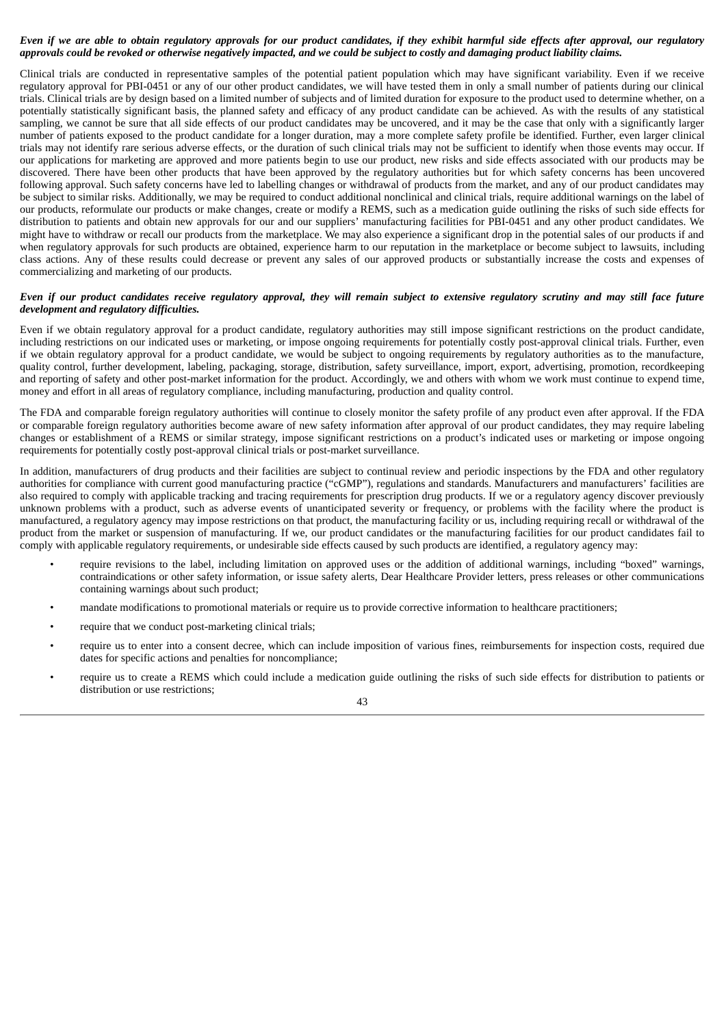# Even if we are able to obtain regulatory approvals for our product candidates, if they exhibit harmful side effects after approval, our regulatory approvals could be revoked or otherwise negatively impacted, and we could be subject to costly and damaging product liability claims.

Clinical trials are conducted in representative samples of the potential patient population which may have significant variability. Even if we receive regulatory approval for PBI-0451 or any of our other product candidates, we will have tested them in only a small number of patients during our clinical trials. Clinical trials are by design based on a limited number of subjects and of limited duration for exposure to the product used to determine whether, on a potentially statistically significant basis, the planned safety and efficacy of any product candidate can be achieved. As with the results of any statistical sampling, we cannot be sure that all side effects of our product candidates may be uncovered, and it may be the case that only with a significantly larger number of patients exposed to the product candidate for a longer duration, may a more complete safety profile be identified. Further, even larger clinical trials may not identify rare serious adverse effects, or the duration of such clinical trials may not be sufficient to identify when those events may occur. If our applications for marketing are approved and more patients begin to use our product, new risks and side effects associated with our products may be discovered. There have been other products that have been approved by the regulatory authorities but for which safety concerns has been uncovered following approval. Such safety concerns have led to labelling changes or withdrawal of products from the market, and any of our product candidates may be subject to similar risks. Additionally, we may be required to conduct additional nonclinical and clinical trials, require additional warnings on the label of our products, reformulate our products or make changes, create or modify a REMS, such as a medication guide outlining the risks of such side effects for distribution to patients and obtain new approvals for our and our suppliers' manufacturing facilities for PBI-0451 and any other product candidates. We might have to withdraw or recall our products from the marketplace. We may also experience a significant drop in the potential sales of our products if and when regulatory approvals for such products are obtained, experience harm to our reputation in the marketplace or become subject to lawsuits, including class actions. Any of these results could decrease or prevent any sales of our approved products or substantially increase the costs and expenses of commercializing and marketing of our products.

# Even if our product candidates receive regulatory approval, they will remain subject to extensive regulatory scrutiny and may still face future *development and regulatory difficulties.*

Even if we obtain regulatory approval for a product candidate, regulatory authorities may still impose significant restrictions on the product candidate, including restrictions on our indicated uses or marketing, or impose ongoing requirements for potentially costly post-approval clinical trials. Further, even if we obtain regulatory approval for a product candidate, we would be subject to ongoing requirements by regulatory authorities as to the manufacture, quality control, further development, labeling, packaging, storage, distribution, safety surveillance, import, export, advertising, promotion, recordkeeping and reporting of safety and other post-market information for the product. Accordingly, we and others with whom we work must continue to expend time, money and effort in all areas of regulatory compliance, including manufacturing, production and quality control.

The FDA and comparable foreign regulatory authorities will continue to closely monitor the safety profile of any product even after approval. If the FDA or comparable foreign regulatory authorities become aware of new safety information after approval of our product candidates, they may require labeling changes or establishment of a REMS or similar strategy, impose significant restrictions on a product's indicated uses or marketing or impose ongoing requirements for potentially costly post-approval clinical trials or post-market surveillance.

In addition, manufacturers of drug products and their facilities are subject to continual review and periodic inspections by the FDA and other regulatory authorities for compliance with current good manufacturing practice ("cGMP"), regulations and standards. Manufacturers and manufacturers' facilities are also required to comply with applicable tracking and tracing requirements for prescription drug products. If we or a regulatory agency discover previously unknown problems with a product, such as adverse events of unanticipated severity or frequency, or problems with the facility where the product is manufactured, a regulatory agency may impose restrictions on that product, the manufacturing facility or us, including requiring recall or withdrawal of the product from the market or suspension of manufacturing. If we, our product candidates or the manufacturing facilities for our product candidates fail to comply with applicable regulatory requirements, or undesirable side effects caused by such products are identified, a regulatory agency may:

- require revisions to the label, including limitation on approved uses or the addition of additional warnings, including "boxed" warnings, contraindications or other safety information, or issue safety alerts, Dear Healthcare Provider letters, press releases or other communications containing warnings about such product;
- mandate modifications to promotional materials or require us to provide corrective information to healthcare practitioners;
- require that we conduct post-marketing clinical trials;
- require us to enter into a consent decree, which can include imposition of various fines, reimbursements for inspection costs, required due dates for specific actions and penalties for noncompliance;
- require us to create a REMS which could include a medication guide outlining the risks of such side effects for distribution to patients or distribution or use restrictions:

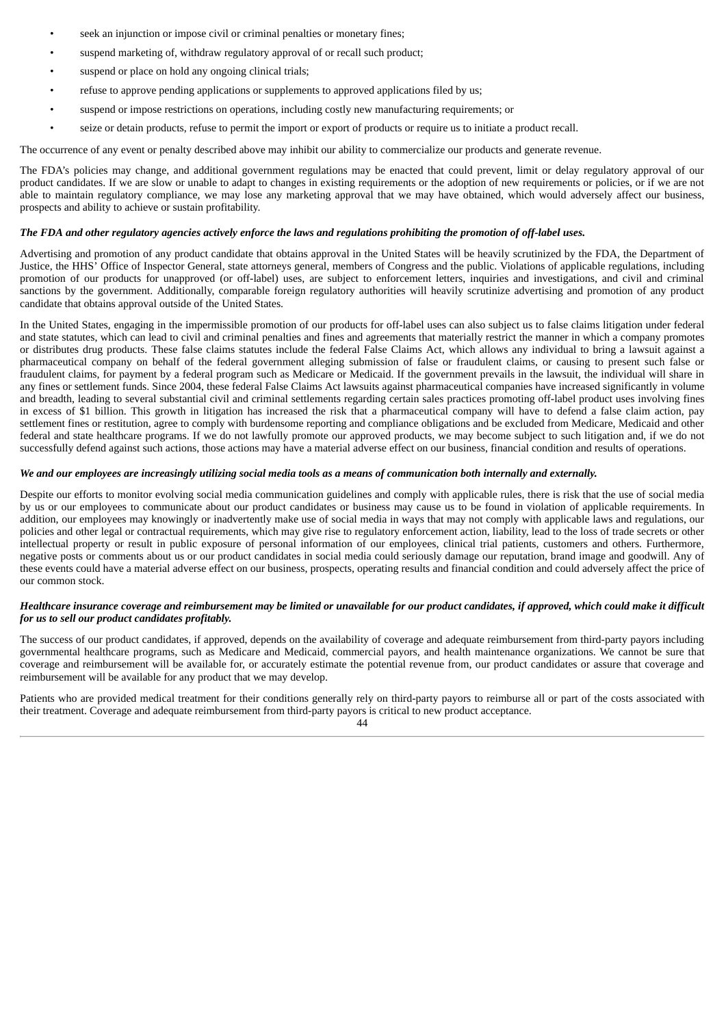- seek an injunction or impose civil or criminal penalties or monetary fines;
- suspend marketing of, withdraw regulatory approval of or recall such product;
- suspend or place on hold any ongoing clinical trials;
- refuse to approve pending applications or supplements to approved applications filed by us;
- suspend or impose restrictions on operations, including costly new manufacturing requirements; or
- seize or detain products, refuse to permit the import or export of products or require us to initiate a product recall.

The occurrence of any event or penalty described above may inhibit our ability to commercialize our products and generate revenue.

The FDA's policies may change, and additional government regulations may be enacted that could prevent, limit or delay regulatory approval of our product candidates. If we are slow or unable to adapt to changes in existing requirements or the adoption of new requirements or policies, or if we are not able to maintain regulatory compliance, we may lose any marketing approval that we may have obtained, which would adversely affect our business, prospects and ability to achieve or sustain profitability.

### The FDA and other regulatory agencies actively enforce the laws and regulations prohibiting the promotion of off-label uses.

Advertising and promotion of any product candidate that obtains approval in the United States will be heavily scrutinized by the FDA, the Department of Justice, the HHS' Office of Inspector General, state attorneys general, members of Congress and the public. Violations of applicable regulations, including promotion of our products for unapproved (or off-label) uses, are subject to enforcement letters, inquiries and investigations, and civil and criminal sanctions by the government. Additionally, comparable foreign regulatory authorities will heavily scrutinize advertising and promotion of any product candidate that obtains approval outside of the United States.

In the United States, engaging in the impermissible promotion of our products for off-label uses can also subject us to false claims litigation under federal and state statutes, which can lead to civil and criminal penalties and fines and agreements that materially restrict the manner in which a company promotes or distributes drug products. These false claims statutes include the federal False Claims Act, which allows any individual to bring a lawsuit against a pharmaceutical company on behalf of the federal government alleging submission of false or fraudulent claims, or causing to present such false or fraudulent claims, for payment by a federal program such as Medicare or Medicaid. If the government prevails in the lawsuit, the individual will share in any fines or settlement funds. Since 2004, these federal False Claims Act lawsuits against pharmaceutical companies have increased significantly in volume and breadth, leading to several substantial civil and criminal settlements regarding certain sales practices promoting off-label product uses involving fines in excess of \$1 billion. This growth in litigation has increased the risk that a pharmaceutical company will have to defend a false claim action, pay settlement fines or restitution, agree to comply with burdensome reporting and compliance obligations and be excluded from Medicare, Medicaid and other federal and state healthcare programs. If we do not lawfully promote our approved products, we may become subject to such litigation and, if we do not successfully defend against such actions, those actions may have a material adverse effect on our business, financial condition and results of operations.

#### We and our employees are increasingly utilizing social media tools as a means of communication both internally and externally.

Despite our efforts to monitor evolving social media communication guidelines and comply with applicable rules, there is risk that the use of social media by us or our employees to communicate about our product candidates or business may cause us to be found in violation of applicable requirements. In addition, our employees may knowingly or inadvertently make use of social media in ways that may not comply with applicable laws and regulations, our policies and other legal or contractual requirements, which may give rise to regulatory enforcement action, liability, lead to the loss of trade secrets or other intellectual property or result in public exposure of personal information of our employees, clinical trial patients, customers and others. Furthermore, negative posts or comments about us or our product candidates in social media could seriously damage our reputation, brand image and goodwill. Any of these events could have a material adverse effect on our business, prospects, operating results and financial condition and could adversely affect the price of our common stock.

# Healthcare insurance coverage and reimbursement may be limited or unavailable for our product candidates, if approved, which could make it difficult *for us to sell our product candidates profitably.*

The success of our product candidates, if approved, depends on the availability of coverage and adequate reimbursement from third-party payors including governmental healthcare programs, such as Medicare and Medicaid, commercial payors, and health maintenance organizations. We cannot be sure that coverage and reimbursement will be available for, or accurately estimate the potential revenue from, our product candidates or assure that coverage and reimbursement will be available for any product that we may develop.

Patients who are provided medical treatment for their conditions generally rely on third-party payors to reimburse all or part of the costs associated with their treatment. Coverage and adequate reimbursement from third-party payors is critical to new product acceptance.

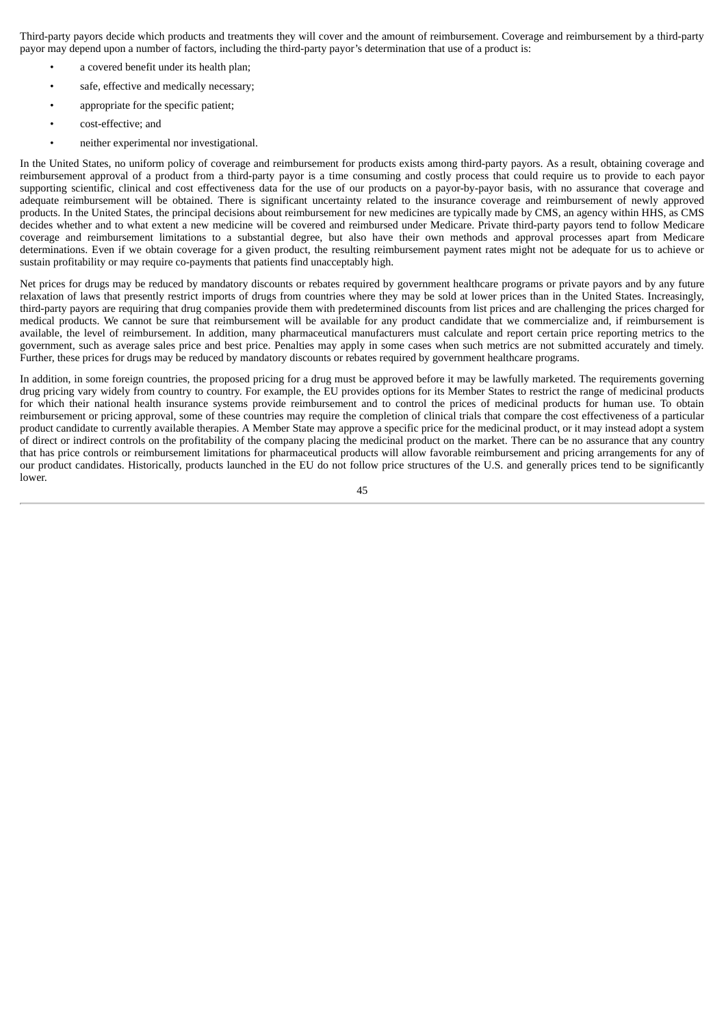Third-party payors decide which products and treatments they will cover and the amount of reimbursement. Coverage and reimbursement by a third-party payor may depend upon a number of factors, including the third-party payor's determination that use of a product is:

- a covered benefit under its health plan;
- safe, effective and medically necessary:
- appropriate for the specific patient;
- cost-effective; and
- neither experimental nor investigational.

In the United States, no uniform policy of coverage and reimbursement for products exists among third-party payors. As a result, obtaining coverage and reimbursement approval of a product from a third-party payor is a time consuming and costly process that could require us to provide to each payor supporting scientific, clinical and cost effectiveness data for the use of our products on a payor-by-payor basis, with no assurance that coverage and adequate reimbursement will be obtained. There is significant uncertainty related to the insurance coverage and reimbursement of newly approved products. In the United States, the principal decisions about reimbursement for new medicines are typically made by CMS, an agency within HHS, as CMS decides whether and to what extent a new medicine will be covered and reimbursed under Medicare. Private third-party payors tend to follow Medicare coverage and reimbursement limitations to a substantial degree, but also have their own methods and approval processes apart from Medicare determinations. Even if we obtain coverage for a given product, the resulting reimbursement payment rates might not be adequate for us to achieve or sustain profitability or may require co-payments that patients find unacceptably high.

Net prices for drugs may be reduced by mandatory discounts or rebates required by government healthcare programs or private payors and by any future relaxation of laws that presently restrict imports of drugs from countries where they may be sold at lower prices than in the United States. Increasingly, third-party payors are requiring that drug companies provide them with predetermined discounts from list prices and are challenging the prices charged for medical products. We cannot be sure that reimbursement will be available for any product candidate that we commercialize and, if reimbursement is available, the level of reimbursement. In addition, many pharmaceutical manufacturers must calculate and report certain price reporting metrics to the government, such as average sales price and best price. Penalties may apply in some cases when such metrics are not submitted accurately and timely. Further, these prices for drugs may be reduced by mandatory discounts or rebates required by government healthcare programs.

In addition, in some foreign countries, the proposed pricing for a drug must be approved before it may be lawfully marketed. The requirements governing drug pricing vary widely from country to country. For example, the EU provides options for its Member States to restrict the range of medicinal products for which their national health insurance systems provide reimbursement and to control the prices of medicinal products for human use. To obtain reimbursement or pricing approval, some of these countries may require the completion of clinical trials that compare the cost effectiveness of a particular product candidate to currently available therapies. A Member State may approve a specific price for the medicinal product, or it may instead adopt a system of direct or indirect controls on the profitability of the company placing the medicinal product on the market. There can be no assurance that any country that has price controls or reimbursement limitations for pharmaceutical products will allow favorable reimbursement and pricing arrangements for any of our product candidates. Historically, products launched in the EU do not follow price structures of the U.S. and generally prices tend to be significantly lower.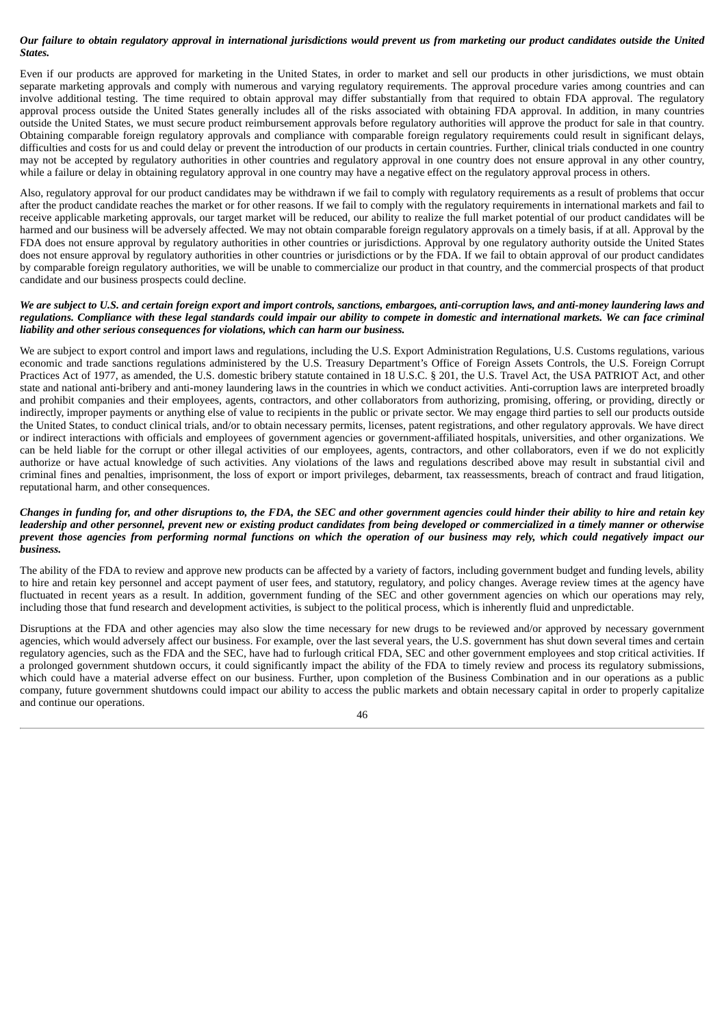# Our failure to obtain regulatory approval in international jurisdictions would prevent us from marketing our product candidates outside the United *States.*

Even if our products are approved for marketing in the United States, in order to market and sell our products in other jurisdictions, we must obtain separate marketing approvals and comply with numerous and varying regulatory requirements. The approval procedure varies among countries and can involve additional testing. The time required to obtain approval may differ substantially from that required to obtain FDA approval. The regulatory approval process outside the United States generally includes all of the risks associated with obtaining FDA approval. In addition, in many countries outside the United States, we must secure product reimbursement approvals before regulatory authorities will approve the product for sale in that country. Obtaining comparable foreign regulatory approvals and compliance with comparable foreign regulatory requirements could result in significant delays, difficulties and costs for us and could delay or prevent the introduction of our products in certain countries. Further, clinical trials conducted in one country may not be accepted by regulatory authorities in other countries and regulatory approval in one country does not ensure approval in any other country, while a failure or delay in obtaining regulatory approval in one country may have a negative effect on the regulatory approval process in others.

Also, regulatory approval for our product candidates may be withdrawn if we fail to comply with regulatory requirements as a result of problems that occur after the product candidate reaches the market or for other reasons. If we fail to comply with the regulatory requirements in international markets and fail to receive applicable marketing approvals, our target market will be reduced, our ability to realize the full market potential of our product candidates will be harmed and our business will be adversely affected. We may not obtain comparable foreign regulatory approvals on a timely basis, if at all. Approval by the FDA does not ensure approval by regulatory authorities in other countries or jurisdictions. Approval by one regulatory authority outside the United States does not ensure approval by regulatory authorities in other countries or jurisdictions or by the FDA. If we fail to obtain approval of our product candidates by comparable foreign regulatory authorities, we will be unable to commercialize our product in that country, and the commercial prospects of that product candidate and our business prospects could decline.

# We are subject to U.S. and certain foreign export and import controls, sanctions, embargoes, anti-corruption laws, and anti-money laundering laws and regulations. Compliance with these legal standards could impair our ability to compete in domestic and international markets. We can face criminal *liability and other serious consequences for violations, which can harm our business.*

We are subject to export control and import laws and regulations, including the U.S. Export Administration Regulations, U.S. Customs regulations, various economic and trade sanctions regulations administered by the U.S. Treasury Department's Office of Foreign Assets Controls, the U.S. Foreign Corrupt Practices Act of 1977, as amended, the U.S. domestic bribery statute contained in 18 U.S.C. § 201, the U.S. Travel Act, the USA PATRIOT Act, and other state and national anti-bribery and anti-money laundering laws in the countries in which we conduct activities. Anti-corruption laws are interpreted broadly and prohibit companies and their employees, agents, contractors, and other collaborators from authorizing, promising, offering, or providing, directly or indirectly, improper payments or anything else of value to recipients in the public or private sector. We may engage third parties to sell our products outside the United States, to conduct clinical trials, and/or to obtain necessary permits, licenses, patent registrations, and other regulatory approvals. We have direct or indirect interactions with officials and employees of government agencies or government-affiliated hospitals, universities, and other organizations. We can be held liable for the corrupt or other illegal activities of our employees, agents, contractors, and other collaborators, even if we do not explicitly authorize or have actual knowledge of such activities. Any violations of the laws and regulations described above may result in substantial civil and criminal fines and penalties, imprisonment, the loss of export or import privileges, debarment, tax reassessments, breach of contract and fraud litigation, reputational harm, and other consequences.

## Changes in funding for, and other disruptions to, the FDA, the SEC and other government agencies could hinder their ability to hire and retain key leadership and other personnel, prevent new or existing product candidates from being developed or commercialized in a timely manner or otherwise prevent those agencies from performing normal functions on which the operation of our business may rely, which could negatively impact our *business.*

The ability of the FDA to review and approve new products can be affected by a variety of factors, including government budget and funding levels, ability to hire and retain key personnel and accept payment of user fees, and statutory, regulatory, and policy changes. Average review times at the agency have fluctuated in recent years as a result. In addition, government funding of the SEC and other government agencies on which our operations may rely, including those that fund research and development activities, is subject to the political process, which is inherently fluid and unpredictable.

Disruptions at the FDA and other agencies may also slow the time necessary for new drugs to be reviewed and/or approved by necessary government agencies, which would adversely affect our business. For example, over the last several years, the U.S. government has shut down several times and certain regulatory agencies, such as the FDA and the SEC, have had to furlough critical FDA, SEC and other government employees and stop critical activities. If a prolonged government shutdown occurs, it could significantly impact the ability of the FDA to timely review and process its regulatory submissions, which could have a material adverse effect on our business. Further, upon completion of the Business Combination and in our operations as a public company, future government shutdowns could impact our ability to access the public markets and obtain necessary capital in order to properly capitalize and continue our operations.

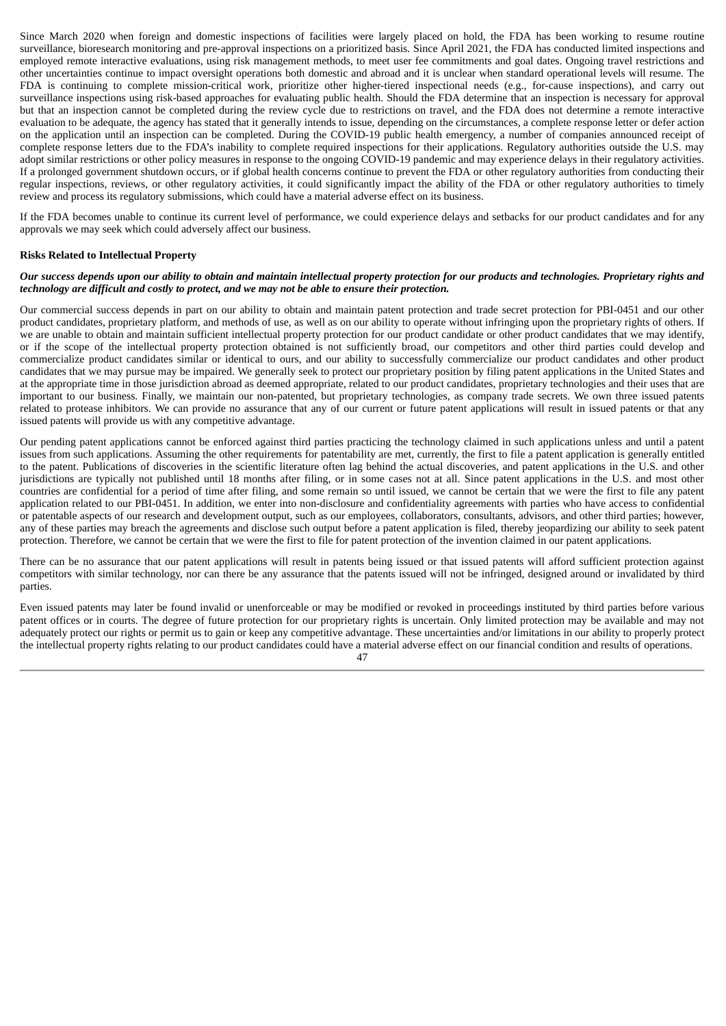Since March 2020 when foreign and domestic inspections of facilities were largely placed on hold, the FDA has been working to resume routine surveillance, bioresearch monitoring and pre-approval inspections on a prioritized basis. Since April 2021, the FDA has conducted limited inspections and employed remote interactive evaluations, using risk management methods, to meet user fee commitments and goal dates. Ongoing travel restrictions and other uncertainties continue to impact oversight operations both domestic and abroad and it is unclear when standard operational levels will resume. The FDA is continuing to complete mission-critical work, prioritize other higher-tiered inspectional needs (e.g., for-cause inspections), and carry out surveillance inspections using risk-based approaches for evaluating public health. Should the FDA determine that an inspection is necessary for approval but that an inspection cannot be completed during the review cycle due to restrictions on travel, and the FDA does not determine a remote interactive evaluation to be adequate, the agency has stated that it generally intends to issue, depending on the circumstances, a complete response letter or defer action on the application until an inspection can be completed. During the COVID-19 public health emergency, a number of companies announced receipt of complete response letters due to the FDA's inability to complete required inspections for their applications. Regulatory authorities outside the U.S. may adopt similar restrictions or other policy measures in response to the ongoing COVID-19 pandemic and may experience delays in their regulatory activities. If a prolonged government shutdown occurs, or if global health concerns continue to prevent the FDA or other regulatory authorities from conducting their regular inspections, reviews, or other regulatory activities, it could significantly impact the ability of the FDA or other regulatory authorities to timely review and process its regulatory submissions, which could have a material adverse effect on its business.

If the FDA becomes unable to continue its current level of performance, we could experience delays and setbacks for our product candidates and for any approvals we may seek which could adversely affect our business.

#### **Risks Related to Intellectual Property**

#### Our success depends upon our ability to obtain and maintain intellectual property protection for our products and technologies. Proprietary rights and *technology are difficult and costly to protect, and we may not be able to ensure their protection.*

Our commercial success depends in part on our ability to obtain and maintain patent protection and trade secret protection for PBI-0451 and our other product candidates, proprietary platform, and methods of use, as well as on our ability to operate without infringing upon the proprietary rights of others. If we are unable to obtain and maintain sufficient intellectual property protection for our product candidate or other product candidates that we may identify, or if the scope of the intellectual property protection obtained is not sufficiently broad, our competitors and other third parties could develop and commercialize product candidates similar or identical to ours, and our ability to successfully commercialize our product candidates and other product candidates that we may pursue may be impaired. We generally seek to protect our proprietary position by filing patent applications in the United States and at the appropriate time in those jurisdiction abroad as deemed appropriate, related to our product candidates, proprietary technologies and their uses that are important to our business. Finally, we maintain our non-patented, but proprietary technologies, as company trade secrets. We own three issued patents related to protease inhibitors. We can provide no assurance that any of our current or future patent applications will result in issued patents or that any issued patents will provide us with any competitive advantage.

Our pending patent applications cannot be enforced against third parties practicing the technology claimed in such applications unless and until a patent issues from such applications. Assuming the other requirements for patentability are met, currently, the first to file a patent application is generally entitled to the patent. Publications of discoveries in the scientific literature often lag behind the actual discoveries, and patent applications in the U.S. and other jurisdictions are typically not published until 18 months after filing, or in some cases not at all. Since patent applications in the U.S. and most other countries are confidential for a period of time after filing, and some remain so until issued, we cannot be certain that we were the first to file any patent application related to our PBI-0451. In addition, we enter into non-disclosure and confidentiality agreements with parties who have access to confidential or patentable aspects of our research and development output, such as our employees, collaborators, consultants, advisors, and other third parties; however, any of these parties may breach the agreements and disclose such output before a patent application is filed, thereby jeopardizing our ability to seek patent protection. Therefore, we cannot be certain that we were the first to file for patent protection of the invention claimed in our patent applications.

There can be no assurance that our patent applications will result in patents being issued or that issued patents will afford sufficient protection against competitors with similar technology, nor can there be any assurance that the patents issued will not be infringed, designed around or invalidated by third parties.

Even issued patents may later be found invalid or unenforceable or may be modified or revoked in proceedings instituted by third parties before various patent offices or in courts. The degree of future protection for our proprietary rights is uncertain. Only limited protection may be available and may not adequately protect our rights or permit us to gain or keep any competitive advantage. These uncertainties and/or limitations in our ability to properly protect the intellectual property rights relating to our product candidates could have a material adverse effect on our financial condition and results of operations.

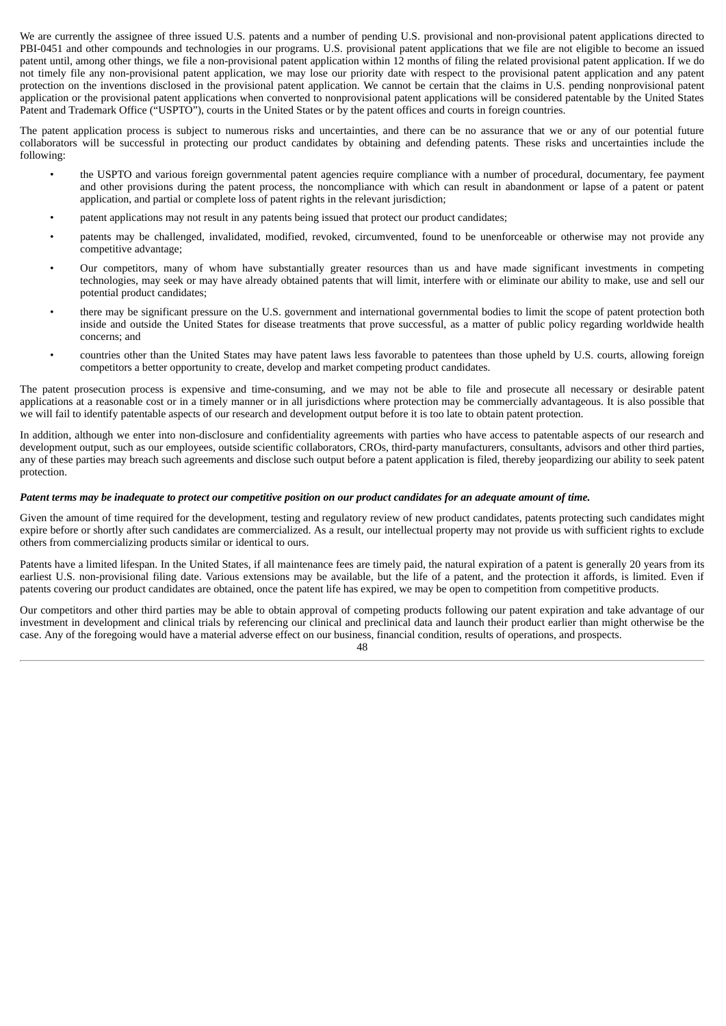We are currently the assignee of three issued U.S. patents and a number of pending U.S. provisional and non-provisional patent applications directed to PBI-0451 and other compounds and technologies in our programs. U.S. provisional patent applications that we file are not eligible to become an issued patent until, among other things, we file a non-provisional patent application within 12 months of filing the related provisional patent application. If we do not timely file any non-provisional patent application, we may lose our priority date with respect to the provisional patent application and any patent protection on the inventions disclosed in the provisional patent application. We cannot be certain that the claims in U.S. pending nonprovisional patent application or the provisional patent applications when converted to nonprovisional patent applications will be considered patentable by the United States Patent and Trademark Office ("USPTO"), courts in the United States or by the patent offices and courts in foreign countries.

The patent application process is subject to numerous risks and uncertainties, and there can be no assurance that we or any of our potential future collaborators will be successful in protecting our product candidates by obtaining and defending patents. These risks and uncertainties include the following:

- the USPTO and various foreign governmental patent agencies require compliance with a number of procedural, documentary, fee payment and other provisions during the patent process, the noncompliance with which can result in abandonment or lapse of a patent or patent application, and partial or complete loss of patent rights in the relevant jurisdiction;
- patent applications may not result in any patents being issued that protect our product candidates;
- patents may be challenged, invalidated, modified, revoked, circumvented, found to be unenforceable or otherwise may not provide any competitive advantage;
- Our competitors, many of whom have substantially greater resources than us and have made significant investments in competing technologies, may seek or may have already obtained patents that will limit, interfere with or eliminate our ability to make, use and sell our potential product candidates;
- there may be significant pressure on the U.S. government and international governmental bodies to limit the scope of patent protection both inside and outside the United States for disease treatments that prove successful, as a matter of public policy regarding worldwide health concerns; and
- countries other than the United States may have patent laws less favorable to patentees than those upheld by U.S. courts, allowing foreign competitors a better opportunity to create, develop and market competing product candidates.

The patent prosecution process is expensive and time-consuming, and we may not be able to file and prosecute all necessary or desirable patent applications at a reasonable cost or in a timely manner or in all jurisdictions where protection may be commercially advantageous. It is also possible that we will fail to identify patentable aspects of our research and development output before it is too late to obtain patent protection.

In addition, although we enter into non-disclosure and confidentiality agreements with parties who have access to patentable aspects of our research and development output, such as our employees, outside scientific collaborators, CROs, third-party manufacturers, consultants, advisors and other third parties, any of these parties may breach such agreements and disclose such output before a patent application is filed, thereby jeopardizing our ability to seek patent protection.

#### Patent terms may be inadequate to protect our competitive position on our product candidates for an adequate amount of time.

Given the amount of time required for the development, testing and regulatory review of new product candidates, patents protecting such candidates might expire before or shortly after such candidates are commercialized. As a result, our intellectual property may not provide us with sufficient rights to exclude others from commercializing products similar or identical to ours.

Patents have a limited lifespan. In the United States, if all maintenance fees are timely paid, the natural expiration of a patent is generally 20 years from its earliest U.S. non-provisional filing date. Various extensions may be available, but the life of a patent, and the protection it affords, is limited. Even if patents covering our product candidates are obtained, once the patent life has expired, we may be open to competition from competitive products.

Our competitors and other third parties may be able to obtain approval of competing products following our patent expiration and take advantage of our investment in development and clinical trials by referencing our clinical and preclinical data and launch their product earlier than might otherwise be the case. Any of the foregoing would have a material adverse effect on our business, financial condition, results of operations, and prospects.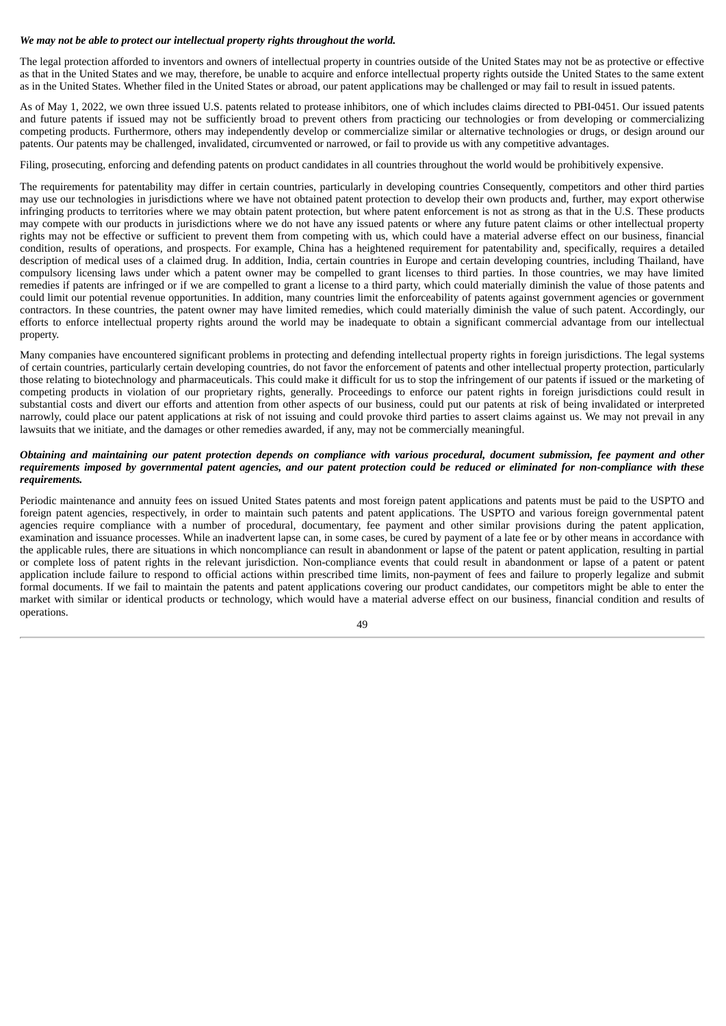# *We may not be able to protect our intellectual property rights throughout the world.*

The legal protection afforded to inventors and owners of intellectual property in countries outside of the United States may not be as protective or effective as that in the United States and we may, therefore, be unable to acquire and enforce intellectual property rights outside the United States to the same extent as in the United States. Whether filed in the United States or abroad, our patent applications may be challenged or may fail to result in issued patents.

As of May 1, 2022, we own three issued U.S. patents related to protease inhibitors, one of which includes claims directed to PBI-0451. Our issued patents and future patents if issued may not be sufficiently broad to prevent others from practicing our technologies or from developing or commercializing competing products. Furthermore, others may independently develop or commercialize similar or alternative technologies or drugs, or design around our patents. Our patents may be challenged, invalidated, circumvented or narrowed, or fail to provide us with any competitive advantages.

Filing, prosecuting, enforcing and defending patents on product candidates in all countries throughout the world would be prohibitively expensive.

The requirements for patentability may differ in certain countries, particularly in developing countries Consequently, competitors and other third parties may use our technologies in jurisdictions where we have not obtained patent protection to develop their own products and, further, may export otherwise infringing products to territories where we may obtain patent protection, but where patent enforcement is not as strong as that in the U.S. These products may compete with our products in jurisdictions where we do not have any issued patents or where any future patent claims or other intellectual property rights may not be effective or sufficient to prevent them from competing with us, which could have a material adverse effect on our business, financial condition, results of operations, and prospects. For example, China has a heightened requirement for patentability and, specifically, requires a detailed description of medical uses of a claimed drug. In addition, India, certain countries in Europe and certain developing countries, including Thailand, have compulsory licensing laws under which a patent owner may be compelled to grant licenses to third parties. In those countries, we may have limited remedies if patents are infringed or if we are compelled to grant a license to a third party, which could materially diminish the value of those patents and could limit our potential revenue opportunities. In addition, many countries limit the enforceability of patents against government agencies or government contractors. In these countries, the patent owner may have limited remedies, which could materially diminish the value of such patent. Accordingly, our efforts to enforce intellectual property rights around the world may be inadequate to obtain a significant commercial advantage from our intellectual property.

Many companies have encountered significant problems in protecting and defending intellectual property rights in foreign jurisdictions. The legal systems of certain countries, particularly certain developing countries, do not favor the enforcement of patents and other intellectual property protection, particularly those relating to biotechnology and pharmaceuticals. This could make it difficult for us to stop the infringement of our patents if issued or the marketing of competing products in violation of our proprietary rights, generally. Proceedings to enforce our patent rights in foreign jurisdictions could result in substantial costs and divert our efforts and attention from other aspects of our business, could put our patents at risk of being invalidated or interpreted narrowly, could place our patent applications at risk of not issuing and could provoke third parties to assert claims against us. We may not prevail in any lawsuits that we initiate, and the damages or other remedies awarded, if any, may not be commercially meaningful.

#### Obtaining and maintaining our patent protection depends on compliance with various procedural, document submission, fee payment and other requirements imposed by governmental patent agencies, and our patent protection could be reduced or eliminated for non-compliance with these *requirements.*

Periodic maintenance and annuity fees on issued United States patents and most foreign patent applications and patents must be paid to the USPTO and foreign patent agencies, respectively, in order to maintain such patents and patent applications. The USPTO and various foreign governmental patent agencies require compliance with a number of procedural, documentary, fee payment and other similar provisions during the patent application, examination and issuance processes. While an inadvertent lapse can, in some cases, be cured by payment of a late fee or by other means in accordance with the applicable rules, there are situations in which noncompliance can result in abandonment or lapse of the patent or patent application, resulting in partial or complete loss of patent rights in the relevant jurisdiction. Non-compliance events that could result in abandonment or lapse of a patent or patent application include failure to respond to official actions within prescribed time limits, non-payment of fees and failure to properly legalize and submit formal documents. If we fail to maintain the patents and patent applications covering our product candidates, our competitors might be able to enter the market with similar or identical products or technology, which would have a material adverse effect on our business, financial condition and results of operations.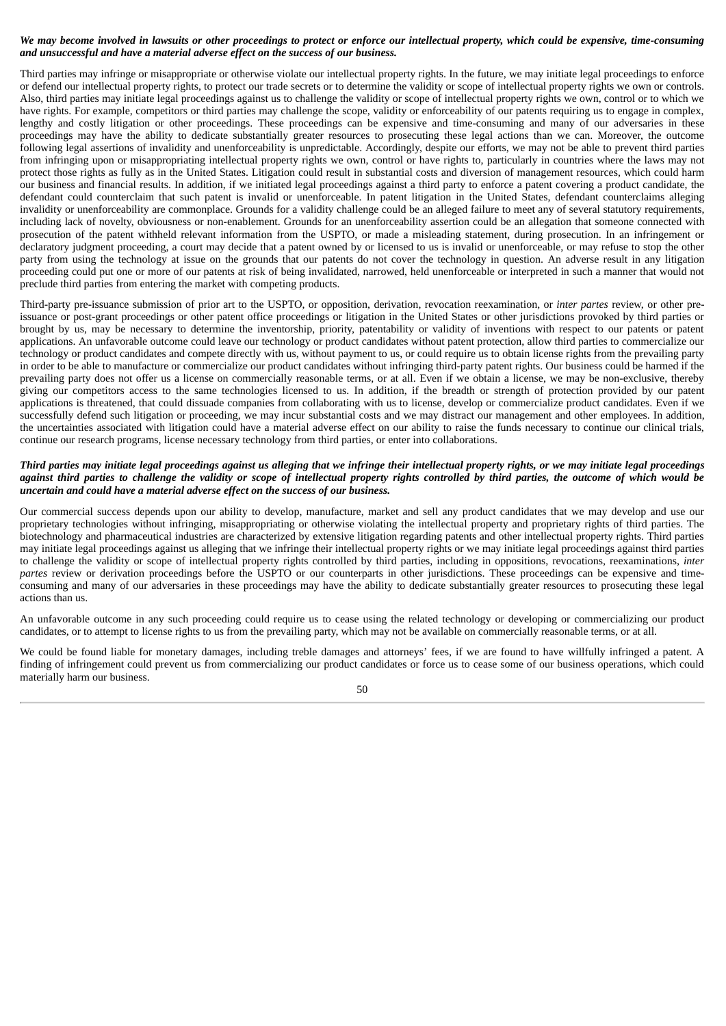# We may become involved in lawsuits or other proceedings to protect or enforce our intellectual property, which could be expensive, time-consuming *and unsuccessful and have a material adverse effect on the success of our business.*

Third parties may infringe or misappropriate or otherwise violate our intellectual property rights. In the future, we may initiate legal proceedings to enforce or defend our intellectual property rights, to protect our trade secrets or to determine the validity or scope of intellectual property rights we own or controls. Also, third parties may initiate legal proceedings against us to challenge the validity or scope of intellectual property rights we own, control or to which we have rights. For example, competitors or third parties may challenge the scope, validity or enforceability of our patents requiring us to engage in complex, lengthy and costly litigation or other proceedings. These proceedings can be expensive and time-consuming and many of our adversaries in these proceedings may have the ability to dedicate substantially greater resources to prosecuting these legal actions than we can. Moreover, the outcome following legal assertions of invalidity and unenforceability is unpredictable. Accordingly, despite our efforts, we may not be able to prevent third parties from infringing upon or misappropriating intellectual property rights we own, control or have rights to, particularly in countries where the laws may not protect those rights as fully as in the United States. Litigation could result in substantial costs and diversion of management resources, which could harm our business and financial results. In addition, if we initiated legal proceedings against a third party to enforce a patent covering a product candidate, the defendant could counterclaim that such patent is invalid or unenforceable. In patent litigation in the United States, defendant counterclaims alleging invalidity or unenforceability are commonplace. Grounds for a validity challenge could be an alleged failure to meet any of several statutory requirements, including lack of novelty, obviousness or non-enablement. Grounds for an unenforceability assertion could be an allegation that someone connected with prosecution of the patent withheld relevant information from the USPTO, or made a misleading statement, during prosecution. In an infringement or declaratory judgment proceeding, a court may decide that a patent owned by or licensed to us is invalid or unenforceable, or may refuse to stop the other party from using the technology at issue on the grounds that our patents do not cover the technology in question. An adverse result in any litigation proceeding could put one or more of our patents at risk of being invalidated, narrowed, held unenforceable or interpreted in such a manner that would not preclude third parties from entering the market with competing products.

Third-party pre-issuance submission of prior art to the USPTO, or opposition, derivation, revocation reexamination, or *inter partes* review, or other preissuance or post-grant proceedings or other patent office proceedings or litigation in the United States or other jurisdictions provoked by third parties or brought by us, may be necessary to determine the inventorship, priority, patentability or validity of inventions with respect to our patents or patent applications. An unfavorable outcome could leave our technology or product candidates without patent protection, allow third parties to commercialize our technology or product candidates and compete directly with us, without payment to us, or could require us to obtain license rights from the prevailing party in order to be able to manufacture or commercialize our product candidates without infringing third-party patent rights. Our business could be harmed if the prevailing party does not offer us a license on commercially reasonable terms, or at all. Even if we obtain a license, we may be non-exclusive, thereby giving our competitors access to the same technologies licensed to us. In addition, if the breadth or strength of protection provided by our patent applications is threatened, that could dissuade companies from collaborating with us to license, develop or commercialize product candidates. Even if we successfully defend such litigation or proceeding, we may incur substantial costs and we may distract our management and other employees. In addition, the uncertainties associated with litigation could have a material adverse effect on our ability to raise the funds necessary to continue our clinical trials, continue our research programs, license necessary technology from third parties, or enter into collaborations.

# Third parties may initiate legal proceedings against us alleging that we infringe their intellectual property rights, or we may initiate legal proceedings against third parties to challenge the validity or scope of intellectual property rights controlled by third parties, the outcome of which would be *uncertain and could have a material adverse effect on the success of our business.*

Our commercial success depends upon our ability to develop, manufacture, market and sell any product candidates that we may develop and use our proprietary technologies without infringing, misappropriating or otherwise violating the intellectual property and proprietary rights of third parties. The biotechnology and pharmaceutical industries are characterized by extensive litigation regarding patents and other intellectual property rights. Third parties may initiate legal proceedings against us alleging that we infringe their intellectual property rights or we may initiate legal proceedings against third parties to challenge the validity or scope of intellectual property rights controlled by third parties, including in oppositions, revocations, reexaminations, *inter partes* review or derivation proceedings before the USPTO or our counterparts in other jurisdictions. These proceedings can be expensive and timeconsuming and many of our adversaries in these proceedings may have the ability to dedicate substantially greater resources to prosecuting these legal actions than us.

An unfavorable outcome in any such proceeding could require us to cease using the related technology or developing or commercializing our product candidates, or to attempt to license rights to us from the prevailing party, which may not be available on commercially reasonable terms, or at all.

We could be found liable for monetary damages, including treble damages and attorneys' fees, if we are found to have willfully infringed a patent. A finding of infringement could prevent us from commercializing our product candidates or force us to cease some of our business operations, which could materially harm our business.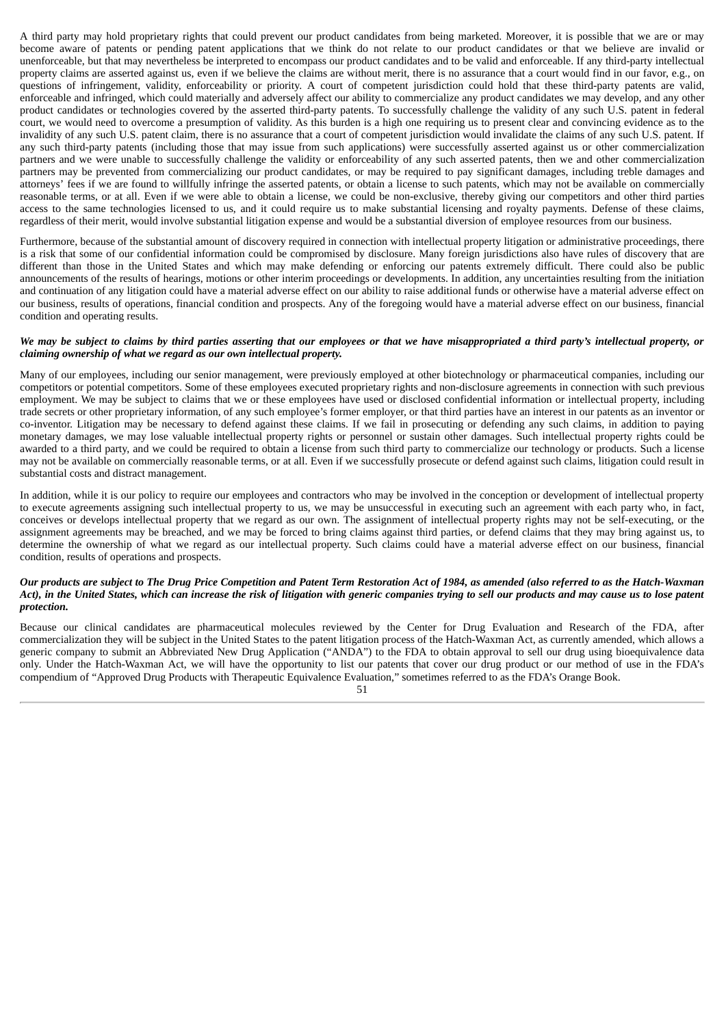A third party may hold proprietary rights that could prevent our product candidates from being marketed. Moreover, it is possible that we are or may become aware of patents or pending patent applications that we think do not relate to our product candidates or that we believe are invalid or unenforceable, but that may nevertheless be interpreted to encompass our product candidates and to be valid and enforceable. If any third-party intellectual property claims are asserted against us, even if we believe the claims are without merit, there is no assurance that a court would find in our favor, e.g., on questions of infringement, validity, enforceability or priority. A court of competent jurisdiction could hold that these third-party patents are valid, enforceable and infringed, which could materially and adversely affect our ability to commercialize any product candidates we may develop, and any other product candidates or technologies covered by the asserted third-party patents. To successfully challenge the validity of any such U.S. patent in federal court, we would need to overcome a presumption of validity. As this burden is a high one requiring us to present clear and convincing evidence as to the invalidity of any such U.S. patent claim, there is no assurance that a court of competent jurisdiction would invalidate the claims of any such U.S. patent. If any such third-party patents (including those that may issue from such applications) were successfully asserted against us or other commercialization partners and we were unable to successfully challenge the validity or enforceability of any such asserted patents, then we and other commercialization partners may be prevented from commercializing our product candidates, or may be required to pay significant damages, including treble damages and attorneys' fees if we are found to willfully infringe the asserted patents, or obtain a license to such patents, which may not be available on commercially reasonable terms, or at all. Even if we were able to obtain a license, we could be non-exclusive, thereby giving our competitors and other third parties access to the same technologies licensed to us, and it could require us to make substantial licensing and royalty payments. Defense of these claims, regardless of their merit, would involve substantial litigation expense and would be a substantial diversion of employee resources from our business.

Furthermore, because of the substantial amount of discovery required in connection with intellectual property litigation or administrative proceedings, there is a risk that some of our confidential information could be compromised by disclosure. Many foreign jurisdictions also have rules of discovery that are different than those in the United States and which may make defending or enforcing our patents extremely difficult. There could also be public announcements of the results of hearings, motions or other interim proceedings or developments. In addition, any uncertainties resulting from the initiation and continuation of any litigation could have a material adverse effect on our ability to raise additional funds or otherwise have a material adverse effect on our business, results of operations, financial condition and prospects. Any of the foregoing would have a material adverse effect on our business, financial condition and operating results.

#### We may be subject to claims by third parties asserting that our employees or that we have misappropriated a third party's intellectual property, or *claiming ownership of what we regard as our own intellectual property.*

Many of our employees, including our senior management, were previously employed at other biotechnology or pharmaceutical companies, including our competitors or potential competitors. Some of these employees executed proprietary rights and non-disclosure agreements in connection with such previous employment. We may be subject to claims that we or these employees have used or disclosed confidential information or intellectual property, including trade secrets or other proprietary information, of any such employee's former employer, or that third parties have an interest in our patents as an inventor or co-inventor. Litigation may be necessary to defend against these claims. If we fail in prosecuting or defending any such claims, in addition to paying monetary damages, we may lose valuable intellectual property rights or personnel or sustain other damages. Such intellectual property rights could be awarded to a third party, and we could be required to obtain a license from such third party to commercialize our technology or products. Such a license may not be available on commercially reasonable terms, or at all. Even if we successfully prosecute or defend against such claims, litigation could result in substantial costs and distract management.

In addition, while it is our policy to require our employees and contractors who may be involved in the conception or development of intellectual property to execute agreements assigning such intellectual property to us, we may be unsuccessful in executing such an agreement with each party who, in fact, conceives or develops intellectual property that we regard as our own. The assignment of intellectual property rights may not be self-executing, or the assignment agreements may be breached, and we may be forced to bring claims against third parties, or defend claims that they may bring against us, to determine the ownership of what we regard as our intellectual property. Such claims could have a material adverse effect on our business, financial condition, results of operations and prospects.

#### Our products are subject to The Drua Price Competition and Patent Term Restoration Act of 1984, as amended (also referred to as the Hatch-Waxman Act), in the United States, which can increase the risk of litigation with generic companies trying to sell our products and may cause us to lose patent *protection.*

Because our clinical candidates are pharmaceutical molecules reviewed by the Center for Drug Evaluation and Research of the FDA, after commercialization they will be subject in the United States to the patent litigation process of the Hatch-Waxman Act, as currently amended, which allows a generic company to submit an Abbreviated New Drug Application ("ANDA") to the FDA to obtain approval to sell our drug using bioequivalence data only. Under the Hatch-Waxman Act, we will have the opportunity to list our patents that cover our drug product or our method of use in the FDA's compendium of "Approved Drug Products with Therapeutic Equivalence Evaluation," sometimes referred to as the FDA's Orange Book.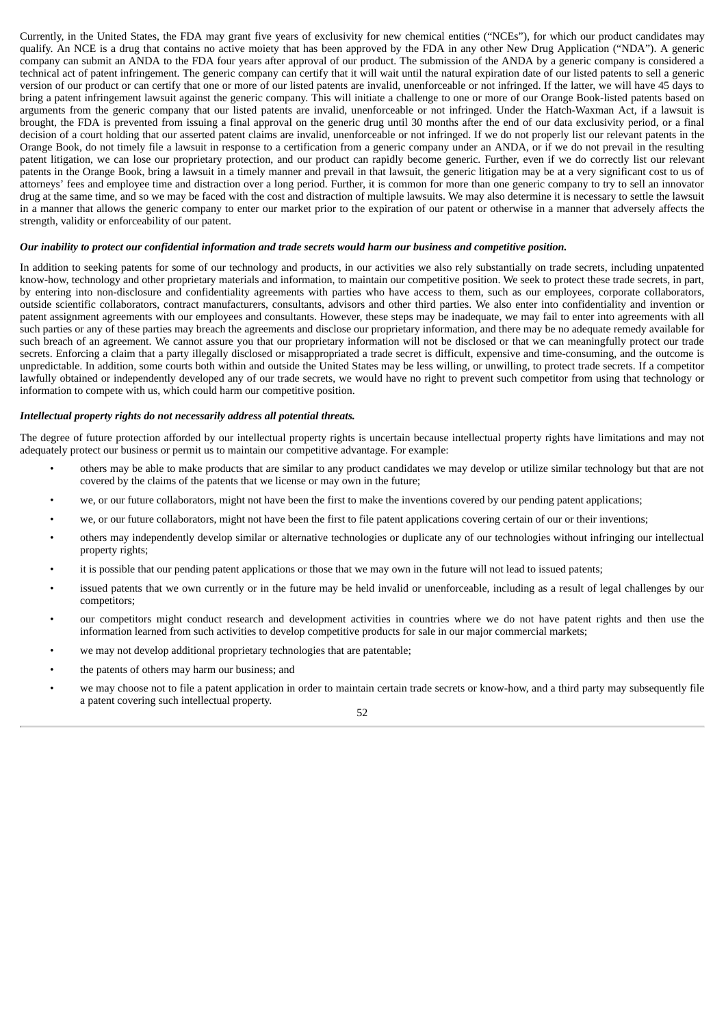Currently, in the United States, the FDA may grant five years of exclusivity for new chemical entities ("NCEs"), for which our product candidates may qualify. An NCE is a drug that contains no active moiety that has been approved by the FDA in any other New Drug Application ("NDA"). A generic company can submit an ANDA to the FDA four years after approval of our product. The submission of the ANDA by a generic company is considered a technical act of patent infringement. The generic company can certify that it will wait until the natural expiration date of our listed patents to sell a generic version of our product or can certify that one or more of our listed patents are invalid, unenforceable or not infringed. If the latter, we will have 45 days to bring a patent infringement lawsuit against the generic company. This will initiate a challenge to one or more of our Orange Book-listed patents based on arguments from the generic company that our listed patents are invalid, unenforceable or not infringed. Under the Hatch-Waxman Act, if a lawsuit is brought, the FDA is prevented from issuing a final approval on the generic drug until 30 months after the end of our data exclusivity period, or a final decision of a court holding that our asserted patent claims are invalid, unenforceable or not infringed. If we do not properly list our relevant patents in the Orange Book, do not timely file a lawsuit in response to a certification from a generic company under an ANDA, or if we do not prevail in the resulting patent litigation, we can lose our proprietary protection, and our product can rapidly become generic. Further, even if we do correctly list our relevant patents in the Orange Book, bring a lawsuit in a timely manner and prevail in that lawsuit, the generic litigation may be at a very significant cost to us of attorneys' fees and employee time and distraction over a long period. Further, it is common for more than one generic company to try to sell an innovator drug at the same time, and so we may be faced with the cost and distraction of multiple lawsuits. We may also determine it is necessary to settle the lawsuit in a manner that allows the generic company to enter our market prior to the expiration of our patent or otherwise in a manner that adversely affects the strength, validity or enforceability of our patent.

#### Our inability to protect our confidential information and trade secrets would harm our business and competitive position.

In addition to seeking patents for some of our technology and products, in our activities we also rely substantially on trade secrets, including unpatented know-how, technology and other proprietary materials and information, to maintain our competitive position. We seek to protect these trade secrets, in part, by entering into non-disclosure and confidentiality agreements with parties who have access to them, such as our employees, corporate collaborators, outside scientific collaborators, contract manufacturers, consultants, advisors and other third parties. We also enter into confidentiality and invention or patent assignment agreements with our employees and consultants. However, these steps may be inadequate, we may fail to enter into agreements with all such parties or any of these parties may breach the agreements and disclose our proprietary information, and there may be no adequate remedy available for such breach of an agreement. We cannot assure you that our proprietary information will not be disclosed or that we can meaningfully protect our trade secrets. Enforcing a claim that a party illegally disclosed or misappropriated a trade secret is difficult, expensive and time-consuming, and the outcome is unpredictable. In addition, some courts both within and outside the United States may be less willing, or unwilling, to protect trade secrets. If a competitor lawfully obtained or independently developed any of our trade secrets, we would have no right to prevent such competitor from using that technology or information to compete with us, which could harm our competitive position.

#### *Intellectual property rights do not necessarily address all potential threats.*

The degree of future protection afforded by our intellectual property rights is uncertain because intellectual property rights have limitations and may not adequately protect our business or permit us to maintain our competitive advantage. For example:

- others may be able to make products that are similar to any product candidates we may develop or utilize similar technology but that are not covered by the claims of the patents that we license or may own in the future;
- we, or our future collaborators, might not have been the first to make the inventions covered by our pending patent applications;
- we, or our future collaborators, might not have been the first to file patent applications covering certain of our or their inventions;
- others may independently develop similar or alternative technologies or duplicate any of our technologies without infringing our intellectual property rights;
- it is possible that our pending patent applications or those that we may own in the future will not lead to issued patents;
- issued patents that we own currently or in the future may be held invalid or unenforceable, including as a result of legal challenges by our competitors;
- our competitors might conduct research and development activities in countries where we do not have patent rights and then use the information learned from such activities to develop competitive products for sale in our major commercial markets;
- we may not develop additional proprietary technologies that are patentable;
- the patents of others may harm our business; and
- we may choose not to file a patent application in order to maintain certain trade secrets or know-how, and a third party may subsequently file a patent covering such intellectual property.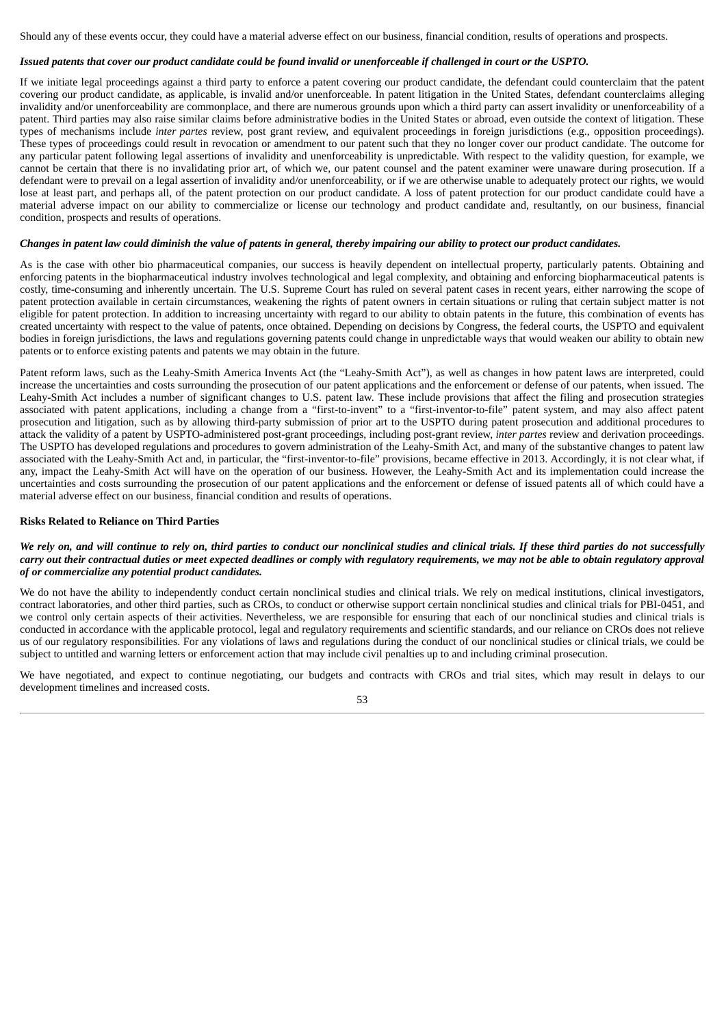Should any of these events occur, they could have a material adverse effect on our business, financial condition, results of operations and prospects.

# Issued patents that cover our product candidate could be found invalid or unenforceable if challenged in court or the USPTO.

If we initiate legal proceedings against a third party to enforce a patent covering our product candidate, the defendant could counterclaim that the patent covering our product candidate, as applicable, is invalid and/or unenforceable. In patent litigation in the United States, defendant counterclaims alleging invalidity and/or unenforceability are commonplace, and there are numerous grounds upon which a third party can assert invalidity or unenforceability of a patent. Third parties may also raise similar claims before administrative bodies in the United States or abroad, even outside the context of litigation. These types of mechanisms include *inter partes* review, post grant review, and equivalent proceedings in foreign jurisdictions (e.g., opposition proceedings). These types of proceedings could result in revocation or amendment to our patent such that they no longer cover our product candidate. The outcome for any particular patent following legal assertions of invalidity and unenforceability is unpredictable. With respect to the validity question, for example, we cannot be certain that there is no invalidating prior art, of which we, our patent counsel and the patent examiner were unaware during prosecution. If a defendant were to prevail on a legal assertion of invalidity and/or unenforceability, or if we are otherwise unable to adequately protect our rights, we would lose at least part, and perhaps all, of the patent protection on our product candidate. A loss of patent protection for our product candidate could have a material adverse impact on our ability to commercialize or license our technology and product candidate and, resultantly, on our business, financial condition, prospects and results of operations.

### Changes in patent law could diminish the value of patents in general, thereby impairing our ability to protect our product candidates.

As is the case with other bio pharmaceutical companies, our success is heavily dependent on intellectual property, particularly patents. Obtaining and enforcing patents in the biopharmaceutical industry involves technological and legal complexity, and obtaining and enforcing biopharmaceutical patents is costly, time-consuming and inherently uncertain. The U.S. Supreme Court has ruled on several patent cases in recent years, either narrowing the scope of patent protection available in certain circumstances, weakening the rights of patent owners in certain situations or ruling that certain subject matter is not eligible for patent protection. In addition to increasing uncertainty with regard to our ability to obtain patents in the future, this combination of events has created uncertainty with respect to the value of patents, once obtained. Depending on decisions by Congress, the federal courts, the USPTO and equivalent bodies in foreign jurisdictions, the laws and regulations governing patents could change in unpredictable ways that would weaken our ability to obtain new patents or to enforce existing patents and patents we may obtain in the future.

Patent reform laws, such as the Leahy-Smith America Invents Act (the "Leahy-Smith Act"), as well as changes in how patent laws are interpreted, could increase the uncertainties and costs surrounding the prosecution of our patent applications and the enforcement or defense of our patents, when issued. The Leahy-Smith Act includes a number of significant changes to U.S. patent law. These include provisions that affect the filing and prosecution strategies associated with patent applications, including a change from a "first-to-invent" to a "first-inventor-to-file" patent system, and may also affect patent prosecution and litigation, such as by allowing third-party submission of prior art to the USPTO during patent prosecution and additional procedures to attack the validity of a patent by USPTO-administered post-grant proceedings, including post-grant review, *inter partes* review and derivation proceedings. The USPTO has developed regulations and procedures to govern administration of the Leahy-Smith Act, and many of the substantive changes to patent law associated with the Leahy-Smith Act and, in particular, the "first-inventor-to-file" provisions, became effective in 2013. Accordingly, it is not clear what, if any, impact the Leahy-Smith Act will have on the operation of our business. However, the Leahy-Smith Act and its implementation could increase the uncertainties and costs surrounding the prosecution of our patent applications and the enforcement or defense of issued patents all of which could have a material adverse effect on our business, financial condition and results of operations.

#### **Risks Related to Reliance on Third Parties**

## We rely on, and will continue to rely on, third parties to conduct our nonclinical studies and clinical trials. If these third parties do not successfully carry out their contractual duties or meet expected deadlines or comply with regulatory requirements, we may not be able to obtain regulatory approval *of or commercialize any potential product candidates.*

We do not have the ability to independently conduct certain nonclinical studies and clinical trials. We rely on medical institutions, clinical investigators, contract laboratories, and other third parties, such as CROs, to conduct or otherwise support certain nonclinical studies and clinical trials for PBI-0451, and we control only certain aspects of their activities. Nevertheless, we are responsible for ensuring that each of our nonclinical studies and clinical trials is conducted in accordance with the applicable protocol, legal and regulatory requirements and scientific standards, and our reliance on CROs does not relieve us of our regulatory responsibilities. For any violations of laws and regulations during the conduct of our nonclinical studies or clinical trials, we could be subject to untitled and warning letters or enforcement action that may include civil penalties up to and including criminal prosecution.

We have negotiated, and expect to continue negotiating, our budgets and contracts with CROs and trial sites, which may result in delays to our development timelines and increased costs.

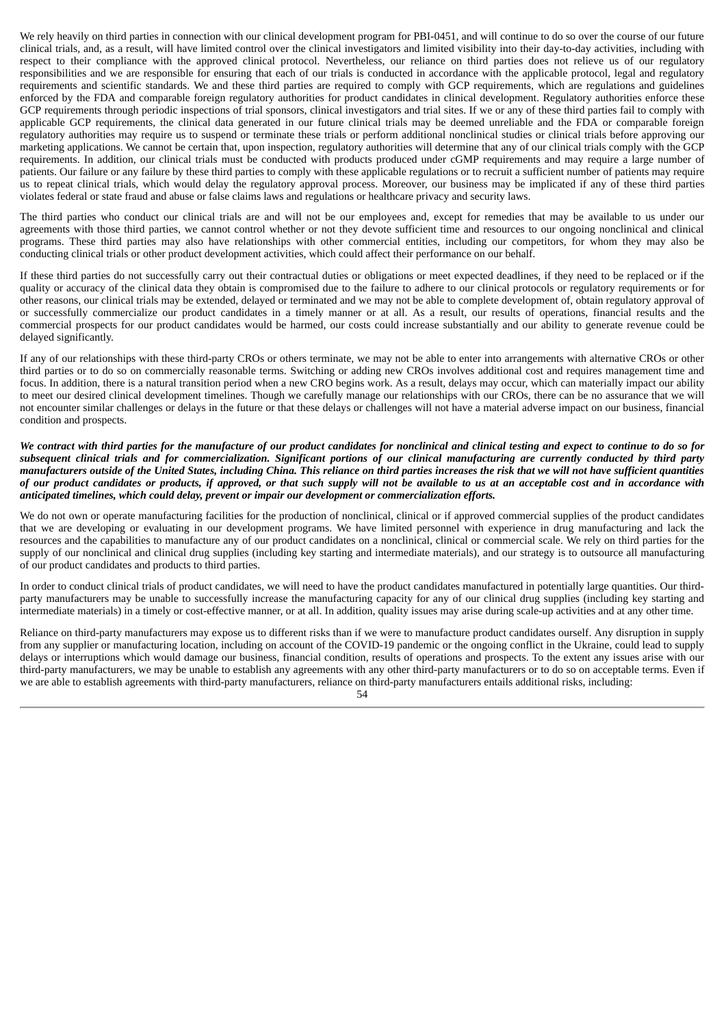We rely heavily on third parties in connection with our clinical development program for PBI-0451, and will continue to do so over the course of our future clinical trials, and, as a result, will have limited control over the clinical investigators and limited visibility into their day-to-day activities, including with respect to their compliance with the approved clinical protocol. Nevertheless, our reliance on third parties does not relieve us of our regulatory responsibilities and we are responsible for ensuring that each of our trials is conducted in accordance with the applicable protocol, legal and regulatory requirements and scientific standards. We and these third parties are required to comply with GCP requirements, which are regulations and guidelines enforced by the FDA and comparable foreign regulatory authorities for product candidates in clinical development. Regulatory authorities enforce these GCP requirements through periodic inspections of trial sponsors, clinical investigators and trial sites. If we or any of these third parties fail to comply with applicable GCP requirements, the clinical data generated in our future clinical trials may be deemed unreliable and the FDA or comparable foreign regulatory authorities may require us to suspend or terminate these trials or perform additional nonclinical studies or clinical trials before approving our marketing applications. We cannot be certain that, upon inspection, regulatory authorities will determine that any of our clinical trials comply with the GCP requirements. In addition, our clinical trials must be conducted with products produced under cGMP requirements and may require a large number of patients. Our failure or any failure by these third parties to comply with these applicable regulations or to recruit a sufficient number of patients may require us to repeat clinical trials, which would delay the regulatory approval process. Moreover, our business may be implicated if any of these third parties violates federal or state fraud and abuse or false claims laws and regulations or healthcare privacy and security laws.

The third parties who conduct our clinical trials are and will not be our employees and, except for remedies that may be available to us under our agreements with those third parties, we cannot control whether or not they devote sufficient time and resources to our ongoing nonclinical and clinical programs. These third parties may also have relationships with other commercial entities, including our competitors, for whom they may also be conducting clinical trials or other product development activities, which could affect their performance on our behalf.

If these third parties do not successfully carry out their contractual duties or obligations or meet expected deadlines, if they need to be replaced or if the quality or accuracy of the clinical data they obtain is compromised due to the failure to adhere to our clinical protocols or regulatory requirements or for other reasons, our clinical trials may be extended, delayed or terminated and we may not be able to complete development of, obtain regulatory approval of or successfully commercialize our product candidates in a timely manner or at all. As a result, our results of operations, financial results and the commercial prospects for our product candidates would be harmed, our costs could increase substantially and our ability to generate revenue could be delayed significantly.

If any of our relationships with these third-party CROs or others terminate, we may not be able to enter into arrangements with alternative CROs or other third parties or to do so on commercially reasonable terms. Switching or adding new CROs involves additional cost and requires management time and focus. In addition, there is a natural transition period when a new CRO begins work. As a result, delays may occur, which can materially impact our ability to meet our desired clinical development timelines. Though we carefully manage our relationships with our CROs, there can be no assurance that we will not encounter similar challenges or delays in the future or that these delays or challenges will not have a material adverse impact on our business, financial condition and prospects.

We contract with third parties for the manufacture of our product candidates for nonclinical and clinical testing and expect to continue to do so for subsequent clinical trials and for commercialization. Significant portions of our clinical manufacturing are currently conducted by third party manufacturers outside of the United States, including China. This reliance on third parties increases the risk that we will not have sufficient quantities of our product candidates or products, if approved, or that such supply will not be available to us at an acceptable cost and in accordance with *anticipated timelines, which could delay, prevent or impair our development or commercialization efforts.*

We do not own or operate manufacturing facilities for the production of nonclinical, clinical or if approved commercial supplies of the product candidates that we are developing or evaluating in our development programs. We have limited personnel with experience in drug manufacturing and lack the resources and the capabilities to manufacture any of our product candidates on a nonclinical, clinical or commercial scale. We rely on third parties for the supply of our nonclinical and clinical drug supplies (including key starting and intermediate materials), and our strategy is to outsource all manufacturing of our product candidates and products to third parties.

In order to conduct clinical trials of product candidates, we will need to have the product candidates manufactured in potentially large quantities. Our thirdparty manufacturers may be unable to successfully increase the manufacturing capacity for any of our clinical drug supplies (including key starting and intermediate materials) in a timely or cost-effective manner, or at all. In addition, quality issues may arise during scale-up activities and at any other time.

Reliance on third-party manufacturers may expose us to different risks than if we were to manufacture product candidates ourself. Any disruption in supply from any supplier or manufacturing location, including on account of the COVID-19 pandemic or the ongoing conflict in the Ukraine, could lead to supply delays or interruptions which would damage our business, financial condition, results of operations and prospects. To the extent any issues arise with our third-party manufacturers, we may be unable to establish any agreements with any other third-party manufacturers or to do so on acceptable terms. Even if we are able to establish agreements with third-party manufacturers, reliance on third-party manufacturers entails additional risks, including: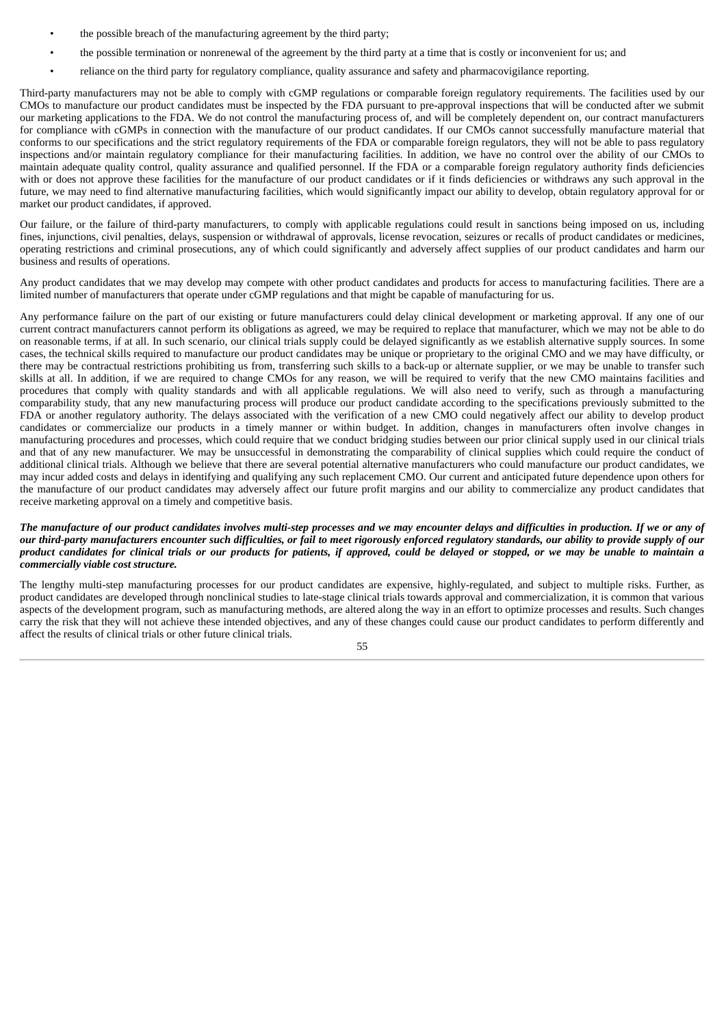- the possible breach of the manufacturing agreement by the third party;
- the possible termination or nonrenewal of the agreement by the third party at a time that is costly or inconvenient for us; and
- reliance on the third party for regulatory compliance, quality assurance and safety and pharmacovigilance reporting.

Third-party manufacturers may not be able to comply with cGMP regulations or comparable foreign regulatory requirements. The facilities used by our CMOs to manufacture our product candidates must be inspected by the FDA pursuant to pre-approval inspections that will be conducted after we submit our marketing applications to the FDA. We do not control the manufacturing process of, and will be completely dependent on, our contract manufacturers for compliance with cGMPs in connection with the manufacture of our product candidates. If our CMOs cannot successfully manufacture material that conforms to our specifications and the strict regulatory requirements of the FDA or comparable foreign regulators, they will not be able to pass regulatory inspections and/or maintain regulatory compliance for their manufacturing facilities. In addition, we have no control over the ability of our CMOs to maintain adequate quality control, quality assurance and qualified personnel. If the FDA or a comparable foreign regulatory authority finds deficiencies with or does not approve these facilities for the manufacture of our product candidates or if it finds deficiencies or withdraws any such approval in the future, we may need to find alternative manufacturing facilities, which would significantly impact our ability to develop, obtain regulatory approval for or market our product candidates, if approved.

Our failure, or the failure of third-party manufacturers, to comply with applicable regulations could result in sanctions being imposed on us, including fines, injunctions, civil penalties, delays, suspension or withdrawal of approvals, license revocation, seizures or recalls of product candidates or medicines, operating restrictions and criminal prosecutions, any of which could significantly and adversely affect supplies of our product candidates and harm our business and results of operations.

Any product candidates that we may develop may compete with other product candidates and products for access to manufacturing facilities. There are a limited number of manufacturers that operate under cGMP regulations and that might be capable of manufacturing for us.

Any performance failure on the part of our existing or future manufacturers could delay clinical development or marketing approval. If any one of our current contract manufacturers cannot perform its obligations as agreed, we may be required to replace that manufacturer, which we may not be able to do on reasonable terms, if at all. In such scenario, our clinical trials supply could be delayed significantly as we establish alternative supply sources. In some cases, the technical skills required to manufacture our product candidates may be unique or proprietary to the original CMO and we may have difficulty, or there may be contractual restrictions prohibiting us from, transferring such skills to a back-up or alternate supplier, or we may be unable to transfer such skills at all. In addition, if we are required to change CMOs for any reason, we will be required to verify that the new CMO maintains facilities and procedures that comply with quality standards and with all applicable regulations. We will also need to verify, such as through a manufacturing comparability study, that any new manufacturing process will produce our product candidate according to the specifications previously submitted to the FDA or another regulatory authority. The delays associated with the verification of a new CMO could negatively affect our ability to develop product candidates or commercialize our products in a timely manner or within budget. In addition, changes in manufacturers often involve changes in manufacturing procedures and processes, which could require that we conduct bridging studies between our prior clinical supply used in our clinical trials and that of any new manufacturer. We may be unsuccessful in demonstrating the comparability of clinical supplies which could require the conduct of additional clinical trials. Although we believe that there are several potential alternative manufacturers who could manufacture our product candidates, we may incur added costs and delays in identifying and qualifying any such replacement CMO. Our current and anticipated future dependence upon others for the manufacture of our product candidates may adversely affect our future profit margins and our ability to commercialize any product candidates that receive marketing approval on a timely and competitive basis.

## The manufacture of our product candidates involves multi-step processes and we may encounter delays and difficulties in production. If we or any of our third-party manufacturers encounter such difficulties, or fail to meet rigorously enforced regulatory standards, our ability to provide supply of our product candidates for clinical trials or our products for patients, if approved, could be delayed or stopped, or we may be unable to maintain a *commercially viable cost structure.*

The lengthy multi-step manufacturing processes for our product candidates are expensive, highly-regulated, and subject to multiple risks. Further, as product candidates are developed through nonclinical studies to late-stage clinical trials towards approval and commercialization, it is common that various aspects of the development program, such as manufacturing methods, are altered along the way in an effort to optimize processes and results. Such changes carry the risk that they will not achieve these intended objectives, and any of these changes could cause our product candidates to perform differently and affect the results of clinical trials or other future clinical trials.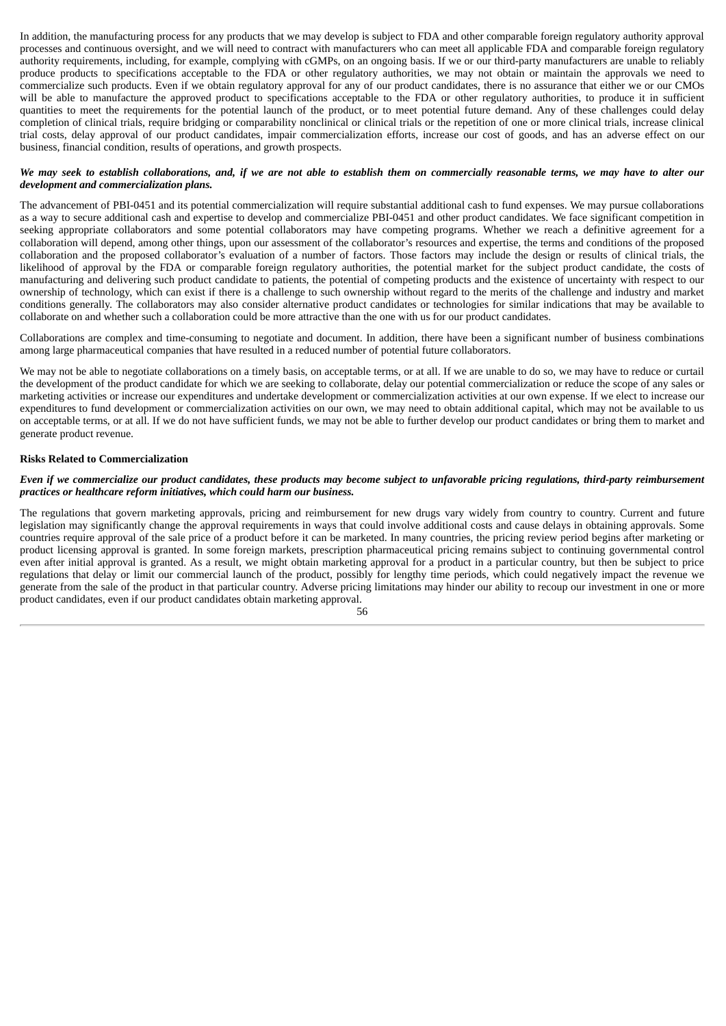In addition, the manufacturing process for any products that we may develop is subject to FDA and other comparable foreign regulatory authority approval processes and continuous oversight, and we will need to contract with manufacturers who can meet all applicable FDA and comparable foreign regulatory authority requirements, including, for example, complying with cGMPs, on an ongoing basis. If we or our third-party manufacturers are unable to reliably produce products to specifications acceptable to the FDA or other regulatory authorities, we may not obtain or maintain the approvals we need to commercialize such products. Even if we obtain regulatory approval for any of our product candidates, there is no assurance that either we or our CMOs will be able to manufacture the approved product to specifications acceptable to the FDA or other regulatory authorities, to produce it in sufficient quantities to meet the requirements for the potential launch of the product, or to meet potential future demand. Any of these challenges could delay completion of clinical trials, require bridging or comparability nonclinical or clinical trials or the repetition of one or more clinical trials, increase clinical trial costs, delay approval of our product candidates, impair commercialization efforts, increase our cost of goods, and has an adverse effect on our business, financial condition, results of operations, and growth prospects.

# We may seek to establish collaborations, and, if we are not able to establish them on commercially reasonable terms, we may have to alter our *development and commercialization plans.*

The advancement of PBI-0451 and its potential commercialization will require substantial additional cash to fund expenses. We may pursue collaborations as a way to secure additional cash and expertise to develop and commercialize PBI-0451 and other product candidates. We face significant competition in seeking appropriate collaborators and some potential collaborators may have competing programs. Whether we reach a definitive agreement for a collaboration will depend, among other things, upon our assessment of the collaborator's resources and expertise, the terms and conditions of the proposed collaboration and the proposed collaborator's evaluation of a number of factors. Those factors may include the design or results of clinical trials, the likelihood of approval by the FDA or comparable foreign regulatory authorities, the potential market for the subject product candidate, the costs of manufacturing and delivering such product candidate to patients, the potential of competing products and the existence of uncertainty with respect to our ownership of technology, which can exist if there is a challenge to such ownership without regard to the merits of the challenge and industry and market conditions generally. The collaborators may also consider alternative product candidates or technologies for similar indications that may be available to collaborate on and whether such a collaboration could be more attractive than the one with us for our product candidates.

Collaborations are complex and time-consuming to negotiate and document. In addition, there have been a significant number of business combinations among large pharmaceutical companies that have resulted in a reduced number of potential future collaborators.

We may not be able to negotiate collaborations on a timely basis, on acceptable terms, or at all. If we are unable to do so, we may have to reduce or curtail the development of the product candidate for which we are seeking to collaborate, delay our potential commercialization or reduce the scope of any sales or marketing activities or increase our expenditures and undertake development or commercialization activities at our own expense. If we elect to increase our expenditures to fund development or commercialization activities on our own, we may need to obtain additional capital, which may not be available to us on acceptable terms, or at all. If we do not have sufficient funds, we may not be able to further develop our product candidates or bring them to market and generate product revenue.

# **Risks Related to Commercialization**

# Even if we commercialize our product candidates, these products may become subject to unfavorable pricing regulations, third-party reimbursement *practices or healthcare reform initiatives, which could harm our business.*

The regulations that govern marketing approvals, pricing and reimbursement for new drugs vary widely from country to country. Current and future legislation may significantly change the approval requirements in ways that could involve additional costs and cause delays in obtaining approvals. Some countries require approval of the sale price of a product before it can be marketed. In many countries, the pricing review period begins after marketing or product licensing approval is granted. In some foreign markets, prescription pharmaceutical pricing remains subject to continuing governmental control even after initial approval is granted. As a result, we might obtain marketing approval for a product in a particular country, but then be subject to price regulations that delay or limit our commercial launch of the product, possibly for lengthy time periods, which could negatively impact the revenue we generate from the sale of the product in that particular country. Adverse pricing limitations may hinder our ability to recoup our investment in one or more product candidates, even if our product candidates obtain marketing approval.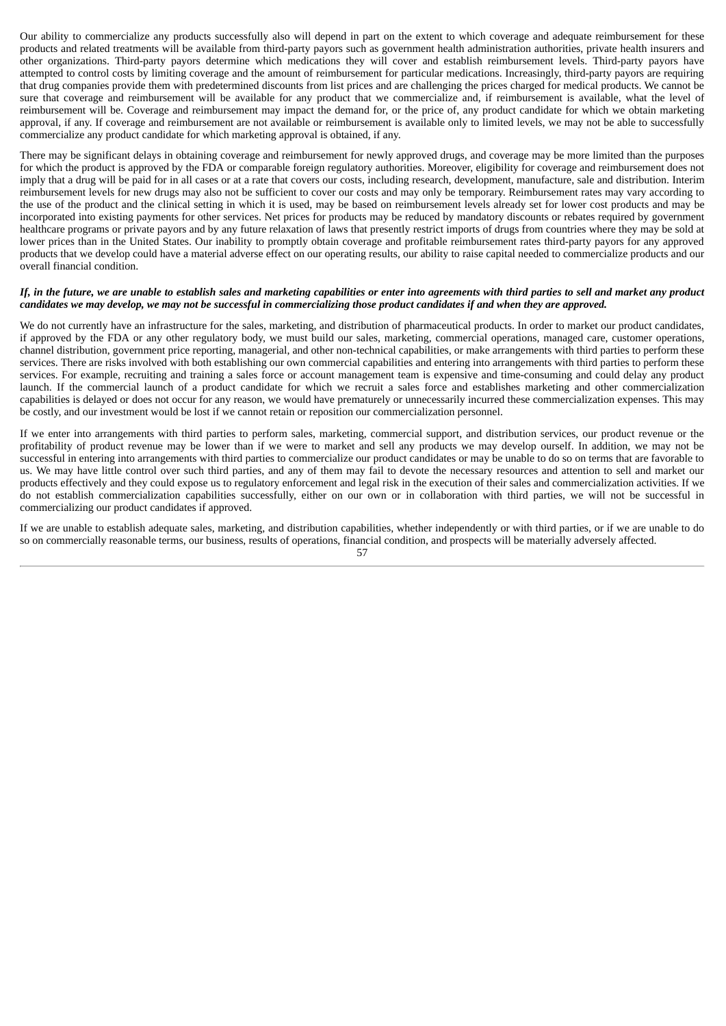Our ability to commercialize any products successfully also will depend in part on the extent to which coverage and adequate reimbursement for these products and related treatments will be available from third-party payors such as government health administration authorities, private health insurers and other organizations. Third-party payors determine which medications they will cover and establish reimbursement levels. Third-party payors have attempted to control costs by limiting coverage and the amount of reimbursement for particular medications. Increasingly, third-party payors are requiring that drug companies provide them with predetermined discounts from list prices and are challenging the prices charged for medical products. We cannot be sure that coverage and reimbursement will be available for any product that we commercialize and, if reimbursement is available, what the level of reimbursement will be. Coverage and reimbursement may impact the demand for, or the price of, any product candidate for which we obtain marketing approval, if any. If coverage and reimbursement are not available or reimbursement is available only to limited levels, we may not be able to successfully commercialize any product candidate for which marketing approval is obtained, if any.

There may be significant delays in obtaining coverage and reimbursement for newly approved drugs, and coverage may be more limited than the purposes for which the product is approved by the FDA or comparable foreign regulatory authorities. Moreover, eligibility for coverage and reimbursement does not imply that a drug will be paid for in all cases or at a rate that covers our costs, including research, development, manufacture, sale and distribution. Interim reimbursement levels for new drugs may also not be sufficient to cover our costs and may only be temporary. Reimbursement rates may vary according to the use of the product and the clinical setting in which it is used, may be based on reimbursement levels already set for lower cost products and may be incorporated into existing payments for other services. Net prices for products may be reduced by mandatory discounts or rebates required by government healthcare programs or private payors and by any future relaxation of laws that presently restrict imports of drugs from countries where they may be sold at lower prices than in the United States. Our inability to promptly obtain coverage and profitable reimbursement rates third-party payors for any approved products that we develop could have a material adverse effect on our operating results, our ability to raise capital needed to commercialize products and our overall financial condition.

#### If, in the future, we are unable to establish sales and marketing capabilities or enter into agreements with third parties to sell and market any product candidates we may develop, we may not be successful in commercializing those product candidates if and when they are approved.

We do not currently have an infrastructure for the sales, marketing, and distribution of pharmaceutical products. In order to market our product candidates, if approved by the FDA or any other regulatory body, we must build our sales, marketing, commercial operations, managed care, customer operations, channel distribution, government price reporting, managerial, and other non-technical capabilities, or make arrangements with third parties to perform these services. There are risks involved with both establishing our own commercial capabilities and entering into arrangements with third parties to perform these services. For example, recruiting and training a sales force or account management team is expensive and time-consuming and could delay any product launch. If the commercial launch of a product candidate for which we recruit a sales force and establishes marketing and other commercialization capabilities is delayed or does not occur for any reason, we would have prematurely or unnecessarily incurred these commercialization expenses. This may be costly, and our investment would be lost if we cannot retain or reposition our commercialization personnel.

If we enter into arrangements with third parties to perform sales, marketing, commercial support, and distribution services, our product revenue or the profitability of product revenue may be lower than if we were to market and sell any products we may develop ourself. In addition, we may not be successful in entering into arrangements with third parties to commercialize our product candidates or may be unable to do so on terms that are favorable to us. We may have little control over such third parties, and any of them may fail to devote the necessary resources and attention to sell and market our products effectively and they could expose us to regulatory enforcement and legal risk in the execution of their sales and commercialization activities. If we do not establish commercialization capabilities successfully, either on our own or in collaboration with third parties, we will not be successful in commercializing our product candidates if approved.

If we are unable to establish adequate sales, marketing, and distribution capabilities, whether independently or with third parties, or if we are unable to do so on commercially reasonable terms, our business, results of operations, financial condition, and prospects will be materially adversely affected.

<sup>57</sup>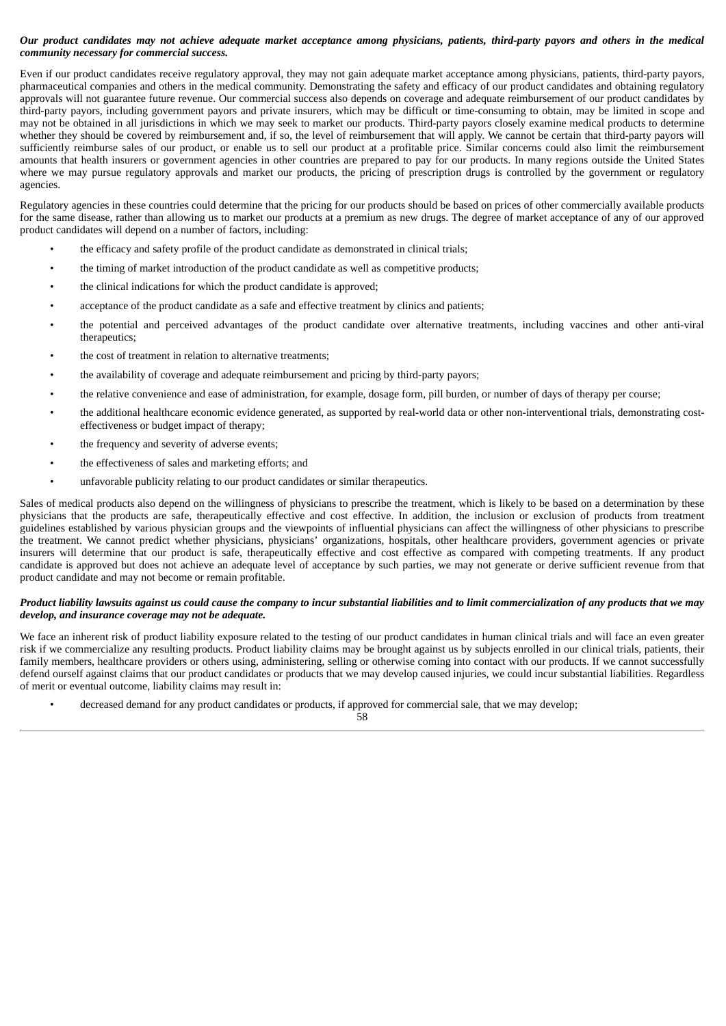# Our product candidates may not achieve adequate market acceptance among physicians, patients, third-party payors and others in the medical *community necessary for commercial success.*

Even if our product candidates receive regulatory approval, they may not gain adequate market acceptance among physicians, patients, third-party payors, pharmaceutical companies and others in the medical community. Demonstrating the safety and efficacy of our product candidates and obtaining regulatory approvals will not guarantee future revenue. Our commercial success also depends on coverage and adequate reimbursement of our product candidates by third-party payors, including government payors and private insurers, which may be difficult or time-consuming to obtain, may be limited in scope and may not be obtained in all jurisdictions in which we may seek to market our products. Third-party payors closely examine medical products to determine whether they should be covered by reimbursement and, if so, the level of reimbursement that will apply. We cannot be certain that third-party payors will sufficiently reimburse sales of our product, or enable us to sell our product at a profitable price. Similar concerns could also limit the reimbursement amounts that health insurers or government agencies in other countries are prepared to pay for our products. In many regions outside the United States where we may pursue regulatory approvals and market our products, the pricing of prescription drugs is controlled by the government or regulatory agencies.

Regulatory agencies in these countries could determine that the pricing for our products should be based on prices of other commercially available products for the same disease, rather than allowing us to market our products at a premium as new drugs. The degree of market acceptance of any of our approved product candidates will depend on a number of factors, including:

- the efficacy and safety profile of the product candidate as demonstrated in clinical trials;
- the timing of market introduction of the product candidate as well as competitive products;
- the clinical indications for which the product candidate is approved;
- acceptance of the product candidate as a safe and effective treatment by clinics and patients;
- the potential and perceived advantages of the product candidate over alternative treatments, including vaccines and other anti-viral therapeutics;
- the cost of treatment in relation to alternative treatments;
- the availability of coverage and adequate reimbursement and pricing by third-party payors;
- the relative convenience and ease of administration, for example, dosage form, pill burden, or number of days of therapy per course;
- the additional healthcare economic evidence generated, as supported by real-world data or other non-interventional trials, demonstrating costeffectiveness or budget impact of therapy;
- the frequency and severity of adverse events;
- the effectiveness of sales and marketing efforts; and
- unfavorable publicity relating to our product candidates or similar therapeutics.

Sales of medical products also depend on the willingness of physicians to prescribe the treatment, which is likely to be based on a determination by these physicians that the products are safe, therapeutically effective and cost effective. In addition, the inclusion or exclusion of products from treatment guidelines established by various physician groups and the viewpoints of influential physicians can affect the willingness of other physicians to prescribe the treatment. We cannot predict whether physicians, physicians' organizations, hospitals, other healthcare providers, government agencies or private insurers will determine that our product is safe, therapeutically effective and cost effective as compared with competing treatments. If any product candidate is approved but does not achieve an adequate level of acceptance by such parties, we may not generate or derive sufficient revenue from that product candidate and may not become or remain profitable.

# Product liability lawsuits against us could cause the company to incur substantial liabilities and to limit commercialization of any products that we may *develop, and insurance coverage may not be adequate.*

We face an inherent risk of product liability exposure related to the testing of our product candidates in human clinical trials and will face an even greater risk if we commercialize any resulting products. Product liability claims may be brought against us by subjects enrolled in our clinical trials, patients, their family members, healthcare providers or others using, administering, selling or otherwise coming into contact with our products. If we cannot successfully defend ourself against claims that our product candidates or products that we may develop caused injuries, we could incur substantial liabilities. Regardless of merit or eventual outcome, liability claims may result in:

• decreased demand for any product candidates or products, if approved for commercial sale, that we may develop;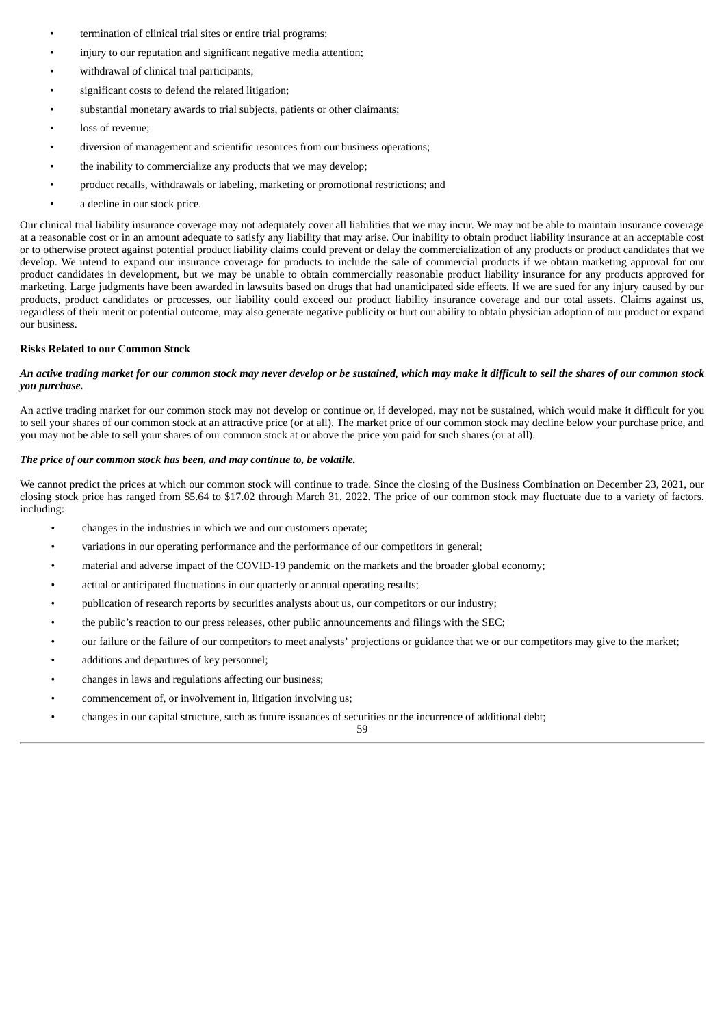- termination of clinical trial sites or entire trial programs;
- injury to our reputation and significant negative media attention;
- withdrawal of clinical trial participants;
- significant costs to defend the related litigation;
- substantial monetary awards to trial subjects, patients or other claimants;
- loss of revenue:
- diversion of management and scientific resources from our business operations;
- the inability to commercialize any products that we may develop;
- product recalls, withdrawals or labeling, marketing or promotional restrictions; and
- a decline in our stock price.

Our clinical trial liability insurance coverage may not adequately cover all liabilities that we may incur. We may not be able to maintain insurance coverage at a reasonable cost or in an amount adequate to satisfy any liability that may arise. Our inability to obtain product liability insurance at an acceptable cost or to otherwise protect against potential product liability claims could prevent or delay the commercialization of any products or product candidates that we develop. We intend to expand our insurance coverage for products to include the sale of commercial products if we obtain marketing approval for our product candidates in development, but we may be unable to obtain commercially reasonable product liability insurance for any products approved for marketing. Large judgments have been awarded in lawsuits based on drugs that had unanticipated side effects. If we are sued for any injury caused by our products, product candidates or processes, our liability could exceed our product liability insurance coverage and our total assets. Claims against us, regardless of their merit or potential outcome, may also generate negative publicity or hurt our ability to obtain physician adoption of our product or expand our business.

#### **Risks Related to our Common Stock**

# An active trading market for our common stock may never develop or be sustained, which may make it difficult to sell the shares of our common stock *you purchase.*

An active trading market for our common stock may not develop or continue or, if developed, may not be sustained, which would make it difficult for you to sell your shares of our common stock at an attractive price (or at all). The market price of our common stock may decline below your purchase price, and you may not be able to sell your shares of our common stock at or above the price you paid for such shares (or at all).

# *The price of our common stock has been, and may continue to, be volatile.*

We cannot predict the prices at which our common stock will continue to trade. Since the closing of the Business Combination on December 23, 2021, our closing stock price has ranged from \$5.64 to \$17.02 through March 31, 2022. The price of our common stock may fluctuate due to a variety of factors, including:

- changes in the industries in which we and our customers operate;
- variations in our operating performance and the performance of our competitors in general;
- material and adverse impact of the COVID-19 pandemic on the markets and the broader global economy;
- actual or anticipated fluctuations in our quarterly or annual operating results;
- publication of research reports by securities analysts about us, our competitors or our industry;
- the public's reaction to our press releases, other public announcements and filings with the SEC;
- our failure or the failure of our competitors to meet analysts' projections or guidance that we or our competitors may give to the market;
- additions and departures of key personnel;
- changes in laws and regulations affecting our business;
- commencement of, or involvement in, litigation involving us;
- changes in our capital structure, such as future issuances of securities or the incurrence of additional debt;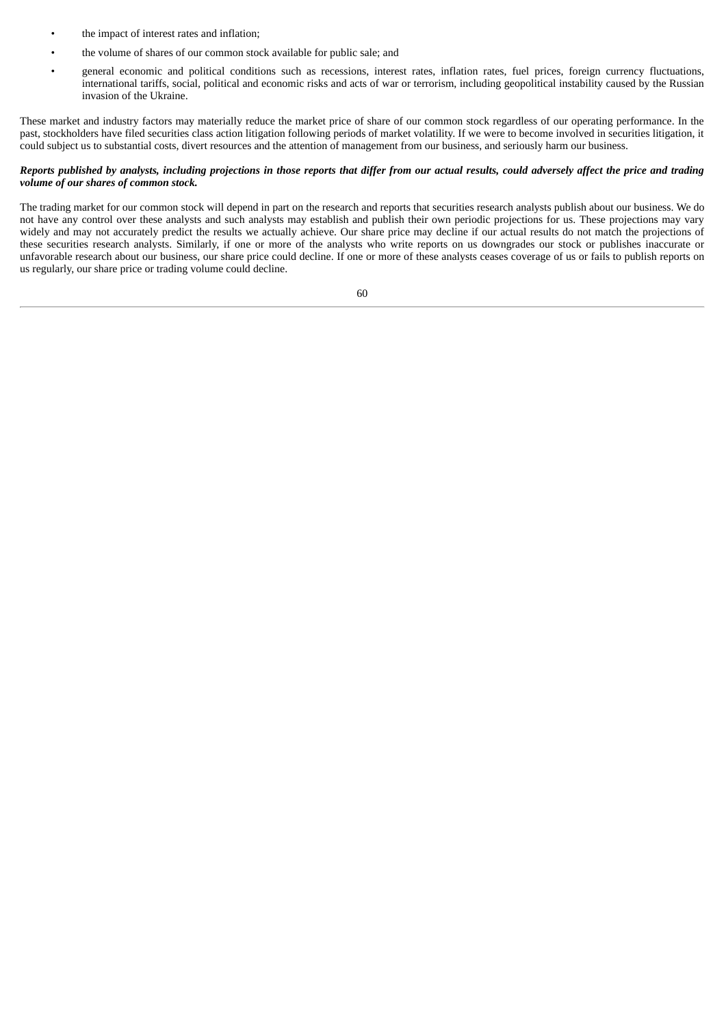- the impact of interest rates and inflation;
- the volume of shares of our common stock available for public sale; and
- general economic and political conditions such as recessions, interest rates, inflation rates, fuel prices, foreign currency fluctuations, international tariffs, social, political and economic risks and acts of war or terrorism, including geopolitical instability caused by the Russian invasion of the Ukraine.

These market and industry factors may materially reduce the market price of share of our common stock regardless of our operating performance. In the past, stockholders have filed securities class action litigation following periods of market volatility. If we were to become involved in securities litigation, it could subject us to substantial costs, divert resources and the attention of management from our business, and seriously harm our business.

# Reports published by analysts, including projections in those reports that differ from our actual results, could adversely affect the price and trading *volume of our shares of common stock.*

The trading market for our common stock will depend in part on the research and reports that securities research analysts publish about our business. We do not have any control over these analysts and such analysts may establish and publish their own periodic projections for us. These projections may vary widely and may not accurately predict the results we actually achieve. Our share price may decline if our actual results do not match the projections of these securities research analysts. Similarly, if one or more of the analysts who write reports on us downgrades our stock or publishes inaccurate or unfavorable research about our business, our share price could decline. If one or more of these analysts ceases coverage of us or fails to publish reports on us regularly, our share price or trading volume could decline.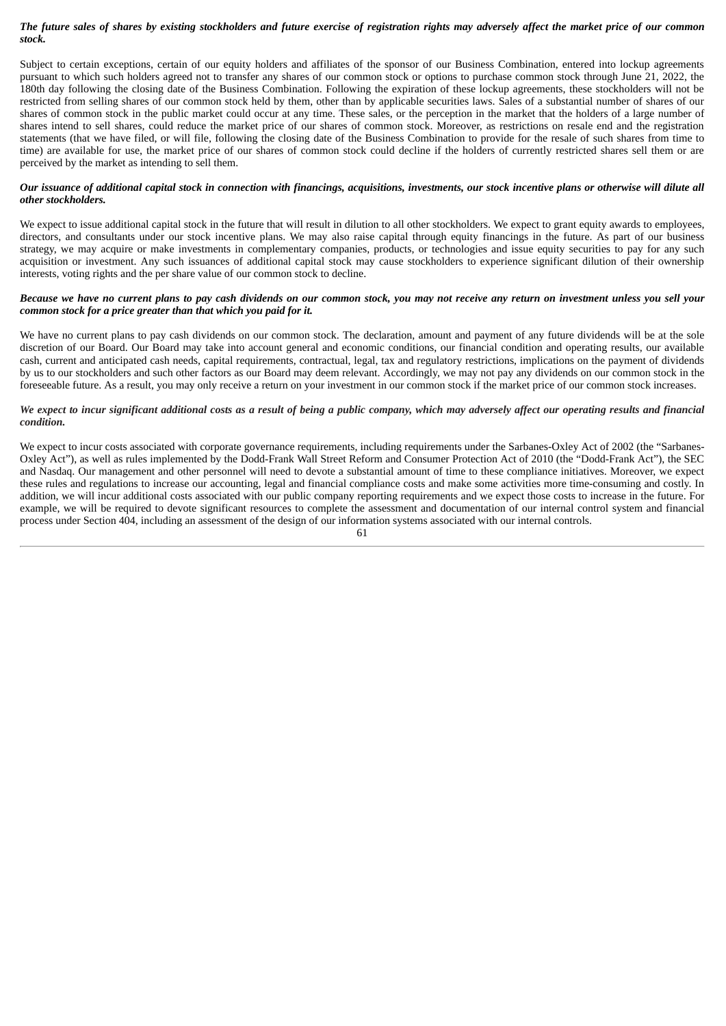# The future sales of shares by existing stockholders and future exercise of registration rights may adversely affect the market price of our common *stock.*

Subject to certain exceptions, certain of our equity holders and affiliates of the sponsor of our Business Combination, entered into lockup agreements pursuant to which such holders agreed not to transfer any shares of our common stock or options to purchase common stock through June 21, 2022, the 180th day following the closing date of the Business Combination. Following the expiration of these lockup agreements, these stockholders will not be restricted from selling shares of our common stock held by them, other than by applicable securities laws. Sales of a substantial number of shares of our shares of common stock in the public market could occur at any time. These sales, or the perception in the market that the holders of a large number of shares intend to sell shares, could reduce the market price of our shares of common stock. Moreover, as restrictions on resale end and the registration statements (that we have filed, or will file, following the closing date of the Business Combination to provide for the resale of such shares from time to time) are available for use, the market price of our shares of common stock could decline if the holders of currently restricted shares sell them or are perceived by the market as intending to sell them.

# Our issuance of additional capital stock in connection with financings, acquisitions, investments, our stock incentive plans or otherwise will dilute all *other stockholders.*

We expect to issue additional capital stock in the future that will result in dilution to all other stockholders. We expect to grant equity awards to employees, directors, and consultants under our stock incentive plans. We may also raise capital through equity financings in the future. As part of our business strategy, we may acquire or make investments in complementary companies, products, or technologies and issue equity securities to pay for any such acquisition or investment. Any such issuances of additional capital stock may cause stockholders to experience significant dilution of their ownership interests, voting rights and the per share value of our common stock to decline.

### Because we have no current plans to pay cash dividends on our common stock, you may not receive any return on investment unless you sell your *common stock for a price greater than that which you paid for it.*

We have no current plans to pay cash dividends on our common stock. The declaration, amount and payment of any future dividends will be at the sole discretion of our Board. Our Board may take into account general and economic conditions, our financial condition and operating results, our available cash, current and anticipated cash needs, capital requirements, contractual, legal, tax and regulatory restrictions, implications on the payment of dividends by us to our stockholders and such other factors as our Board may deem relevant. Accordingly, we may not pay any dividends on our common stock in the foreseeable future. As a result, you may only receive a return on your investment in our common stock if the market price of our common stock increases.

# We expect to incur significant additional costs as a result of being a public company, which may adversely affect our operating results and financial *condition.*

We expect to incur costs associated with corporate governance requirements, including requirements under the Sarbanes-Oxley Act of 2002 (the "Sarbanes-Oxley Act"), as well as rules implemented by the Dodd-Frank Wall Street Reform and Consumer Protection Act of 2010 (the "Dodd-Frank Act"), the SEC and Nasdaq. Our management and other personnel will need to devote a substantial amount of time to these compliance initiatives. Moreover, we expect these rules and regulations to increase our accounting, legal and financial compliance costs and make some activities more time-consuming and costly. In addition, we will incur additional costs associated with our public company reporting requirements and we expect those costs to increase in the future. For example, we will be required to devote significant resources to complete the assessment and documentation of our internal control system and financial process under Section 404, including an assessment of the design of our information systems associated with our internal controls.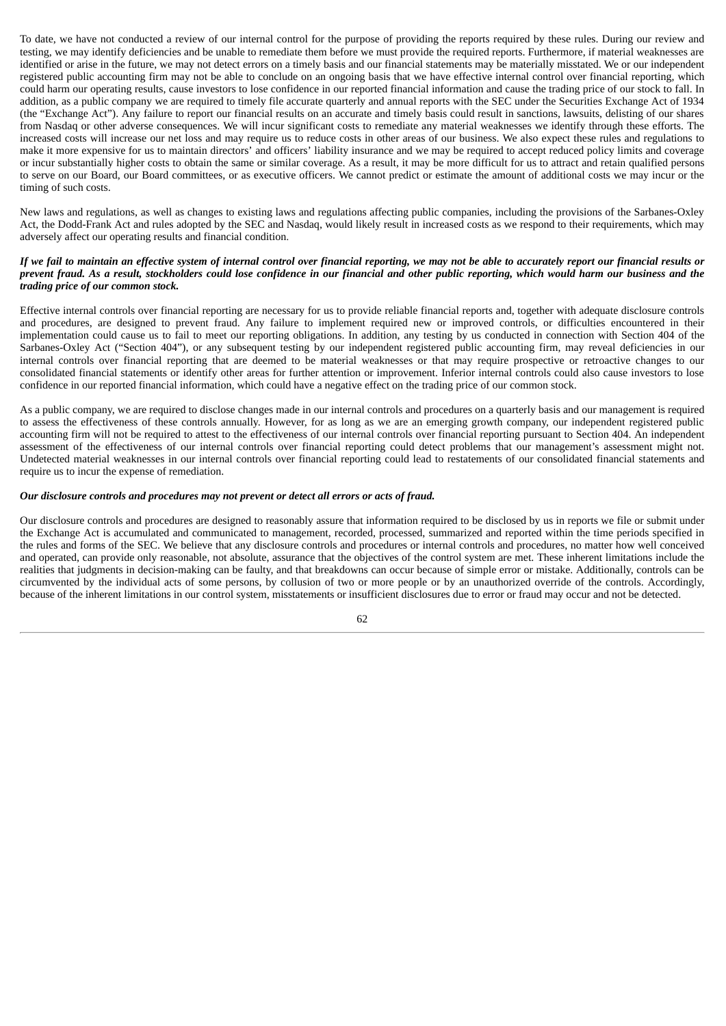To date, we have not conducted a review of our internal control for the purpose of providing the reports required by these rules. During our review and testing, we may identify deficiencies and be unable to remediate them before we must provide the required reports. Furthermore, if material weaknesses are identified or arise in the future, we may not detect errors on a timely basis and our financial statements may be materially misstated. We or our independent registered public accounting firm may not be able to conclude on an ongoing basis that we have effective internal control over financial reporting, which could harm our operating results, cause investors to lose confidence in our reported financial information and cause the trading price of our stock to fall. In addition, as a public company we are required to timely file accurate quarterly and annual reports with the SEC under the Securities Exchange Act of 1934 (the "Exchange Act"). Any failure to report our financial results on an accurate and timely basis could result in sanctions, lawsuits, delisting of our shares from Nasdaq or other adverse consequences. We will incur significant costs to remediate any material weaknesses we identify through these efforts. The increased costs will increase our net loss and may require us to reduce costs in other areas of our business. We also expect these rules and regulations to make it more expensive for us to maintain directors' and officers' liability insurance and we may be required to accept reduced policy limits and coverage or incur substantially higher costs to obtain the same or similar coverage. As a result, it may be more difficult for us to attract and retain qualified persons to serve on our Board, our Board committees, or as executive officers. We cannot predict or estimate the amount of additional costs we may incur or the timing of such costs.

New laws and regulations, as well as changes to existing laws and regulations affecting public companies, including the provisions of the Sarbanes-Oxley Act, the Dodd-Frank Act and rules adopted by the SEC and Nasdaq, would likely result in increased costs as we respond to their requirements, which may adversely affect our operating results and financial condition.

# If we fail to maintain an effective system of internal control over financial reporting, we may not be able to accurately report our financial results or prevent fraud. As a result, stockholders could lose confidence in our financial and other public reporting, which would harm our business and the *trading price of our common stock.*

Effective internal controls over financial reporting are necessary for us to provide reliable financial reports and, together with adequate disclosure controls and procedures, are designed to prevent fraud. Any failure to implement required new or improved controls, or difficulties encountered in their implementation could cause us to fail to meet our reporting obligations. In addition, any testing by us conducted in connection with Section 404 of the Sarbanes-Oxley Act ("Section 404"), or any subsequent testing by our independent registered public accounting firm, may reveal deficiencies in our internal controls over financial reporting that are deemed to be material weaknesses or that may require prospective or retroactive changes to our consolidated financial statements or identify other areas for further attention or improvement. Inferior internal controls could also cause investors to lose confidence in our reported financial information, which could have a negative effect on the trading price of our common stock.

As a public company, we are required to disclose changes made in our internal controls and procedures on a quarterly basis and our management is required to assess the effectiveness of these controls annually. However, for as long as we are an emerging growth company, our independent registered public accounting firm will not be required to attest to the effectiveness of our internal controls over financial reporting pursuant to Section 404. An independent assessment of the effectiveness of our internal controls over financial reporting could detect problems that our management's assessment might not. Undetected material weaknesses in our internal controls over financial reporting could lead to restatements of our consolidated financial statements and require us to incur the expense of remediation.

#### *Our disclosure controls and procedures may not prevent or detect all errors or acts of fraud.*

Our disclosure controls and procedures are designed to reasonably assure that information required to be disclosed by us in reports we file or submit under the Exchange Act is accumulated and communicated to management, recorded, processed, summarized and reported within the time periods specified in the rules and forms of the SEC. We believe that any disclosure controls and procedures or internal controls and procedures, no matter how well conceived and operated, can provide only reasonable, not absolute, assurance that the objectives of the control system are met. These inherent limitations include the realities that judgments in decision-making can be faulty, and that breakdowns can occur because of simple error or mistake. Additionally, controls can be circumvented by the individual acts of some persons, by collusion of two or more people or by an unauthorized override of the controls. Accordingly, because of the inherent limitations in our control system, misstatements or insufficient disclosures due to error or fraud may occur and not be detected.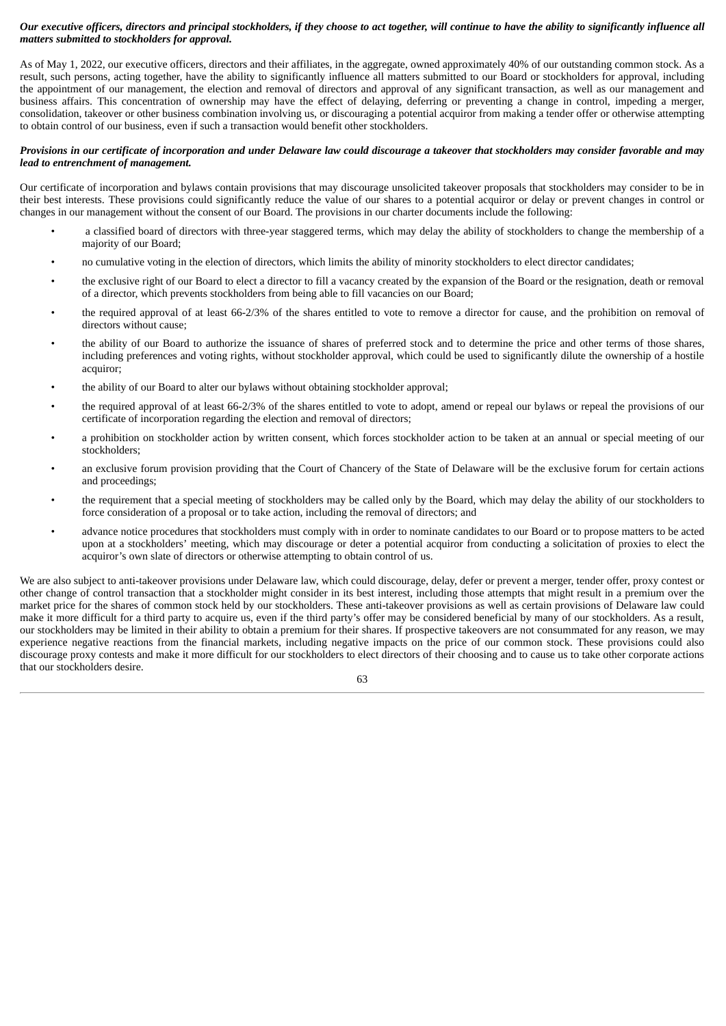# Our executive officers, directors and principal stockholders, if they choose to act together, will continue to have the ability to significantly influence all *matters submitted to stockholders for approval.*

As of May 1, 2022, our executive officers, directors and their affiliates, in the aggregate, owned approximately 40% of our outstanding common stock. As a result, such persons, acting together, have the ability to significantly influence all matters submitted to our Board or stockholders for approval, including the appointment of our management, the election and removal of directors and approval of any significant transaction, as well as our management and business affairs. This concentration of ownership may have the effect of delaying, deferring or preventing a change in control, impeding a merger, consolidation, takeover or other business combination involving us, or discouraging a potential acquiror from making a tender offer or otherwise attempting to obtain control of our business, even if such a transaction would benefit other stockholders.

# Provisions in our certificate of incorporation and under Delaware law could discourage a takeover that stockholders may consider favorable and may *lead to entrenchment of management.*

Our certificate of incorporation and bylaws contain provisions that may discourage unsolicited takeover proposals that stockholders may consider to be in their best interests. These provisions could significantly reduce the value of our shares to a potential acquiror or delay or prevent changes in control or changes in our management without the consent of our Board. The provisions in our charter documents include the following:

- a classified board of directors with three-year staggered terms, which may delay the ability of stockholders to change the membership of a majority of our Board;
- no cumulative voting in the election of directors, which limits the ability of minority stockholders to elect director candidates;
- the exclusive right of our Board to elect a director to fill a vacancy created by the expansion of the Board or the resignation, death or removal of a director, which prevents stockholders from being able to fill vacancies on our Board;
- the required approval of at least 66-2/3% of the shares entitled to vote to remove a director for cause, and the prohibition on removal of directors without cause;
- the ability of our Board to authorize the issuance of shares of preferred stock and to determine the price and other terms of those shares, including preferences and voting rights, without stockholder approval, which could be used to significantly dilute the ownership of a hostile acquiror;
- the ability of our Board to alter our bylaws without obtaining stockholder approval;
- the required approval of at least 66-2/3% of the shares entitled to vote to adopt, amend or repeal our bylaws or repeal the provisions of our certificate of incorporation regarding the election and removal of directors;
- a prohibition on stockholder action by written consent, which forces stockholder action to be taken at an annual or special meeting of our stockholders;
- an exclusive forum provision providing that the Court of Chancery of the State of Delaware will be the exclusive forum for certain actions and proceedings;
- the requirement that a special meeting of stockholders may be called only by the Board, which may delay the ability of our stockholders to force consideration of a proposal or to take action, including the removal of directors; and
- advance notice procedures that stockholders must comply with in order to nominate candidates to our Board or to propose matters to be acted upon at a stockholders' meeting, which may discourage or deter a potential acquiror from conducting a solicitation of proxies to elect the acquiror's own slate of directors or otherwise attempting to obtain control of us.

We are also subject to anti-takeover provisions under Delaware law, which could discourage, delay, defer or prevent a merger, tender offer, proxy contest or other change of control transaction that a stockholder might consider in its best interest, including those attempts that might result in a premium over the market price for the shares of common stock held by our stockholders. These anti-takeover provisions as well as certain provisions of Delaware law could make it more difficult for a third party to acquire us, even if the third party's offer may be considered beneficial by many of our stockholders. As a result, our stockholders may be limited in their ability to obtain a premium for their shares. If prospective takeovers are not consummated for any reason, we may experience negative reactions from the financial markets, including negative impacts on the price of our common stock. These provisions could also discourage proxy contests and make it more difficult for our stockholders to elect directors of their choosing and to cause us to take other corporate actions that our stockholders desire.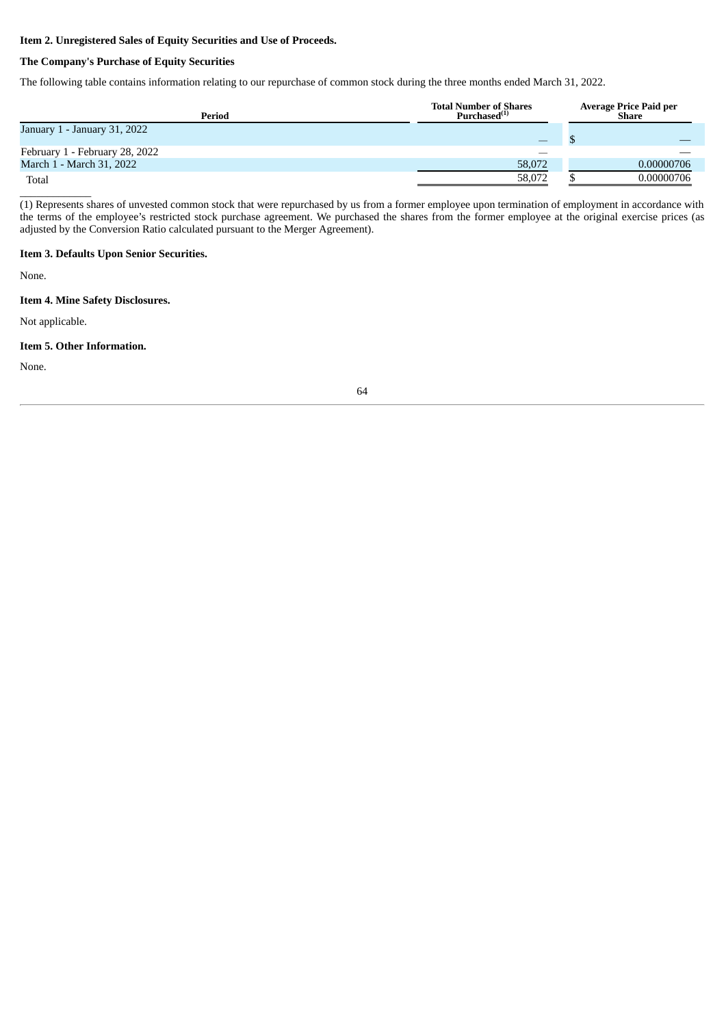# **Item 2. Unregistered Sales of Equity Securities and Use of Proceeds.**

# **The Company's Purchase of Equity Securities**

The following table contains information relating to our repurchase of common stock during the three months ended March 31, 2022.

| Period                         | <b>Total Number of Shares</b><br>Purchased <sup>(1)</sup> | Average Price Paid per<br>Share |            |
|--------------------------------|-----------------------------------------------------------|---------------------------------|------------|
| January 1 - January 31, 2022   |                                                           |                                 |            |
| February 1 - February 28, 2022 |                                                           |                                 |            |
| March 1 - March 31, 2022       | 58,072                                                    |                                 | 0.00000706 |
| Total                          | 58,072                                                    |                                 | 0.00000706 |

(1) Represents shares of unvested common stock that were repurchased by us from a former employee upon termination of employment in accordance with the terms of the employee's restricted stock purchase agreement. We purchased the shares from the former employee at the original exercise prices (as adjusted by the Conversion Ratio calculated pursuant to the Merger Agreement).

# **Item 3. Defaults Upon Senior Securities.**

None.

# **Item 4. Mine Safety Disclosures.**

Not applicable.

\_\_\_\_\_\_\_\_\_\_\_\_\_

# **Item 5. Other Information.**

None.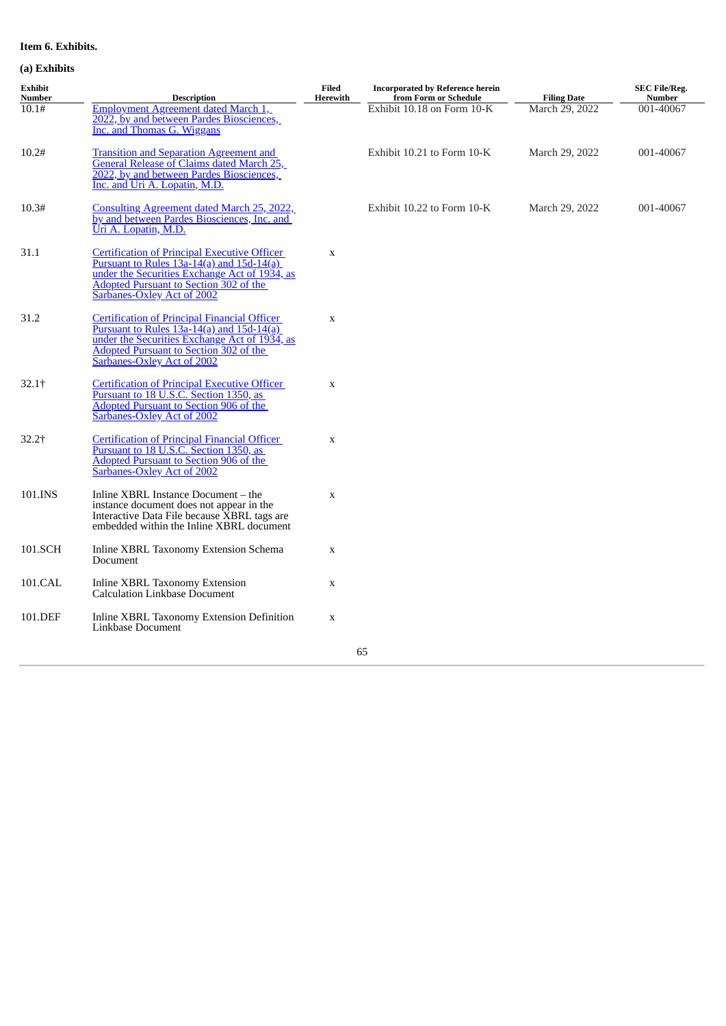# **Item 6. Exhibits.**

# **(a) Exhibits**

| Exhibit<br>Number | <b>Description</b>                                                                                                                                                                                                            | <b>Filed</b><br>Herewith | <b>Incorporated by Reference herein</b><br>from Form or Schedule | <b>Filing Date</b> | <b>SEC File/Reg.</b><br><b>Number</b> |
|-------------------|-------------------------------------------------------------------------------------------------------------------------------------------------------------------------------------------------------------------------------|--------------------------|------------------------------------------------------------------|--------------------|---------------------------------------|
| 10.1#             | Employment Agreement dated March 1,<br>2022, by and between Pardes Biosciences,<br>Inc. and Thomas G. Wiggans                                                                                                                 |                          | Exhibit 10.18 on Form 10-K                                       | March 29, 2022     | 001-40067                             |
| 10.2#             | <b>Transition and Separation Agreement and</b><br>General Release of Claims dated March 25,<br>2022, by and between Pardes Biosciences,<br>Inc. and Uri A. Lopatin, M.D.                                                      |                          | Exhibit 10.21 to Form 10-K                                       | March 29, 2022     | 001-40067                             |
| 10.3#             | Consulting Agreement dated March 25, 2022,<br>by and between Pardes Biosciences, Inc. and<br>Uri A. Lopatin, M.D.                                                                                                             |                          | Exhibit 10.22 to Form 10-K                                       | March 29, 2022     | 001-40067                             |
| 31.1              | <b>Certification of Principal Executive Officer</b><br>Pursuant to Rules $13a-14(a)$ and $15d-14(a)$<br>under the Securities Exchange Act of 1934, as<br>Adopted Pursuant to Section 302 of the<br>Sarbanes-Oxley Act of 2002 | $\mathbf X$              |                                                                  |                    |                                       |
| 31.2              | <b>Certification of Principal Financial Officer</b><br>Pursuant to Rules $13a-14(a)$ and $15d-14(a)$<br>under the Securities Exchange Act of 1934, as<br>Adopted Pursuant to Section 302 of the<br>Sarbanes-Oxley Act of 2002 | $\mathbf X$              |                                                                  |                    |                                       |
| $32.1+$           | <b>Certification of Principal Executive Officer</b><br>Pursuant to 18 U.S.C. Section 1350, as<br>Adopted Pursuant to Section 906 of the<br>Sarbanes-Oxley Act of 2002                                                         | $\mathbf X$              |                                                                  |                    |                                       |
| $32.2$ †          | <b>Certification of Principal Financial Officer</b><br>Pursuant to 18 U.S.C. Section 1350, as<br><b>Adopted Pursuant to Section 906 of the</b><br><b>Sarbanes-Oxley Act of 2002</b>                                           | $\mathbf X$              |                                                                  |                    |                                       |
| 101.INS           | Inline XBRL Instance Document - the<br>instance document does not appear in the<br>Interactive Data File because XBRL tags are<br>embedded within the Inline XBRL document                                                    | $\mathbf X$              |                                                                  |                    |                                       |
| 101.SCH           | Inline XBRL Taxonomy Extension Schema<br>Document                                                                                                                                                                             | X                        |                                                                  |                    |                                       |
| 101.CAL           | <b>Inline XBRL Taxonomy Extension</b><br><b>Calculation Linkbase Document</b>                                                                                                                                                 | X                        |                                                                  |                    |                                       |
| 101.DEF           | Inline XBRL Taxonomy Extension Definition<br>Linkbase Document                                                                                                                                                                | $\mathbf x$              |                                                                  |                    |                                       |
|                   |                                                                                                                                                                                                                               |                          | 65                                                               |                    |                                       |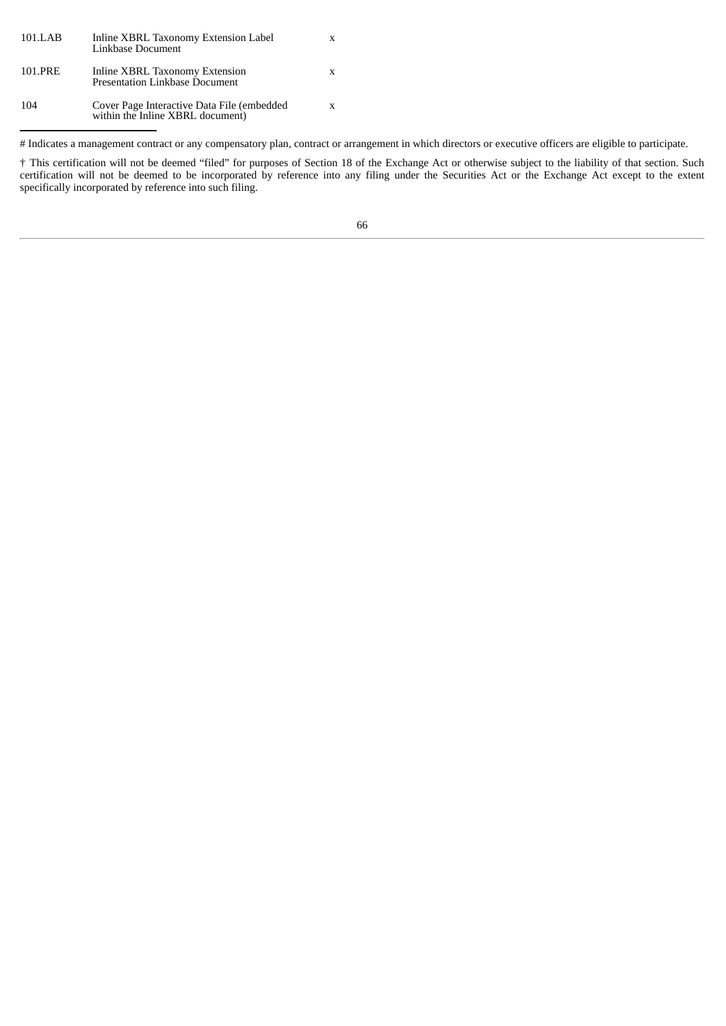| 101.LAB | Inline XBRL Taxonomy Extension Label<br>Linkbase Document                      | X |
|---------|--------------------------------------------------------------------------------|---|
| 101.PRE | Inline XBRL Taxonomy Extension<br><b>Presentation Linkbase Document</b>        | X |
| 104     | Cover Page Interactive Data File (embedded<br>within the Inline XBRL document) | X |

# Indicates a management contract or any compensatory plan, contract or arrangement in which directors or executive officers are eligible to participate.

† This certification will not be deemed "filed" for purposes of Section 18 of the Exchange Act or otherwise subject to the liability of that section. Such certification will not be deemed to be incorporated by reference into any filing under the Securities Act or the Exchange Act except to the extent specifically incorporated by reference into such filing.

66